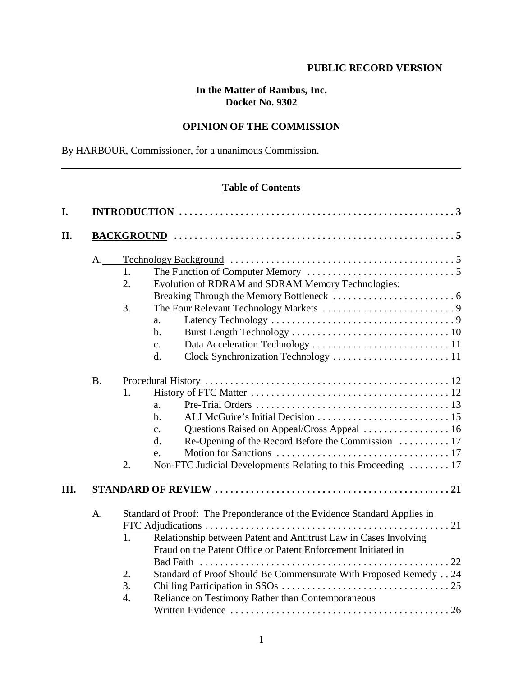# **In the Matter of Rambus, Inc. Docket No. 9302**

# **OPINION OF THE COMMISSION**

By HARBOUR, Commissioner, for a unanimous Commission.

# **Table of Contents**

| $A_{\cdot\_\_}$ |    |                                                                          |  |  |
|-----------------|----|--------------------------------------------------------------------------|--|--|
|                 | 1. |                                                                          |  |  |
|                 | 2. | Evolution of RDRAM and SDRAM Memory Technologies:                        |  |  |
|                 |    |                                                                          |  |  |
|                 | 3. |                                                                          |  |  |
|                 |    | a.                                                                       |  |  |
|                 |    | $\mathbf{b}$ .                                                           |  |  |
|                 |    | $\mathbf{c}$ .                                                           |  |  |
|                 |    | d.                                                                       |  |  |
|                 |    |                                                                          |  |  |
| <b>B.</b>       |    |                                                                          |  |  |
|                 | 1. |                                                                          |  |  |
|                 |    | a.                                                                       |  |  |
|                 |    | $\mathbf{b}$ .                                                           |  |  |
|                 |    | $\mathbf{C}$ .                                                           |  |  |
|                 |    | d.                                                                       |  |  |
|                 |    | e.                                                                       |  |  |
|                 | 2. | Non-FTC Judicial Developments Relating to this Proceeding  17            |  |  |
|                 |    |                                                                          |  |  |
| A.              |    | Standard of Proof: The Preponderance of the Evidence Standard Applies in |  |  |
|                 |    |                                                                          |  |  |
|                 | 1. | Relationship between Patent and Antitrust Law in Cases Involving         |  |  |
|                 |    | Fraud on the Patent Office or Patent Enforcement Initiated in            |  |  |
|                 |    | <b>Bad Faith</b>                                                         |  |  |
|                 | 2. | Standard of Proof Should Be Commensurate With Proposed Remedy 24         |  |  |
|                 | 3. |                                                                          |  |  |
|                 | 4. | Reliance on Testimony Rather than Contemporaneous                        |  |  |
|                 |    |                                                                          |  |  |
|                 |    |                                                                          |  |  |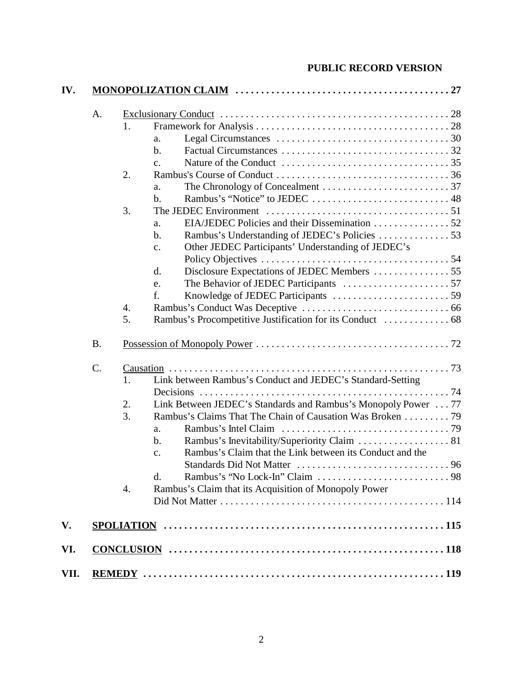| A.        |                  |                                                                           |
|-----------|------------------|---------------------------------------------------------------------------|
|           | 1.               |                                                                           |
|           |                  | a.                                                                        |
|           |                  | $\mathbf{b}$ .                                                            |
|           |                  | $\mathbf{C}$ .                                                            |
|           | 2.               |                                                                           |
|           |                  | a.                                                                        |
|           |                  | $\mathbf b$ .                                                             |
|           | 3.               |                                                                           |
|           |                  | a.                                                                        |
|           |                  | $\mathbf b$ .                                                             |
|           |                  | Other JEDEC Participants' Understanding of JEDEC's<br>$C_{\bullet}$       |
|           |                  |                                                                           |
|           |                  | Disclosure Expectations of JEDEC Members 55<br>d.                         |
|           |                  | e.                                                                        |
|           |                  | f.                                                                        |
|           | 4.               |                                                                           |
|           | 5.               |                                                                           |
| <b>B.</b> |                  |                                                                           |
| C.        |                  | $Causation 1 1 1 2 3 3$                                                   |
|           | 1.               | Link between Rambus's Conduct and JEDEC's Standard-Setting                |
|           |                  |                                                                           |
|           | 2.               | Link Between JEDEC's Standards and Rambus's Monopoly Power 77             |
|           | 3.               | Rambus's Claims That The Chain of Causation Was Broken 79                 |
|           |                  | a.                                                                        |
|           |                  | $\mathbf b$ .                                                             |
|           |                  | Rambus's Claim that the Link between its Conduct and the<br>$C_{\bullet}$ |
|           |                  |                                                                           |
|           |                  | d.                                                                        |
|           | $\overline{4}$ . | Rambus's Claim that its Acquisition of Monopoly Power                     |
|           |                  |                                                                           |
|           |                  |                                                                           |
|           |                  |                                                                           |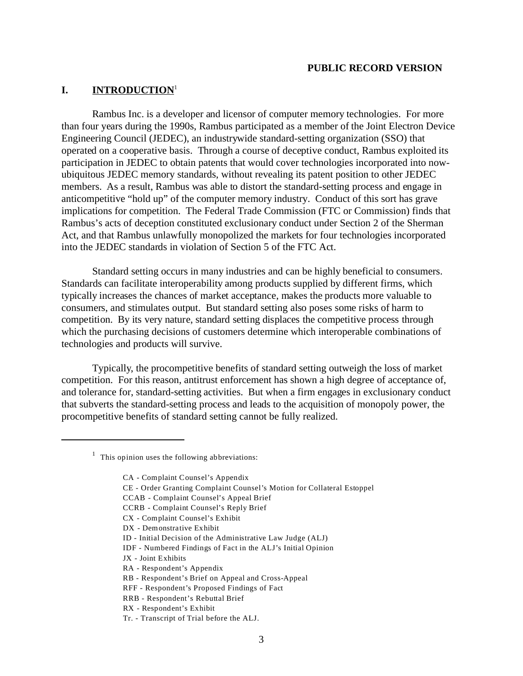## **I. INTRODUCTION**<sup>1</sup>

Rambus Inc. is a developer and licensor of computer memory technologies. For more than four years during the 1990s, Rambus participated as a member of the Joint Electron Device Engineering Council (JEDEC), an industrywide standard-setting organization (SSO) that operated on a cooperative basis. Through a course of deceptive conduct, Rambus exploited its participation in JEDEC to obtain patents that would cover technologies incorporated into nowubiquitous JEDEC memory standards, without revealing its patent position to other JEDEC members. As a result, Rambus was able to distort the standard-setting process and engage in anticompetitive "hold up" of the computer memory industry. Conduct of this sort has grave implications for competition. The Federal Trade Commission (FTC or Commission) finds that Rambus's acts of deception constituted exclusionary conduct under Section 2 of the Sherman Act, and that Rambus unlawfully monopolized the markets for four technologies incorporated into the JEDEC standards in violation of Section 5 of the FTC Act.

Standard setting occurs in many industries and can be highly beneficial to consumers. Standards can facilitate interoperability among products supplied by different firms, which typically increases the chances of market acceptance, makes the products more valuable to consumers, and stimulates output. But standard setting also poses some risks of harm to competition. By its very nature, standard setting displaces the competitive process through which the purchasing decisions of customers determine which interoperable combinations of technologies and products will survive.

Typically, the procompetitive benefits of standard setting outweigh the loss of market competition. For this reason, antitrust enforcement has shown a high degree of acceptance of, and tolerance for, standard-setting activities. But when a firm engages in exclusionary conduct that subverts the standard-setting process and leads to the acquisition of monopoly power, the procompetitive benefits of standard setting cannot be fully realized.

- CE Order Granting Complaint Counsel's Motion for Collateral Estoppel
- CCAB Complaint Counsel's Appeal Brief
- CCRB Complaint Counsel's Reply Brief
- CX Complaint Counsel's Exhibit
- DX Demonstrative Exhibit
- ID Initial Decision of the Administrative Law Judge (ALJ)
- IDF Numbered Findings of Fact in the ALJ's Initial Opinion
- JX Joint Exhibits
- RA Respondent's Appendix
- RB Respondent's Brief on Appeal and Cross-Appeal
- RFF Respondent's Proposed Findings of Fact
- RRB Respondent's Rebuttal Brief
- RX Respondent's Exhibit
- Tr. Transcript of Trial before the ALJ.

 $<sup>1</sup>$  This opinion uses the following abbreviations:</sup>

CA - Complaint Counsel's Appendix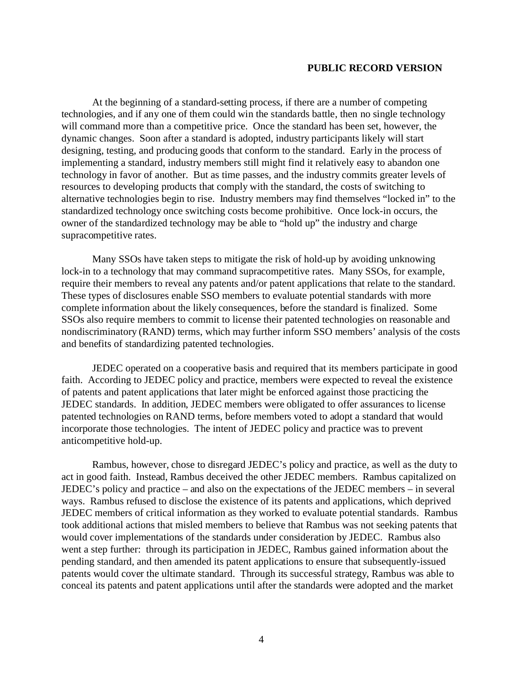At the beginning of a standard-setting process, if there are a number of competing technologies, and if any one of them could win the standards battle, then no single technology will command more than a competitive price. Once the standard has been set, however, the dynamic changes. Soon after a standard is adopted, industry participants likely will start designing, testing, and producing goods that conform to the standard. Early in the process of implementing a standard, industry members still might find it relatively easy to abandon one technology in favor of another. But as time passes, and the industry commits greater levels of resources to developing products that comply with the standard, the costs of switching to alternative technologies begin to rise. Industry members may find themselves "locked in" to the standardized technology once switching costs become prohibitive. Once lock-in occurs, the owner of the standardized technology may be able to "hold up" the industry and charge supracompetitive rates.

Many SSOs have taken steps to mitigate the risk of hold-up by avoiding unknowing lock-in to a technology that may command supracompetitive rates. Many SSOs, for example, require their members to reveal any patents and/or patent applications that relate to the standard. These types of disclosures enable SSO members to evaluate potential standards with more complete information about the likely consequences, before the standard is finalized. Some SSOs also require members to commit to license their patented technologies on reasonable and nondiscriminatory (RAND) terms, which may further inform SSO members' analysis of the costs and benefits of standardizing patented technologies.

JEDEC operated on a cooperative basis and required that its members participate in good faith. According to JEDEC policy and practice, members were expected to reveal the existence of patents and patent applications that later might be enforced against those practicing the JEDEC standards. In addition, JEDEC members were obligated to offer assurances to license patented technologies on RAND terms, before members voted to adopt a standard that would incorporate those technologies. The intent of JEDEC policy and practice was to prevent anticompetitive hold-up.

Rambus, however, chose to disregard JEDEC's policy and practice, as well as the duty to act in good faith. Instead, Rambus deceived the other JEDEC members. Rambus capitalized on JEDEC's policy and practice – and also on the expectations of the JEDEC members – in several ways. Rambus refused to disclose the existence of its patents and applications, which deprived JEDEC members of critical information as they worked to evaluate potential standards. Rambus took additional actions that misled members to believe that Rambus was not seeking patents that would cover implementations of the standards under consideration by JEDEC. Rambus also went a step further: through its participation in JEDEC, Rambus gained information about the pending standard, and then amended its patent applications to ensure that subsequently-issued patents would cover the ultimate standard. Through its successful strategy, Rambus was able to conceal its patents and patent applications until after the standards were adopted and the market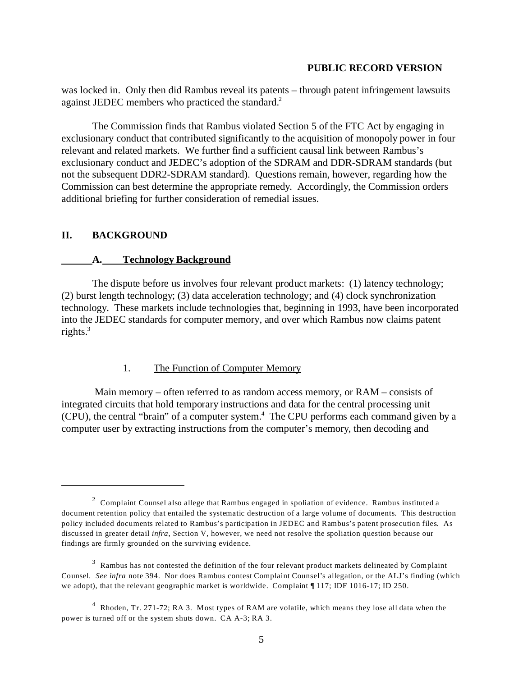was locked in. Only then did Rambus reveal its patents – through patent infringement lawsuits against JEDEC members who practiced the standard.<sup>2</sup>

The Commission finds that Rambus violated Section 5 of the FTC Act by engaging in exclusionary conduct that contributed significantly to the acquisition of monopoly power in four relevant and related markets. We further find a sufficient causal link between Rambus's exclusionary conduct and JEDEC's adoption of the SDRAM and DDR-SDRAM standards (but not the subsequent DDR2-SDRAM standard). Questions remain, however, regarding how the Commission can best determine the appropriate remedy. Accordingly, the Commission orders additional briefing for further consideration of remedial issues.

## **II. BACKGROUND**

#### **A. Technology Background**

The dispute before us involves four relevant product markets: (1) latency technology; (2) burst length technology; (3) data acceleration technology; and (4) clock synchronization technology. These markets include technologies that, beginning in 1993, have been incorporated into the JEDEC standards for computer memory, and over which Rambus now claims patent rights. $3$ 

#### 1. The Function of Computer Memory

 Main memory – often referred to as random access memory, or RAM – consists of integrated circuits that hold temporary instructions and data for the central processing unit (CPU), the central "brain" of a computer system.4 The CPU performs each command given by a computer user by extracting instructions from the computer's memory, then decoding and

 $2$  Complaint Counsel also allege that Rambus engaged in spoliation of evidence. Rambus instituted a document retention policy that entailed the systematic destruction of a large volume of documents. This destruction policy included documents related to Rambus's participation in JEDEC and Rambus's patent prosecution files. As discussed in greater detail *infra*, Section V, however, we need not resolve the spoliation question because our findings are firmly grounded on the surviving evidence.

 $3\overline{2}$  Rambus has not contested the definition of the four relevant product markets delineated by Complaint Counsel. *See infra* note 394. Nor does Rambus contest Complaint Counsel's allegation, or the ALJ's finding (which we adopt), that the relevant geographic market is worldwide. Complaint  $\P$  117; IDF 1016-17; ID 250.

<sup>&</sup>lt;sup>4</sup> Rhoden, Tr. 271-72; RA 3. Most types of RAM are volatile, which means they lose all data when the power is turned off or the system shuts down. CA A-3; RA 3.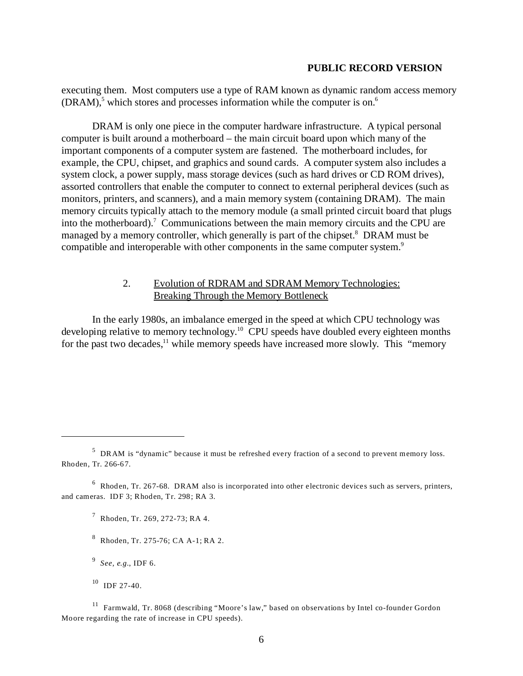executing them. Most computers use a type of RAM known as dynamic random access memory  $(DRAM)<sup>5</sup>$  which stores and processes information while the computer is on.<sup>6</sup>

DRAM is only one piece in the computer hardware infrastructure. A typical personal computer is built around a motherboard – the main circuit board upon which many of the important components of a computer system are fastened. The motherboard includes, for example, the CPU, chipset, and graphics and sound cards. A computer system also includes a system clock, a power supply, mass storage devices (such as hard drives or CD ROM drives), assorted controllers that enable the computer to connect to external peripheral devices (such as monitors, printers, and scanners), and a main memory system (containing DRAM). The main memory circuits typically attach to the memory module (a small printed circuit board that plugs into the motherboard).<sup>7</sup> Communications between the main memory circuits and the CPU are managed by a memory controller, which generally is part of the chipset.<sup>8</sup> DRAM must be compatible and interoperable with other components in the same computer system.<sup>9</sup>

## 2. Evolution of RDRAM and SDRAM Memory Technologies: Breaking Through the Memory Bottleneck

In the early 1980s, an imbalance emerged in the speed at which CPU technology was developing relative to memory technology.<sup>10</sup> CPU speeds have doubled every eighteen months for the past two decades, $^{11}$  while memory speeds have increased more slowly. This "memory"

<sup>5</sup> DRAM is "dynamic" because it must be refreshed every fraction of a second to prevent memory loss. Rhoden, Tr. 266-67.

<sup>6</sup> Rhoden, Tr. 267-68. DRAM also is incorporated into other electronic devices such as servers, printers, and cameras. IDF 3; Rhoden, Tr. 298; RA 3.

<sup>7</sup> Rhoden, Tr. 269, 272-73; RA 4.

<sup>8</sup> Rhoden, Tr. 275-76; CA A-1; RA 2.

<sup>9</sup>*See, e.g.*, IDF 6.

 $10$  IDF 27-40.

<sup>11</sup> Farmwald, Tr. 8068 (describing "Moore's law," based on observations by Intel co-founder Gordon Moore regarding the rate of increase in CPU speeds).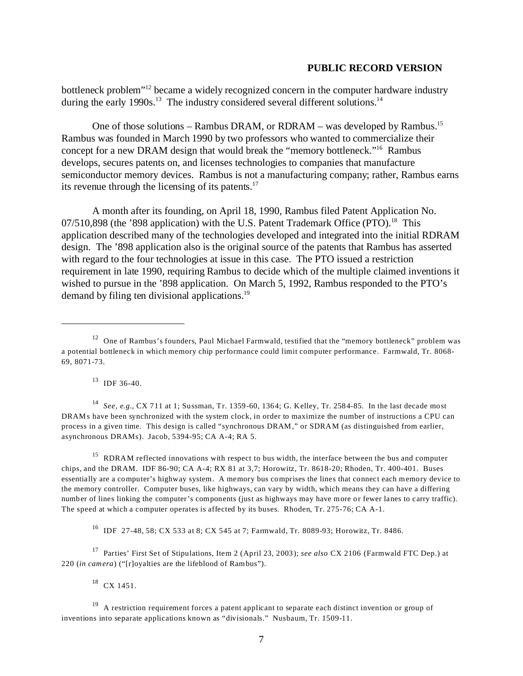bottleneck problem"12 became a widely recognized concern in the computer hardware industry during the early 1990s.<sup>13</sup> The industry considered several different solutions.<sup>14</sup>

One of those solutions – Rambus DRAM, or RDRAM – was developed by Rambus.<sup>15</sup> Rambus was founded in March 1990 by two professors who wanted to commercialize their concept for a new DRAM design that would break the "memory bottleneck."16 Rambus develops, secures patents on, and licenses technologies to companies that manufacture semiconductor memory devices. Rambus is not a manufacturing company; rather, Rambus earns its revenue through the licensing of its patents. $17$ 

A month after its founding, on April 18, 1990, Rambus filed Patent Application No.  $07/510,898$  (the '898 application) with the U.S. Patent Trademark Office (PTO).<sup>18</sup> This application described many of the technologies developed and integrated into the initial RDRAM design. The '898 application also is the original source of the patents that Rambus has asserted with regard to the four technologies at issue in this case. The PTO issued a restriction requirement in late 1990, requiring Rambus to decide which of the multiple claimed inventions it wished to pursue in the '898 application. On March 5, 1992, Rambus responded to the PTO's demand by filing ten divisional applications.<sup>19</sup>

 $^{13}$  IDF 36-40.

<sup>14</sup>*See, e.g.*, CX 711 at 1; Sussman, Tr. 1359-60, 1364; G. Kelley, Tr. 2584-85. In the last decade most DRAMs have been synchronized with the system clock, in order to maximize the number of instructions a CPU can process in a given time. This design is called "synchronous DRAM," or SDRAM (as distinguished from earlier, asynchronous DRAMs). Jacob, 5394-95; CA A-4; RA 5.

<sup>15</sup> RDRAM reflected innovations with respect to bus width, the interface between the bus and computer chips, and the DRAM. IDF 86-90; CA A-4; RX 81 at 3,7; Horowitz, Tr. 8618-20; Rhoden, Tr. 400-401. Buses essentially are a computer's highway system. A memory bus comprises the lines that connect each memory device to the memory controller. Computer buses, like highways, can vary by width, which means they can have a differing number of lines linking the computer's components (just as highways may have more or fewer lanes to carry traffic). The speed at which a computer operates is affected by its buses. Rhoden, Tr. 275-76; CA A-1.

16 IDF 27-48, 58; CX 533 at 8; CX 545 at 7; Farmwald, Tr. 8089-93; Horowitz, Tr. 8486.

17 Parties' First Set of Stipulations, Item 2 (April 23, 2003); *see also* CX 2106 (Farmwald FTC Dep.) at 220 (*in camera*) ("[r]oyalties are the lifeblood of Rambus").

 $18$  CX 1451.

 $12$  One of Rambus's founders, Paul Michael Farmwald, testified that the "memory bottleneck" problem was a potential bottleneck in which memory chip performance could limit computer performance. Farmwald, Tr. 8068 69, 8071-73.

<sup>&</sup>lt;sup>19</sup> A restriction requirement forces a patent applicant to separate each distinct invention or group of inventions into separate applications known as "divisionals." Nusbaum, Tr. 1509-11.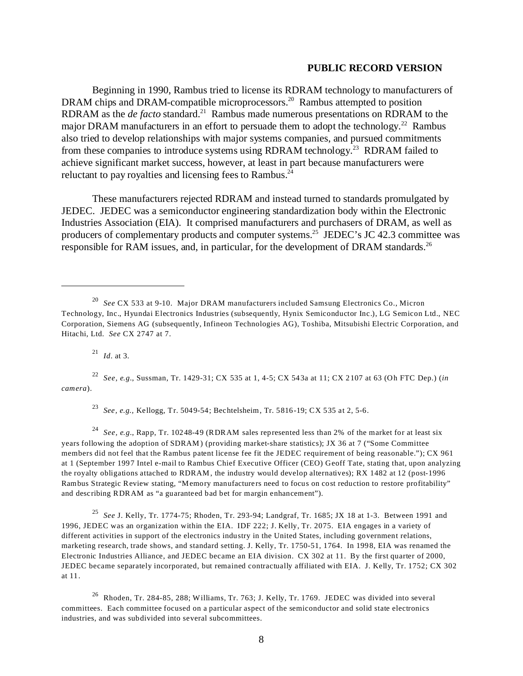Beginning in 1990, Rambus tried to license its RDRAM technology to manufacturers of DRAM chips and DRAM-compatible microprocessors.<sup>20</sup> Rambus attempted to position RDRAM as the *de facto* standard.<sup>21</sup> Rambus made numerous presentations on RDRAM to the major DRAM manufacturers in an effort to persuade them to adopt the technology.<sup>22</sup> Rambus also tried to develop relationships with major systems companies, and pursued commitments from these companies to introduce systems using RDRAM technology.<sup>23</sup> RDRAM failed to achieve significant market success, however, at least in part because manufacturers were reluctant to pay royalties and licensing fees to Rambus.<sup>24</sup>

These manufacturers rejected RDRAM and instead turned to standards promulgated by JEDEC. JEDEC was a semiconductor engineering standardization body within the Electronic Industries Association (EIA). It comprised manufacturers and purchasers of DRAM, as well as producers of complementary products and computer systems.<sup>25</sup> JEDEC's JC 42.3 committee was responsible for RAM issues, and, in particular, for the development of DRAM standards.<sup>26</sup>

<sup>21</sup>*Id.* at 3.

<sup>22</sup>*See, e.g.*, Sussman, Tr. 1429-31; CX 535 at 1, 4-5; CX 543a at 11; CX 2107 at 63 (Oh FTC Dep.) (*in camera*).

<sup>23</sup>*See, e.g.,* Kellogg, Tr. 5049-54; Bechtelsheim, Tr. 5816-19; CX 535 at 2, 5-6.

<sup>24</sup>*See, e.g.*, Rapp, Tr. 10248-49 (RDRAM sales represented less than 2% of the market for at least six years following the adoption of SDRAM) (providing market-share statistics); JX 36 at 7 ("Some Committee members did not feel that the Rambus patent license fee fit the JEDEC requirement of being reasonable."); CX 961 at 1 (September 1997 Intel e-mail to Rambus Chief Executive Officer (CEO) Geoff Tate, stating that, upon analyzing the royalty obligations attached to RDRAM, the industry would develop alternatives); RX 1482 at 12 (post-1996 Rambus Strategic Review stating, "Memory manufacturers need to focus on cost reduction to restore profitability" and describing RDRAM as "a guaranteed bad bet for margin enhancement").

<sup>25</sup>*See* J. Kelly, Tr. 1774-75; Rhoden, Tr. 293-94; Landgraf, Tr. 1685; JX 18 at 1-3. Between 1991 and 1996, JEDEC was an organization within the EIA. IDF 222; J. Kelly, Tr. 2075. EIA engages in a variety of different activities in support of the electronics industry in the United States, including government relations, marketing research, trade shows, and standard setting. J. Kelly, Tr. 1750-51, 1764. In 1998, EIA was renamed the Electronic Industries Alliance, and JEDEC became an EIA division. CX 302 at 11. By the first quarter of 2000, JEDEC became separately incorporated, but remained contractually affiliated with EIA. J. Kelly, Tr. 1752; CX 302 at 11.

26 Rhoden, Tr. 284-85, 288; Williams, Tr. 763; J. Kelly, Tr. 1769. JEDEC was divided into several committees. Each committee focused on a particular aspect of the semiconductor and solid state electronics industries, and was subdivided into several subcommittees.

<sup>20</sup>*See* CX 533 at 9-10. Major DRAM manufacturers included Samsung Electronics Co., Micron Technology, Inc., Hyundai Electronics Industries (subsequently, Hynix Semiconductor Inc.), LG Semicon Ltd., NEC Corporation, Siemens AG (subsequently, Infineon Technologies AG), Toshiba, Mitsubishi Electric Corporation, and Hitachi, Ltd. *See* CX 2747 at 7.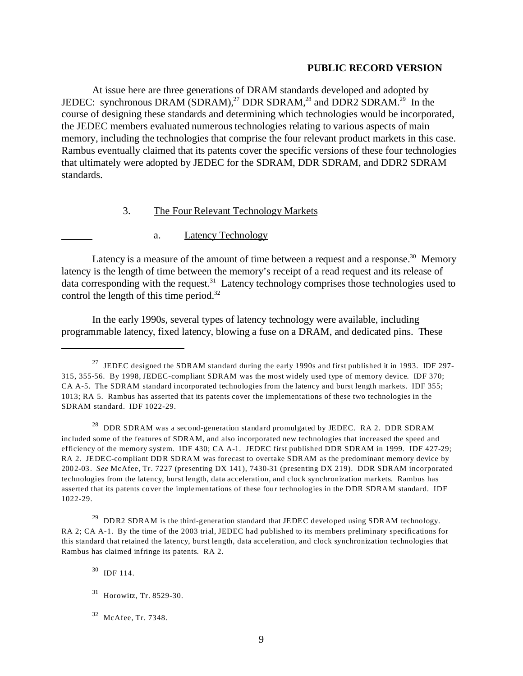At issue here are three generations of DRAM standards developed and adopted by JEDEC: synchronous DRAM (SDRAM),<sup>27</sup> DDR SDRAM,<sup>28</sup> and DDR2 SDRAM.<sup>29</sup> In the course of designing these standards and determining which technologies would be incorporated, the JEDEC members evaluated numerous technologies relating to various aspects of main memory, including the technologies that comprise the four relevant product markets in this case. Rambus eventually claimed that its patents cover the specific versions of these four technologies that ultimately were adopted by JEDEC for the SDRAM, DDR SDRAM, and DDR2 SDRAM standards.

## 3. The Four Relevant Technology Markets

## a. Latency Technology

Latency is a measure of the amount of time between a request and a response.<sup>30</sup> Memory latency is the length of time between the memory's receipt of a read request and its release of data corresponding with the request.<sup>31</sup> Latency technology comprises those technologies used to control the length of this time period. $32$ 

In the early 1990s, several types of latency technology were available, including programmable latency, fixed latency, blowing a fuse on a DRAM, and dedicated pins. These

<sup>&</sup>lt;sup>27</sup> JEDEC designed the SDRAM standard during the early 1990s and first published it in 1993. IDF 297-315, 355-56. By 1998, JEDEC-compliant SDRAM was the most widely used type of memory device. IDF 370; CA A-5. The SDRAM standard incorporated technologies from the latency and burst length markets. IDF 355; 1013; RA 5. Rambus has asserted that its patents cover the implementations of these two technologies in the SDRAM standard. IDF 1022-29.

 $^{28}$  DDR SDRAM was a second-generation standard promulgated by JEDEC. RA 2. DDR SDRAM included some of the features of SDRAM, and also incorporated new technologies that increased the speed and efficiency of the memory system. IDF 430; CA A-1. JEDEC first published DDR SDRAM in 1999. IDF 427-29; RA 2. JEDEC-compliant DDR SDRAM was forecast to overtake SDRAM as the predominant memory device by 2002-03. *See* McAfee, Tr. 7227 (presenting DX 141), 7430-31 (presenting DX 219). DDR SDRAM incorporated technologies from the latency, burst length, data acceleration, and clock synchronization markets. Rambus has asserted that its patents cover the implementations of these four technologies in the DDR SDRAM standard. IDF 1022-29.

<sup>&</sup>lt;sup>29</sup> DDR2 SDRAM is the third-generation standard that JEDEC developed using SDRAM technology. RA 2; CA A-1. By the time of the 2003 trial, JEDEC had published to its members preliminary specifications for this standard that retained the latency, burst length, data acceleration, and clock synchronization technologies that Rambus has claimed infringe its patents. RA 2.

<sup>30</sup> IDF 114.

<sup>31</sup> Horowitz, Tr. 8529-30.

<sup>32</sup> McAfee, Tr. 7348.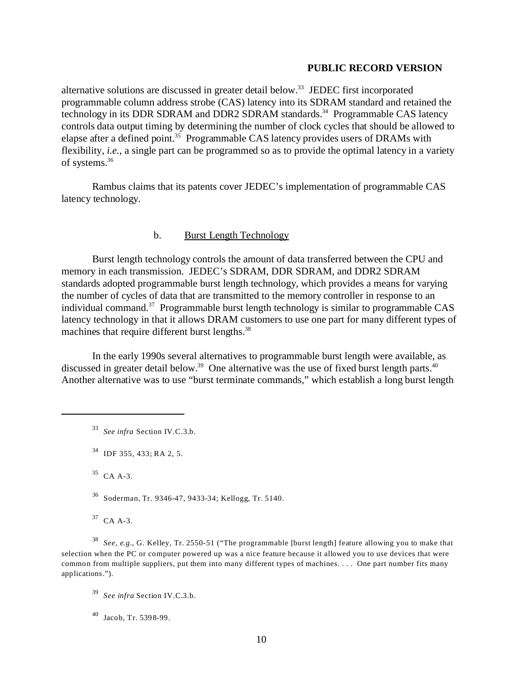alternative solutions are discussed in greater detail below.<sup>33</sup> JEDEC first incorporated programmable column address strobe (CAS) latency into its SDRAM standard and retained the technology in its DDR SDRAM and DDR2 SDRAM standards.<sup>34</sup> Programmable CAS latency controls data output timing by determining the number of clock cycles that should be allowed to elapse after a defined point.<sup>35</sup> Programmable CAS latency provides users of DRAMs with flexibility, *i.e.*, a single part can be programmed so as to provide the optimal latency in a variety of systems.36

Rambus claims that its patents cover JEDEC's implementation of programmable CAS latency technology.

## b. Burst Length Technology

Burst length technology controls the amount of data transferred between the CPU and memory in each transmission. JEDEC's SDRAM, DDR SDRAM, and DDR2 SDRAM standards adopted programmable burst length technology, which provides a means for varying the number of cycles of data that are transmitted to the memory controller in response to an individual command.<sup>37</sup> Programmable burst length technology is similar to programmable CAS latency technology in that it allows DRAM customers to use one part for many different types of machines that require different burst lengths.<sup>38</sup>

In the early 1990s several alternatives to programmable burst length were available, as discussed in greater detail below.<sup>39</sup> One alternative was the use of fixed burst length parts.<sup>40</sup> Another alternative was to use "burst terminate commands," which establish a long burst length

<sup>33</sup>*See infra* Section IV.C.3.b.

35 CA A-3.

36 Soderman, Tr. 9346-47, 9433-34; Kellogg, Tr. 5140.

37 CA A-3.

<sup>38</sup>*See, e.g.*, G. Kelley, Tr. 2550-51 ("The programmable [burst length] feature allowing you to make that selection when the PC or computer powered up was a nice feature because it allowed you to use devices that were common from multiple suppliers, put them into many different types of machines. . . . One part number fits many applications.").

 $^{40}$  Jacob, Tr. 5398-99.

<sup>34</sup> IDF 355, 433; RA 2, 5.

<sup>39</sup>*See infra* Section IV.C.3.b.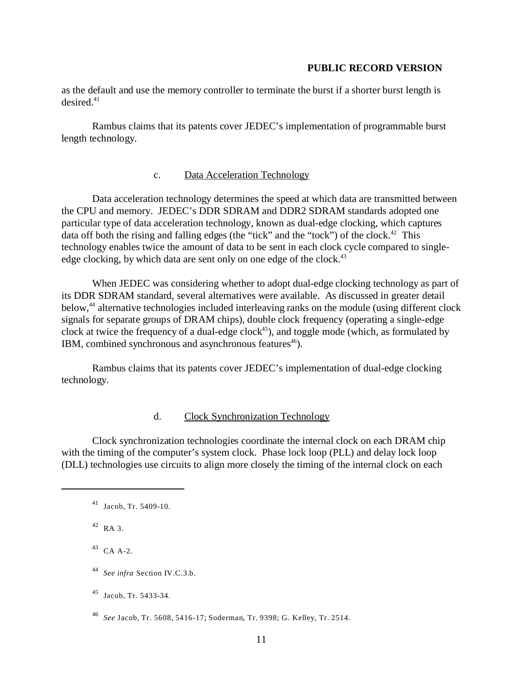as the default and use the memory controller to terminate the burst if a shorter burst length is  $desired<sup>41</sup>$ 

Rambus claims that its patents cover JEDEC's implementation of programmable burst length technology.

### c. Data Acceleration Technology

Data acceleration technology determines the speed at which data are transmitted between the CPU and memory. JEDEC's DDR SDRAM and DDR2 SDRAM standards adopted one particular type of data acceleration technology, known as dual-edge clocking, which captures data off both the rising and falling edges (the "tick" and the "tock") of the clock.<sup>42</sup> This technology enables twice the amount of data to be sent in each clock cycle compared to singleedge clocking, by which data are sent only on one edge of the clock.<sup>43</sup>

When JEDEC was considering whether to adopt dual-edge clocking technology as part of its DDR SDRAM standard, several alternatives were available. As discussed in greater detail below,<sup>44</sup> alternative technologies included interleaving ranks on the module (using different clock signals for separate groups of DRAM chips), double clock frequency (operating a single-edge clock at twice the frequency of a dual-edge clock<sup>45</sup>), and toggle mode (which, as formulated by IBM, combined synchronous and asynchronous features $46$ ).

Rambus claims that its patents cover JEDEC's implementation of dual-edge clocking technology.

#### d. Clock Synchronization Technology

Clock synchronization technologies coordinate the internal clock on each DRAM chip with the timing of the computer's system clock. Phase lock loop (PLL) and delay lock loop (DLL) technologies use circuits to align more closely the timing of the internal clock on each

42 RA 3.

43 CA A-2.

45 Jacob, Tr. 5433-34.

 $41$  Jacob, Tr. 5409-10.

<sup>44</sup>*See infra* Section IV.C.3.b.

<sup>46</sup>*See* Jacob, Tr. 5608, 5416-17; Soderman, Tr. 9398; G. Kelley, Tr. 2514.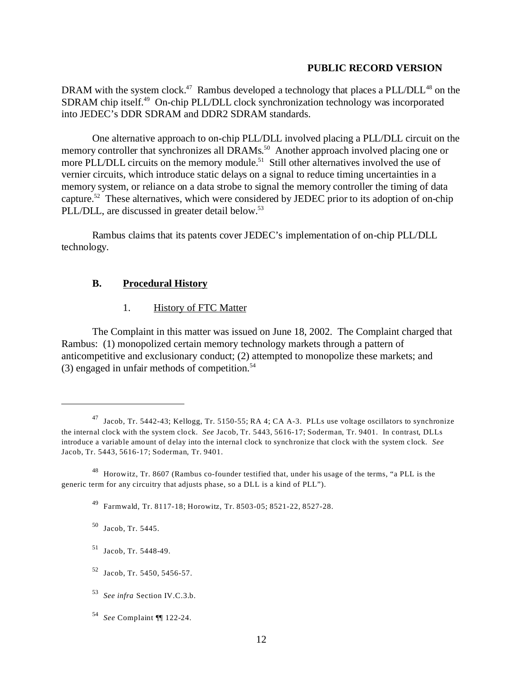DRAM with the system clock.<sup>47</sup> Rambus developed a technology that places a PLL/DLL<sup>48</sup> on the SDRAM chip itself.<sup>49</sup> On-chip PLL/DLL clock synchronization technology was incorporated into JEDEC's DDR SDRAM and DDR2 SDRAM standards.

One alternative approach to on-chip PLL/DLL involved placing a PLL/DLL circuit on the memory controller that synchronizes all DRAMs.<sup>50</sup> Another approach involved placing one or more PLL/DLL circuits on the memory module.<sup>51</sup> Still other alternatives involved the use of vernier circuits, which introduce static delays on a signal to reduce timing uncertainties in a memory system, or reliance on a data strobe to signal the memory controller the timing of data capture.<sup>52</sup> These alternatives, which were considered by JEDEC prior to its adoption of on-chip PLL/DLL, are discussed in greater detail below.<sup>53</sup>

Rambus claims that its patents cover JEDEC's implementation of on-chip PLL/DLL technology.

## **B. Procedural History**

### 1. History of FTC Matter

The Complaint in this matter was issued on June 18, 2002. The Complaint charged that Rambus: (1) monopolized certain memory technology markets through a pattern of anticompetitive and exclusionary conduct; (2) attempted to monopolize these markets; and  $(3)$  engaged in unfair methods of competition.<sup>54</sup>

<sup>47</sup> Jacob, Tr. 5442-43; Kellogg, Tr. 5150-55; RA 4; CA A-3. PLLs use voltage oscillators to synchronize the internal clock with the system clock. *See* Jacob, Tr. 5443, 5616-17; Soderman, Tr. 9401. In contrast, DLLs introduce a variable amount of delay into the internal clock to synchronize that clock with the system clock. *See*  Jacob, Tr. 5443, 5616-17; Soderman, Tr. 9401.

<sup>48</sup> Horowitz, Tr. 8607 (Rambus co-founder testified that, under his usage of the terms, "a PLL is the generic term for any circuitry that adjusts phase, so a DLL is a kind of PLL").

<sup>49</sup> Farmwald, Tr. 8117-18; Horowitz, Tr. 8503-05; 8521-22, 8527-28.

<sup>50</sup> Jacob, Tr. 5445.

<sup>51</sup> Jacob, Tr. 5448-49.

<sup>52</sup> Jacob, Tr. 5450, 5456-57.

<sup>53</sup>*See infra* Section IV.C.3.b.

<sup>54</sup>*See* Complaint ¶¶ 122-24.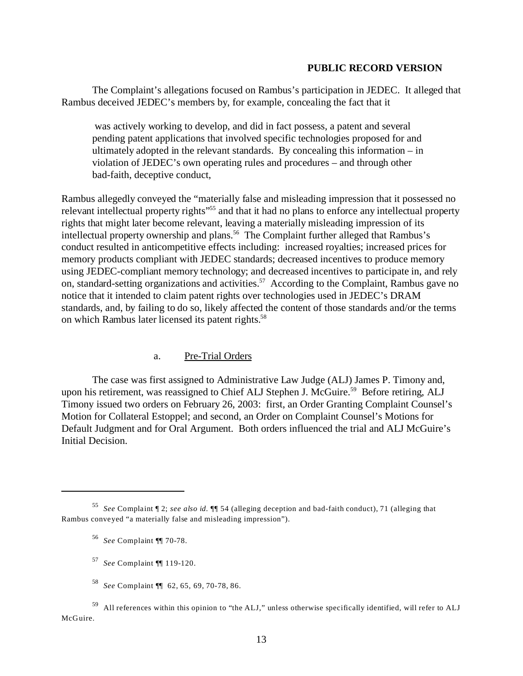The Complaint's allegations focused on Rambus's participation in JEDEC. It alleged that Rambus deceived JEDEC's members by, for example, concealing the fact that it

 was actively working to develop, and did in fact possess, a patent and several pending patent applications that involved specific technologies proposed for and ultimately adopted in the relevant standards. By concealing this information – in violation of JEDEC's own operating rules and procedures – and through other bad-faith, deceptive conduct,

Rambus allegedly conveyed the "materially false and misleading impression that it possessed no relevant intellectual property rights"<sup>55</sup> and that it had no plans to enforce any intellectual property rights that might later become relevant, leaving a materially misleading impression of its intellectual property ownership and plans.<sup>56</sup> The Complaint further alleged that Rambus's conduct resulted in anticompetitive effects including: increased royalties; increased prices for memory products compliant with JEDEC standards; decreased incentives to produce memory using JEDEC-compliant memory technology; and decreased incentives to participate in, and rely on, standard-setting organizations and activities.<sup>57</sup> According to the Complaint, Rambus gave no notice that it intended to claim patent rights over technologies used in JEDEC's DRAM standards, and, by failing to do so, likely affected the content of those standards and/or the terms on which Rambus later licensed its patent rights.<sup>58</sup>

#### a. Pre-Trial Orders

The case was first assigned to Administrative Law Judge (ALJ) James P. Timony and, upon his retirement, was reassigned to Chief ALJ Stephen J. McGuire.<sup>59</sup> Before retiring, ALJ Timony issued two orders on February 26, 2003: first, an Order Granting Complaint Counsel's Motion for Collateral Estoppel; and second, an Order on Complaint Counsel's Motions for Default Judgment and for Oral Argument. Both orders influenced the trial and ALJ McGuire's Initial Decision.

<sup>55</sup>*See* Complaint ¶ 2; *see also id.* ¶¶ 54 (alleging deception and bad-faith conduct), 71 (alleging that Rambus conveyed "a materially false and misleading impression").

<sup>56</sup>*See* Complaint ¶¶ 70-78.

<sup>57</sup>*See* Complaint ¶¶ 119-120.

<sup>58</sup>*See* Complaint ¶¶ 62, 65, 69, 70-78, 86.

<sup>59</sup> All references within this opinion to "the ALJ," unless otherwise specifically identified, will refer to ALJ McGuire.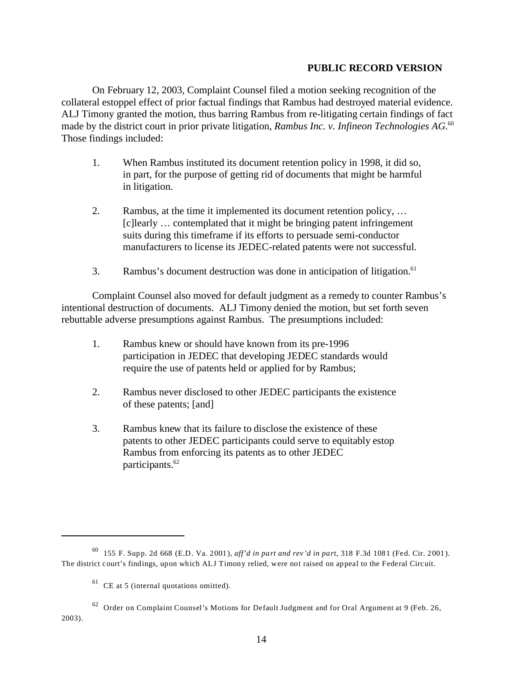On February 12, 2003, Complaint Counsel filed a motion seeking recognition of the collateral estoppel effect of prior factual findings that Rambus had destroyed material evidence. ALJ Timony granted the motion, thus barring Rambus from re-litigating certain findings of fact made by the district court in prior private litigation, *Rambus Inc. v. Infineon Technologies AG*. 60 Those findings included:

- 1. When Rambus instituted its document retention policy in 1998, it did so, in part, for the purpose of getting rid of documents that might be harmful in litigation.
- 2. Rambus, at the time it implemented its document retention policy, … [c]learly … contemplated that it might be bringing patent infringement suits during this timeframe if its efforts to persuade semi-conductor manufacturers to license its JEDEC-related patents were not successful.
- 3. Rambus's document destruction was done in anticipation of litigation.<sup>61</sup>

Complaint Counsel also moved for default judgment as a remedy to counter Rambus's intentional destruction of documents. ALJ Timony denied the motion, but set forth seven rebuttable adverse presumptions against Rambus. The presumptions included:

- 1. Rambus knew or should have known from its pre-1996 participation in JEDEC that developing JEDEC standards would require the use of patents held or applied for by Rambus;
- 2. Rambus never disclosed to other JEDEC participants the existence of these patents; [and]
- 3. Rambus knew that its failure to disclose the existence of these patents to other JEDEC participants could serve to equitably estop Rambus from enforcing its patents as to other JEDEC participants.<sup>62</sup>

 $62$  Order on Complaint Counsel's Motions for Default Judgment and for Oral Argument at 9 (Feb. 26, 2003).

<sup>60 155</sup> F. Supp. 2d 668 (E.D. Va. 2001), *aff'd in part and rev'd in part*, 318 F.3d 1081 (Fed. Cir. 2001). The district court's findings, upon which ALJ Timony relied, were not raised on appeal to the Federal Circuit.

 $61$  CE at 5 (internal quotations omitted).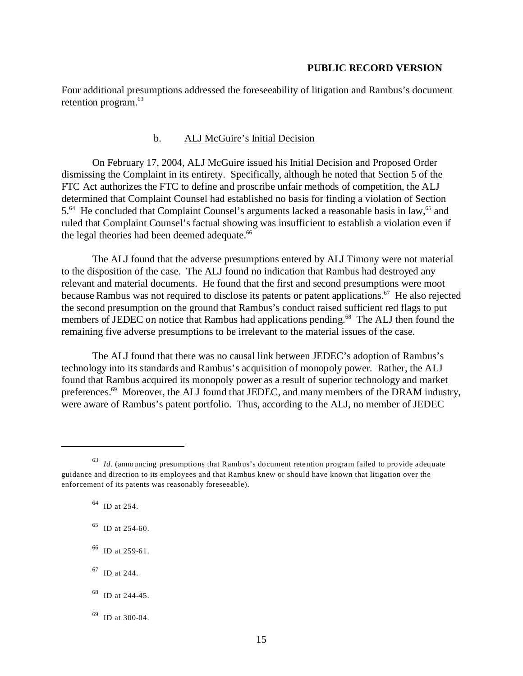Four additional presumptions addressed the foreseeability of litigation and Rambus's document retention program.<sup>63</sup>

#### b. ALJ McGuire's Initial Decision

On February 17, 2004, ALJ McGuire issued his Initial Decision and Proposed Order dismissing the Complaint in its entirety. Specifically, although he noted that Section 5 of the FTC Act authorizes the FTC to define and proscribe unfair methods of competition, the ALJ determined that Complaint Counsel had established no basis for finding a violation of Section 5.<sup>64</sup> He concluded that Complaint Counsel's arguments lacked a reasonable basis in law,<sup>65</sup> and ruled that Complaint Counsel's factual showing was insufficient to establish a violation even if the legal theories had been deemed adequate.<sup>66</sup>

The ALJ found that the adverse presumptions entered by ALJ Timony were not material to the disposition of the case. The ALJ found no indication that Rambus had destroyed any relevant and material documents. He found that the first and second presumptions were moot because Rambus was not required to disclose its patents or patent applications.<sup>67</sup> He also rejected the second presumption on the ground that Rambus's conduct raised sufficient red flags to put members of JEDEC on notice that Rambus had applications pending.<sup>68</sup> The ALJ then found the remaining five adverse presumptions to be irrelevant to the material issues of the case.

The ALJ found that there was no causal link between JEDEC's adoption of Rambus's technology into its standards and Rambus's acquisition of monopoly power. Rather, the ALJ found that Rambus acquired its monopoly power as a result of superior technology and market preferences.<sup>69</sup> Moreover, the ALJ found that JEDEC, and many members of the DRAM industry, were aware of Rambus's patent portfolio. Thus, according to the ALJ, no member of JEDEC

 $64$  ID at 254.

65 ID at 254-60.

66 ID at 259-61.

<sup>&</sup>lt;sup>63</sup> Id. (announcing presumptions that Rambus's document retention program failed to provide adequate guidance and direction to its employees and that Rambus knew or should have known that litigation over the enforcement of its patents was reasonably foreseeable).

<sup>67</sup> ID at 244.

 $68$  ID at 244-45.

 $^{69}$  ID at 300-04.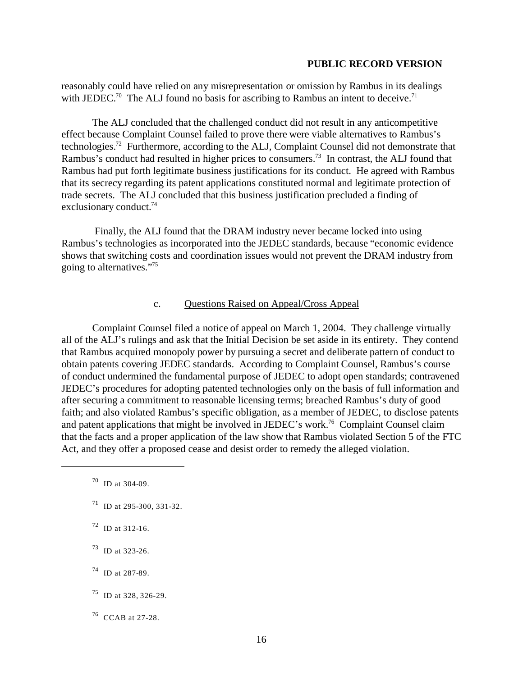reasonably could have relied on any misrepresentation or omission by Rambus in its dealings with JEDEC.<sup>70</sup> The ALJ found no basis for ascribing to Rambus an intent to deceive.<sup>71</sup>

The ALJ concluded that the challenged conduct did not result in any anticompetitive effect because Complaint Counsel failed to prove there were viable alternatives to Rambus's technologies.72 Furthermore, according to the ALJ, Complaint Counsel did not demonstrate that Rambus's conduct had resulted in higher prices to consumers.<sup>73</sup> In contrast, the ALJ found that Rambus had put forth legitimate business justifications for its conduct. He agreed with Rambus that its secrecy regarding its patent applications constituted normal and legitimate protection of trade secrets. The ALJ concluded that this business justification precluded a finding of exclusionary conduct.<sup>74</sup>

 Finally, the ALJ found that the DRAM industry never became locked into using Rambus's technologies as incorporated into the JEDEC standards, because "economic evidence shows that switching costs and coordination issues would not prevent the DRAM industry from going to alternatives."75

## c. Questions Raised on Appeal/Cross Appeal

Complaint Counsel filed a notice of appeal on March 1, 2004. They challenge virtually all of the ALJ's rulings and ask that the Initial Decision be set aside in its entirety. They contend that Rambus acquired monopoly power by pursuing a secret and deliberate pattern of conduct to obtain patents covering JEDEC standards. According to Complaint Counsel, Rambus's course of conduct undermined the fundamental purpose of JEDEC to adopt open standards; contravened JEDEC's procedures for adopting patented technologies only on the basis of full information and after securing a commitment to reasonable licensing terms; breached Rambus's duty of good faith; and also violated Rambus's specific obligation, as a member of JEDEC, to disclose patents and patent applications that might be involved in JEDEC's work.76 Complaint Counsel claim that the facts and a proper application of the law show that Rambus violated Section 5 of the FTC Act, and they offer a proposed cease and desist order to remedy the alleged violation.

- $71$  ID at 295-300, 331-32.
- 72 ID at 312-16.
- $^{73}$  ID at 323-26.
- 74 ID at 287-89.
- 75 ID at 328, 326-29.
- $^{76}$  CCAB at 27-28.

 $70$  ID at 304-09.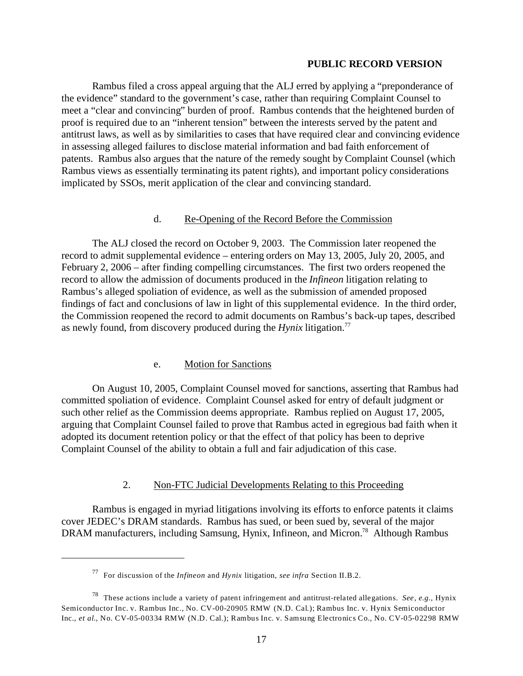Rambus filed a cross appeal arguing that the ALJ erred by applying a "preponderance of the evidence" standard to the government's case, rather than requiring Complaint Counsel to meet a "clear and convincing" burden of proof. Rambus contends that the heightened burden of proof is required due to an "inherent tension" between the interests served by the patent and antitrust laws, as well as by similarities to cases that have required clear and convincing evidence in assessing alleged failures to disclose material information and bad faith enforcement of patents. Rambus also argues that the nature of the remedy sought by Complaint Counsel (which Rambus views as essentially terminating its patent rights), and important policy considerations implicated by SSOs, merit application of the clear and convincing standard.

#### d. Re-Opening of the Record Before the Commission

The ALJ closed the record on October 9, 2003. The Commission later reopened the record to admit supplemental evidence – entering orders on May 13, 2005, July 20, 2005, and February 2, 2006 – after finding compelling circumstances. The first two orders reopened the record to allow the admission of documents produced in the *Infineon* litigation relating to Rambus's alleged spoliation of evidence, as well as the submission of amended proposed findings of fact and conclusions of law in light of this supplemental evidence. In the third order, the Commission reopened the record to admit documents on Rambus's back-up tapes, described as newly found, from discovery produced during the *Hynix* litigation.77

## e. Motion for Sanctions

On August 10, 2005, Complaint Counsel moved for sanctions, asserting that Rambus had committed spoliation of evidence. Complaint Counsel asked for entry of default judgment or such other relief as the Commission deems appropriate. Rambus replied on August 17, 2005, arguing that Complaint Counsel failed to prove that Rambus acted in egregious bad faith when it adopted its document retention policy or that the effect of that policy has been to deprive Complaint Counsel of the ability to obtain a full and fair adjudication of this case.

## 2. Non-FTC Judicial Developments Relating to this Proceeding

Rambus is engaged in myriad litigations involving its efforts to enforce patents it claims cover JEDEC's DRAM standards. Rambus has sued, or been sued by, several of the major DRAM manufacturers, including Samsung, Hynix, Infineon, and Micron.<sup>78</sup> Although Rambus

<sup>77</sup> For discussion of the *Infineon* and *Hynix* litigation, *see infra* Section II.B.2.

<sup>78</sup> These actions include a variety of patent infringement and antitrust-related allegations. *See, e.g.,* Hynix Semiconductor Inc. v. Rambus Inc., No. CV-00-20905 RMW (N.D. Cal.); Rambus Inc. v. Hynix Semiconductor Inc., *et al*., No. CV-05-00334 RMW (N.D. Cal.); Rambus Inc. v. Samsung Electronics Co., No. CV-05-02298 RMW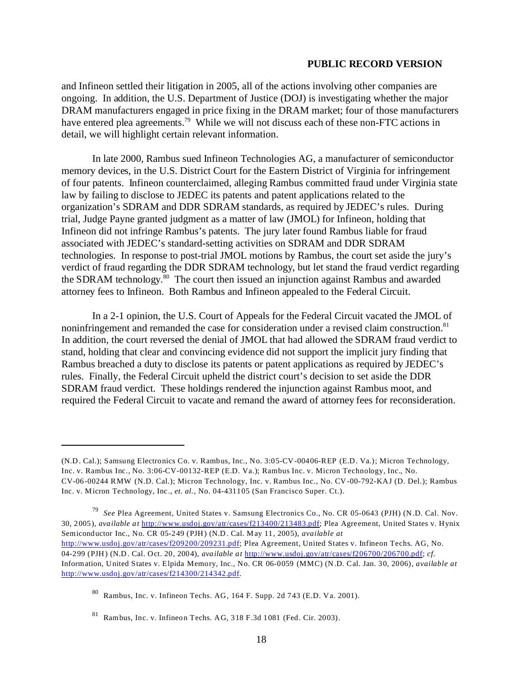and Infineon settled their litigation in 2005, all of the actions involving other companies are ongoing. In addition, the U.S. Department of Justice (DOJ) is investigating whether the major DRAM manufacturers engaged in price fixing in the DRAM market; four of those manufacturers have entered plea agreements.<sup>79</sup> While we will not discuss each of these non-FTC actions in detail, we will highlight certain relevant information.

In late 2000, Rambus sued Infineon Technologies AG, a manufacturer of semiconductor memory devices, in the U.S. District Court for the Eastern District of Virginia for infringement of four patents. Infineon counterclaimed, alleging Rambus committed fraud under Virginia state law by failing to disclose to JEDEC its patents and patent applications related to the organization's SDRAM and DDR SDRAM standards, as required by JEDEC's rules. During trial, Judge Payne granted judgment as a matter of law (JMOL) for Infineon, holding that Infineon did not infringe Rambus's patents. The jury later found Rambus liable for fraud associated with JEDEC's standard-setting activities on SDRAM and DDR SDRAM technologies. In response to post-trial JMOL motions by Rambus, the court set aside the jury's verdict of fraud regarding the DDR SDRAM technology, but let stand the fraud verdict regarding the SDRAM technology.<sup>80</sup> The court then issued an injunction against Rambus and awarded attorney fees to Infineon. Both Rambus and Infineon appealed to the Federal Circuit.

In a 2-1 opinion, the U.S. Court of Appeals for the Federal Circuit vacated the JMOL of noninfringement and remanded the case for consideration under a revised claim construction.<sup>81</sup> In addition, the court reversed the denial of JMOL that had allowed the SDRAM fraud verdict to stand, holding that clear and convincing evidence did not support the implicit jury finding that Rambus breached a duty to disclose its patents or patent applications as required by JEDEC's rules. Finally, the Federal Circuit upheld the district court's decision to set aside the DDR SDRAM fraud verdict. These holdings rendered the injunction against Rambus moot, and required the Federal Circuit to vacate and remand the award of attorney fees for reconsideration.

<sup>(</sup>N.D. Cal.); Samsung Electronics Co. v. Rambus, Inc., No. 3:05-CV-00406-REP (E.D. Va.); Micron Technology, Inc. v. Rambus Inc., No. 3:06-CV-00132-REP (E.D. Va.); Rambus Inc. v. Micron Technology, Inc., No. CV-06-00244 RMW (N.D. Cal.); Micron Technology, Inc. v. Rambus Inc., No. CV-00-792-KAJ (D. Del.); Rambus Inc. v. Micron Technology, Inc., *et. al.*, No. 04-431105 (San Francisco Super. Ct.).

<sup>79</sup>*See* Plea Agreement, United States v. Samsung Electronics Co., No. CR 05-0643 (PJH) (N.D. Cal. Nov. 30, 2005), *available at* <http://www.usdoj.gov/atr/cases/f213400/213483.pdf>; Plea Agreement, United States v. Hynix Semiconductor Inc., No. CR 05-249 (PJH) (N.D. Cal. May 11, 2005), *available at*  <http://www.usdoj.gov/atr/cases/f209200/209231.pdf>; Plea Agreement, United States v. Infineon Techs. AG, No. 04-299 (PJH) (N.D. Cal. Oct. 20, 2004), *available at* <http://www.usdoj.gov/atr/cases/f206700/206700.pdf>; *cf*. Information, United States v. Elpida Memory, Inc., No. CR 06-0059 (MMC) (N.D. Cal. Jan. 30, 2006), *available at*  <http://www.usdoj.gov/atr/cases/f214300/214342.pdf>.

Rambus, Inc. v. Infineon Techs. AG, 164 F. Supp. 2d 743 (E.D. Va. 2001).

<sup>81</sup> Rambus, Inc. v. Infineon Techs. AG, 318 F.3d 1081 (Fed. Cir. 2003).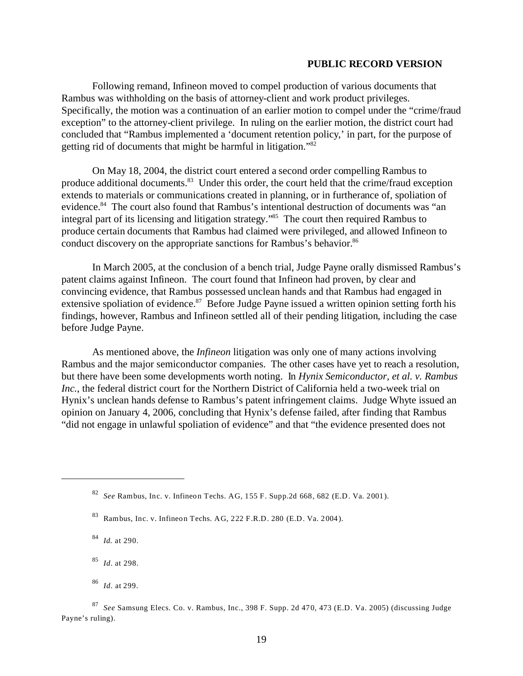Following remand, Infineon moved to compel production of various documents that Rambus was withholding on the basis of attorney-client and work product privileges. Specifically, the motion was a continuation of an earlier motion to compel under the "crime/fraud exception" to the attorney-client privilege. In ruling on the earlier motion, the district court had concluded that "Rambus implemented a 'document retention policy,' in part, for the purpose of getting rid of documents that might be harmful in litigation."82

On May 18, 2004, the district court entered a second order compelling Rambus to produce additional documents.<sup>83</sup> Under this order, the court held that the crime/fraud exception extends to materials or communications created in planning, or in furtherance of, spoliation of evidence.<sup>84</sup> The court also found that Rambus's intentional destruction of documents was "an integral part of its licensing and litigation strategy."85 The court then required Rambus to produce certain documents that Rambus had claimed were privileged, and allowed Infineon to conduct discovery on the appropriate sanctions for Rambus's behavior.<sup>86</sup>

In March 2005, at the conclusion of a bench trial, Judge Payne orally dismissed Rambus's patent claims against Infineon. The court found that Infineon had proven, by clear and convincing evidence, that Rambus possessed unclean hands and that Rambus had engaged in extensive spoliation of evidence.<sup>87</sup> Before Judge Payne issued a written opinion setting forth his findings, however, Rambus and Infineon settled all of their pending litigation, including the case before Judge Payne.

As mentioned above, the *Infineon* litigation was only one of many actions involving Rambus and the major semiconductor companies. The other cases have yet to reach a resolution, but there have been some developments worth noting. In *Hynix Semiconductor, et al. v. Rambus Inc.*, the federal district court for the Northern District of California held a two-week trial on Hynix's unclean hands defense to Rambus's patent infringement claims. Judge Whyte issued an opinion on January 4, 2006, concluding that Hynix's defense failed, after finding that Rambus "did not engage in unlawful spoliation of evidence" and that "the evidence presented does not

<sup>82</sup>*See* Rambus, Inc. v. Infineon Techs. AG, 155 F. Supp.2d 668, 682 (E.D. Va. 2001).

<sup>83</sup> Rambus, Inc. v. Infineon Techs. AG, 222 F.R.D. 280 (E.D. Va. 2004).

<sup>84</sup>*Id.* at 290.

<sup>85</sup>*Id.* at 298.

<sup>86</sup>*Id*. at 299.

<sup>87</sup>*See* Samsung Elecs. Co. v. Rambus, Inc., 398 F. Supp. 2d 470, 473 (E.D. Va. 2005) (discussing Judge Payne's ruling).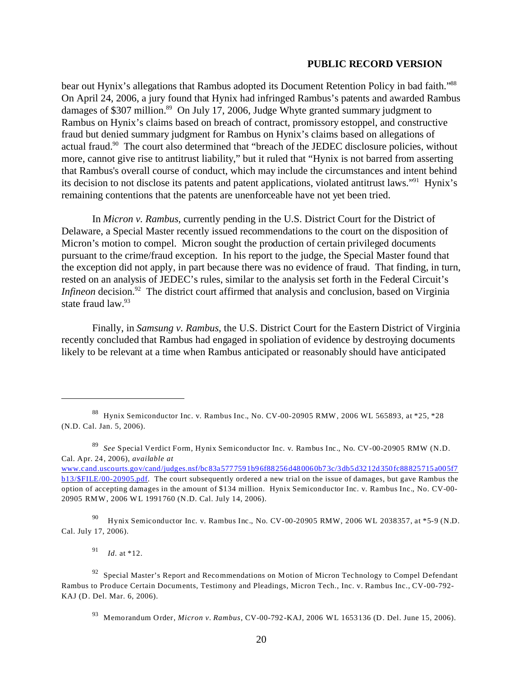bear out Hynix's allegations that Rambus adopted its Document Retention Policy in bad faith."<sup>88</sup> On April 24, 2006, a jury found that Hynix had infringed Rambus's patents and awarded Rambus damages of \$307 million.<sup>89</sup> On July 17, 2006, Judge Whyte granted summary judgment to Rambus on Hynix's claims based on breach of contract, promissory estoppel, and constructive fraud but denied summary judgment for Rambus on Hynix's claims based on allegations of actual fraud.90 The court also determined that "breach of the JEDEC disclosure policies, without more, cannot give rise to antitrust liability," but it ruled that "Hynix is not barred from asserting that Rambus's overall course of conduct, which may include the circumstances and intent behind its decision to not disclose its patents and patent applications, violated antitrust laws."91 Hynix's remaining contentions that the patents are unenforceable have not yet been tried.

In *Micron v. Rambus*, currently pending in the U.S. District Court for the District of Delaware, a Special Master recently issued recommendations to the court on the disposition of Micron's motion to compel. Micron sought the production of certain privileged documents pursuant to the crime/fraud exception. In his report to the judge, the Special Master found that the exception did not apply, in part because there was no evidence of fraud. That finding, in turn, rested on an analysis of JEDEC's rules, similar to the analysis set forth in the Federal Circuit's *Infineon* decision.<sup>92</sup> The district court affirmed that analysis and conclusion, based on Virginia state fraud law.<sup>93</sup>

Finally, in *Samsung v. Rambus*, the U.S. District Court for the Eastern District of Virginia recently concluded that Rambus had engaged in spoliation of evidence by destroying documents likely to be relevant at a time when Rambus anticipated or reasonably should have anticipated

90 Hynix Semiconductor Inc. v. Rambus Inc., No. CV-00-20905 RMW, 2006 WL 2038357, at \*5-9 (N.D. Cal. July 17, 2006).

<sup>91</sup>*Id*. at \*12.

<sup>88</sup> Hynix Semiconductor Inc. v. Rambus Inc., No. CV-00-20905 RMW, 2006 WL 565893, at \*25, \*28 (N.D. Cal. Jan. 5, 2006).

<sup>89</sup>*See* Special Verdict Form, Hynix Semiconductor Inc. v. Rambus Inc., No. CV-00-20905 RMW (N.D. Cal. Apr. 24, 2006), *available at* 

[www.cand.uscourts.gov/cand/judges.nsf/bc83a5777591b96f88256d480060b73c/3db5d3212d350fc88825715a005f7](http://www.cand.uscourts.gov/cand/judges.nsf/bc83a5777591b96f88256d480060b73c/3db5d3212d350fc88825715a005f7b13/$FILE/00-20905.pdf) [b13/\\$FILE/00-20905.pdf](http://www.cand.uscourts.gov/cand/judges.nsf/bc83a5777591b96f88256d480060b73c/3db5d3212d350fc88825715a005f7b13/$FILE/00-20905.pdf). The court subsequently ordered a new trial on the issue of damages, but gave Rambus the option of accepting damages in the amount of \$134 million. Hynix Semiconductor Inc. v. Rambus Inc., No. CV-00 20905 RMW, 2006 WL 1991760 (N.D. Cal. July 14, 2006).

 $92$  Special Master's Report and Recommendations on Motion of Micron Technology to Compel Defendant Rambus to Produce Certain Documents, Testimony and Pleadings, Micron Tech., Inc. v. Rambus Inc., CV-00-792 KAJ (D. Del. Mar. 6, 2006).

<sup>93</sup> Memorandum Order, *Micron v. Rambus*, CV-00-792-KAJ, 2006 WL 1653136 (D. Del. June 15, 2006).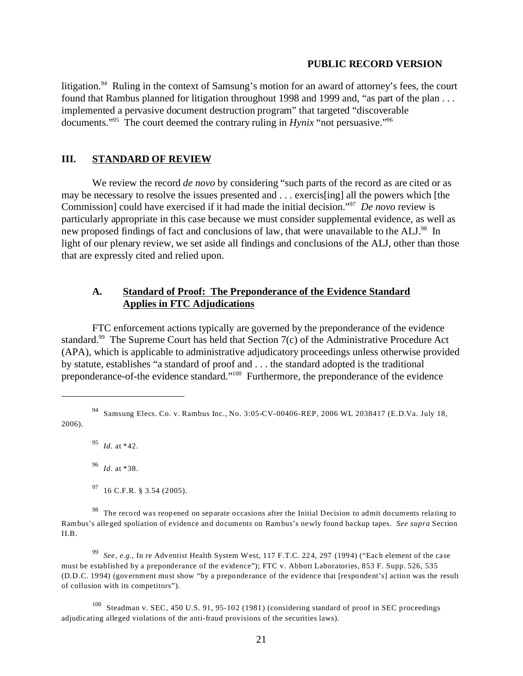litigation.<sup>94</sup> Ruling in the context of Samsung's motion for an award of attorney's fees, the court found that Rambus planned for litigation throughout 1998 and 1999 and, "as part of the plan . . . implemented a pervasive document destruction program" that targeted "discoverable documents."95 The court deemed the contrary ruling in *Hynix* "not persuasive."96

#### **III. STANDARD OF REVIEW**

We review the record *de novo* by considering "such parts of the record as are cited or as may be necessary to resolve the issues presented and . . . exercis[ing] all the powers which [the Commission] could have exercised if it had made the initial decision."97 *De novo* review is particularly appropriate in this case because we must consider supplemental evidence, as well as new proposed findings of fact and conclusions of law, that were unavailable to the ALJ.<sup>98</sup> In light of our plenary review, we set aside all findings and conclusions of the ALJ, other than those that are expressly cited and relied upon.

## **A. Standard of Proof: The Preponderance of the Evidence Standard Applies in FTC Adjudications**

FTC enforcement actions typically are governed by the preponderance of the evidence standard.<sup>99</sup> The Supreme Court has held that Section 7(c) of the Administrative Procedure Act (APA), which is applicable to administrative adjudicatory proceedings unless otherwise provided by statute, establishes "a standard of proof and . . . the standard adopted is the traditional preponderance-of-the evidence standard."100 Furthermore, the preponderance of the evidence

<sup>95</sup>*Id*. at \*42.

<sup>96</sup>*Id*. at \*38.

 $97$  16 C.F.R. § 3.54 (2005).

<sup>99</sup>*See, e.g.,* In re Adventist Health System West, 117 F.T.C. 224, 297 (1994) ("Each element of the case must be established by a preponderance of the evidence"); FTC v. Abbott Laboratories, 853 F. Supp. 526, 535 (D.D.C. 1994) (government must show "by a preponderance of the evidence that [respondent's] action was the result of collusion with its competitors").

100 Steadman v. SEC, 450 U.S. 91, 95-102 (1981) (considering standard of proof in SEC proceedings adjudicating alleged violations of the anti-fraud provisions of the securities laws).

<sup>94</sup> Samsung Elecs. Co. v. Rambus Inc., No. 3:05-CV-00406-REP, 2006 WL 2038417 (E.D.Va. July 18, 2006).

<sup>&</sup>lt;sup>98</sup> The record was reopened on separate occasions after the Initial Decision to admit documents relating to Rambus's alleged spoliation of evidence and documents on Rambus's newly found backup tapes. *See supra* Section II.B.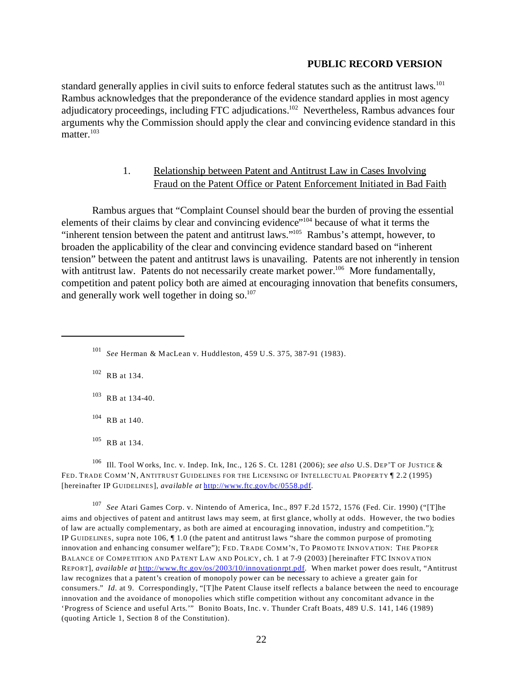standard generally applies in civil suits to enforce federal statutes such as the antitrust laws.<sup>101</sup> Rambus acknowledges that the preponderance of the evidence standard applies in most agency adjudicatory proceedings, including FTC adjudications.102 Nevertheless, Rambus advances four arguments why the Commission should apply the clear and convincing evidence standard in this matter.<sup>103</sup>

# 1. Relationship between Patent and Antitrust Law in Cases Involving Fraud on the Patent Office or Patent Enforcement Initiated in Bad Faith

Rambus argues that "Complaint Counsel should bear the burden of proving the essential elements of their claims by clear and convincing evidence"104 because of what it terms the "inherent tension between the patent and antitrust laws."105 Rambus's attempt, however, to broaden the applicability of the clear and convincing evidence standard based on "inherent tension" between the patent and antitrust laws is unavailing. Patents are not inherently in tension with antitrust law. Patents do not necessarily create market power.<sup>106</sup> More fundamentally, competition and patent policy both are aimed at encouraging innovation that benefits consumers, and generally work well together in doing so. $107$ 

102 RB at 134.

103 RB at 134-40.

 $104$  RB at 140.

105 RB at 134.

106 Ill. Tool Works, Inc. v. Indep. Ink, Inc., 126 S. Ct. 1281 (2006); *see also* U.S. DEP'T OF JUSTICE & FED. TRADE COMM'N, ANTITRUST GUIDELINES FOR THE LICENSING OF INTELLECTUAL PROPERTY ¶ 2.2 (1995) [hereinafter IP GUIDELINES], *available at* <http://www.ftc.gov/bc/0558.pdf>.

<sup>107</sup>*See* Atari Games Corp. v. Nintendo of America, Inc., 897 F.2d 1572, 1576 (Fed. Cir. 1990) ("[T]he aims and objectives of patent and antitrust laws may seem, at first glance, wholly at odds. However, the two bodies of law are actually complementary, as both are aimed at encouraging innovation, industry and competition."); IP GUIDELINES, supra note 106, ¶ 1.0 (the patent and antitrust laws "share the common purpose of promoting innovation and enhancing consumer welfare"); FED. TRADE COMM'N, TO PROMOTE INNOVATION: THE PROPER BALANCE OF COMPETITION AND PATENT LAW AND POLICY, ch. 1 at 7-9 (2003) [hereinafter FTC INNOVATION REPORT], *available at* <http://www.ftc.gov/os/2003/10/innovationrpt.pdf>. When market power does result, "Antitrust law recognizes that a patent's creation of monopoly power can be necessary to achieve a greater gain for consumers." *Id*. at 9. Correspondingly, "[T]he Patent Clause itself reflects a balance between the need to encourage innovation and the avoidance of monopolies which stifle competition without any concomitant advance in the 'Progress of Science and useful Arts.'" Bonito Boats, Inc. v. Thunder Craft Boats, 489 U.S. 141, 146 (1989) (quoting Article 1, Section 8 of the Constitution).

<sup>101</sup>*See* Herman & MacLean v. Huddleston, 459 U.S. 375, 387-91 (1983).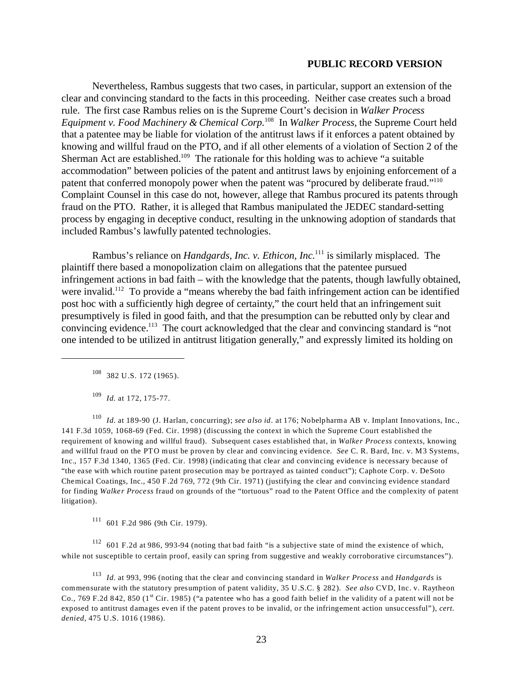Nevertheless, Rambus suggests that two cases, in particular, support an extension of the clear and convincing standard to the facts in this proceeding. Neither case creates such a broad rule. The first case Rambus relies on is the Supreme Court's decision in *Walker Process Equipment v. Food Machinery & Chemical Corp.*108 In *Walker Process,* the Supreme Court held that a patentee may be liable for violation of the antitrust laws if it enforces a patent obtained by knowing and willful fraud on the PTO, and if all other elements of a violation of Section 2 of the Sherman Act are established.<sup>109</sup> The rationale for this holding was to achieve "a suitable" accommodation" between policies of the patent and antitrust laws by enjoining enforcement of a patent that conferred monopoly power when the patent was "procured by deliberate fraud."<sup>110</sup> Complaint Counsel in this case do not, however, allege that Rambus procured its patents through fraud on the PTO. Rather, it is alleged that Rambus manipulated the JEDEC standard-setting process by engaging in deceptive conduct, resulting in the unknowing adoption of standards that included Rambus's lawfully patented technologies.

Rambus's reliance on *Handgards, Inc. v. Ethicon, Inc.*111 is similarly misplaced. The plaintiff there based a monopolization claim on allegations that the patentee pursued infringement actions in bad faith – with the knowledge that the patents, though lawfully obtained, were invalid.<sup>112</sup> To provide a "means whereby the bad faith infringement action can be identified post hoc with a sufficiently high degree of certainty," the court held that an infringement suit presumptively is filed in good faith, and that the presumption can be rebutted only by clear and convincing evidence.113 The court acknowledged that the clear and convincing standard is "not one intended to be utilized in antitrust litigation generally," and expressly limited its holding on

108 382 U.S. 172 (1965).

<sup>109</sup>*Id.* at 172, 175-77.

<sup>110</sup>*Id.* at 189-90 (J. Harlan, concurring); *see also id*. at 176; Nobelpharma AB v. Implant Innovations, Inc., 141 F.3d 1059, 1068-69 (Fed. Cir. 1998) (discussing the context in which the Supreme Court established the requirement of knowing and willful fraud). Subsequent cases established that, in *Walker Process* contexts, knowing and willful fraud on the PTO must be proven by clear and convincing evidence. *See* C. R. Bard, Inc. v. M3 Systems, Inc., 157 F.3d 1340, 1365 (Fed. Cir. 1998) (indicating that clear and convincing evidence is necessary because of "the ease with which routine patent prosecution may be portrayed as tainted conduct"); Caphote Corp. v. DeSoto Chemical Coatings, Inc., 450 F.2d 769, 772 (9th Cir. 1971) (justifying the clear and convincing evidence standard for finding *Walker Process* fraud on grounds of the "tortuous" road to the Patent Office and the complexity of patent litigation).

 $111$  601 F.2d 986 (9th Cir. 1979).

112 601 F.2d at 986, 993-94 (noting that bad faith "is a subjective state of mind the existence of which, while not susceptible to certain proof, easily can spring from suggestive and weakly corroborative circumstances").

<sup>113</sup>*Id.* at 993, 996 (noting that the clear and convincing standard in *Walker Process* and *Handgards* is commensurate with the statutory presumption of patent validity, 35 U.S.C. § 282). *See also* CVD, Inc. v. Raytheon Co., 769 F.2d 842, 850 ( $1<sup>st</sup>$  Cir. 1985) ("a patentee who has a good faith belief in the validity of a patent will not be exposed to antitrust damages even if the patent proves to be invalid, or the infringement action unsuccessful"), *cert. denied*, 475 U.S. 1016 (1986).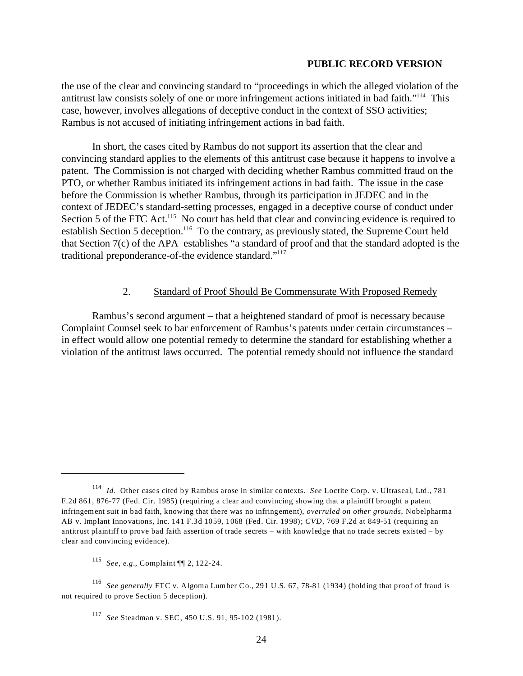the use of the clear and convincing standard to "proceedings in which the alleged violation of the antitrust law consists solely of one or more infringement actions initiated in bad faith."114 This case, however, involves allegations of deceptive conduct in the context of SSO activities; Rambus is not accused of initiating infringement actions in bad faith.

In short, the cases cited by Rambus do not support its assertion that the clear and convincing standard applies to the elements of this antitrust case because it happens to involve a patent. The Commission is not charged with deciding whether Rambus committed fraud on the PTO, or whether Rambus initiated its infringement actions in bad faith. The issue in the case before the Commission is whether Rambus, through its participation in JEDEC and in the context of JEDEC's standard-setting processes, engaged in a deceptive course of conduct under Section 5 of the FTC Act.<sup>115</sup> No court has held that clear and convincing evidence is required to establish Section 5 deception.<sup>116</sup> To the contrary, as previously stated, the Supreme Court held that Section 7(c) of the APA establishes "a standard of proof and that the standard adopted is the traditional preponderance-of-the evidence standard."117

## 2. Standard of Proof Should Be Commensurate With Proposed Remedy

Rambus's second argument – that a heightened standard of proof is necessary because Complaint Counsel seek to bar enforcement of Rambus's patents under certain circumstances – in effect would allow one potential remedy to determine the standard for establishing whether a violation of the antitrust laws occurred. The potential remedy should not influence the standard

<sup>114</sup>*Id*. Other cases cited by Rambus arose in similar contexts. *See* Loctite Corp. v. Ultraseal, Ltd., 781 F.2d 861, 876-77 (Fed. Cir. 1985) (requiring a clear and convincing showing that a plaintiff brought a patent infringement suit in bad faith, knowing that there was no infringement), *overruled on other grounds*, Nobelpharma AB v. Implant Innovations, Inc. 141 F.3d 1059, 1068 (Fed. Cir. 1998); *CVD*, 769 F.2d at 849-51 (requiring an antitrust plaintiff to prove bad faith assertion of trade secrets – with knowledge that no trade secrets existed – by clear and convincing evidence).

<sup>115</sup>*See, e.g.*, Complaint ¶¶ 2, 122-24.

<sup>116</sup>*See generally* FTC v. Algoma Lumber Co., 291 U.S. 67, 78-81 (1934) (holding that proof of fraud is not required to prove Section 5 deception).

<sup>117</sup>*See* Steadman v. SEC, 450 U.S. 91, 95-102 (1981).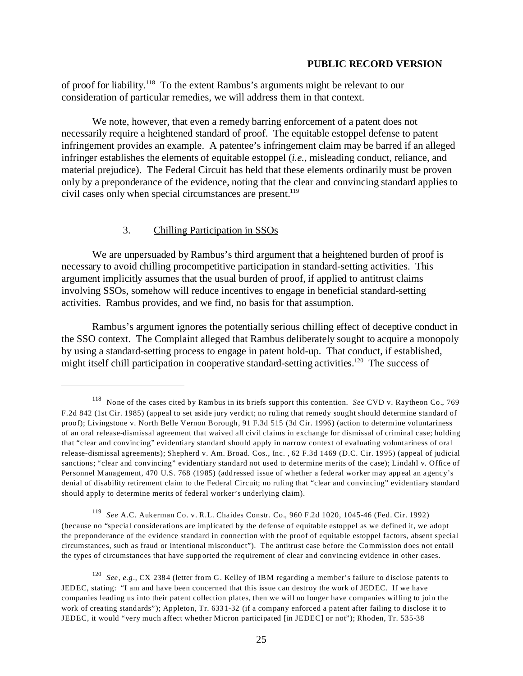of proof for liability.118 To the extent Rambus's arguments might be relevant to our consideration of particular remedies, we will address them in that context.

We note, however, that even a remedy barring enforcement of a patent does not necessarily require a heightened standard of proof. The equitable estoppel defense to patent infringement provides an example. A patentee's infringement claim may be barred if an alleged infringer establishes the elements of equitable estoppel (*i.e.*, misleading conduct, reliance, and material prejudice). The Federal Circuit has held that these elements ordinarily must be proven only by a preponderance of the evidence, noting that the clear and convincing standard applies to civil cases only when special circumstances are present.<sup>119</sup>

## 3. Chilling Participation in SSOs

We are unpersuaded by Rambus's third argument that a heightened burden of proof is necessary to avoid chilling procompetitive participation in standard-setting activities. This argument implicitly assumes that the usual burden of proof, if applied to antitrust claims involving SSOs, somehow will reduce incentives to engage in beneficial standard-setting activities. Rambus provides, and we find, no basis for that assumption.

Rambus's argument ignores the potentially serious chilling effect of deceptive conduct in the SSO context. The Complaint alleged that Rambus deliberately sought to acquire a monopoly by using a standard-setting process to engage in patent hold-up. That conduct, if established, might itself chill participation in cooperative standard-setting activities.<sup>120</sup> The success of

<sup>118</sup> None of the cases cited by Rambus in its briefs support this contention. *See* CVD v. Raytheon Co., 769 F.2d 842 (1st Cir. 1985) (appeal to set aside jury verdict; no ruling that remedy sought should determine standard of proof); Livingstone v. North Belle Vernon Borough, 91 F.3d 515 (3d Cir. 1996) (action to determine voluntariness of an oral release-dismissal agreement that waived all civil claims in exchange for dismissal of criminal case; holding that "clear and convincing" evidentiary standard should apply in narrow context of evaluating voluntariness of oral release-dismissal agreements); Shepherd v. Am. Broad. Cos., Inc. , 62 F.3d 1469 (D.C. Cir. 1995) (appeal of judicial sanctions; "clear and convincing" evidentiary standard not used to determine merits of the case); Lindahl v. Office of Personnel Management, 470 U.S. 768 (1985) (addressed issue of whether a federal worker may appeal an agency's denial of disability retirement claim to the Federal Circuit; no ruling that "clear and convincing" evidentiary standard should apply to determine merits of federal worker's underlying claim).

<sup>119</sup>*See* A.C. Aukerman Co. v. R.L. Chaides Constr. Co., 960 F.2d 1020, 1045-46 (Fed. Cir. 1992) (because no "special considerations are implicated by the defense of equitable estoppel as we defined it, we adopt the preponderance of the evidence standard in connection with the proof of equitable estoppel factors, absent special circumstances, such as fraud or intentional misconduct"). The antitrust case before the Commission does not entail the types of circumstances that have supported the requirement of clear and convincing evidence in other cases.

<sup>120</sup>*See, e.g*., CX 2384 (letter from G. Kelley of IBM regarding a member's failure to disclose patents to JEDEC, stating: "I am and have been concerned that this issue can destroy the work of JEDEC. If we have companies leading us into their patent collection plates, then we will no longer have companies willing to join the work of creating standards"); Appleton, Tr. 6331-32 (if a company enforced a patent after failing to disclose it to JEDEC, it would "very much affect whether Micron participated [in JEDEC] or not"); Rhoden, Tr. 535-38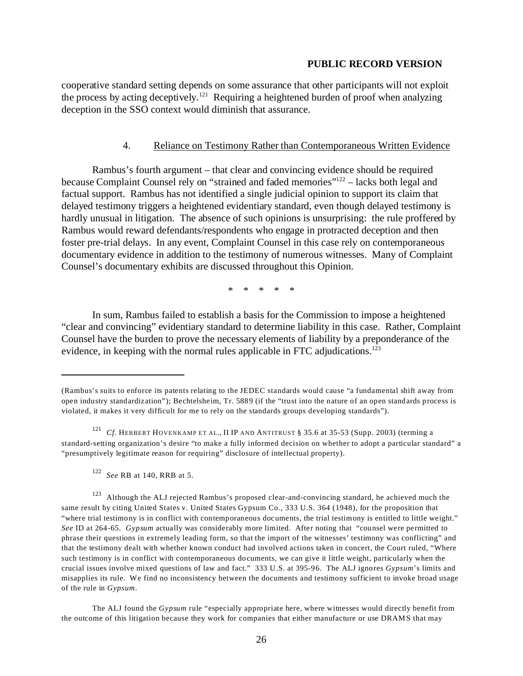cooperative standard setting depends on some assurance that other participants will not exploit the process by acting deceptively.121 Requiring a heightened burden of proof when analyzing deception in the SSO context would diminish that assurance.

### 4. Reliance on Testimony Rather than Contemporaneous Written Evidence

Rambus's fourth argument – that clear and convincing evidence should be required because Complaint Counsel rely on "strained and faded memories"122 – lacks both legal and factual support. Rambus has not identified a single judicial opinion to support its claim that delayed testimony triggers a heightened evidentiary standard, even though delayed testimony is hardly unusual in litigation. The absence of such opinions is unsurprising: the rule proffered by Rambus would reward defendants/respondents who engage in protracted deception and then foster pre-trial delays. In any event, Complaint Counsel in this case rely on contemporaneous documentary evidence in addition to the testimony of numerous witnesses. Many of Complaint Counsel's documentary exhibits are discussed throughout this Opinion.

\* \* \* \* \*

In sum, Rambus failed to establish a basis for the Commission to impose a heightened "clear and convincing" evidentiary standard to determine liability in this case. Rather, Complaint Counsel have the burden to prove the necessary elements of liability by a preponderance of the evidence, in keeping with the normal rules applicable in FTC adjudications.<sup>123</sup>

<sup>(</sup>Rambus's suits to enforce its patents relating to the JEDEC standards would cause "a fundamental shift away from open industry standardization"); Bechtelsheim, Tr. 5889 (if the "trust into the nature of an open standards process is violated, it makes it very difficult for me to rely on the standards groups developing standards").

<sup>&</sup>lt;sup>121</sup> Cf. HERBERT HOVENKAMP ET AL., II IP AND ANTITRUST § 35.6 at 35-53 (Supp. 2003) (terming a standard-setting organization's desire "to make a fully informed decision on whether to adopt a particular standard" a "presumptively legitimate reason for requiring" disclosure of intellectual property).

<sup>122</sup>*See* RB at 140, RRB at 5.

<sup>&</sup>lt;sup>123</sup> Although the ALJ rejected Rambus's proposed clear-and-convincing standard, he achieved much the same result by citing United States v. United States Gypsum Co., 333 U.S. 364 (1948), for the proposition that "where trial testimony is in conflict with contemporaneous documents, the trial testimony is entitled to little weight." *See* ID at 264-65. *Gypsum* actually was considerably more limited. After noting that "counsel were permitted to phrase their questions in extremely leading form, so that the import of the witnesses' testimony was conflicting" and that the testimony dealt with whether known conduct had involved actions taken in concert, the Court ruled, "Where such testimony is in conflict with contemporaneous documents, we can give it little weight, particularly when the crucial issues involve mixed questions of law and fact." 333 U.S. at 395-96. The ALJ ignores *Gypsum*'s limits and misapplies its rule. We find no inconsistency between the documents and testimony sufficient to invoke broad usage of the rule in *Gypsum*.

The ALJ found the *Gypsum* rule "especially appropriate here, where witnesses would directly benefit from the outcome of this litigation because they work for companies that either manufacture or use DRAMS that may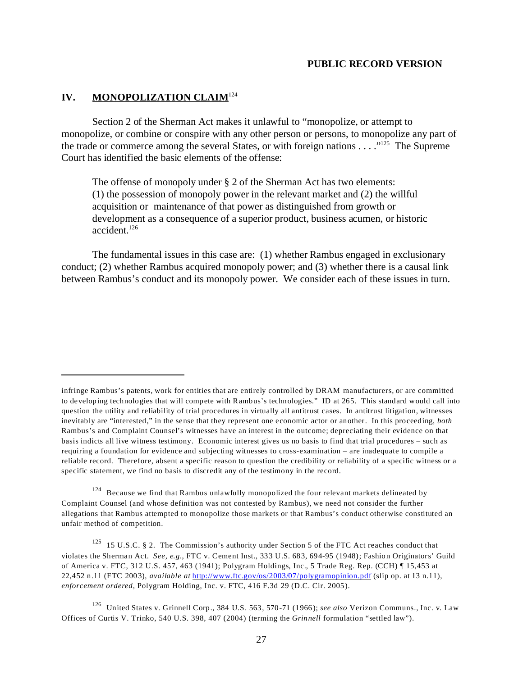# **IV.** MONOPOLIZATION CLAIM<sup>124</sup>

Section 2 of the Sherman Act makes it unlawful to "monopolize, or attempt to monopolize, or combine or conspire with any other person or persons, to monopolize any part of the trade or commerce among the several States, or with foreign nations  $\dots$ ."<sup>125</sup> The Supreme Court has identified the basic elements of the offense:

The offense of monopoly under § 2 of the Sherman Act has two elements: (1) the possession of monopoly power in the relevant market and (2) the willful acquisition or maintenance of that power as distinguished from growth or development as a consequence of a superior product, business acumen, or historic accident.126

The fundamental issues in this case are: (1) whether Rambus engaged in exclusionary conduct; (2) whether Rambus acquired monopoly power; and (3) whether there is a causal link between Rambus's conduct and its monopoly power. We consider each of these issues in turn.

<sup>124</sup> Because we find that Rambus unlawfully monopolized the four relevant markets delineated by Complaint Counsel (and whose definition was not contested by Rambus), we need not consider the further allegations that Rambus attempted to monopolize those markets or that Rambus's conduct otherwise constituted an unfair method of competition.

<sup>125</sup> 15 U.S.C. § 2. The Commission's authority under Section 5 of the FTC Act reaches conduct that violates the Sherman Act. *See, e.g.*, FTC v. Cement Inst., 333 U.S. 683, 694-95 (1948); Fashion Originators' Guild of America v. FTC, 312 U.S. 457, 463 (1941); Polygram Holdings, Inc., 5 Trade Reg. Rep. (CCH) ¶ 15,453 at 22,452 n.11 (FTC 2003), *available at* <http://www.ftc.gov/os/2003/07/polygramopinion.pdf> (slip op. at 13 n.11), *enforcement ordered*, Polygram Holding, Inc. v. FTC, 416 F.3d 29 (D.C. Cir. 2005).

infringe Rambus's patents, work for entities that are entirely controlled by DRAM manufacturers, or are committed to developing technologies that will compete with Rambus's technologies." ID at 265. This standard would call into question the utility and reliability of trial procedures in virtually all antitrust cases. In antitrust litigation, witnesses inevitably are "interested," in the sense that they represent one economic actor or another. In this proceeding, *both*  Rambus's and Complaint Counsel's witnesses have an interest in the outcome; depreciating their evidence on that basis indicts all live witness testimony. Economic interest gives us no basis to find that trial procedures – such as requiring a foundation for evidence and subjecting witnesses to cross-examination – are inadequate to compile a reliable record. Therefore, absent a specific reason to question the credibility or reliability of a specific witness or a specific statement, we find no basis to discredit any of the testimony in the record.

<sup>126</sup> United States v. Grinnell Corp., 384 U.S. 563, 570-71 (1966); *see also* Verizon Communs., Inc. v. Law Offices of Curtis V. Trinko, 540 U.S. 398, 407 (2004) (terming the *Grinnell* formulation "settled law").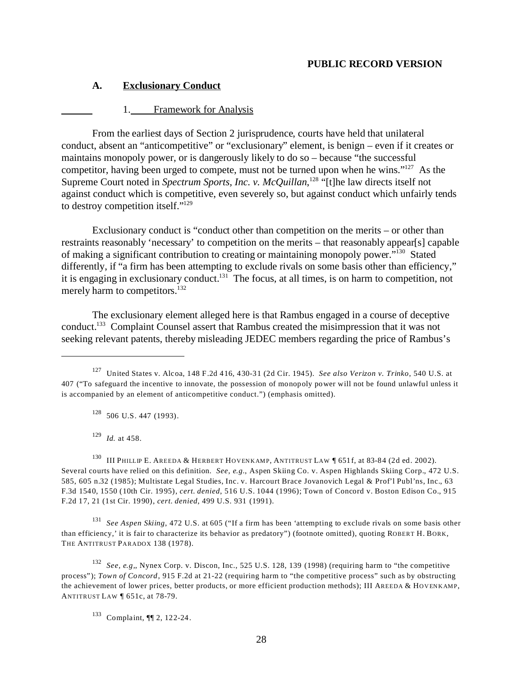### **A. Exclusionary Conduct**

#### 1. Framework for Analysis

From the earliest days of Section 2 jurisprudence, courts have held that unilateral conduct, absent an "anticompetitive" or "exclusionary" element, is benign – even if it creates or maintains monopoly power, or is dangerously likely to do so – because "the successful competitor, having been urged to compete, must not be turned upon when he wins."127 As the Supreme Court noted in *Spectrum Sports, Inc. v. McQuillan*,<sup>128</sup> "[t]he law directs itself not against conduct which is competitive, even severely so, but against conduct which unfairly tends to destroy competition itself."129

Exclusionary conduct is "conduct other than competition on the merits – or other than restraints reasonably 'necessary' to competition on the merits – that reasonably appear[s] capable of making a significant contribution to creating or maintaining monopoly power."130 Stated differently, if "a firm has been attempting to exclude rivals on some basis other than efficiency," it is engaging in exclusionary conduct.<sup>131</sup> The focus, at all times, is on harm to competition, not merely harm to competitors.<sup>132</sup>

The exclusionary element alleged here is that Rambus engaged in a course of deceptive conduct.133 Complaint Counsel assert that Rambus created the misimpression that it was not seeking relevant patents, thereby misleading JEDEC members regarding the price of Rambus's

 $128$  506 U.S. 447 (1993).

<sup>129</sup>*Id.* at 458.

<sup>130</sup> III PHILLIP E. AREEDA & HERBERT HOVENKAMP, ANTITRUST LAW [651f, at 83-84 (2d ed. 2002). Several courts have relied on this definition. *See, e.g.*, Aspen Skiing Co. v. Aspen Highlands Skiing Corp., 472 U.S. 585, 605 n.32 (1985); Multistate Legal Studies, Inc. v. Harcourt Brace Jovanovich Legal & Prof'l Publ'ns, Inc., 63 F.3d 1540, 1550 (10th Cir. 1995), *cert. denied*, 516 U.S. 1044 (1996); Town of Concord v. Boston Edison Co., 915 F.2d 17, 21 (1st Cir. 1990), *cert. denied*, 499 U.S. 931 (1991).

<sup>131</sup>*See Aspen Skiing*, 472 U.S. at 605 ("If a firm has been 'attempting to exclude rivals on some basis other than efficiency,' it is fair to characterize its behavior as predatory") (footnote omitted), quoting ROBERT H. BORK, THE ANTITRUST PARADOX 138 (1978).

<sup>132</sup>*See, e.g,*, Nynex Corp. v. Discon, Inc., 525 U.S. 128, 139 (1998) (requiring harm to "the competitive process"); *Town of Concord*, 915 F.2d at 21-22 (requiring harm to "the competitive process" such as by obstructing the achievement of lower prices, better products, or more efficient production methods); III AREEDA & HOVENKAMP, ANTITRUST LAW ¶ 651c, at 78-79.

133 Complaint, ¶¶ 2, 122-24.

<sup>127</sup> United States v. Alcoa, 148 F.2d 416, 430-31 (2d Cir. 1945). *See also Verizon v. Trinko*, 540 U.S. at 407 ("To safeguard the incentive to innovate, the possession of monopoly power will not be found unlawful unless it is accompanied by an element of anticompetitive conduct.") (emphasis omitted).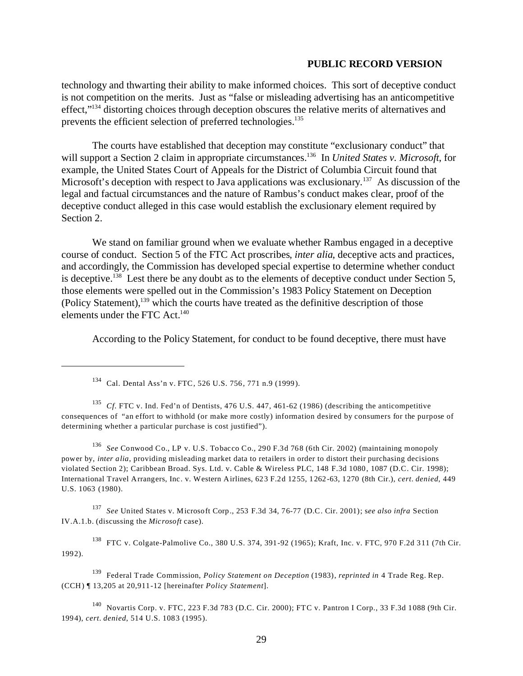technology and thwarting their ability to make informed choices. This sort of deceptive conduct is not competition on the merits. Just as "false or misleading advertising has an anticompetitive effect,"<sup>134</sup> distorting choices through deception obscures the relative merits of alternatives and prevents the efficient selection of preferred technologies.<sup>135</sup>

The courts have established that deception may constitute "exclusionary conduct" that will support a Section 2 claim in appropriate circumstances.<sup>136</sup> In *United States v. Microsoft*, for example, the United States Court of Appeals for the District of Columbia Circuit found that Microsoft's deception with respect to Java applications was exclusionary.<sup>137</sup> As discussion of the legal and factual circumstances and the nature of Rambus's conduct makes clear, proof of the deceptive conduct alleged in this case would establish the exclusionary element required by Section 2.

We stand on familiar ground when we evaluate whether Rambus engaged in a deceptive course of conduct. Section 5 of the FTC Act proscribes, *inter alia*, deceptive acts and practices, and accordingly, the Commission has developed special expertise to determine whether conduct is deceptive.<sup>138</sup> Lest there be any doubt as to the elements of deceptive conduct under Section 5, those elements were spelled out in the Commission's 1983 Policy Statement on Deception (Policy Statement),139 which the courts have treated as the definitive description of those elements under the FTC Act.<sup>140</sup>

According to the Policy Statement, for conduct to be found deceptive, there must have

<sup>135</sup>*Cf*. FTC v. Ind. Fed'n of Dentists, 476 U.S. 447, 461-62 (1986) (describing the anticompetitive consequences of "an effort to withhold (or make more costly) information desired by consumers for the purpose of determining whether a particular purchase is cost justified").

<sup>136</sup>*See* Conwood Co., LP v. U.S. Tobacco Co., 290 F.3d 768 (6th Cir. 2002) (maintaining monopoly power by, *inter alia*, providing misleading market data to retailers in order to distort their purchasing decisions violated Section 2); Caribbean Broad. Sys. Ltd. v. Cable & Wireless PLC, 148 F.3d 1080, 1087 (D.C. Cir. 1998); International Travel Arrangers, Inc. v. Western Airlines, 623 F.2d 1255, 1262-63, 1270 (8th Cir.), *cert. denied*, 449 U.S. 1063 (1980).

<sup>137</sup>*See* United States v. Microsoft Corp., 253 F.3d 34, 76-77 (D.C. Cir. 2001); s*ee also infra* Section IV.A.1.b. (discussing the *Microsoft* case).

138 FTC v. Colgate-Palmolive Co., 380 U.S. 374, 391-92 (1965); Kraft, Inc. v. FTC, 970 F.2d 311 (7th Cir. 1992).

139 Federal Trade Commission, *Policy Statement on Deception* (1983), *reprinted in* 4 Trade Reg. Rep. (CCH) ¶ 13,205 at 20,911-12 [hereinafter *Policy Statement*].

140 Novartis Corp. v. FTC, 223 F.3d 783 (D.C. Cir. 2000); FTC v. Pantron I Corp., 33 F.3d 1088 (9th Cir. 1994), *cert. denied*, 514 U.S. 1083 (1995).

<sup>134</sup> Cal. Dental Ass'n v. FTC, 526 U.S. 756, 771 n.9 (1999).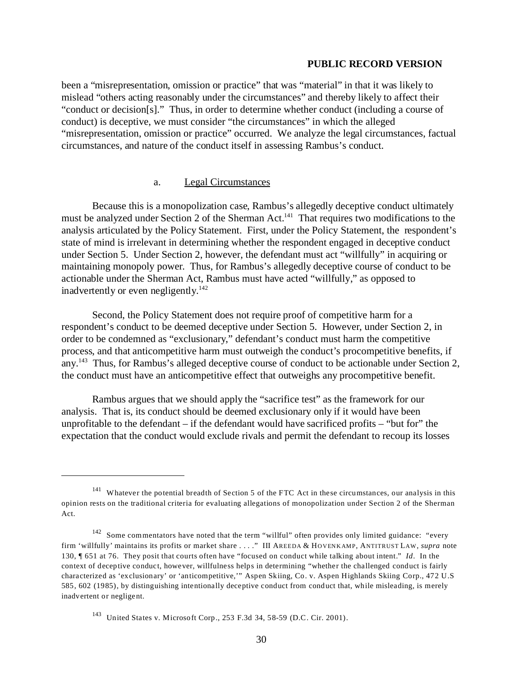been a "misrepresentation, omission or practice" that was "material" in that it was likely to mislead "others acting reasonably under the circumstances" and thereby likely to affect their "conduct or decision[s]." Thus, in order to determine whether conduct (including a course of conduct) is deceptive, we must consider "the circumstances" in which the alleged "misrepresentation, omission or practice" occurred. We analyze the legal circumstances, factual circumstances, and nature of the conduct itself in assessing Rambus's conduct.

### a. Legal Circumstances

Because this is a monopolization case, Rambus's allegedly deceptive conduct ultimately must be analyzed under Section 2 of the Sherman Act.<sup>141</sup> That requires two modifications to the analysis articulated by the Policy Statement. First, under the Policy Statement, the respondent's state of mind is irrelevant in determining whether the respondent engaged in deceptive conduct under Section 5. Under Section 2, however, the defendant must act "willfully" in acquiring or maintaining monopoly power. Thus, for Rambus's allegedly deceptive course of conduct to be actionable under the Sherman Act, Rambus must have acted "willfully," as opposed to inadvertently or even negligently.<sup>142</sup>

Second, the Policy Statement does not require proof of competitive harm for a respondent's conduct to be deemed deceptive under Section 5. However, under Section 2, in order to be condemned as "exclusionary," defendant's conduct must harm the competitive process, and that anticompetitive harm must outweigh the conduct's procompetitive benefits, if any.<sup>143</sup> Thus, for Rambus's alleged deceptive course of conduct to be actionable under Section 2, the conduct must have an anticompetitive effect that outweighs any procompetitive benefit.

Rambus argues that we should apply the "sacrifice test" as the framework for our analysis. That is, its conduct should be deemed exclusionary only if it would have been unprofitable to the defendant – if the defendant would have sacrificed profits – "but for" the expectation that the conduct would exclude rivals and permit the defendant to recoup its losses

<sup>&</sup>lt;sup>141</sup> Whatever the potential breadth of Section 5 of the FTC Act in these circumstances, our analysis in this opinion rests on the traditional criteria for evaluating allegations of monopolization under Section 2 of the Sherman Act.

<sup>&</sup>lt;sup>142</sup> Some commentators have noted that the term "willful" often provides only limited guidance: "every firm 'willfully' maintains its profits or market share . . . ." III AREEDA & HOVENKAMP, ANTITRUST LAW, *supra* note 130, ¶ 651 at 76. They posit that courts often have "focused on conduct while talking about intent." *Id*. In the context of deceptive conduct, however, willfulness helps in determining "whether the challenged conduct is fairly characterized as 'exclusionary' or 'anticompetitive,'" Aspen Skiing, Co. v. Aspen Highlands Skiing Corp., 472 U.S 585, 602 (1985), by distinguishing intentionally deceptive conduct from conduct that, while misleading, is merely inadvertent or negligent.

<sup>143</sup> United States v. Microsoft Corp., 253 F.3d 34, 58-59 (D.C. Cir. 2001).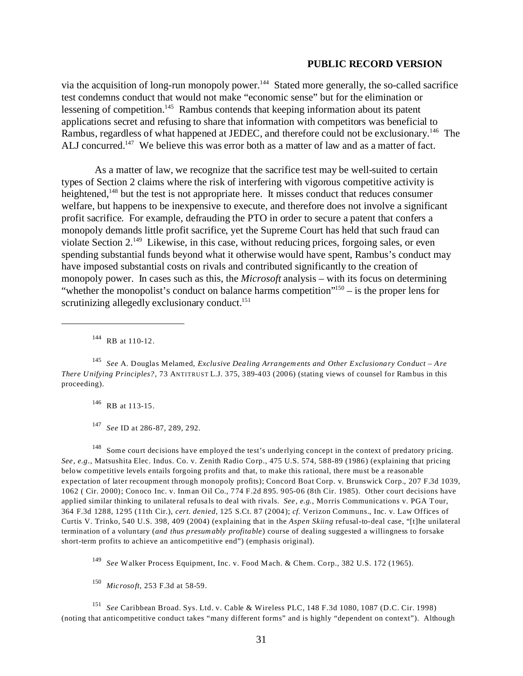via the acquisition of long-run monopoly power.<sup>144</sup> Stated more generally, the so-called sacrifice test condemns conduct that would not make "economic sense" but for the elimination or lessening of competition.<sup>145</sup> Rambus contends that keeping information about its patent applications secret and refusing to share that information with competitors was beneficial to Rambus, regardless of what happened at JEDEC, and therefore could not be exclusionary.<sup>146</sup> The ALJ concurred.<sup>147</sup> We believe this was error both as a matter of law and as a matter of fact.

 As a matter of law, we recognize that the sacrifice test may be well-suited to certain types of Section 2 claims where the risk of interfering with vigorous competitive activity is heightened,<sup>148</sup> but the test is not appropriate here. It misses conduct that reduces consumer welfare, but happens to be inexpensive to execute, and therefore does not involve a significant profit sacrifice. For example, defrauding the PTO in order to secure a patent that confers a monopoly demands little profit sacrifice, yet the Supreme Court has held that such fraud can violate Section 2.149 Likewise, in this case, without reducing prices, forgoing sales, or even spending substantial funds beyond what it otherwise would have spent, Rambus's conduct may have imposed substantial costs on rivals and contributed significantly to the creation of monopoly power. In cases such as this, the *Microsoft* analysis – with its focus on determining "whether the monopolist's conduct on balance harms competition"<sup>150</sup> – is the proper lens for scrutinizing allegedly exclusionary conduct.<sup>151</sup>

144 RB at 110-12.

<sup>145</sup>*See* A. Douglas Melamed, *Exclusive Dealing Arrangements and Other Exclusionary Conduct – Are There Unifying Principles?*, 73 ANTITRUST L.J. 375, 389-403 (2006) (stating views of counsel for Rambus in this proceeding).

146 RB at 113-15.

<sup>147</sup>*See* ID at 286-87, 289, 292.

<sup>148</sup> Some court decisions have employed the test's underlying concept in the context of predatory pricing. *See, e.g*., Matsushita Elec. Indus. Co. v. Zenith Radio Corp., 475 U.S. 574, 588-89 (1986) (explaining that pricing below competitive levels entails forgoing profits and that, to make this rational, there must be a reasonable expectation of later recoupment through monopoly profits); Concord Boat Corp. v. Brunswick Corp., 207 F.3d 1039, 1062 ( Cir. 2000); Conoco Inc. v. Inman Oil Co., 774 F.2d 895. 905-06 (8th Cir. 1985). Other court decisions have applied similar thinking to unilateral refusals to deal with rivals. *See, e.g.,* Morris Communications v. PGA Tour, 364 F.3d 1288, 1295 (11th Cir.), *cert. denied*, 125 S.Ct. 87 (2004); *cf.* Verizon Communs., Inc. v. Law Offices of Curtis V. Trinko, 540 U.S. 398, 409 (2004) (explaining that in the *Aspen Skiing* refusal-to-deal case, "[t]he unilateral termination of a voluntary (*and thus presumably profitable*) course of dealing suggested a willingness to forsake short-term profits to achieve an anticompetitive end") (emphasis original).

<sup>149</sup>*See* Walker Process Equipment, Inc. v. Food Mach. & Chem. Corp., 382 U.S. 172 (1965).

<sup>150</sup>*Microsoft*, 253 F.3d at 58-59.

<sup>151</sup>*See* Caribbean Broad. Sys. Ltd. v. Cable & Wireless PLC, 148 F.3d 1080, 1087 (D.C. Cir. 1998) (noting that anticompetitive conduct takes "many different forms" and is highly "dependent on context"). Although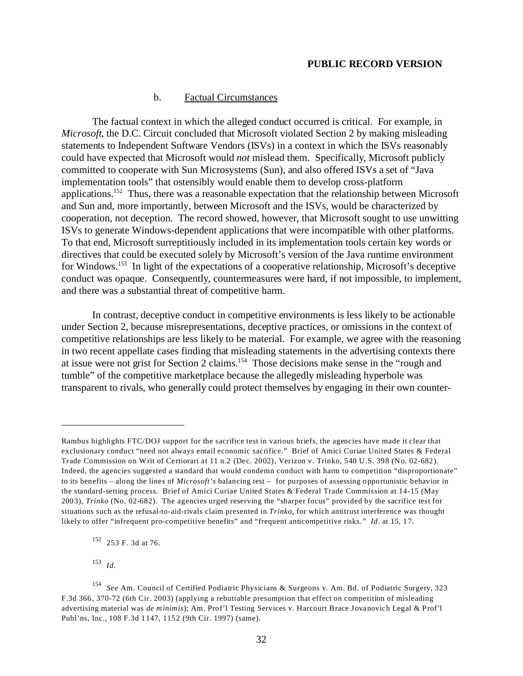#### b. Factual Circumstances

The factual context in which the alleged conduct occurred is critical. For example, in *Microsoft*, the D.C. Circuit concluded that Microsoft violated Section 2 by making misleading statements to Independent Software Vendors (ISVs) in a context in which the ISVs reasonably could have expected that Microsoft would *not* mislead them. Specifically, Microsoft publicly committed to cooperate with Sun Microsystems (Sun), and also offered ISVs a set of "Java implementation tools" that ostensibly would enable them to develop cross-platform applications.<sup>152</sup> Thus, there was a reasonable expectation that the relationship between Microsoft and Sun and, more importantly, between Microsoft and the ISVs, would be characterized by cooperation, not deception. The record showed, however, that Microsoft sought to use unwitting ISVs to generate Windows-dependent applications that were incompatible with other platforms. To that end, Microsoft surreptitiously included in its implementation tools certain key words or directives that could be executed solely by Microsoft's version of the Java runtime environment for Windows.153 In light of the expectations of a cooperative relationship, Microsoft's deceptive conduct was opaque. Consequently, countermeasures were hard, if not impossible, to implement, and there was a substantial threat of competitive harm.

In contrast, deceptive conduct in competitive environments is less likely to be actionable under Section 2, because misrepresentations, deceptive practices, or omissions in the context of competitive relationships are less likely to be material. For example, we agree with the reasoning in two recent appellate cases finding that misleading statements in the advertising contexts there at issue were not grist for Section 2 claims.154 Those decisions make sense in the "rough and tumble" of the competitive marketplace because the allegedly misleading hyperbole was transparent to rivals, who generally could protect themselves by engaging in their own counter-

 $153$  *Id.* 

Rambus highlights FTC/DOJ support for the sacrifice test in various briefs, the agencies have made it clear that exclusionary conduct "need not always entail economic sacrifice." Brief of Amici Curiae United States & Federal Trade Commission on Writ of Certiorari at 11 n.2 (Dec. 2002), Verizon v. Trinko, 540 U.S. 398 (No. 02-682). Indeed, the agencies suggested a standard that would condemn conduct with harm to competition "disproportionate" to its benefits – along the lines of *Microsoft's* balancing test – for purposes of assessing opportunistic behavior in the standard-setting process. Brief of Amici Curiae United States & Federal Trade Commission at 14-15 (May 2003), *Trinko* (No. 02-682). The agencies urged reserving the "sharper focus" provided by the sacrifice test for situations such as the refusal-to-aid-rivals claim presented in *Trinko*, for which antitrust interference was thought likely to offer "infrequent pro-competitive benefits" and "frequent anticompetitive risks*." Id*. at 15, 17.

<sup>152 253</sup> F. 3d at 76.

<sup>154</sup>*See* Am. Council of Certified Podiatric Physicians & Surgeons v. Am. Bd. of Podiatric Surgery, 323 F.3d 366, 370-72 (6th Cir. 2003) (applying a rebuttable presumption that effect on competition of misleading advertising material was *de minimis*); Am. Prof'l Testing Services v. Harcourt Brace Jovanovich Legal & Prof'l Publ'ns, Inc., 108 F.3d 1147, 1152 (9th Cir. 1997) (same).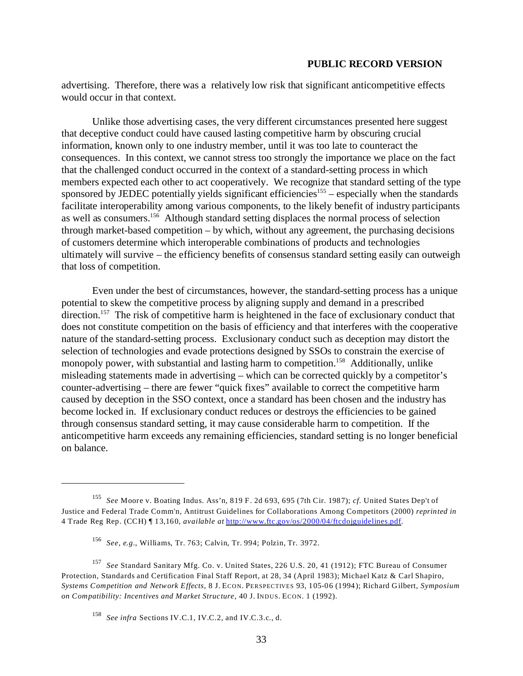advertising. Therefore, there was a relatively low risk that significant anticompetitive effects would occur in that context.

Unlike those advertising cases, the very different circumstances presented here suggest that deceptive conduct could have caused lasting competitive harm by obscuring crucial information, known only to one industry member, until it was too late to counteract the consequences. In this context, we cannot stress too strongly the importance we place on the fact that the challenged conduct occurred in the context of a standard-setting process in which members expected each other to act cooperatively. We recognize that standard setting of the type sponsored by JEDEC potentially yields significant efficiencies<sup>155</sup> – especially when the standards facilitate interoperability among various components, to the likely benefit of industry participants as well as consumers.156 Although standard setting displaces the normal process of selection through market-based competition – by which, without any agreement, the purchasing decisions of customers determine which interoperable combinations of products and technologies ultimately will survive – the efficiency benefits of consensus standard setting easily can outweigh that loss of competition.

Even under the best of circumstances, however, the standard-setting process has a unique potential to skew the competitive process by aligning supply and demand in a prescribed direction.<sup>157</sup> The risk of competitive harm is heightened in the face of exclusionary conduct that does not constitute competition on the basis of efficiency and that interferes with the cooperative nature of the standard-setting process. Exclusionary conduct such as deception may distort the selection of technologies and evade protections designed by SSOs to constrain the exercise of monopoly power, with substantial and lasting harm to competition.<sup>158</sup> Additionally, unlike misleading statements made in advertising – which can be corrected quickly by a competitor's counter-advertising – there are fewer "quick fixes" available to correct the competitive harm caused by deception in the SSO context, once a standard has been chosen and the industry has become locked in. If exclusionary conduct reduces or destroys the efficiencies to be gained through consensus standard setting, it may cause considerable harm to competition. If the anticompetitive harm exceeds any remaining efficiencies, standard setting is no longer beneficial on balance.

<sup>155</sup>*See* Moore v. Boating Indus. Ass'n, 819 F. 2d 693, 695 (7th Cir. 1987); *cf*. United States Dep't of Justice and Federal Trade Comm'n, Antitrust Guidelines for Collaborations Among Competitors (2000) *reprinted in*  4 Trade Reg Rep. (CCH) ¶ 13,160, *available at* <http://www.ftc.gov/os/2000/04/ftcdojguidelines.pdf>.

<sup>156</sup>*See, e.g.*, Williams, Tr. 763; Calvin, Tr. 994; Polzin, Tr. 3972.

<sup>157</sup>*See* Standard Sanitary Mfg. Co. v. United States, 226 U.S. 20, 41 (1912); FTC Bureau of Consumer Protection, Standards and Certification Final Staff Report, at 28, 34 (April 1983); Michael Katz & Carl Shapiro, *Systems Competition and Network Effects*, 8 J. ECON. PERSPECTIVES 93, 105-06 (1994); Richard Gilbert, *Symposium on Compatibility: Incentives and Market Structure*, 40 J. INDUS. ECON. 1 (1992).

<sup>158</sup>*See infra* Sections IV.C.1, IV.C.2, and IV.C.3.c., d.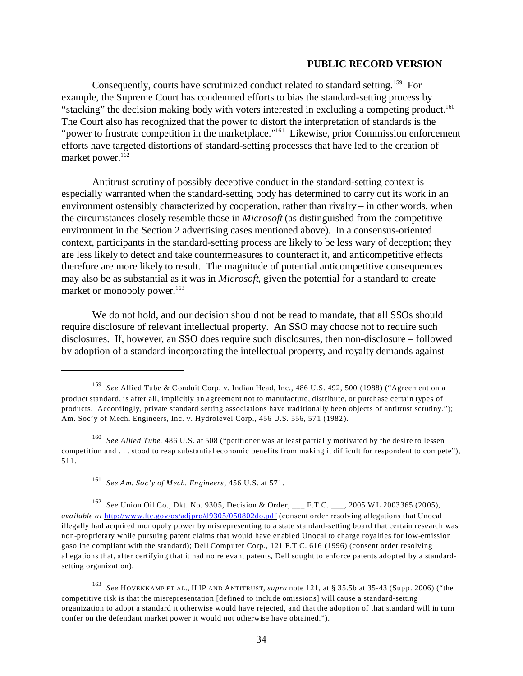Consequently, courts have scrutinized conduct related to standard setting.<sup>159</sup> For example, the Supreme Court has condemned efforts to bias the standard-setting process by "stacking" the decision making body with voters interested in excluding a competing product.<sup>160</sup> The Court also has recognized that the power to distort the interpretation of standards is the "power to frustrate competition in the marketplace."<sup>161</sup> Likewise, prior Commission enforcement efforts have targeted distortions of standard-setting processes that have led to the creation of market power.<sup>162</sup>

Antitrust scrutiny of possibly deceptive conduct in the standard-setting context is especially warranted when the standard-setting body has determined to carry out its work in an environment ostensibly characterized by cooperation, rather than rivalry – in other words, when the circumstances closely resemble those in *Microsoft* (as distinguished from the competitive environment in the Section 2 advertising cases mentioned above). In a consensus-oriented context, participants in the standard-setting process are likely to be less wary of deception; they are less likely to detect and take countermeasures to counteract it, and anticompetitive effects therefore are more likely to result. The magnitude of potential anticompetitive consequences may also be as substantial as it was in *Microsoft*, given the potential for a standard to create market or monopoly power.<sup>163</sup>

We do not hold, and our decision should not be read to mandate, that all SSOs should require disclosure of relevant intellectual property. An SSO may choose not to require such disclosures. If, however, an SSO does require such disclosures, then non-disclosure – followed by adoption of a standard incorporating the intellectual property, and royalty demands against

<sup>159</sup>*See* Allied Tube & Conduit Corp. v. Indian Head, Inc., 486 U.S. 492, 500 (1988) ("Agreement on a product standard, is after all, implicitly an agreement not to manufacture, distribute, or purchase certain types of products. Accordingly, private standard setting associations have traditionally been objects of antitrust scrutiny."); Am. Soc'y of Mech. Engineers, Inc. v. Hydrolevel Corp., 456 U.S. 556, 571 (1982).

<sup>160</sup>*See Allied Tube*, 486 U.S. at 508 ("petitioner was at least partially motivated by the desire to lessen competition and . . . stood to reap substantial economic benefits from making it difficult for respondent to compete"), 511.

<sup>161</sup>*See Am. Soc'y of Mech. Engineers*, 456 U.S. at 571.

<sup>162</sup>*See* Union Oil Co., Dkt. No. 9305, Decision & Order, \_\_\_ F.T.C. \_\_\_, 2005 WL 2003365 (2005), *available at* <http://www.ftc.gov/os/adjpro/d9305/050802do.pdf> (consent order resolving allegations that Unocal illegally had acquired monopoly power by misrepresenting to a state standard-setting board that certain research was non-proprietary while pursuing patent claims that would have enabled Unocal to charge royalties for low-emission gasoline compliant with the standard); Dell Computer Corp., 121 F.T.C. 616 (1996) (consent order resolving allegations that, after certifying that it had no relevant patents, Dell sought to enforce patents adopted by a standardsetting organization).

<sup>163</sup>*See* HOVENKAMP ET AL., II IP AND ANTITRUST, *supra* note 121, at § 35.5b at 35-43 (Supp. 2006) ("the competitive risk is that the misrepresentation [defined to include omissions] will cause a standard-setting organization to adopt a standard it otherwise would have rejected, and that the adoption of that standard will in turn confer on the defendant market power it would not otherwise have obtained.").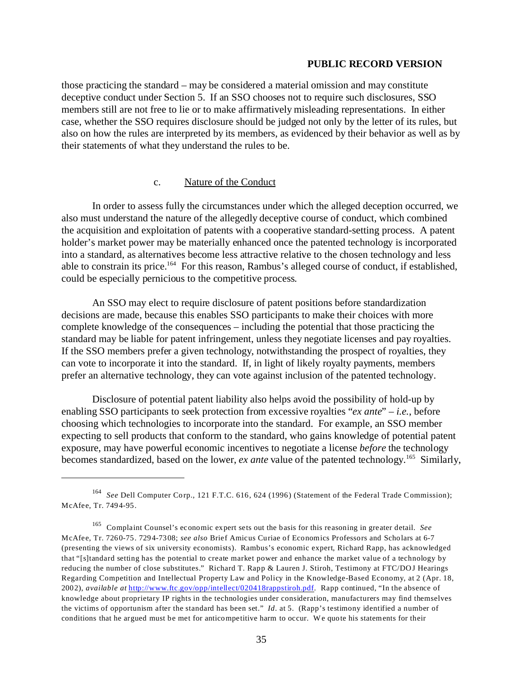those practicing the standard – may be considered a material omission and may constitute deceptive conduct under Section 5. If an SSO chooses not to require such disclosures, SSO members still are not free to lie or to make affirmatively misleading representations. In either case, whether the SSO requires disclosure should be judged not only by the letter of its rules, but also on how the rules are interpreted by its members, as evidenced by their behavior as well as by their statements of what they understand the rules to be.

#### c. Nature of the Conduct

In order to assess fully the circumstances under which the alleged deception occurred, we also must understand the nature of the allegedly deceptive course of conduct, which combined the acquisition and exploitation of patents with a cooperative standard-setting process. A patent holder's market power may be materially enhanced once the patented technology is incorporated into a standard, as alternatives become less attractive relative to the chosen technology and less able to constrain its price.164 For this reason, Rambus's alleged course of conduct, if established, could be especially pernicious to the competitive process.

An SSO may elect to require disclosure of patent positions before standardization decisions are made, because this enables SSO participants to make their choices with more complete knowledge of the consequences – including the potential that those practicing the standard may be liable for patent infringement, unless they negotiate licenses and pay royalties. If the SSO members prefer a given technology, notwithstanding the prospect of royalties, they can vote to incorporate it into the standard. If, in light of likely royalty payments, members prefer an alternative technology, they can vote against inclusion of the patented technology.

Disclosure of potential patent liability also helps avoid the possibility of hold-up by enabling SSO participants to seek protection from excessive royalties "*ex ante*" – *i.e.*, before choosing which technologies to incorporate into the standard. For example, an SSO member expecting to sell products that conform to the standard, who gains knowledge of potential patent exposure, may have powerful economic incentives to negotiate a license *before* the technology becomes standardized, based on the lower, *ex ante* value of the patented technology.165 Similarly,

<sup>164</sup>*See* Dell Computer Corp., 121 F.T.C. 616, 624 (1996) (Statement of the Federal Trade Commission); McAfee, Tr. 7494-95.

<sup>165</sup> Complaint Counsel's economic expert sets out the basis for this reasoning in greater detail. *See*  McAfee, Tr. 7260-75. 7294-7308; *see also* Brief Amicus Curiae of Economics Professors and Scholars at 6-7 (presenting the views of six university economists). Rambus's economic expert, Richard Rapp, has acknowledged that "[s]tandard setting has the potential to create market power and enhance the market value of a technology by reducing the number of close substitutes." Richard T. Rapp & Lauren J. Stiroh, Testimony at FTC/DOJ Hearings Regarding Competition and Intellectual Property Law and Policy in the Knowledge-Based Economy, at 2 (Apr. 18, 2002), *available at* <http://www.ftc.gov/opp/intellect/020418rappstiroh.pdf>. Rapp continued, "In the absence of knowledge about proprietary IP rights in the technologies under consideration, manufacturers may find themselves the victims of opportunism after the standard has been set." *Id*. at 5. (Rapp's testimony identified a number of conditions that he argued must be met for anticompetitive harm to occur. We quote his statements for their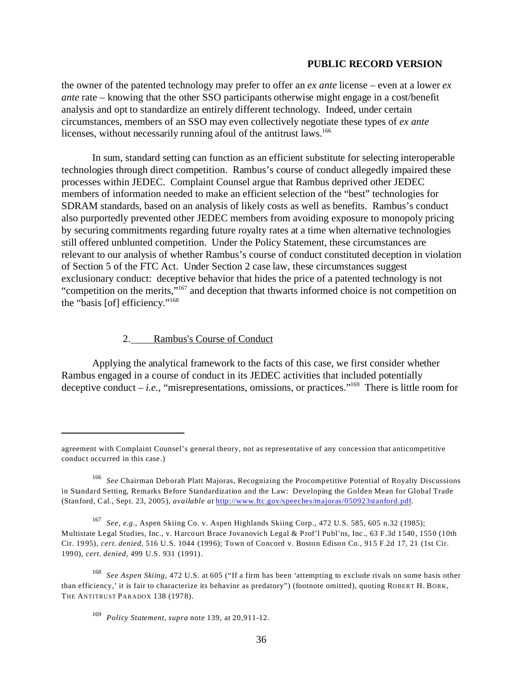the owner of the patented technology may prefer to offer an *ex ante* license – even at a lower *ex ante* rate – knowing that the other SSO participants otherwise might engage in a cost/benefit analysis and opt to standardize an entirely different technology. Indeed, under certain circumstances, members of an SSO may even collectively negotiate these types of *ex ante*  licenses, without necessarily running afoul of the antitrust laws.<sup>166</sup>

In sum, standard setting can function as an efficient substitute for selecting interoperable technologies through direct competition. Rambus's course of conduct allegedly impaired these processes within JEDEC. Complaint Counsel argue that Rambus deprived other JEDEC members of information needed to make an efficient selection of the "best" technologies for SDRAM standards, based on an analysis of likely costs as well as benefits. Rambus's conduct also purportedly prevented other JEDEC members from avoiding exposure to monopoly pricing by securing commitments regarding future royalty rates at a time when alternative technologies still offered unblunted competition. Under the Policy Statement, these circumstances are relevant to our analysis of whether Rambus's course of conduct constituted deception in violation of Section 5 of the FTC Act. Under Section 2 case law, these circumstances suggest exclusionary conduct: deceptive behavior that hides the price of a patented technology is not "competition on the merits,"167 and deception that thwarts informed choice is not competition on the "basis [of] efficiency."168

### 2. Rambus's Course of Conduct

Applying the analytical framework to the facts of this case, we first consider whether Rambus engaged in a course of conduct in its JEDEC activities that included potentially deceptive conduct – *i.e.*, "misrepresentations, omissions, or practices."<sup>169</sup> There is little room for

<sup>167</sup>*See, e.g.*, Aspen Skiing Co. v. Aspen Highlands Skiing Corp., 472 U.S. 585, 605 n.32 (1985); Multistate Legal Studies, Inc., v. Harcourt Brace Jovanovich Legal & Prof'l Publ'ns, Inc., 63 F.3d 1540, 1550 (10th Cir. 1995), *cert. denied*, 516 U.S. 1044 (1996); Town of Concord v. Boston Edison Co., 915 F.2d 17, 21 (1st Cir. 1990), *cert. denied*, 499 U.S. 931 (1991).

agreement with Complaint Counsel's general theory, not as representative of any concession that anticompetitive conduct occurred in this case.)

<sup>166</sup>*See* Chairman Deborah Platt Majoras, Recognizing the Procompetitive Potential of Royalty Discussions in Standard Setting, Remarks Before Standardization and the Law: Developing the Golden Mean for Global Trade (Stanford, Cal., Sept. 23, 2005), *available at* <http://www.ftc.gov/speeches/majoras/050923stanford.pdf>.

<sup>168</sup>*See Aspen Skiing*, 472 U.S. at 605 ("If a firm has been 'attempting to exclude rivals on some basis other than efficiency,' it is fair to characterize its behavior as predatory") (footnote omitted), quoting ROBERT H. BORK, THE ANTITRUST PARADOX 138 (1978).

<sup>169</sup>*Policy Statement*, *supra* note 139, at 20,911-12.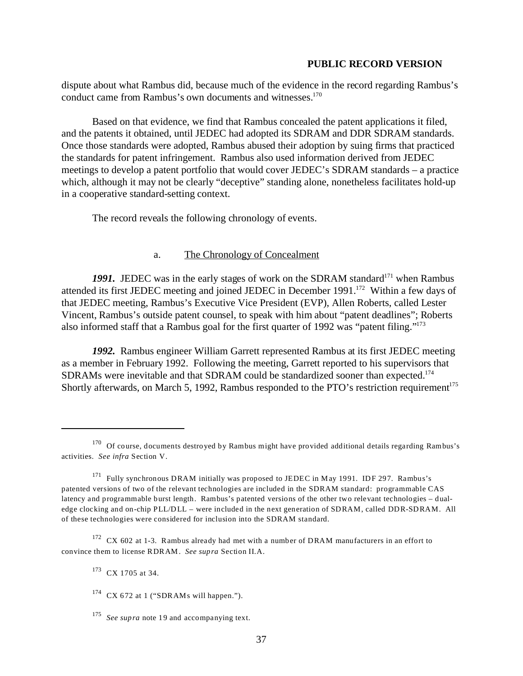dispute about what Rambus did, because much of the evidence in the record regarding Rambus's conduct came from Rambus's own documents and witnesses.<sup>170</sup>

Based on that evidence, we find that Rambus concealed the patent applications it filed, and the patents it obtained, until JEDEC had adopted its SDRAM and DDR SDRAM standards. Once those standards were adopted, Rambus abused their adoption by suing firms that practiced the standards for patent infringement. Rambus also used information derived from JEDEC meetings to develop a patent portfolio that would cover JEDEC's SDRAM standards – a practice which, although it may not be clearly "deceptive" standing alone, nonetheless facilitates hold-up in a cooperative standard-setting context.

The record reveals the following chronology of events.

# a. The Chronology of Concealment

1991. JEDEC was in the early stages of work on the SDRAM standard<sup>171</sup> when Rambus attended its first JEDEC meeting and joined JEDEC in December 1991.<sup>172</sup> Within a few days of that JEDEC meeting, Rambus's Executive Vice President (EVP), Allen Roberts, called Lester Vincent, Rambus's outside patent counsel, to speak with him about "patent deadlines"; Roberts also informed staff that a Rambus goal for the first quarter of 1992 was "patent filing."173

*1992.* Rambus engineer William Garrett represented Rambus at its first JEDEC meeting as a member in February 1992. Following the meeting, Garrett reported to his supervisors that SDRAMs were inevitable and that SDRAM could be standardized sooner than expected.174 Shortly afterwards, on March 5, 1992, Rambus responded to the PTO's restriction requirement<sup>175</sup>

 $172$  CX 602 at 1-3. Rambus already had met with a number of DRAM manufacturers in an effort to convince them to license RDRAM. *See supra* Section II.A.

<sup>&</sup>lt;sup>170</sup> Of course, documents destroyed by Rambus might have provided additional details regarding Rambus's activities. *See infra* Section V.

<sup>171</sup> Fully synchronous DRAM initially was proposed to JEDEC in May 1991. IDF 297. Rambus's patented versions of two of the relevant technologies are included in the SDRAM standard: programmable CAS latency and programmable burst length. Rambus's patented versions of the other two relevant technologies – dualedge clocking and on-chip PLL/DLL – were included in the next generation of SDRAM, called DDR-SDRAM. All of these technologies were considered for inclusion into the SDRAM standard.

<sup>173</sup> CX 1705 at 34.

 $174$  CX 672 at 1 ("SDRAMs will happen.").

<sup>&</sup>lt;sup>175</sup> *See supra* note 19 and accompanying text.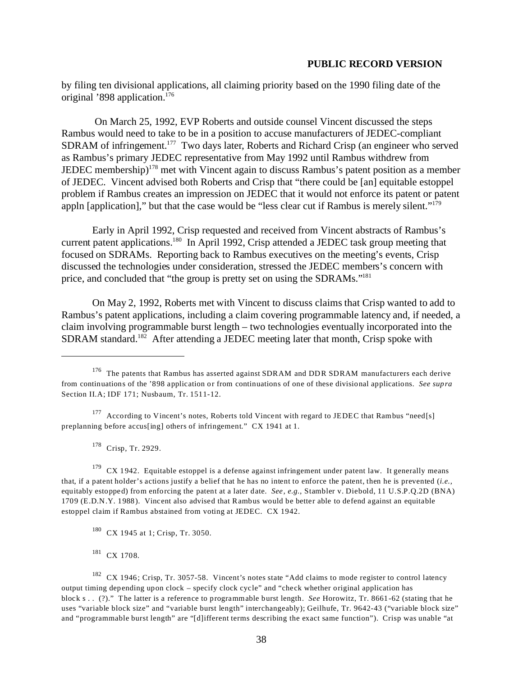by filing ten divisional applications, all claiming priority based on the 1990 filing date of the original '898 application.176

 On March 25, 1992, EVP Roberts and outside counsel Vincent discussed the steps Rambus would need to take to be in a position to accuse manufacturers of JEDEC-compliant SDRAM of infringement.<sup>177</sup> Two days later, Roberts and Richard Crisp (an engineer who served as Rambus's primary JEDEC representative from May 1992 until Rambus withdrew from JEDEC membership)<sup>178</sup> met with Vincent again to discuss Rambus's patent position as a member of JEDEC. Vincent advised both Roberts and Crisp that "there could be [an] equitable estoppel problem if Rambus creates an impression on JEDEC that it would not enforce its patent or patent appln [application]," but that the case would be "less clear cut if Rambus is merely silent."179

Early in April 1992, Crisp requested and received from Vincent abstracts of Rambus's current patent applications.<sup>180</sup> In April 1992, Crisp attended a JEDEC task group meeting that focused on SDRAMs. Reporting back to Rambus executives on the meeting's events, Crisp discussed the technologies under consideration, stressed the JEDEC members's concern with price, and concluded that "the group is pretty set on using the SDRAMs."181

On May 2, 1992, Roberts met with Vincent to discuss claims that Crisp wanted to add to Rambus's patent applications, including a claim covering programmable latency and, if needed, a claim involving programmable burst length – two technologies eventually incorporated into the SDRAM standard.<sup>182</sup> After attending a JEDEC meeting later that month, Crisp spoke with

178 Crisp, Tr. 2929.

 $179$  CX 1942. Equitable estoppel is a defense against infringement under patent law. It generally means that, if a patent holder's actions justify a belief that he has no intent to enforce the patent, then he is prevented (*i.e.,*  equitably estopped) from enforcing the patent at a later date. *See, e.g.,* Stambler v. Diebold, 11 U.S.P.Q.2D (BNA) 1709 (E.D.N.Y. 1988). Vincent also advised that Rambus would be better able to defend against an equitable estoppel claim if Rambus abstained from voting at JEDEC. CX 1942.

<sup>&</sup>lt;sup>176</sup> The patents that Rambus has asserted against SDRAM and DDR SDRAM manufacturers each derive from continuations of the '898 application or from continuations of one of these divisional applications. *See supra*  Section II.A; IDF 171; Nusbaum, Tr. 1511-12.

<sup>&</sup>lt;sup>177</sup> According to Vincent's notes, Roberts told Vincent with regard to JEDEC that Rambus "need[s] preplanning before accus[ing] others of infringement." CX 1941 at 1.

<sup>180</sup> CX 1945 at 1; Crisp, Tr. 3050.

<sup>181</sup> CX 1708.

<sup>182</sup> CX 1946; Crisp, Tr. 3057-58. Vincent's notes state "Add claims to mode register to control latency output timing depending upon clock – specify clock cycle" and "check whether original application has block s . . (?)." The latter is a reference to programmable burst length. *See* Horowitz, Tr. 8661-62 (stating that he uses "variable block size" and "variable burst length" interchangeably); Geilhufe, Tr. 9642-43 ("variable block size" and "programmable burst length" are "[d]ifferent terms describing the exact same function"). Crisp was unable "at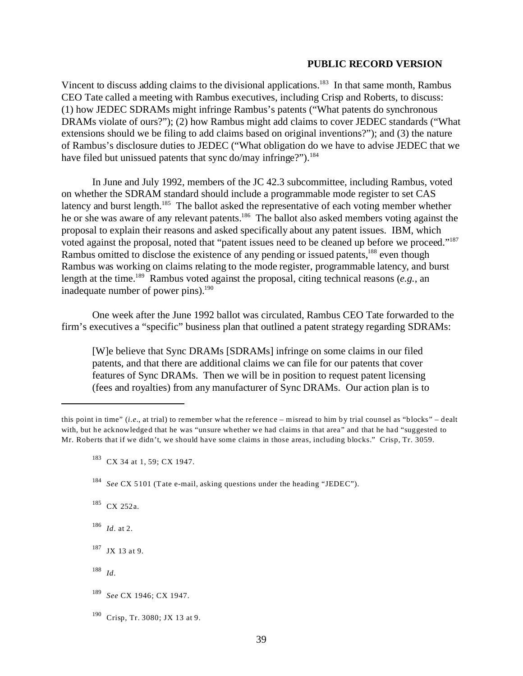Vincent to discuss adding claims to the divisional applications.<sup>183</sup> In that same month, Rambus CEO Tate called a meeting with Rambus executives, including Crisp and Roberts, to discuss: (1) how JEDEC SDRAMs might infringe Rambus's patents ("What patents do synchronous DRAMs violate of ours?"); (2) how Rambus might add claims to cover JEDEC standards ("What extensions should we be filing to add claims based on original inventions?"); and (3) the nature of Rambus's disclosure duties to JEDEC ("What obligation do we have to advise JEDEC that we have filed but unissued patents that sync do/may infringe?").<sup>184</sup>

In June and July 1992, members of the JC 42.3 subcommittee, including Rambus, voted on whether the SDRAM standard should include a programmable mode register to set CAS latency and burst length.<sup>185</sup> The ballot asked the representative of each voting member whether he or she was aware of any relevant patents.<sup>186</sup> The ballot also asked members voting against the proposal to explain their reasons and asked specifically about any patent issues. IBM, which voted against the proposal, noted that "patent issues need to be cleaned up before we proceed."187 Rambus omitted to disclose the existence of any pending or issued patents,<sup>188</sup> even though Rambus was working on claims relating to the mode register, programmable latency, and burst length at the time.189 Rambus voted against the proposal, citing technical reasons (*e.g.*, an inadequate number of power pins). $190$ 

One week after the June 1992 ballot was circulated, Rambus CEO Tate forwarded to the firm's executives a "specific" business plan that outlined a patent strategy regarding SDRAMs:

[W]e believe that Sync DRAMs [SDRAMs] infringe on some claims in our filed patents, and that there are additional claims we can file for our patents that cover features of Sync DRAMs. Then we will be in position to request patent licensing (fees and royalties) from any manufacturer of Sync DRAMs. Our action plan is to

185 CX 252a.

<sup>186</sup>*Id*. at 2.

187 JX 13 at 9.

<sup>188</sup>*Id*.

this point in time" (*i.e.*, at trial) to remember what the reference – misread to him by trial counsel as "blocks" – dealt with, but he acknowledged that he was "unsure whether we had claims in that area" and that he had "suggested to Mr. Roberts that if we didn't, we should have some claims in those areas, including blocks." Crisp, Tr. 3059.

<sup>&</sup>lt;sup>183</sup> CX 34 at 1, 59; CX 1947.

<sup>184</sup>*See* CX 5101 (Tate e-mail, asking questions under the heading "JEDEC").

<sup>189</sup>*See* CX 1946; CX 1947.

<sup>190</sup> Crisp, Tr. 3080; JX 13 at 9.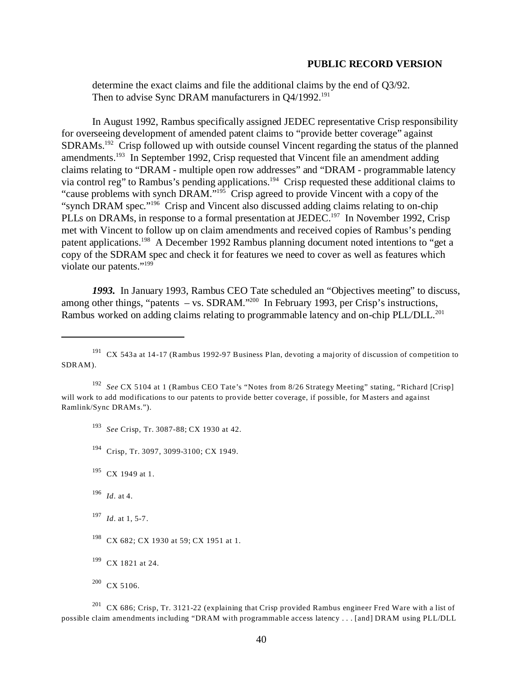determine the exact claims and file the additional claims by the end of Q3/92. Then to advise Sync DRAM manufacturers in O4/1992.<sup>191</sup>

In August 1992, Rambus specifically assigned JEDEC representative Crisp responsibility for overseeing development of amended patent claims to "provide better coverage" against SDRAMs.<sup>192</sup> Crisp followed up with outside counsel Vincent regarding the status of the planned amendments.193 In September 1992, Crisp requested that Vincent file an amendment adding claims relating to "DRAM - multiple open row addresses" and "DRAM - programmable latency via control reg" to Rambus's pending applications.194 Crisp requested these additional claims to "cause problems with synch DRAM."195 Crisp agreed to provide Vincent with a copy of the "synch DRAM spec."196 Crisp and Vincent also discussed adding claims relating to on-chip PLLs on DRAMs, in response to a formal presentation at JEDEC.<sup>197</sup> In November 1992, Crisp met with Vincent to follow up on claim amendments and received copies of Rambus's pending patent applications.198 A December 1992 Rambus planning document noted intentions to "get a copy of the SDRAM spec and check it for features we need to cover as well as features which violate our patents."<sup>199</sup>

*1993.* In January 1993, Rambus CEO Tate scheduled an "Objectives meeting" to discuss, among other things, "patents – vs. SDRAM."<sup>200</sup> In February 1993, per Crisp's instructions, Rambus worked on adding claims relating to programmable latency and on-chip PLL/DLL.<sup>201</sup>

<sup>193</sup>*See* Crisp, Tr. 3087-88; CX 1930 at 42.

- 194 Crisp, Tr. 3097, 3099-3100; CX 1949.
- <sup>195</sup> CX 1949 at 1.
- <sup>196</sup>*Id*. at 4.
- <sup>197</sup>*Id*. at 1, 5-7.
- <sup>198</sup> CX 682; CX 1930 at 59; CX 1951 at 1.
- <sup>199</sup> CX 1821 at 24.

<sup>191</sup> CX 543a at 14-17 (Rambus 1992-97 Business Plan, devoting a majority of discussion of competition to SDRAM).

<sup>192</sup>*See* CX 5104 at 1 (Rambus CEO Tate's "Notes from 8/26 Strategy Meeting" stating, "Richard [Crisp] will work to add modifications to our patents to provide better coverage, if possible, for Masters and against Ramlink/Sync DRAM s.").

<sup>200</sup> CX 5106.

<sup>201</sup> CX 686; Crisp, Tr. 3121-22 (explaining that Crisp provided Rambus engineer Fred Ware with a list of possible claim amendments including "DRAM with programmable access latency . . . [and] DRAM using PLL/DLL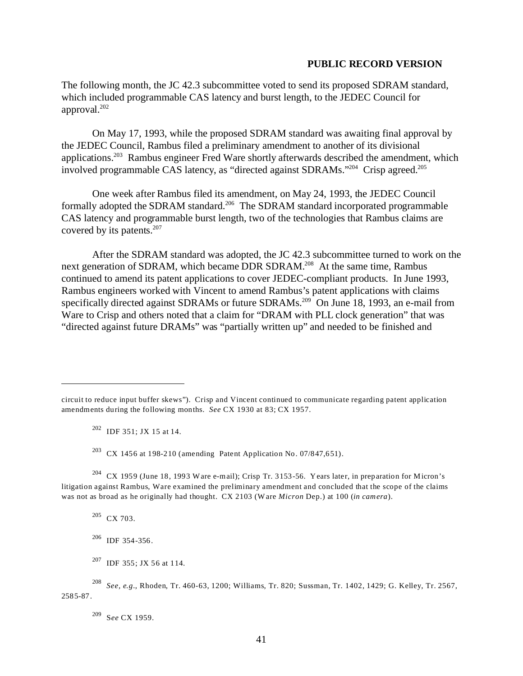The following month, the JC 42.3 subcommittee voted to send its proposed SDRAM standard, which included programmable CAS latency and burst length, to the JEDEC Council for approval.202

On May 17, 1993, while the proposed SDRAM standard was awaiting final approval by the JEDEC Council, Rambus filed a preliminary amendment to another of its divisional applications.203 Rambus engineer Fred Ware shortly afterwards described the amendment, which involved programmable CAS latency, as "directed against SDRAMs."<sup>204</sup> Crisp agreed.<sup>205</sup>

One week after Rambus filed its amendment, on May 24, 1993, the JEDEC Council formally adopted the SDRAM standard.<sup>206</sup> The SDRAM standard incorporated programmable CAS latency and programmable burst length, two of the technologies that Rambus claims are covered by its patents.<sup>207</sup>

After the SDRAM standard was adopted, the JC 42.3 subcommittee turned to work on the next generation of SDRAM, which became DDR SDRAM.<sup>208</sup> At the same time, Rambus continued to amend its patent applications to cover JEDEC-compliant products. In June 1993, Rambus engineers worked with Vincent to amend Rambus's patent applications with claims specifically directed against SDRAMs or future SDRAMs.<sup>209</sup> On June 18, 1993, an e-mail from Ware to Crisp and others noted that a claim for "DRAM with PLL clock generation" that was "directed against future DRAMs" was "partially written up" and needed to be finished and

 $202$  IDF 351; JX 15 at 14.

<sup>203</sup> CX 1456 at 198-210 (amending Patent Application No. 07/847,651).

204 CX 1959 (June 18, 1993 Ware e-mail); Crisp Tr. 3153-56. Years later, in preparation for Micron's litigation against Rambus, Ware examined the preliminary amendment and concluded that the scope of the claims was not as broad as he originally had thought. CX 2103 (W are *Micron* Dep.) at 100 (*in camera*).

205 CX 703.

206 IDF 354-356.

207 IDF 355; JX 56 at 114.

<sup>208</sup>*See, e.g.*, Rhoden, Tr. 460-63, 1200; Williams, Tr. 820; Sussman, Tr. 1402, 1429; G. Kelley, Tr. 2567, 2585-87.

209 S*ee* CX 1959.

circuit to reduce input buffer skews"). Crisp and Vincent continued to communicate regarding patent application amendments during the following months. *See* CX 1930 at 83; CX 1957.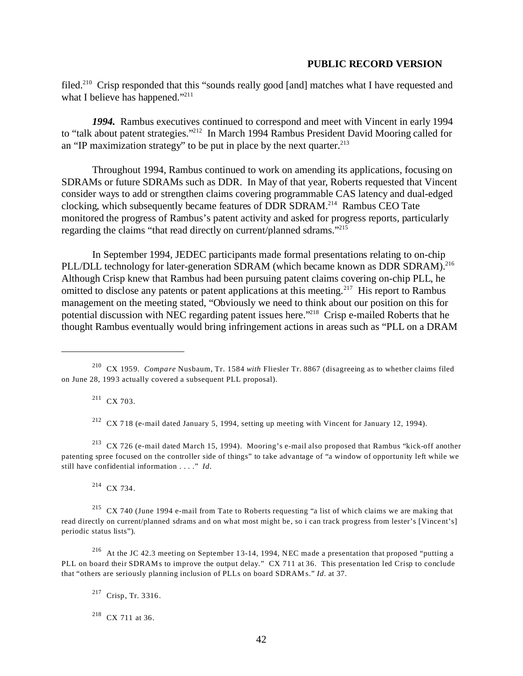filed.<sup>210</sup> Crisp responded that this "sounds really good [and] matches what I have requested and what I believe has happened."<sup>211</sup>

*1994.* Rambus executives continued to correspond and meet with Vincent in early 1994 to "talk about patent strategies."212 In March 1994 Rambus President David Mooring called for an "IP maximization strategy" to be put in place by the next quarter. $213$ 

Throughout 1994, Rambus continued to work on amending its applications, focusing on SDRAMs or future SDRAMs such as DDR. In May of that year, Roberts requested that Vincent consider ways to add or strengthen claims covering programmable CAS latency and dual-edged clocking, which subsequently became features of DDR SDRAM.214 Rambus CEO Tate monitored the progress of Rambus's patent activity and asked for progress reports, particularly regarding the claims "that read directly on current/planned sdrams."215

In September 1994, JEDEC participants made formal presentations relating to on-chip PLL/DLL technology for later-generation SDRAM (which became known as DDR SDRAM).<sup>216</sup> Although Crisp knew that Rambus had been pursuing patent claims covering on-chip PLL, he omitted to disclose any patents or patent applications at this meeting.<sup>217</sup> His report to Rambus management on the meeting stated, "Obviously we need to think about our position on this for potential discussion with NEC regarding patent issues here.<sup>2218</sup> Crisp e-mailed Roberts that he thought Rambus eventually would bring infringement actions in areas such as "PLL on a DRAM

211 CX 703.

 $212$  CX 718 (e-mail dated January 5, 1994, setting up meeting with Vincent for January 12, 1994).

213 CX 726 (e-mail dated March 15, 1994). Mooring's e-mail also proposed that Rambus "kick-off another patenting spree focused on the controller side of things" to take advantage of "a window of opportunity left while we still have confidential information . . . ." *Id*.

214 CX 734.

<sup>215</sup> CX 740 (June 1994 e-mail from Tate to Roberts requesting "a list of which claims we are making that read directly on current/planned sdrams and on what most might be, so i can track progress from lester's [Vincent's] periodic status lists").

216 At the JC 42.3 meeting on September 13-14, 1994, NEC made a presentation that proposed "putting a PLL on board their SDRAMs to improve the output delay." CX 711 at 36. This presentation led Crisp to conclude that "others are seriously planning inclusion of PLLs on board SDRAM s." *Id*. at 37.

217 Crisp, Tr. 3316.

 $218$  CX 711 at 36.

<sup>210</sup> CX 1959. *Compare* Nusbaum, Tr. 1584 *with* Fliesler Tr. 8867 (disagreeing as to whether claims filed on June 28, 1993 actually covered a subsequent PLL proposal).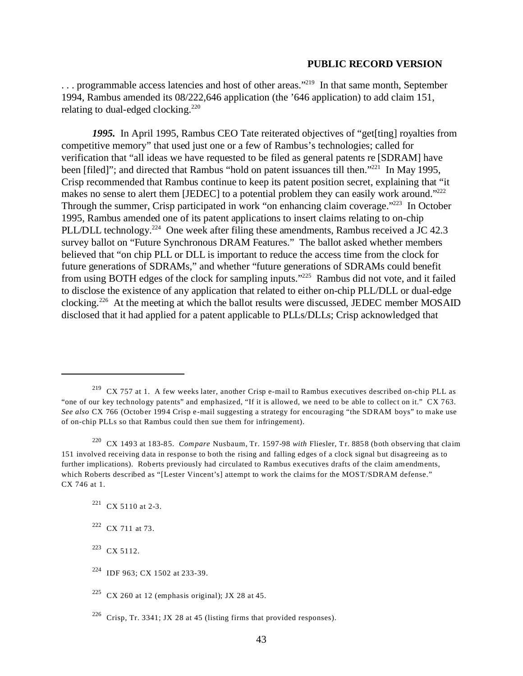... programmable access latencies and host of other areas."<sup>219</sup> In that same month, September 1994, Rambus amended its 08/222,646 application (the '646 application) to add claim 151, relating to dual-edged clocking.<sup>220</sup>

*1995.* In April 1995, Rambus CEO Tate reiterated objectives of "get[ting] royalties from competitive memory" that used just one or a few of Rambus's technologies; called for verification that "all ideas we have requested to be filed as general patents re [SDRAM] have been [filed]"; and directed that Rambus "hold on patent issuances till then."<sup>221</sup> In May 1995, Crisp recommended that Rambus continue to keep its patent position secret, explaining that "it makes no sense to alert them [JEDEC] to a potential problem they can easily work around."<sup>222</sup> Through the summer, Crisp participated in work "on enhancing claim coverage."<sup>223</sup> In October 1995, Rambus amended one of its patent applications to insert claims relating to on-chip PLL/DLL technology.<sup>224</sup> One week after filing these amendments, Rambus received a JC 42.3 survey ballot on "Future Synchronous DRAM Features." The ballot asked whether members believed that "on chip PLL or DLL is important to reduce the access time from the clock for future generations of SDRAMs," and whether "future generations of SDRAMs could benefit from using BOTH edges of the clock for sampling inputs."225 Rambus did not vote, and it failed to disclose the existence of any application that related to either on-chip PLL/DLL or dual-edge clocking.226 At the meeting at which the ballot results were discussed, JEDEC member MOSAID disclosed that it had applied for a patent applicable to PLLs/DLLs; Crisp acknowledged that

<sup>219</sup> CX 757 at 1. A few weeks later, another Crisp e-mail to Rambus executives described on-chip PLL as "one of our key technology patents" and emphasized, "If it is allowed, we need to be able to collect on it." CX 763. *See also* CX 766 (October 1994 Crisp e-mail suggesting a strategy for encouraging "the SDRAM boys" to make use of on-chip PLLs so that Rambus could then sue them for infringement).

<sup>220</sup> CX 1493 at 183-85. *Compare* Nusbaum, Tr. 1597-98 *with* Fliesler, Tr. 8858 (both observing that claim 151 involved receiving data in response to both the rising and falling edges of a clock signal but disagreeing as to further implications). Roberts previously had circulated to Rambus executives drafts of the claim amendments, which Roberts described as "[Lester Vincent's] attempt to work the claims for the MOST/SDRAM defense." CX 746 at 1.

 $221$  CX 5110 at 2-3.

<sup>222</sup> CX 711 at 73.

<sup>223</sup> CX 5112.

<sup>224</sup> IDF 963; CX 1502 at 233-39.

 $225$  CX 260 at 12 (emphasis original); JX 28 at 45.

<sup>&</sup>lt;sup>226</sup> Crisp, Tr. 3341; JX 28 at 45 (listing firms that provided responses).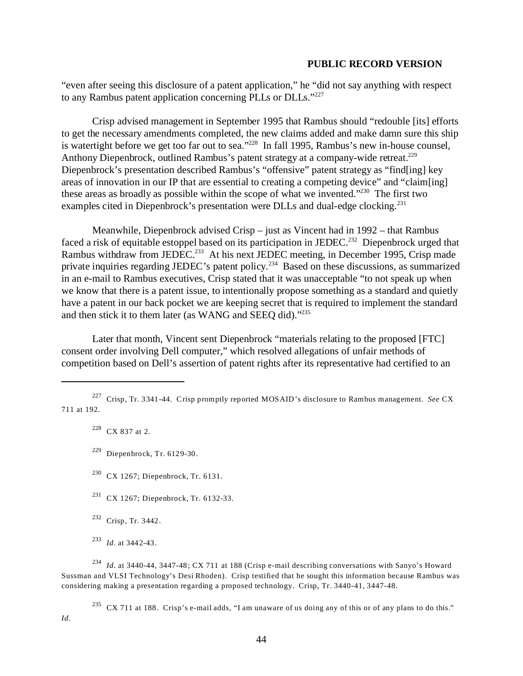"even after seeing this disclosure of a patent application," he "did not say anything with respect to any Rambus patent application concerning PLLs or DLLs."<sup>227</sup>

Crisp advised management in September 1995 that Rambus should "redouble [its] efforts to get the necessary amendments completed, the new claims added and make damn sure this ship is watertight before we get too far out to sea."<sup>228</sup> In fall 1995, Rambus's new in-house counsel, Anthony Diepenbrock, outlined Rambus's patent strategy at a company-wide retreat.<sup>229</sup> Diepenbrock's presentation described Rambus's "offensive" patent strategy as "find[ing] key areas of innovation in our IP that are essential to creating a competing device" and "claim[ing] these areas as broadly as possible within the scope of what we invented." $230$  The first two examples cited in Diepenbrock's presentation were DLLs and dual-edge clocking.<sup>231</sup>

Meanwhile, Diepenbrock advised Crisp – just as Vincent had in 1992 – that Rambus faced a risk of equitable estoppel based on its participation in JEDEC.<sup>232</sup> Diepenbrock urged that Rambus withdraw from JEDEC.<sup>233</sup> At his next JEDEC meeting, in December 1995, Crisp made private inquiries regarding JEDEC's patent policy.<sup>234</sup> Based on these discussions, as summarized in an e-mail to Rambus executives, Crisp stated that it was unacceptable "to not speak up when we know that there is a patent issue, to intentionally propose something as a standard and quietly have a patent in our back pocket we are keeping secret that is required to implement the standard and then stick it to them later (as WANG and SEEQ did)."235

Later that month, Vincent sent Diepenbrock "materials relating to the proposed [FTC] consent order involving Dell computer," which resolved allegations of unfair methods of competition based on Dell's assertion of patent rights after its representative had certified to an

- <sup>230</sup> CX 1267; Diepenbrock, Tr. 6131.
- 231 CX 1267; Diepenbrock, Tr. 6132-33.
- 232 Crisp, Tr. 3442.

*Id*.

<sup>234</sup>*Id*. at 3440-44, 3447-48; CX 711 at 188 (Crisp e-mail describing conversations with Sanyo's Howard Sussman and VLSI Technology's Desi Rhoden). Crisp testified that he sought this information because Rambus was considering making a presentation regarding a proposed technology. Crisp, Tr. 3440-41, 3447-48.

235 CX 711 at 188. Crisp's e-mail adds, "I am unaware of us doing any of this or of any plans to do this."

<sup>227</sup> Crisp, Tr. 3341-44. Crisp promptly reported MOSAID's disclosure to Rambus management. *See* CX 711 at 192.

 $228$  CX 837 at 2.

 $229$  Diepenbrock, Tr. 6129-30.

<sup>233</sup>*Id*. at 3442-43.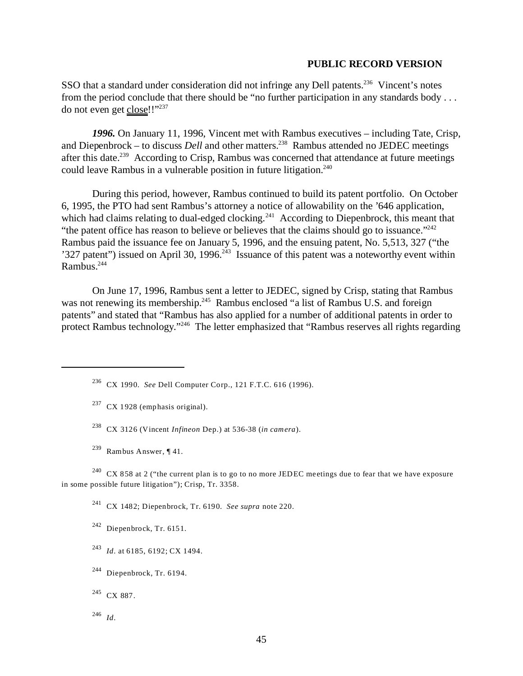SSO that a standard under consideration did not infringe any Dell patents.<sup>236</sup> Vincent's notes from the period conclude that there should be "no further participation in any standards body . . . do not even get close!!"237

*1996.* On January 11, 1996, Vincent met with Rambus executives – including Tate, Crisp, and Diepenbrock – to discuss *Dell* and other matters.<sup>238</sup> Rambus attended no JEDEC meetings after this date.<sup>239</sup> According to Crisp, Rambus was concerned that attendance at future meetings could leave Rambus in a vulnerable position in future litigation. $240$ 

During this period, however, Rambus continued to build its patent portfolio. On October 6, 1995, the PTO had sent Rambus's attorney a notice of allowability on the '646 application, which had claims relating to dual-edged clocking.<sup>241</sup> According to Diepenbrock, this meant that "the patent office has reason to believe or believes that the claims should go to issuance."<sup>242</sup> Rambus paid the issuance fee on January 5, 1996, and the ensuing patent, No. 5,513, 327 ("the '327 patent'') issued on April 30, 1996.<sup>243</sup> Issuance of this patent was a noteworthy event within Rambus.244

On June 17, 1996, Rambus sent a letter to JEDEC, signed by Crisp, stating that Rambus was not renewing its membership.<sup>245</sup> Rambus enclosed "a list of Rambus U.S. and foreign patents" and stated that "Rambus has also applied for a number of additional patents in order to protect Rambus technology."246 The letter emphasized that "Rambus reserves all rights regarding

- 238 CX 3126 (Vincent *Infineon* Dep.) at 536-38 (*in camera*).
- <sup>239</sup> Rambus Answer, ¶ 41.

<sup>240</sup> CX 858 at 2 ("the current plan is to go to no more JEDEC meetings due to fear that we have exposure in some possible future litigation"); Crisp, Tr. 3358.

241 CX 1482; Diepenbrock, Tr. 6190. *See supra* note 220.

242 Diepenbrock, Tr. 6151.

- <sup>243</sup>*Id*. at 6185, 6192; CX 1494.
- $244$  Diepenbrock, Tr. 6194.

<sup>246</sup>*Id*.

<sup>236</sup> CX 1990. *See* Dell Computer Corp., 121 F.T.C. 616 (1996).

 $237$  CX 1928 (emphasis original).

<sup>&</sup>lt;sup>245</sup> CX 887.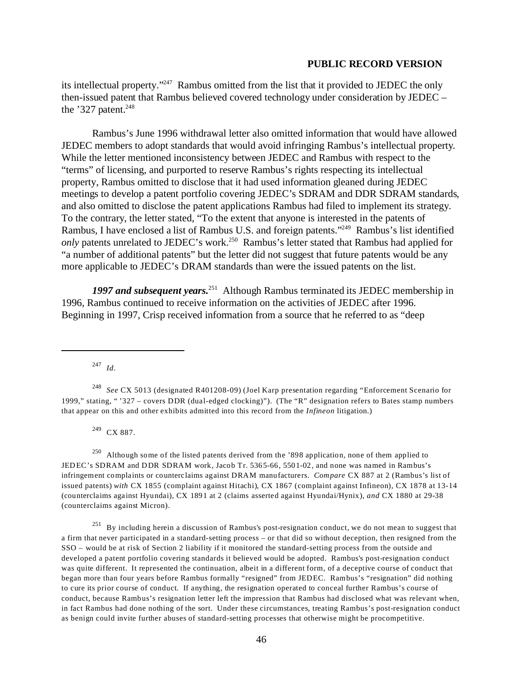its intellectual property."247 Rambus omitted from the list that it provided to JEDEC the only then-issued patent that Rambus believed covered technology under consideration by JEDEC – the  $327$  patent.<sup>248</sup>

Rambus's June 1996 withdrawal letter also omitted information that would have allowed JEDEC members to adopt standards that would avoid infringing Rambus's intellectual property. While the letter mentioned inconsistency between JEDEC and Rambus with respect to the "terms" of licensing, and purported to reserve Rambus's rights respecting its intellectual property, Rambus omitted to disclose that it had used information gleaned during JEDEC meetings to develop a patent portfolio covering JEDEC's SDRAM and DDR SDRAM standards, and also omitted to disclose the patent applications Rambus had filed to implement its strategy. To the contrary, the letter stated, "To the extent that anyone is interested in the patents of Rambus, I have enclosed a list of Rambus U.S. and foreign patents."249 Rambus's list identified *only* patents unrelated to JEDEC's work.<sup>250</sup> Rambus's letter stated that Rambus had applied for "a number of additional patents" but the letter did not suggest that future patents would be any more applicable to JEDEC's DRAM standards than were the issued patents on the list.

*1997 and subsequent years.*251 Although Rambus terminated its JEDEC membership in 1996, Rambus continued to receive information on the activities of JEDEC after 1996. Beginning in 1997, Crisp received information from a source that he referred to as "deep

<sup>247</sup>*Id*.

<sup>248</sup>*See* CX 5013 (designated R401208-09) (Joel Karp presentation regarding "Enforcement Scenario for 1999," stating, " '327 – covers DDR (dual-edged clocking)"). (The "R" designation refers to Bates stamp numbers that appear on this and other exhibits admitted into this record from the *Infineon* litigation.)

249 CX 887.

<sup>250</sup> Although some of the listed patents derived from the '898 application, none of them applied to JEDEC's SDRAM and DDR SDRAM work, Jacob Tr. 5365-66, 5501-02, and none was named in Rambus's infringement complaints or counterclaims against DRAM manufacturers. *Compare* CX 887 at 2 (Rambus's list of issued patents) *with* CX 1855 (complaint against Hitachi), CX 1867 (complaint against Infineon), CX 1878 at 13-14 (counterclaims against Hyundai), CX 1891 at 2 (claims asserted against Hyundai/Hynix), *and* CX 1880 at 29-38 (counterclaims against Micron).

251 By including herein a discussion of Rambus's post-resignation conduct, we do not mean to suggest that a firm that never participated in a standard-setting process – or that did so without deception, then resigned from the SSO – would be at risk of Section 2 liability if it monitored the standard-setting process from the outside and developed a patent portfolio covering standards it believed would be adopted. Rambus's post-resignation conduct was quite different. It represented the continuation, albeit in a different form, of a deceptive course of conduct that began more than four years before Rambus formally "resigned" from JEDEC. Rambus's "resignation" did nothing to cure its prior course of conduct. If anything, the resignation operated to conceal further Rambus's course of conduct, because Rambus's resignation letter left the impression that Rambus had disclosed what was relevant when, in fact Rambus had done nothing of the sort. Under these circumstances, treating Rambus's post-resignation conduct as benign could invite further abuses of standard-setting processes that otherwise might be procompetitive.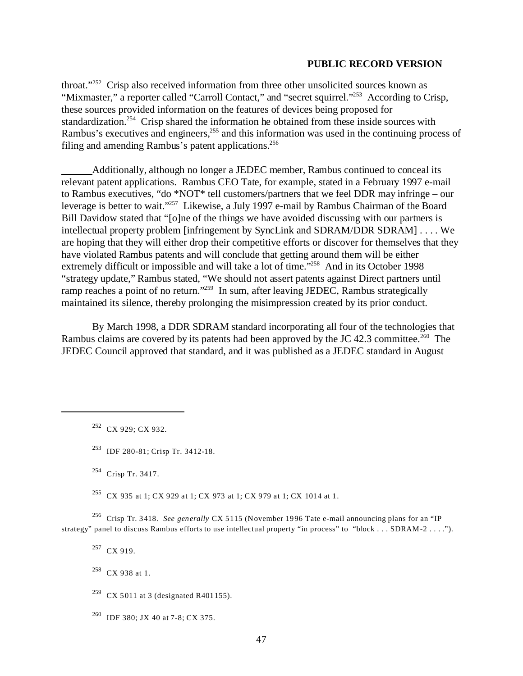throat."252 Crisp also received information from three other unsolicited sources known as "Mixmaster," a reporter called "Carroll Contact," and "secret squirrel."<sup>253</sup> According to Crisp, these sources provided information on the features of devices being proposed for standardization.<sup>254</sup> Crisp shared the information he obtained from these inside sources with Rambus's executives and engineers,<sup>255</sup> and this information was used in the continuing process of filing and amending Rambus's patent applications. $256$ 

Additionally, although no longer a JEDEC member, Rambus continued to conceal its relevant patent applications. Rambus CEO Tate, for example, stated in a February 1997 e-mail to Rambus executives, "do \*NOT\* tell customers/partners that we feel DDR may infringe – our leverage is better to wait."257 Likewise, a July 1997 e-mail by Rambus Chairman of the Board Bill Davidow stated that "[o]ne of the things we have avoided discussing with our partners is intellectual property problem [infringement by SyncLink and SDRAM/DDR SDRAM] . . . . We are hoping that they will either drop their competitive efforts or discover for themselves that they have violated Rambus patents and will conclude that getting around them will be either extremely difficult or impossible and will take a lot of time."<sup>258</sup> And in its October 1998 "strategy update," Rambus stated, "We should not assert patents against Direct partners until ramp reaches a point of no return."<sup>259</sup> In sum, after leaving JEDEC, Rambus strategically maintained its silence, thereby prolonging the misimpression created by its prior conduct.

By March 1998, a DDR SDRAM standard incorporating all four of the technologies that Rambus claims are covered by its patents had been approved by the JC 42.3 committee.<sup>260</sup> The JEDEC Council approved that standard, and it was published as a JEDEC standard in August

253 IDF 280-81; Crisp Tr. 3412-18.

 $^{254}$  Crisp Tr. 3417.

<sup>255</sup> CX 935 at 1; CX 929 at 1; CX 973 at 1; CX 979 at 1; CX 1014 at 1.

256 Crisp Tr. 3418. *See generally* CX 5115 (November 1996 Tate e-mail announcing plans for an "IP strategy" panel to discuss Rambus efforts to use intellectual property "in process" to "block . . . SDRAM-2 . . . .").

<sup>257</sup> CX 919.

258 CX 938 at 1.

<sup>260</sup> IDF 380; JX 40 at 7-8; CX 375.

<sup>252</sup> CX 929; CX 932.

<sup>&</sup>lt;sup>259</sup> CX 5011 at 3 (designated R401155).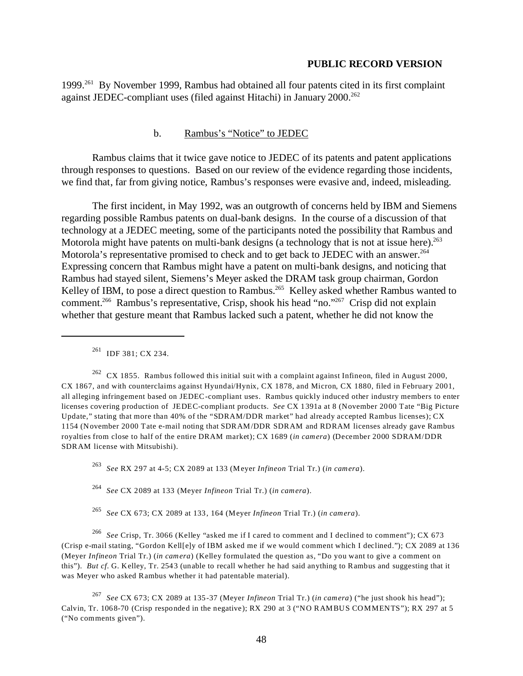1999.261 By November 1999, Rambus had obtained all four patents cited in its first complaint against JEDEC-compliant uses (filed against Hitachi) in January 2000.<sup>262</sup>

#### b. Rambus's "Notice" to JEDEC

Rambus claims that it twice gave notice to JEDEC of its patents and patent applications through responses to questions. Based on our review of the evidence regarding those incidents, we find that, far from giving notice, Rambus's responses were evasive and, indeed, misleading.

The first incident, in May 1992, was an outgrowth of concerns held by IBM and Siemens regarding possible Rambus patents on dual-bank designs. In the course of a discussion of that technology at a JEDEC meeting, some of the participants noted the possibility that Rambus and Motorola might have patents on multi-bank designs (a technology that is not at issue here).<sup>263</sup> Motorola's representative promised to check and to get back to JEDEC with an answer.<sup>264</sup> Expressing concern that Rambus might have a patent on multi-bank designs, and noticing that Rambus had stayed silent, Siemens's Meyer asked the DRAM task group chairman, Gordon Kelley of IBM, to pose a direct question to Rambus.<sup>265</sup> Kelley asked whether Rambus wanted to comment.266 Rambus's representative, Crisp, shook his head "no."267 Crisp did not explain whether that gesture meant that Rambus lacked such a patent, whether he did not know the

<sup>261</sup> IDF 381; CX 234.

 $262$  CX 1855. Rambus followed this initial suit with a complaint against Infineon, filed in August 2000, CX 1867, and with counterclaims against Hyundai/Hynix, CX 1878, and Micron, CX 1880, filed in February 2001, all alleging infringement based on JEDEC-compliant uses. Rambus quickly induced other industry members to enter licenses covering production of JEDEC-compliant products. *See* CX 1391a at 8 (November 2000 Tate "Big Picture Update," stating that more than 40% of the "SDRAM/DDR market" had already accepted Rambus licenses); CX 1154 (November 2000 Tate e-mail noting that SDRAM/DDR SDRAM and RDRAM licenses already gave Rambus royalties from close to half of the entire DRAM market); CX 1689 (*in camera*) (December 2000 SDRAM/DDR SDRAM license with Mitsubishi).

<sup>263</sup>*See* RX 297 at 4-5; CX 2089 at 133 (Meyer *Infineon* Trial Tr.) (*in camera*).

<sup>264</sup>*See* CX 2089 at 133 (Meyer *Infineon* Trial Tr.) (*in camera*).

<sup>265</sup>*See* CX 673; CX 2089 at 133, 164 (Meyer *Infineon* Trial Tr.) (*in camera*).

<sup>266</sup>*See* Crisp, Tr. 3066 (Kelley "asked me if I cared to comment and I declined to comment"); CX 673 (Crisp e-mail stating, "Gordon Kell[e]y of IBM asked me if we would comment which I declined."); CX 2089 at 136 (Meyer *Infineon* Trial Tr.) (*in camera*) (Kelley formulated the question as, "Do you want to give a comment on this"). *But cf*. G. Kelley, Tr. 2543 (unable to recall whether he had said anything to Rambus and suggesting that it was Meyer who asked Rambus whether it had patentable material).

<sup>267</sup>*See* CX 673; CX 2089 at 135-37 (Meyer *Infineon* Trial Tr.) (*in camera*) ("he just shook his head"); Calvin, Tr. 1068-70 (Crisp responded in the negative); RX 290 at 3 ("NO RAMBUS COMMENTS"); RX 297 at 5 ("No comments given").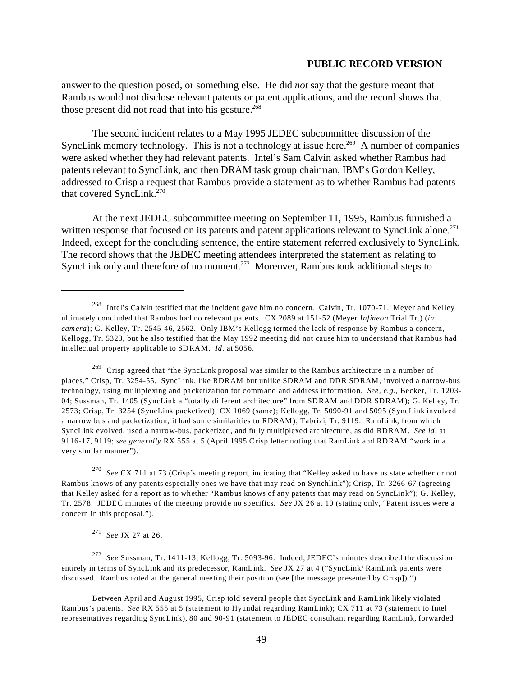answer to the question posed, or something else. He did *not* say that the gesture meant that Rambus would not disclose relevant patents or patent applications, and the record shows that those present did not read that into his gesture.<sup>268</sup>

The second incident relates to a May 1995 JEDEC subcommittee discussion of the SyncLink memory technology. This is not a technology at issue here.<sup>269</sup> A number of companies were asked whether they had relevant patents. Intel's Sam Calvin asked whether Rambus had patents relevant to SyncLink, and then DRAM task group chairman, IBM's Gordon Kelley, addressed to Crisp a request that Rambus provide a statement as to whether Rambus had patents that covered SyncLink.270

At the next JEDEC subcommittee meeting on September 11, 1995, Rambus furnished a written response that focused on its patents and patent applications relevant to SyncLink alone.<sup>271</sup> Indeed, except for the concluding sentence, the entire statement referred exclusively to SyncLink. The record shows that the JEDEC meeting attendees interpreted the statement as relating to SyncLink only and therefore of no moment.<sup>272</sup> Moreover, Rambus took additional steps to

 $^{269}$  Crisp agreed that "the SyncLink proposal was similar to the Rambus architecture in a number of places." Crisp, Tr. 3254-55. SyncLink, like RDRAM but unlike SDRAM and DDR SDRAM, involved a narrow-bus technology, using multiplexing and packetization for command and address information. *See, e.g.,* Becker, Tr. 1203 04; Sussman, Tr. 1405 (SyncLink a "totally different architecture" from SDRAM and DDR SDRAM); G. Kelley, Tr. 2573; Crisp, Tr. 3254 (SyncLink packetized); CX 1069 (same); Kellogg, Tr. 5090-91 and 5095 (SyncLink involved a narrow bus and packetization; it had some similarities to RDRAM); Tabrizi, Tr. 9119. RamLink, from which SyncLink evolved, used a narrow-bus, packetized, and fully multiplexed architecture, as did RDRAM. *See id*. at 9116-17, 9119; *see generally* RX 555 at 5 (April 1995 Crisp letter noting that RamLink and RDRAM "work in a very similar manner").

<sup>270</sup>*See* CX 711 at 73 (Crisp's meeting report, indicating that "Kelley asked to have us state whether or not Rambus knows of any patents especially ones we have that may read on Synchlink"); Crisp, Tr. 3266-67 (agreeing that Kelley asked for a report as to whether "Rambus knows of any patents that may read on SyncLink"); G. Kelley, Tr. 2578. JEDEC minutes of the meeting provide no specifics. *See* JX 26 at 10 (stating only, "Patent issues were a concern in this proposal.").

<sup>271</sup>*See* JX 27 at 26.

<sup>272</sup>*See* Sussman, Tr. 1411-13; Kellogg, Tr. 5093-96. Indeed, JEDEC's minutes described the discussion entirely in terms of SyncLink and its predecessor, RamLink. *See* JX 27 at 4 ("SyncLink/ RamLink patents were discussed. Rambus noted at the general meeting their position (see [the message presented by Crisp]).").

Between April and August 1995, Crisp told several people that SyncLink and RamLink likely violated Rambus's patents. *See* RX 555 at 5 (statement to Hyundai regarding RamLink); CX 711 at 73 (statement to Intel representatives regarding SyncLink), 80 and 90-91 (statement to JEDEC consultant regarding RamLink, forwarded

<sup>268</sup> Intel's Calvin testified that the incident gave him no concern. Calvin, Tr. 1070-71. Meyer and Kelley ultimately concluded that Rambus had no relevant patents. CX 2089 at 151-52 (Meyer *Infineon* Trial Tr.) (*in camera*); G. Kelley, Tr. 2545-46, 2562. Only IBM's Kellogg termed the lack of response by Rambus a concern, Kellogg, Tr. 5323, but he also testified that the May 1992 meeting did not cause him to understand that Rambus had intellectual property applicable to SDRAM. *Id*. at 5056.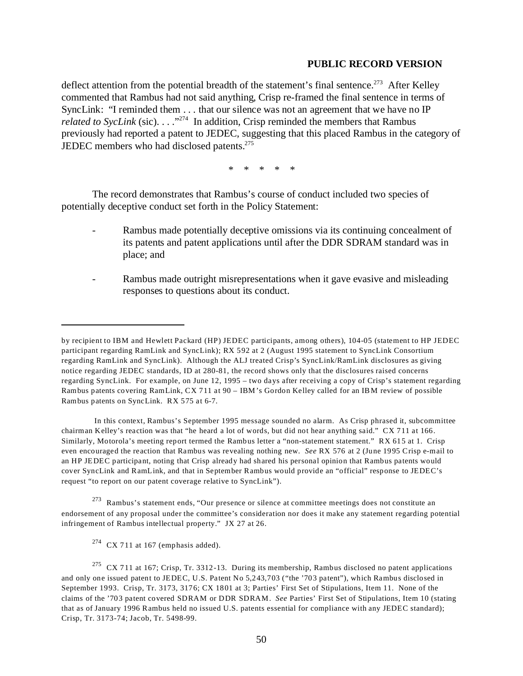deflect attention from the potential breadth of the statement's final sentence.<sup>273</sup> After Kelley commented that Rambus had not said anything, Crisp re-framed the final sentence in terms of SyncLink: "I reminded them . . . that our silence was not an agreement that we have no IP *related to SycLink* (sic). . . .<sup>"274</sup> In addition, Crisp reminded the members that Rambus previously had reported a patent to JEDEC, suggesting that this placed Rambus in the category of JEDEC members who had disclosed patents.<sup>275</sup>

*\* \* \* \* \** 

The record demonstrates that Rambus's course of conduct included two species of potentially deceptive conduct set forth in the Policy Statement:

- Rambus made potentially deceptive omissions via its continuing concealment of its patents and patent applications until after the DDR SDRAM standard was in place; and
- Rambus made outright misrepresentations when it gave evasive and misleading responses to questions about its conduct.

 In this context, Rambus's September 1995 message sounded no alarm. As Crisp phrased it, subcommittee chairman Kelley's reaction was that "he heard a lot of words, but did not hear anything said." CX 711 at 166. Similarly, Motorola's meeting report termed the Rambus letter a "non-statement statement." RX 615 at 1. Crisp even encouraged the reaction that Rambus was revealing nothing new. *See* RX 576 at 2 (June 1995 Crisp e-mail to an HP JEDEC participant, noting that Crisp already had shared his personal opinion that Rambus patents would cover SyncLink and RamLink, and that in September Rambus would provide an "official" response to JEDEC's request "to report on our patent coverage relative to SyncLink").

273 Rambus's statement ends, "Our presence or silence at committee meetings does not constitute an endorsement of any proposal under the committee's consideration nor does it make any statement regarding potential infringement of Rambus intellectual property." JX 27 at 26.

 $274$  CX 711 at 167 (emphasis added).

by recipient to IBM and Hewlett Packard (HP) JEDEC participants, among others), 104-05 (statement to HP JEDEC participant regarding RamLink and SyncLink); RX 592 at 2 (August 1995 statement to SyncLink Consortium regarding RamLink and SyncLink). Although the ALJ treated Crisp's SyncLink/RamLink disclosures as giving notice regarding JEDEC standards, ID at 280-81, the record shows only that the disclosures raised concerns regarding SyncLink. For example, on June 12, 1995 – two days after receiving a copy of Crisp's statement regarding Rambus patents covering RamLink, CX 711 at 90 – IBM's Gordon Kelley called for an IBM review of possible Rambus patents on SyncLink. RX 575 at 6-7.

 $275$  CX 711 at 167; Crisp, Tr. 3312-13. During its membership, Rambus disclosed no patent applications and only one issued patent to JEDEC, U.S. Patent No 5,243,703 ("the '703 patent"), which Rambus disclosed in September 1993. Crisp, Tr. 3173, 3176; CX 1801 at 3; Parties' First Set of Stipulations, Item 11. None of the claims of the '703 patent covered SDRAM or DDR SDRAM. *See* Parties' First Set of Stipulations, Item 10 (stating that as of January 1996 Rambus held no issued U.S. patents essential for compliance with any JEDEC standard); Crisp, Tr. 3173-74; Jacob, Tr. 5498-99.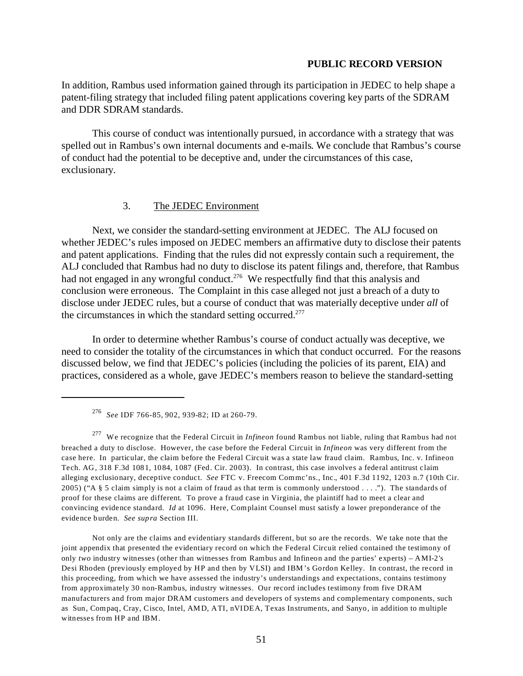In addition, Rambus used information gained through its participation in JEDEC to help shape a patent-filing strategy that included filing patent applications covering key parts of the SDRAM and DDR SDRAM standards.

This course of conduct was intentionally pursued, in accordance with a strategy that was spelled out in Rambus's own internal documents and e-mails. We conclude that Rambus's course of conduct had the potential to be deceptive and, under the circumstances of this case, exclusionary.

# 3. The JEDEC Environment

Next, we consider the standard-setting environment at JEDEC. The ALJ focused on whether JEDEC's rules imposed on JEDEC members an affirmative duty to disclose their patents and patent applications. Finding that the rules did not expressly contain such a requirement, the ALJ concluded that Rambus had no duty to disclose its patent filings and, therefore, that Rambus had not engaged in any wrongful conduct.<sup>276</sup> We respectfully find that this analysis and conclusion were erroneous. The Complaint in this case alleged not just a breach of a duty to disclose under JEDEC rules, but a course of conduct that was materially deceptive under *all* of the circumstances in which the standard setting occurred.<sup>277</sup>

In order to determine whether Rambus's course of conduct actually was deceptive, we need to consider the totality of the circumstances in which that conduct occurred. For the reasons discussed below, we find that JEDEC's policies (including the policies of its parent, EIA) and practices, considered as a whole, gave JEDEC's members reason to believe the standard-setting

<sup>276</sup>*See* IDF 766-85, 902, 939-82; ID at 260-79.

<sup>277</sup> We recognize that the Federal Circuit in *Infineon* found Rambus not liable, ruling that Rambus had not breached a duty to disclose. However, the case before the Federal Circuit in *Infineon* was very different from the case here. In particular, the claim before the Federal Circuit was a state law fraud claim. Rambus, Inc. v. Infineon Tech. AG, 318 F.3d 1081, 1084, 1087 (Fed. Cir. 2003). In contrast, this case involves a federal antitrust claim alleging exclusionary, deceptive conduct. *See* FTC v. Freecom Commc'ns., Inc., 401 F.3d 1192, 1203 n.7 (10th Cir. 2005) ("A § 5 claim simply is not a claim of fraud as that term is commonly understood . . . ."). The standards of proof for these claims are different. To prove a fraud case in Virginia, the plaintiff had to meet a clear and convincing evidence standard. *Id* at 1096. Here, Complaint Counsel must satisfy a lower preponderance of the evidence burden. *See supra* Section III.

Not only are the claims and evidentiary standards different, but so are the records. We take note that the joint appendix that presented the evidentiary record on which the Federal Circuit relied contained the testimony of only *two* industry witnesses (other than witnesses from Rambus and Infineon and the parties' experts) – AMI-2's Desi Rhoden (previously employed by HP and then by VLSI) and IBM's Gordon Kelley. In contrast, the record in this proceeding, from which we have assessed the industry's understandings and expectations, contains testimony from approximately 30 non-Rambus, industry witnesses. Our record includes testimony from five DRAM manufacturers and from major DRAM customers and developers of systems and complementary components, such as Sun, Compaq, Cray, Cisco, Intel, AMD, ATI, nVIDEA, Texas Instruments, and Sanyo, in addition to multiple witnesses from HP and IBM.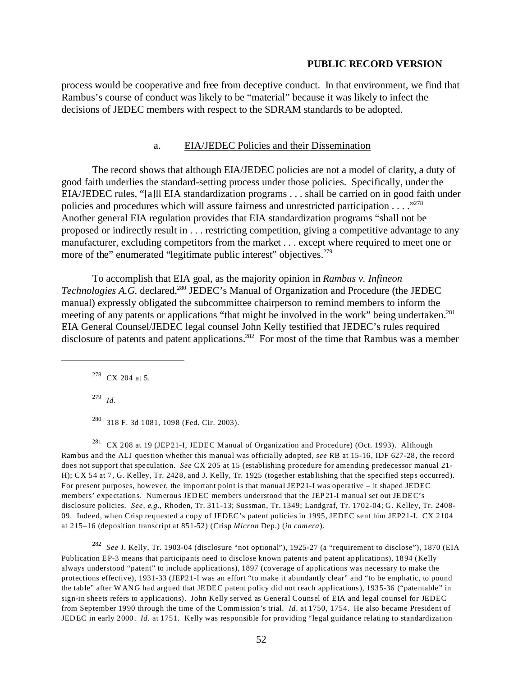process would be cooperative and free from deceptive conduct. In that environment, we find that Rambus's course of conduct was likely to be "material" because it was likely to infect the decisions of JEDEC members with respect to the SDRAM standards to be adopted.

# a. EIA/JEDEC Policies and their Dissemination

The record shows that although EIA/JEDEC policies are not a model of clarity, a duty of good faith underlies the standard-setting process under those policies. Specifically, under the EIA/JEDEC rules, "[a]ll EIA standardization programs . . . shall be carried on in good faith under policies and procedures which will assure fairness and unrestricted participation . . . . "<sup>278</sup> Another general EIA regulation provides that EIA standardization programs "shall not be proposed or indirectly result in . . . restricting competition, giving a competitive advantage to any manufacturer, excluding competitors from the market . . . except where required to meet one or more of the" enumerated "legitimate public interest" objectives.<sup>279</sup>

To accomplish that EIA goal, as the majority opinion in *Rambus v. Infineon Technologies A.G.* declared,<sup>280</sup> JEDEC's Manual of Organization and Procedure (the JEDEC manual) expressly obligated the subcommittee chairperson to remind members to inform the meeting of any patents or applications "that might be involved in the work" being undertaken.<sup>281</sup> EIA General Counsel/JEDEC legal counsel John Kelly testified that JEDEC's rules required disclosure of patents and patent applications.<sup>282</sup> For most of the time that Rambus was a member

278 CX 204 at 5.

<sup>279</sup>*Id*.

280 318 F. 3d 1081, 1098 (Fed. Cir. 2003).

<sup>281</sup> CX 208 at 19 (JEP21-I, JEDEC Manual of Organization and Procedure) (Oct. 1993). Although Rambus and the ALJ question whether this manual was officially adopted, *see* RB at 15-16, IDF 627-28, the record does not support that speculation. *See* CX 205 at 15 (establishing procedure for amending predecessor manual 21-H); CX 54 at 7, G. Kelley, Tr. 2428, and J. Kelly, Tr. 1925 (together establishing that the specified steps occurred). For present purposes, however, the important point is that manual JEP21-I was operative – it shaped JEDEC members' expectations. Numerous JEDEC members understood that the JEP21-I manual set out JEDEC's disclosure policies. *See, e.g.*, Rhoden, Tr. 311-13; Sussman, Tr. 1349; Landgraf, Tr. 1702-04; G. Kelley, Tr. 2408 09. Indeed, when Crisp requested a copy of JEDEC's patent policies in 1995, JEDEC sent him JEP21-I. CX 2104 at 215–16 (deposition transcript at 851-52) (Crisp *Micron* Dep.) (*in camera*).

<sup>282</sup>*See* J. Kelly, Tr. 1903-04 (disclosure "not optional"), 1925-27 (a "requirement to disclose"), 1870 (EIA Publication EP-3 means that participants need to disclose known patents and patent applications), 1894 (Kelly always understood "patent" to include applications), 1897 (coverage of applications was necessary to make the protections effective), 1931-33 (JEP21-I was an effort "to make it abundantly clear" and "to be emphatic, to pound the table" after W ANG had argued that JEDEC patent policy did not reach applications), 1935-36 ("patentable" in sign-in sheets refers to applications). John Kelly served as General Counsel of EIA and legal counsel for JEDEC from September 1990 through the time of the Commission's trial. *Id*. at 1750, 1754. He also became President of JEDEC in early 2000. *Id*. at 1751. Kelly was responsible for providing "legal guidance relating to standardization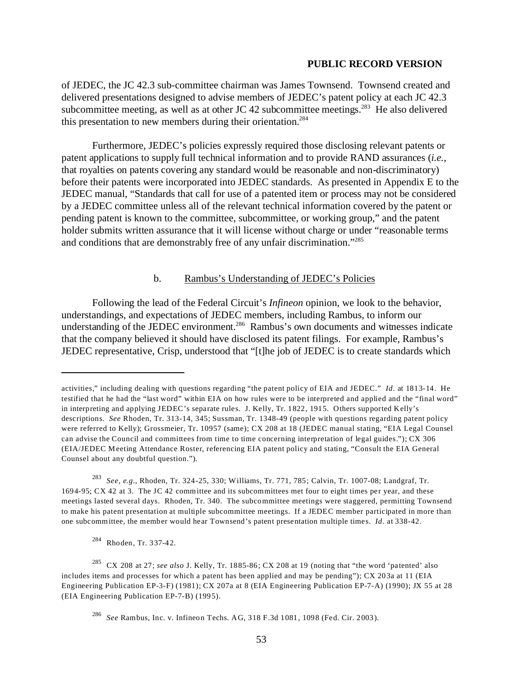of JEDEC, the JC 42.3 sub-committee chairman was James Townsend. Townsend created and delivered presentations designed to advise members of JEDEC's patent policy at each JC 42.3 subcommittee meeting, as well as at other JC 42 subcommittee meetings.<sup>283</sup> He also delivered this presentation to new members during their orientation.<sup>284</sup>

Furthermore, JEDEC's policies expressly required those disclosing relevant patents or patent applications to supply full technical information and to provide RAND assurances (*i.e.*, that royalties on patents covering any standard would be reasonable and non-discriminatory) before their patents were incorporated into JEDEC standards. As presented in Appendix E to the JEDEC manual, "Standards that call for use of a patented item or process may not be considered by a JEDEC committee unless all of the relevant technical information covered by the patent or pending patent is known to the committee, subcommittee, or working group," and the patent holder submits written assurance that it will license without charge or under "reasonable terms and conditions that are demonstrably free of any unfair discrimination."285

# b. Rambus's Understanding of JEDEC's Policies

Following the lead of the Federal Circuit's *Infineon* opinion, we look to the behavior, understandings, and expectations of JEDEC members, including Rambus, to inform our understanding of the JEDEC environment.<sup>286</sup> Rambus's own documents and witnesses indicate that the company believed it should have disclosed its patent filings. For example, Rambus's JEDEC representative, Crisp, understood that "[t]he job of JEDEC is to create standards which

284 Rhoden, Tr. 337-42.

activities," including dealing with questions regarding "the patent policy of EIA and JEDEC." *Id*. at 1813-14. He testified that he had the "last word" within EIA on how rules were to be interpreted and applied and the "final word" in interpreting and applying JEDEC's separate rules. J. Kelly, Tr. 1822, 1915. Others supported Kelly's descriptions. *See* Rhoden, Tr. 313-14, 345; Sussman, Tr. 1348-49 (people with questions regarding patent policy were referred to Kelly); Grossmeier, Tr. 10957 (same); CX 208 at 18 (JEDEC manual stating, "EIA Legal Counsel can advise the Council and committees from time to time concerning interpretation of legal guides."); CX 306 (EIA/JEDEC M eeting Attendance Roster, referencing EIA patent policy and stating, "Consult the EIA General Counsel about any doubtful question.").

<sup>283</sup>*See, e.g.*, Rhoden, Tr. 324-25, 330; Williams, Tr. 771, 785; Calvin, Tr. 1007-08; Landgraf, Tr. 1694-95; CX 42 at 3. The JC 42 committee and its subcommittees met four to eight times per year, and these meetings lasted several days. Rhoden, Tr. 340. The subcommittee meetings were staggered, permitting Townsend to make his patent presentation at multiple subcommittee meetings. If a JEDEC member participated in more than one subcommittee, the member would hear Townsend's patent presentation multiple times. *Id*. at 338-42.

<sup>285</sup> CX 208 at 27; *see also* J. Kelly, Tr. 1885-86; CX 208 at 19 (noting that "the word 'patented' also includes items and processes for which a patent has been applied and may be pending"); CX 203a at 11 (EIA Engineering Publication EP-3-F) (1981); CX 207a at 8 (EIA Engineering Publication EP-7-A) (1990); JX 55 at 28 (EIA Engineering Publication EP-7-B) (1995).

<sup>286</sup>*See* Rambus, Inc. v. Infineon Techs. AG, 318 F.3d 1081, 1098 (Fed. Cir. 2003).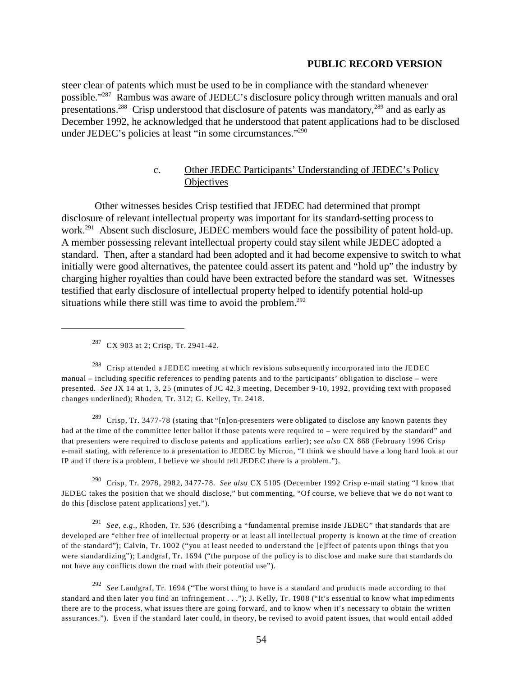steer clear of patents which must be used to be in compliance with the standard whenever possible."287 Rambus was aware of JEDEC's disclosure policy through written manuals and oral presentations.288 Crisp understood that disclosure of patents was mandatory,289 and as early as December 1992, he acknowledged that he understood that patent applications had to be disclosed under JEDEC's policies at least "in some circumstances."290

# c. Other JEDEC Participants' Understanding of JEDEC's Policy **Objectives**

 Other witnesses besides Crisp testified that JEDEC had determined that prompt disclosure of relevant intellectual property was important for its standard-setting process to work.<sup>291</sup> Absent such disclosure, JEDEC members would face the possibility of patent hold-up. A member possessing relevant intellectual property could stay silent while JEDEC adopted a standard. Then, after a standard had been adopted and it had become expensive to switch to what initially were good alternatives, the patentee could assert its patent and "hold up" the industry by charging higher royalties than could have been extracted before the standard was set. Witnesses testified that early disclosure of intellectual property helped to identify potential hold-up situations while there still was time to avoid the problem. $292$ 

 $287$  CX 903 at 2; Crisp, Tr. 2941-42.

<sup>288</sup> Crisp attended a JEDEC meeting at which revisions subsequently incorporated into the JEDEC manual – including specific references to pending patents and to the participants' obligation to disclose – were presented. *See* JX 14 at 1, 3, 25 (minutes of JC 42.3 meeting, December 9-10, 1992, providing text with proposed changes underlined); Rhoden, Tr. 312; G. Kelley, Tr. 2418.

<sup>289</sup> Crisp, Tr. 3477-78 (stating that "[n]on-presenters were obligated to disclose any known patents they had at the time of the committee letter ballot if those patents were required to – were required by the standard" and that presenters were required to disclose patents and applications earlier); *see also* CX 868 (February 1996 Crisp e-mail stating, with reference to a presentation to JEDEC by Micron, "I think we should have a long hard look at our IP and if there is a problem, I believe we should tell JEDEC there is a problem.").

290 Crisp, Tr. 2978, 2982, 3477-78. *See also* CX 5105 (December 1992 Crisp e-mail stating "I know that JEDEC takes the position that we should disclose," but commenting, "Of course, we believe that we do not want to do this [disclose patent applications] yet.").

<sup>291</sup>*See, e.g.*, Rhoden, Tr. 536 (describing a "fundamental premise inside JEDEC" that standards that are developed are "either free of intellectual property or at least all intellectual property is known at the time of creation of the standard"); Calvin, Tr. 1002 ("you at least needed to understand the [e]ffect of patents upon things that you were standardizing"); Landgraf, Tr. 1694 ("the purpose of the policy is to disclose and make sure that standards do not have any conflicts down the road with their potential use").

<sup>292</sup>*See* Landgraf, Tr. 1694 ("The worst thing to have is a standard and products made according to that standard and then later you find an infringement . . ."); J. Kelly, Tr. 1908 ("It's essential to know what impediments there are to the process, what issues there are going forward, and to know when it's necessary to obtain the written assurances."). Even if the standard later could, in theory, be revised to avoid patent issues, that would entail added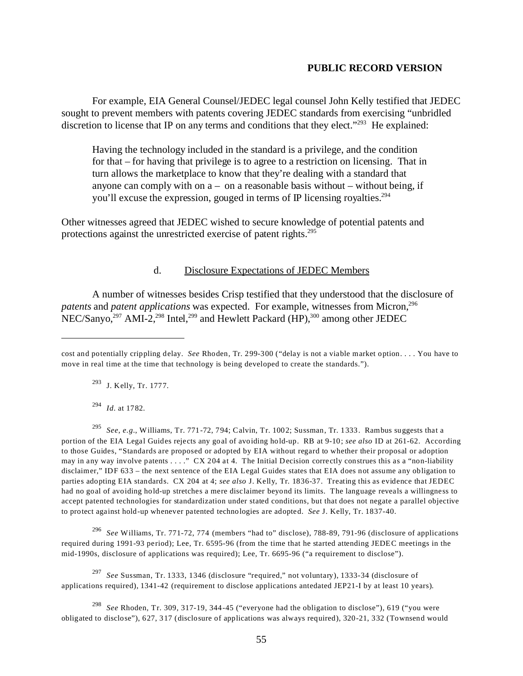For example, EIA General Counsel/JEDEC legal counsel John Kelly testified that JEDEC sought to prevent members with patents covering JEDEC standards from exercising "unbridled discretion to license that IP on any terms and conditions that they elect."<sup>293</sup> He explained:

Having the technology included in the standard is a privilege, and the condition for that – for having that privilege is to agree to a restriction on licensing. That in turn allows the marketplace to know that they're dealing with a standard that anyone can comply with on  $a - 0a$  a reasonable basis without – without being, if you'll excuse the expression, gouged in terms of IP licensing royalties.<sup>294</sup>

Other witnesses agreed that JEDEC wished to secure knowledge of potential patents and protections against the unrestricted exercise of patent rights.295

## d. Disclosure Expectations of JEDEC Members

A number of witnesses besides Crisp testified that they understood that the disclosure of *patents* and *patent applications* was expected. For example, witnesses from Micron,<sup>296</sup> NEC/Sanyo,<sup>297</sup> AMI-2,<sup>298</sup> Intel,<sup>299</sup> and Hewlett Packard (HP),<sup>300</sup> among other JEDEC

293 J. Kelly, Tr. 1777.

<sup>294</sup>*Id.* at 1782.

<sup>295</sup>*See*, *e.g.*, Williams, Tr. 771-72, 794; Calvin, Tr. 1002; Sussman, Tr. 1333. Rambus suggests that a portion of the EIA Legal Guides rejects any goal of avoiding hold-up. RB at 9-10; *see also* ID at 261-62. According to those Guides, "Standards are proposed or adopted by EIA without regard to whether their proposal or adoption may in any way involve patents . . . ." CX 204 at 4. The Initial Decision correctly construes this as a "non-liability disclaimer," IDF 633 – the next sentence of the EIA Legal Guides states that EIA does not assume any obligation to parties adopting EIA standards. CX 204 at 4; *see also* J. Kelly, Tr. 1836-37. Treating this as evidence that JEDEC had no goal of avoiding hold-up stretches a mere disclaimer beyond its limits. The language reveals a willingness to accept patented technologies for standardization under stated conditions, but that does not negate a parallel objective to protect against hold-up whenever patented technologies are adopted. *See* J. Kelly, Tr. 1837-40.

<sup>296</sup>*See* Williams, Tr. 771-72, 774 (members "had to" disclose), 788-89, 791-96 (disclosure of applications required during 1991-93 period); Lee, Tr. 6595-96 (from the time that he started attending JEDEC meetings in the mid-1990s, disclosure of applications was required); Lee, Tr. 6695-96 ("a requirement to disclose").

<sup>297</sup>*See* Sussman, Tr. 1333, 1346 (disclosure "required," not voluntary), 1333-34 (disclosure of applications required), 1341-42 (requirement to disclose applications antedated JEP21-I by at least 10 years).

<sup>298</sup>*See* Rhoden, Tr. 309, 317-19, 344-45 ("everyone had the obligation to disclose"), 619 ("you were obligated to disclose"), 627, 317 (disclosure of applications was always required), 320-21, 332 (Townsend would

cost and potentially crippling delay. *See* Rhoden, Tr. 299-300 ("delay is not a viable market option. . . . You have to move in real time at the time that technology is being developed to create the standards.").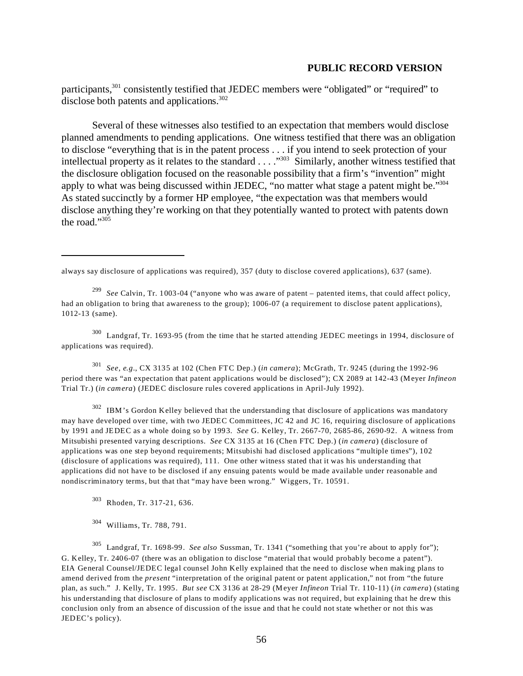participants,<sup>301</sup> consistently testified that JEDEC members were "obligated" or "required" to disclose both patents and applications.<sup>302</sup>

Several of these witnesses also testified to an expectation that members would disclose planned amendments to pending applications. One witness testified that there was an obligation to disclose "everything that is in the patent process . . . if you intend to seek protection of your intellectual property as it relates to the standard . . . ."303 Similarly, another witness testified that the disclosure obligation focused on the reasonable possibility that a firm's "invention" might apply to what was being discussed within JEDEC, "no matter what stage a patent might be."<sup>304</sup> As stated succinctly by a former HP employee, "the expectation was that members would disclose anything they're working on that they potentially wanted to protect with patents down the road."305

always say disclosure of applications was required), 357 (duty to disclose covered applications), 637 (same).

<sup>299</sup>*See* Calvin, Tr. 1003-04 ("anyone who was aware of patent – patented items, that could affect policy, had an obligation to bring that awareness to the group); 1006-07 (a requirement to disclose patent applications), 1012-13 (same).

300 Landgraf, Tr. 1693-95 (from the time that he started attending JEDEC meetings in 1994, disclosure of applications was required).

<sup>301</sup>*See, e.g.*, CX 3135 at 102 (Chen FTC Dep.) (*in camera*); McGrath, Tr. 9245 (during the 1992-96 period there was "an expectation that patent applications would be disclosed"); CX 2089 at 142-43 (Meyer *Infineon*  Trial Tr.) (*in camera*) (JEDEC disclosure rules covered applications in April-July 1992).

<sup>302</sup> IBM's Gordon Kelley believed that the understanding that disclosure of applications was mandatory may have developed over time, with two JEDEC Committees, JC 42 and JC 16, requiring disclosure of applications by 1991 and JEDEC as a whole doing so by 1993. *See* G. Kelley, Tr. 2667-70, 2685-86, 2690-92. A witness from Mitsubishi presented varying descriptions. *See* CX 3135 at 16 (Chen FTC Dep.) (*in camera*) (disclosure of applications was one step beyond requirements; Mitsubishi had disclosed applications "multiple times"), 102 (disclosure of applications was required), 111. One other witness stated that it was his understanding that applications did not have to be disclosed if any ensuing patents would be made available under reasonable and nondiscriminatory terms, but that that "may have been wrong." Wiggers, Tr. 10591.

303 Rhoden, Tr. 317-21, 636.

304 Williams, Tr. 788, 791.

305 Landgraf, Tr. 1698-99. *See also* Sussman, Tr. 1341 ("something that you're about to apply for"); G. Kelley, Tr. 2406-07 (there was an obligation to disclose "material that would probably become a patent"). EIA General Counsel/JEDEC legal counsel John Kelly explained that the need to disclose when making plans to amend derived from the *present* "interpretation of the original patent or patent application," not from "the future plan, as such." J. Kelly, Tr. 1995. *But see* CX 3136 at 28-29 (Meyer *Infineon* Trial Tr. 110-11) (*in camera*) (stating his understanding that disclosure of plans to modify applications was not required, but explaining that he drew this conclusion only from an absence of discussion of the issue and that he could not state whether or not this was JEDEC's policy).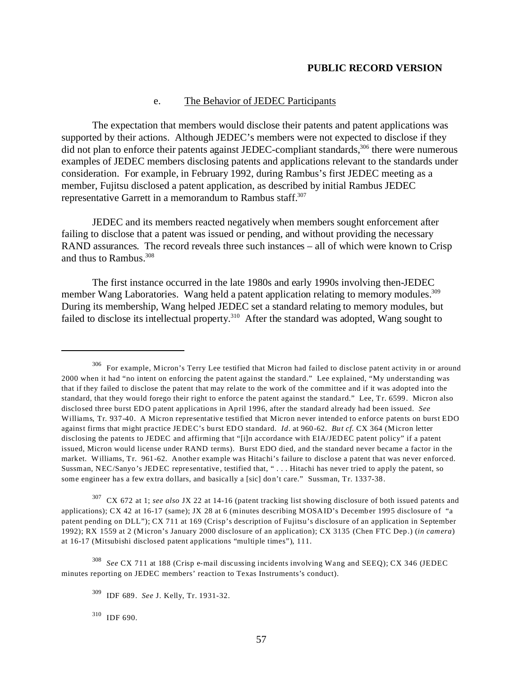### e. The Behavior of JEDEC Participants

The expectation that members would disclose their patents and patent applications was supported by their actions. Although JEDEC's members were not expected to disclose if they did not plan to enforce their patents against JEDEC-compliant standards,<sup>306</sup> there were numerous examples of JEDEC members disclosing patents and applications relevant to the standards under consideration. For example, in February 1992, during Rambus's first JEDEC meeting as a member, Fujitsu disclosed a patent application, as described by initial Rambus JEDEC representative Garrett in a memorandum to Rambus staff.<sup>307</sup>

JEDEC and its members reacted negatively when members sought enforcement after failing to disclose that a patent was issued or pending, and without providing the necessary RAND assurances. The record reveals three such instances – all of which were known to Crisp and thus to Rambus.<sup>308</sup>

The first instance occurred in the late 1980s and early 1990s involving then-JEDEC member Wang Laboratories. Wang held a patent application relating to memory modules.<sup>309</sup> During its membership, Wang helped JEDEC set a standard relating to memory modules, but failed to disclose its intellectual property.<sup>310</sup> After the standard was adopted, Wang sought to

<sup>306</sup> For example, Micron's Terry Lee testified that Micron had failed to disclose patent activity in or around 2000 when it had "no intent on enforcing the patent against the standard." Lee explained, "My understanding was that if they failed to disclose the patent that may relate to the work of the committee and if it was adopted into the standard, that they would forego their right to enforce the patent against the standard." Lee, Tr. 6599. Micron also disclosed three burst EDO patent applications in April 1996, after the standard already had been issued. *See*  Williams, Tr. 937-40. A Micron representative testified that Micron never intended to enforce patents on burst EDO against firms that might practice JEDEC's burst EDO standard. *Id*. at 960-62. *But cf.* CX 364 (Micron letter disclosing the patents to JEDEC and affirming that "[i]n accordance with EIA/JEDEC patent policy" if a patent issued, Micron would license under RAND terms). Burst EDO died, and the standard never became a factor in the market. Williams, Tr. 961-62. Another example was Hitachi's failure to disclose a patent that was never enforced. Sussman, NEC/Sanyo's JEDEC representative, testified that, " . . . Hitachi has never tried to apply the patent, so some engineer has a few extra dollars, and basically a [sic] don't care." Sussman, Tr. 1337-38.

<sup>307</sup> CX 672 at 1; *see also* JX 22 at 14-16 (patent tracking list showing disclosure of both issued patents and applications); CX 42 at 16-17 (same); JX 28 at 6 (minutes describing MOSAID's December 1995 disclosure of "a patent pending on DLL"); CX 711 at 169 (Crisp's description of Fujitsu's disclosure of an application in September 1992); RX 1559 at 2 (Micron's January 2000 disclosure of an application); CX 3135 (Chen FTC Dep.) (*in camera*) at 16-17 (Mitsubishi disclosed patent applications "multiple times"), 111.

<sup>308</sup>*See* CX 711 at 188 (Crisp e-mail discussing incidents involving Wang and SEEQ); CX 346 (JEDEC minutes reporting on JEDEC members' reaction to Texas Instruments's conduct).

<sup>309</sup> IDF 689. *See* J. Kelly, Tr. 1931-32.

<sup>310</sup> IDF 690.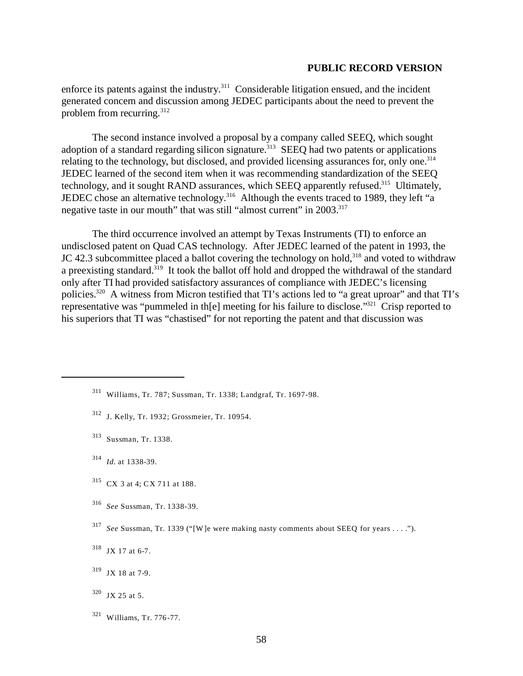enforce its patents against the industry. $311$  Considerable litigation ensued, and the incident generated concern and discussion among JEDEC participants about the need to prevent the problem from recurring.<sup>312</sup>

The second instance involved a proposal by a company called SEEQ, which sought adoption of a standard regarding silicon signature.<sup>313</sup> SEEQ had two patents or applications relating to the technology, but disclosed, and provided licensing assurances for, only one.<sup>314</sup> JEDEC learned of the second item when it was recommending standardization of the SEEQ technology, and it sought RAND assurances, which SEEQ apparently refused.<sup>315</sup> Ultimately, JEDEC chose an alternative technology.<sup>316</sup> Although the events traced to 1989, they left "a negative taste in our mouth" that was still "almost current" in 2003.<sup>317</sup>

The third occurrence involved an attempt by Texas Instruments (TI) to enforce an undisclosed patent on Quad CAS technology. After JEDEC learned of the patent in 1993, the JC 42.3 subcommittee placed a ballot covering the technology on hold,<sup>318</sup> and voted to withdraw a preexisting standard.<sup>319</sup> It took the ballot off hold and dropped the withdrawal of the standard only after TI had provided satisfactory assurances of compliance with JEDEC's licensing policies.320 A witness from Micron testified that TI's actions led to "a great uproar" and that TI's representative was "pummeled in th[e] meeting for his failure to disclose."321 Crisp reported to his superiors that TI was "chastised" for not reporting the patent and that discussion was

- 312 J. Kelly, Tr. 1932; Grossmeier, Tr. 10954.
- 313 Sussman, Tr. 1338.
- <sup>314</sup>*Id.* at 1338-39.
- 315 CX 3 at 4; CX 711 at 188.
- <sup>316</sup>*See* Sussman, Tr. 1338-39.
- <sup>317</sup>*See* Sussman, Tr. 1339 ("[W ]e were making nasty comments about SEEQ for years . . . .").
- 318 JX 17 at 6-7.

321 Williams, Tr. 776-77.

<sup>311</sup> Williams, Tr. 787; Sussman, Tr. 1338; Landgraf, Tr. 1697-98.

<sup>319</sup> JX 18 at 7-9.

<sup>320</sup> JX 25 at 5.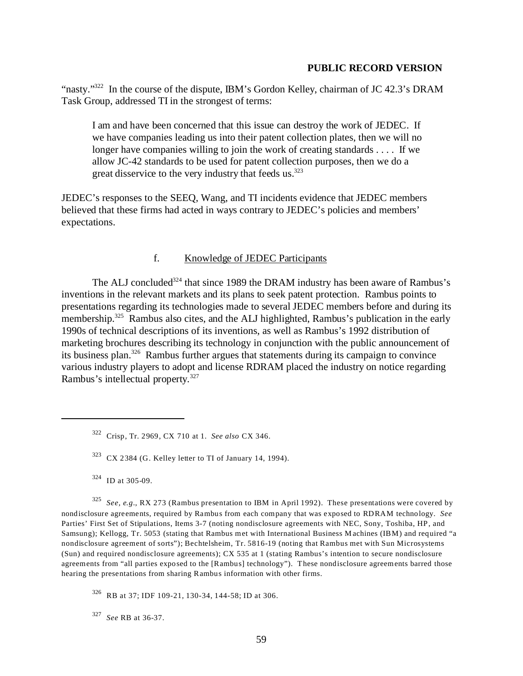"nasty."<sup>322</sup> In the course of the dispute, IBM's Gordon Kelley, chairman of JC 42.3's DRAM Task Group, addressed TI in the strongest of terms:

I am and have been concerned that this issue can destroy the work of JEDEC. If we have companies leading us into their patent collection plates, then we will no longer have companies willing to join the work of creating standards . . . . If we allow JC-42 standards to be used for patent collection purposes, then we do a great disservice to the very industry that feeds us.<sup>323</sup>

JEDEC's responses to the SEEQ, Wang, and TI incidents evidence that JEDEC members believed that these firms had acted in ways contrary to JEDEC's policies and members' expectations.

# f. Knowledge of JEDEC Participants

The ALJ concluded<sup>324</sup> that since 1989 the DRAM industry has been aware of Rambus's inventions in the relevant markets and its plans to seek patent protection. Rambus points to presentations regarding its technologies made to several JEDEC members before and during its membership.<sup>325</sup> Rambus also cites, and the ALJ highlighted, Rambus's publication in the early 1990s of technical descriptions of its inventions, as well as Rambus's 1992 distribution of marketing brochures describing its technology in conjunction with the public announcement of its business plan.326 Rambus further argues that statements during its campaign to convince various industry players to adopt and license RDRAM placed the industry on notice regarding Rambus's intellectual property.327

<sup>325</sup>*See, e.g.*, RX 273 (Rambus presentation to IBM in April 1992). These presentations were covered by nondisclosure agreements, required by Rambus from each company that was exposed to RDRAM technology. *See*  Parties' First Set of Stipulations, Items 3-7 (noting nondisclosure agreements with NEC, Sony, Toshiba, HP, and Samsung); Kellogg, Tr. 5053 (stating that Rambus met with International Business Machines (IBM) and required "a nondisclosure agreement of sorts"); Bechtelsheim, Tr. 5816-19 (noting that Rambus met with Sun Microsystems (Sun) and required nondisclosure agreements); CX 535 at 1 (stating Rambus's intention to secure nondisclosure agreements from "all parties exposed to the [Rambus] technology"). These nondisclosure agreements barred those hearing the presentations from sharing Rambus information with other firms.

326 RB at 37; IDF 109-21, 130-34, 144-58; ID at 306.

<sup>327</sup>*See* RB at 36-37.

<sup>322</sup> Crisp, Tr. 2969, CX 710 at 1. *See also* CX 346.

 $323$  CX 2384 (G. Kelley letter to TI of January 14, 1994).

<sup>324</sup> ID at 305-09.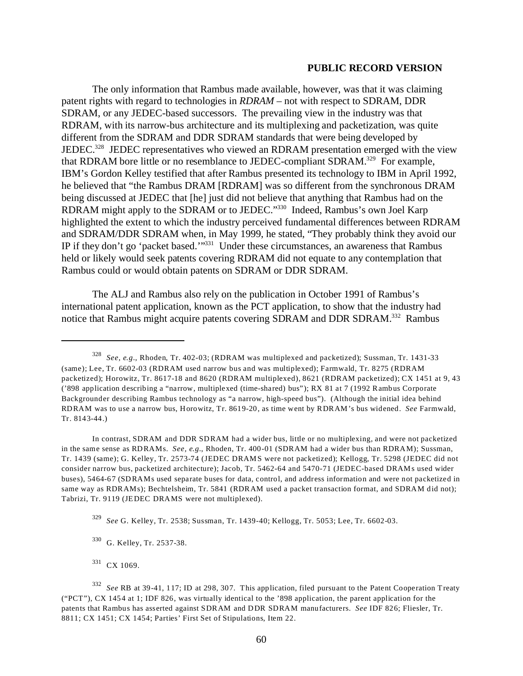The only information that Rambus made available, however, was that it was claiming patent rights with regard to technologies in *RDRAM* – not with respect to SDRAM, DDR SDRAM, or any JEDEC-based successors. The prevailing view in the industry was that RDRAM, with its narrow-bus architecture and its multiplexing and packetization, was quite different from the SDRAM and DDR SDRAM standards that were being developed by JEDEC.<sup>328</sup> JEDEC representatives who viewed an RDRAM presentation emerged with the view that RDRAM bore little or no resemblance to JEDEC-compliant SDRAM.<sup>329</sup> For example, IBM's Gordon Kelley testified that after Rambus presented its technology to IBM in April 1992, he believed that "the Rambus DRAM [RDRAM] was so different from the synchronous DRAM being discussed at JEDEC that [he] just did not believe that anything that Rambus had on the RDRAM might apply to the SDRAM or to JEDEC."330 Indeed, Rambus's own Joel Karp highlighted the extent to which the industry perceived fundamental differences between RDRAM and SDRAM/DDR SDRAM when, in May 1999, he stated, "They probably think they avoid our IP if they don't go 'packet based.'"331 Under these circumstances, an awareness that Rambus held or likely would seek patents covering RDRAM did not equate to any contemplation that Rambus could or would obtain patents on SDRAM or DDR SDRAM.

The ALJ and Rambus also rely on the publication in October 1991 of Rambus's international patent application, known as the PCT application, to show that the industry had notice that Rambus might acquire patents covering SDRAM and DDR SDRAM.332 Rambus

In contrast, SDRAM and DDR SDRAM had a wider bus, little or no multiplexing, and were not packetized in the same sense as RDRAMs. *See, e.g.*, Rhoden, Tr. 400-01 (SDRAM had a wider bus than RDRAM); Sussman, Tr. 1439 (same); G. Kelley, Tr. 2573-74 (JEDEC DRAM S were not packetized); Kellogg, Tr. 5298 (JEDEC did not consider narrow bus, packetized architecture); Jacob, Tr. 5462-64 and 5470-71 (JEDEC-based DRAM s used wider buses), 5464-67 (SDRAMs used separate buses for data, control, and address information and were not packetized in same way as RDRAMs); Bechtelsheim, Tr. 5841 (RDRAM used a packet transaction format, and SDRAM did not); Tabrizi, Tr. 9119 (JEDEC DRAMS were not multiplexed).

<sup>328</sup>*See, e.g.*, Rhoden, Tr. 402-03; (RDRAM was multiplexed and packetized); Sussman, Tr. 1431-33 (same); Lee, Tr. 6602-03 (RDRAM used narrow bus and was multiplexed); Farmwald, Tr. 8275 (RDRAM packetized); Horowitz, Tr. 8617-18 and 8620 (RDRAM multiplexed), 8621 (RDRAM packetized); CX 1451 at 9, 43 ('898 application describing a "narrow, multiplexed (time-shared) bus"); RX 81 at 7 (1992 Rambus Corporate Backgrounder describing Rambus technology as "a narrow, high-speed bus"). (Although the initial idea behind RDRAM was to use a narrow bus, Horowitz, Tr. 8619-20, as time went by RDRAM's bus widened. *See* Farmwald, Tr. 8143-44.)

<sup>329</sup>*See* G. Kelley, Tr. 2538; Sussman, Tr. 1439-40; Kellogg, Tr. 5053; Lee, Tr. 6602-03.

<sup>330</sup> G. Kelley, Tr. 2537-38.

<sup>331</sup> CX 1069.

<sup>332</sup>*See* RB at 39-41, 117; ID at 298, 307. This application, filed pursuant to the Patent Cooperation Treaty ("PCT"), CX 1454 at 1; IDF 826, was virtually identical to the '898 application, the parent application for the patents that Rambus has asserted against SDRAM and DDR SDRAM manufacturers. *See* IDF 826; Fliesler, Tr. 8811; CX 1451; CX 1454; Parties' First Set of Stipulations, Item 22.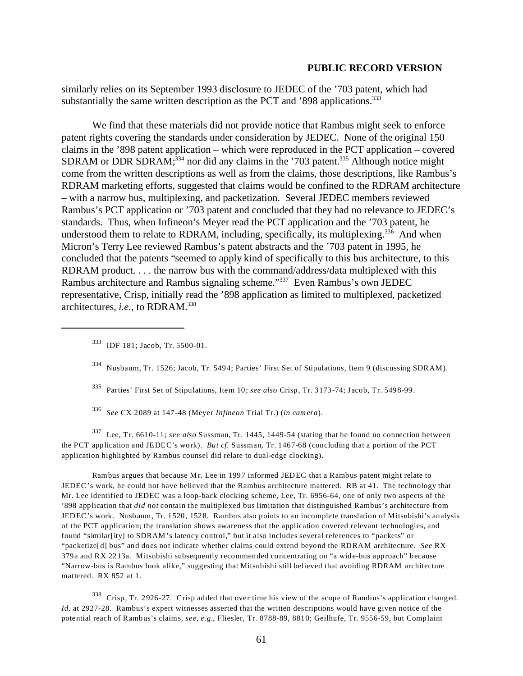similarly relies on its September 1993 disclosure to JEDEC of the '703 patent, which had substantially the same written description as the PCT and  $398$  applications.<sup>333</sup>

We find that these materials did not provide notice that Rambus might seek to enforce patent rights covering the standards under consideration by JEDEC. None of the original 150 claims in the '898 patent application – which were reproduced in the PCT application – covered SDRAM or DDR SDRAM; $^{334}$  nor did any claims in the '703 patent. $^{335}$  Although notice might come from the written descriptions as well as from the claims, those descriptions, like Rambus's RDRAM marketing efforts, suggested that claims would be confined to the RDRAM architecture – with a narrow bus, multiplexing, and packetization. Several JEDEC members reviewed Rambus's PCT application or '703 patent and concluded that they had no relevance to JEDEC's standards. Thus, when Infineon's Meyer read the PCT application and the '703 patent, he understood them to relate to RDRAM, including, specifically, its multiplexing.<sup>336</sup> And when Micron's Terry Lee reviewed Rambus's patent abstracts and the '703 patent in 1995, he concluded that the patents "seemed to apply kind of specifically to this bus architecture, to this RDRAM product. . . . the narrow bus with the command/address/data multiplexed with this Rambus architecture and Rambus signaling scheme."337 Even Rambus's own JEDEC representative, Crisp, initially read the '898 application as limited to multiplexed, packetized architectures, *i.e.*, to RDRAM.338

- 335 Parties' First Set of Stipulations, Item 10; *see also* Crisp, Tr. 3173-74; Jacob, Tr. 5498-99.
- <sup>336</sup>*See* CX 2089 at 147-48 (Meyer *Infineon* Trial Tr.) (*in camera*).

337 Lee, Tr. 6610-11; *see also* Sussman, Tr. 1445, 1449-54 (stating that he found no connection between the PCT application and JEDEC's work). *But cf.* Sussman, Tr. 1467-68 (concluding that a portion of the PCT application highlighted by Rambus counsel did relate to dual-edge clocking).

Rambus argues that because Mr. Lee in 1997 informed JEDEC that a Rambus patent might relate to JEDEC's work, he could not have believed that the Rambus architecture mattered. RB at 41. The technology that Mr. Lee identified to JEDEC was a loop-back clocking scheme, Lee, Tr. 6956-64, one of only two aspects of the '898 application that *did not* contain the multiplexed bus limitation that distinguished Rambus's architecture from JEDEC's work. Nusbaum, Tr. 1520, 1528. Rambus also points to an incomplete translation of Mitsubishi's analysis of the PCT application; the translation shows awareness that the application covered relevant technologies, and found "similar[ity] to SDRAM's latency control," but it also includes several references to "packets" or "packetize[d] bus" and does not indicate whether claims could extend beyond the RDRAM architecture. *See* RX 379a and RX 2213a. Mitsubishi subsequently recommended concentrating on "a wide-bus approach" because "Narrow-bus is Rambus look alike," suggesting that Mitsubishi still believed that avoiding RDRAM architecture mattered. RX 852 at 1.

<sup>338</sup> Crisp, Tr. 2926-27. Crisp added that over time his view of the scope of Rambus's application changed. *Id.* at 2927-28. Rambus's expert witnesses asserted that the written descriptions would have given notice of the potential reach of Rambus's claims, *see, e.g.*, Fliesler, Tr. 8788-89, 8810; Geilhufe, Tr. 9556-59, but Complaint

<sup>333</sup> IDF 181; Jacob, Tr. 5500-01.

<sup>334</sup> Nusbaum, Tr. 1526; Jacob, Tr. 5494; Parties' First Set of Stipulations, Item 9 (discussing SDRAM).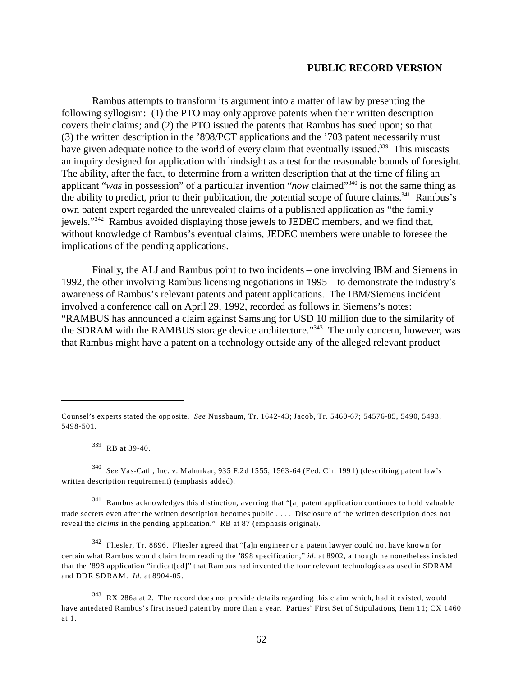Rambus attempts to transform its argument into a matter of law by presenting the following syllogism: (1) the PTO may only approve patents when their written description covers their claims; and (2) the PTO issued the patents that Rambus has sued upon; so that (3) the written description in the '898/PCT applications and the '703 patent necessarily must have given adequate notice to the world of every claim that eventually issued.<sup>339</sup> This miscasts an inquiry designed for application with hindsight as a test for the reasonable bounds of foresight. The ability, after the fact, to determine from a written description that at the time of filing an applicant "*was* in possession" of a particular invention "*now* claimed"340 is not the same thing as the ability to predict, prior to their publication, the potential scope of future claims.<sup>341</sup> Rambus's own patent expert regarded the unrevealed claims of a published application as "the family jewels."342 Rambus avoided displaying those jewels to JEDEC members, and we find that, without knowledge of Rambus's eventual claims, JEDEC members were unable to foresee the implications of the pending applications.

Finally, the ALJ and Rambus point to two incidents – one involving IBM and Siemens in 1992, the other involving Rambus licensing negotiations in 1995 – to demonstrate the industry's awareness of Rambus's relevant patents and patent applications. The IBM/Siemens incident involved a conference call on April 29, 1992, recorded as follows in Siemens's notes: "RAMBUS has announced a claim against Samsung for USD 10 million due to the similarity of the SDRAM with the RAMBUS storage device architecture."<sup>343</sup> The only concern, however, was that Rambus might have a patent on a technology outside any of the alleged relevant product

339 RB at 39-40.

<sup>340</sup>*See* Vas-Cath, Inc. v. Mahurkar, 935 F.2d 1555, 1563-64 (Fed. Cir. 1991) (describing patent law's written description requirement) (emphasis added).

341 Rambus acknowledges this distinction, averring that "[a] patent application continues to hold valuable trade secrets even after the written description becomes public . . . . Disclosure of the written description does not reveal the *claims* in the pending application." RB at 87 (emphasis original).

342 Fliesler, Tr. 8896. Fliesler agreed that "[a]n engineer or a patent lawyer could not have known for certain what Rambus would claim from reading the '898 specification," *id*. at 8902, although he nonetheless insisted that the '898 application "indicat[ed]" that Rambus had invented the four relevant technologies as used in SDRAM and DDR SDRAM. *Id*. at 8904-05.

Counsel's experts stated the opposite. *See* Nussbaum, Tr. 1642-43; Jacob, Tr. 5460-67; 54576-85, 5490, 5493, 5498-501.

 $343$  RX 286a at 2. The record does not provide details regarding this claim which, had it existed, would have antedated Rambus's first issued patent by more than a year. Parties' First Set of Stipulations, Item 11; CX 1460 at 1.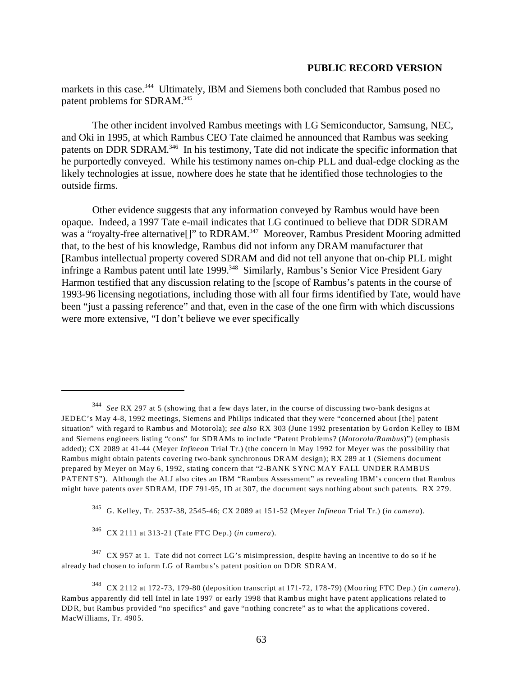markets in this case.<sup>344</sup> Ultimately, IBM and Siemens both concluded that Rambus posed no patent problems for SDRAM.345

The other incident involved Rambus meetings with LG Semiconductor, Samsung, NEC, and Oki in 1995, at which Rambus CEO Tate claimed he announced that Rambus was seeking patents on DDR SDRAM.<sup>346</sup> In his testimony, Tate did not indicate the specific information that he purportedly conveyed. While his testimony names on-chip PLL and dual-edge clocking as the likely technologies at issue, nowhere does he state that he identified those technologies to the outside firms.

Other evidence suggests that any information conveyed by Rambus would have been opaque. Indeed, a 1997 Tate e-mail indicates that LG continued to believe that DDR SDRAM was a "royalty-free alternative[]" to RDRAM.<sup>347</sup> Moreover, Rambus President Mooring admitted that, to the best of his knowledge, Rambus did not inform any DRAM manufacturer that [Rambus intellectual property covered SDRAM and did not tell anyone that on-chip PLL might infringe a Rambus patent until late 1999.<sup>348</sup> Similarly, Rambus's Senior Vice President Gary Harmon testified that any discussion relating to the [scope of Rambus's patents in the course of 1993-96 licensing negotiations, including those with all four firms identified by Tate, would have been "just a passing reference" and that, even in the case of the one firm with which discussions were more extensive, "I don't believe we ever specifically

345 G. Kelley, Tr. 2537-38, 2545-46; CX 2089 at 151-52 (Meyer *Infineon* Trial Tr.) (*in camera*).

346 CX 2111 at 313-21 (Tate FTC Dep.) (*in camera*).

 $347$  CX 957 at 1. Tate did not correct LG's misimpression, despite having an incentive to do so if he already had chosen to inform LG of Rambus's patent position on DDR SDRAM.

<sup>344</sup>*See* RX 297 at 5 (showing that a few days later, in the course of discussing two-bank designs at JEDEC's May 4-8, 1992 meetings, Siemens and Philips indicated that they were "concerned about [the] patent situation" with regard to Rambus and Motorola); *see also* RX 303 (June 1992 presentation by Gordon Kelley to IBM and Siemens engineers listing "cons" for SDRAMs to include "Patent Problems? (*Motorola/Rambus*)") (emphasis added); CX 2089 at 41-44 (Meyer *Infineon* Trial Tr.) (the concern in May 1992 for Meyer was the possibility that Rambus might obtain patents covering two-bank synchronous DRAM design); RX 289 at 1 (Siemens document prepared by Meyer on May 6, 1992, stating concern that "2-BANK SYNC MAY FALL UNDER RAMBUS PATENTS"). Although the ALJ also cites an IBM "Rambus Assessment" as revealing IBM's concern that Rambus might have patents over SDRAM, IDF 791-95, ID at 307, the document says nothing about such patents. RX 279.

<sup>348</sup> CX 2112 at 172-73, 179-80 (deposition transcript at 171-72, 178-79) (Mooring FTC Dep.) (*in camera*). Rambus apparently did tell Intel in late 1997 or early 1998 that Rambus might have patent applications related to DDR, but Rambus provided "no specifics" and gave "nothing concrete" as to what the applications covered. MacWilliams, Tr. 4905.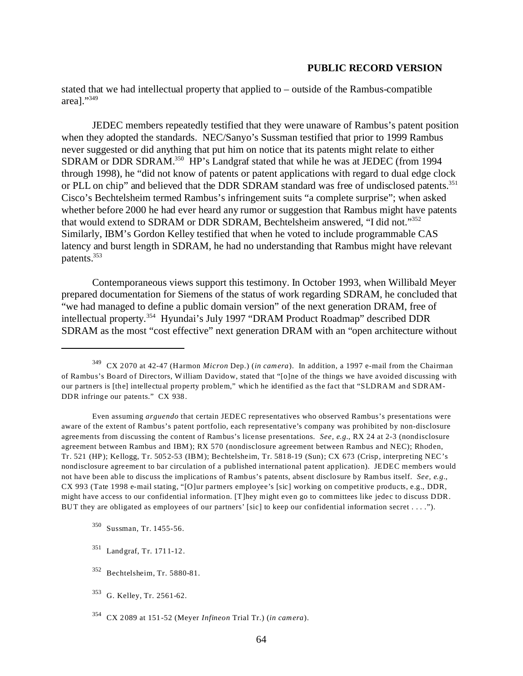stated that we had intellectual property that applied to – outside of the Rambus-compatible area]."349

JEDEC members repeatedly testified that they were unaware of Rambus's patent position when they adopted the standards. NEC/Sanyo's Sussman testified that prior to 1999 Rambus never suggested or did anything that put him on notice that its patents might relate to either SDRAM or DDR SDRAM.350 HP's Landgraf stated that while he was at JEDEC (from 1994 through 1998), he "did not know of patents or patent applications with regard to dual edge clock or PLL on chip" and believed that the DDR SDRAM standard was free of undisclosed patents.<sup>351</sup> Cisco's Bechtelsheim termed Rambus's infringement suits "a complete surprise"; when asked whether before 2000 he had ever heard any rumor or suggestion that Rambus might have patents that would extend to SDRAM or DDR SDRAM, Bechtelsheim answered, "I did not."352 Similarly, IBM's Gordon Kelley testified that when he voted to include programmable CAS latency and burst length in SDRAM, he had no understanding that Rambus might have relevant patents.353

Contemporaneous views support this testimony. In October 1993, when Willibald Meyer prepared documentation for Siemens of the status of work regarding SDRAM, he concluded that "we had managed to define a public domain version" of the next generation DRAM, free of intellectual property.354 Hyundai's July 1997 "DRAM Product Roadmap" described DDR SDRAM as the most "cost effective" next generation DRAM with an "open architecture without

Even assuming *arguendo* that certain JEDEC representatives who observed Rambus's presentations were aware of the extent of Rambus's patent portfolio, each representative's company was prohibited by non-disclosure agreements from discussing the content of Rambus's license presentations. *See, e.g.*, RX 24 at 2-3 (nondisclosure agreement between Rambus and IBM); RX 570 (nondisclosure agreement between Rambus and NEC); Rhoden, Tr. 521 (HP); Kellogg, Tr. 5052-53 (IBM); Bechtelsheim, Tr. 5818-19 (Sun); CX 673 (Crisp, interpreting NEC's nondisclosure agreement to bar circulation of a published international patent application). JEDEC members would not have been able to discuss the implications of Rambus's patents, absent disclosure by Rambus itself. *See, e.g.*, CX 993 (Tate 1998 e-mail stating, "[O]ur partners employee's [sic] working on competitive products, e.g., DDR, might have access to our confidential information. [T]hey might even go to committees like jedec to discuss DDR. BUT they are obligated as employees of our partners' [sic] to keep our confidential information secret . . . .").

- 350 Sussman, Tr. 1455-56.
- 351 Landgraf, Tr. 1711-12.
- 352 Bechtelsheim, Tr. 5880-81.
- 353 G. Kelley, Tr. 2561-62.
- 354 CX 2089 at 151-52 (Meyer *Infineon* Trial Tr.) (*in camera*).

<sup>349</sup> CX 2070 at 42-47 (Harmon *Micron* Dep.) (*in camera*). In addition, a 1997 e-mail from the Chairman of Rambus's Board of Directors, William Davidow, stated that "[o]ne of the things we have avoided discussing with our partners is [the] intellectual property problem," which he identified as the fact that "SLDRAM and SDRAM-DDR infringe our patents." CX 938.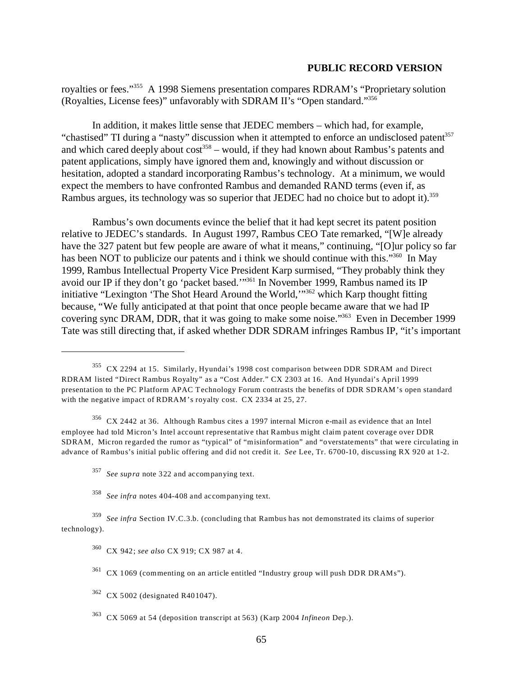royalties or fees."355 A 1998 Siemens presentation compares RDRAM's "Proprietary solution (Royalties, License fees)" unfavorably with SDRAM II's "Open standard."356

In addition, it makes little sense that JEDEC members – which had, for example, "chastised" TI during a "nasty" discussion when it attempted to enforce an undisclosed patent<sup>357</sup> and which cared deeply about cost<sup>358</sup> – would, if they had known about Rambus's patents and patent applications, simply have ignored them and, knowingly and without discussion or hesitation, adopted a standard incorporating Rambus's technology. At a minimum, we would expect the members to have confronted Rambus and demanded RAND terms (even if, as Rambus argues, its technology was so superior that JEDEC had no choice but to adopt it).<sup>359</sup>

Rambus's own documents evince the belief that it had kept secret its patent position relative to JEDEC's standards. In August 1997, Rambus CEO Tate remarked, "[W]e already have the 327 patent but few people are aware of what it means," continuing, "[O]ur policy so far has been NOT to publicize our patents and i think we should continue with this."<sup>360</sup> In May 1999, Rambus Intellectual Property Vice President Karp surmised, "They probably think they avoid our IP if they don't go 'packet based.'"361 In November 1999, Rambus named its IP initiative "Lexington 'The Shot Heard Around the World,'"362 which Karp thought fitting because, "We fully anticipated at that point that once people became aware that we had IP covering sync DRAM, DDR, that it was going to make some noise."363 Even in December 1999 Tate was still directing that, if asked whether DDR SDRAM infringes Rambus IP, "it's important

356 CX 2442 at 36. Although Rambus cites a 1997 internal Micron e-mail as evidence that an Intel employee had told Micron's Intel account representative that Rambus might claim patent coverage over DDR SDRAM, Micron regarded the rumor as "typical" of "misinformation" and "overstatements" that were circulating in advance of Rambus's initial public offering and did not credit it. *See* Lee, Tr. 6700-10, discussing RX 920 at 1-2.

<sup>355</sup> CX 2294 at 15. Similarly, Hyundai's 1998 cost comparison between DDR SDRAM and Direct RDRAM listed "Direct Rambus Royalty" as a "Cost Adder." CX 2303 at 16. And Hyundai's April 1999 presentation to the PC Platform APAC Technology Forum contrasts the benefits of DDR SDRAM's open standard with the negative impact of RDRAM's royalty cost. CX 2334 at 25, 27.

<sup>357</sup>*See supra* note 322 and accompanying text.

<sup>358</sup>*See infra* notes 404-408 and accompanying text.

<sup>359</sup>*See infra* Section IV.C.3.b. (concluding that Rambus has not demonstrated its claims of superior technology).

<sup>360</sup> CX 942; *see also* CX 919; CX 987 at 4.

<sup>361</sup> CX 1069 (commenting on an article entitled "Industry group will push DDR DRAMs").

<sup>362</sup> CX 5002 (designated R401047).

<sup>363</sup> CX 5069 at 54 (deposition transcript at 563) (Karp 2004 *Infineon* Dep.).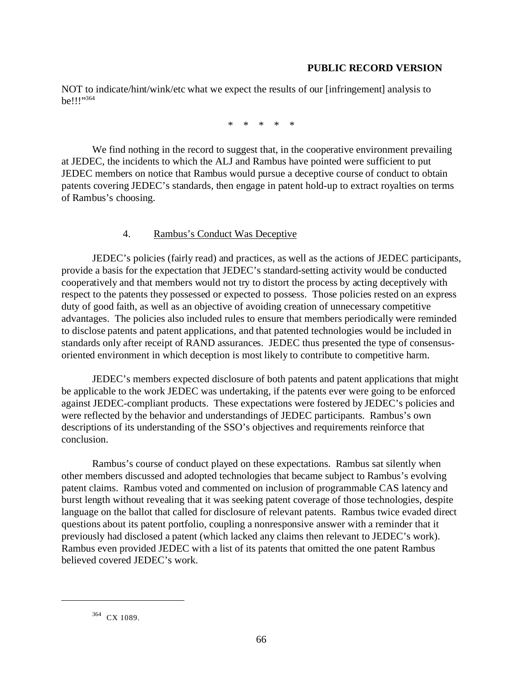NOT to indicate/hint/wink/etc what we expect the results of our [infringement] analysis to be!!!"364

\* \* \* \* \*

We find nothing in the record to suggest that, in the cooperative environment prevailing at JEDEC, the incidents to which the ALJ and Rambus have pointed were sufficient to put JEDEC members on notice that Rambus would pursue a deceptive course of conduct to obtain patents covering JEDEC's standards, then engage in patent hold-up to extract royalties on terms of Rambus's choosing.

# 4. Rambus's Conduct Was Deceptive

JEDEC's policies (fairly read) and practices, as well as the actions of JEDEC participants, provide a basis for the expectation that JEDEC's standard-setting activity would be conducted cooperatively and that members would not try to distort the process by acting deceptively with respect to the patents they possessed or expected to possess. Those policies rested on an express duty of good faith, as well as an objective of avoiding creation of unnecessary competitive advantages. The policies also included rules to ensure that members periodically were reminded to disclose patents and patent applications, and that patented technologies would be included in standards only after receipt of RAND assurances. JEDEC thus presented the type of consensusoriented environment in which deception is most likely to contribute to competitive harm.

JEDEC's members expected disclosure of both patents and patent applications that might be applicable to the work JEDEC was undertaking, if the patents ever were going to be enforced against JEDEC-compliant products. These expectations were fostered by JEDEC's policies and were reflected by the behavior and understandings of JEDEC participants. Rambus's own descriptions of its understanding of the SSO's objectives and requirements reinforce that conclusion.

Rambus's course of conduct played on these expectations. Rambus sat silently when other members discussed and adopted technologies that became subject to Rambus's evolving patent claims. Rambus voted and commented on inclusion of programmable CAS latency and burst length without revealing that it was seeking patent coverage of those technologies, despite language on the ballot that called for disclosure of relevant patents. Rambus twice evaded direct questions about its patent portfolio, coupling a nonresponsive answer with a reminder that it previously had disclosed a patent (which lacked any claims then relevant to JEDEC's work). Rambus even provided JEDEC with a list of its patents that omitted the one patent Rambus believed covered JEDEC's work.

<sup>364</sup> CX 1089.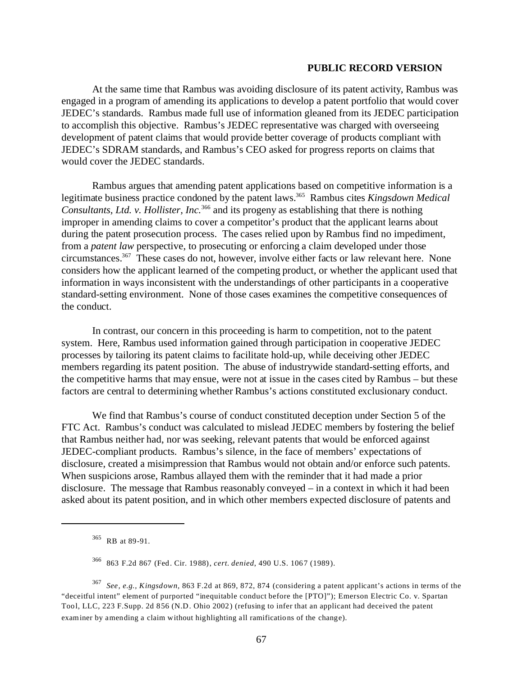At the same time that Rambus was avoiding disclosure of its patent activity, Rambus was engaged in a program of amending its applications to develop a patent portfolio that would cover JEDEC's standards. Rambus made full use of information gleaned from its JEDEC participation to accomplish this objective. Rambus's JEDEC representative was charged with overseeing development of patent claims that would provide better coverage of products compliant with JEDEC's SDRAM standards, and Rambus's CEO asked for progress reports on claims that would cover the JEDEC standards.

Rambus argues that amending patent applications based on competitive information is a legitimate business practice condoned by the patent laws.365 Rambus cites *Kingsdown Medical Consultants, Ltd. v. Hollister, Inc.*366 and its progeny as establishing that there is nothing improper in amending claims to cover a competitor's product that the applicant learns about during the patent prosecution process. The cases relied upon by Rambus find no impediment, from a *patent law* perspective, to prosecuting or enforcing a claim developed under those circumstances.<sup>367</sup> These cases do not, however, involve either facts or law relevant here. None considers how the applicant learned of the competing product, or whether the applicant used that information in ways inconsistent with the understandings of other participants in a cooperative standard-setting environment. None of those cases examines the competitive consequences of the conduct.

In contrast, our concern in this proceeding is harm to competition, not to the patent system. Here, Rambus used information gained through participation in cooperative JEDEC processes by tailoring its patent claims to facilitate hold-up, while deceiving other JEDEC members regarding its patent position. The abuse of industrywide standard-setting efforts, and the competitive harms that may ensue, were not at issue in the cases cited by Rambus – but these factors are central to determining whether Rambus's actions constituted exclusionary conduct.

We find that Rambus's course of conduct constituted deception under Section 5 of the FTC Act. Rambus's conduct was calculated to mislead JEDEC members by fostering the belief that Rambus neither had, nor was seeking, relevant patents that would be enforced against JEDEC-compliant products. Rambus's silence, in the face of members' expectations of disclosure, created a misimpression that Rambus would not obtain and/or enforce such patents. When suspicions arose, Rambus allayed them with the reminder that it had made a prior disclosure. The message that Rambus reasonably conveyed – in a context in which it had been asked about its patent position, and in which other members expected disclosure of patents and

<sup>367</sup>*See, e.g., Kingsdown,* 863 F.2d at 869, 872, 874 (considering a patent applicant's actions in terms of the "deceitful intent" element of purported "inequitable conduct before the [PTO]"); Emerson Electric Co. v. Spartan Tool, LLC, 223 F.Supp. 2d 856 (N.D. Ohio 2002) (refusing to infer that an applicant had deceived the patent examiner by amending a claim without highlighting all ramifications of the change).

<sup>365</sup> RB at 89-91.

<sup>366 863</sup> F.2d 867 (Fed. Cir. 1988), *cert. denied*, 490 U.S. 1067 (1989).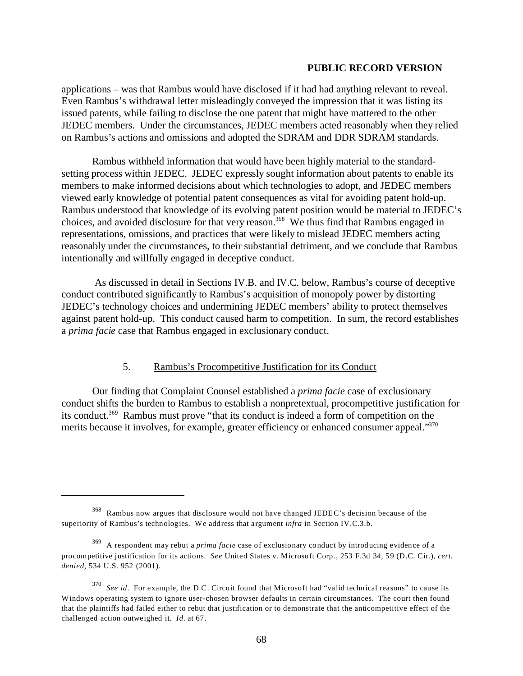applications – was that Rambus would have disclosed if it had had anything relevant to reveal. Even Rambus's withdrawal letter misleadingly conveyed the impression that it was listing its issued patents, while failing to disclose the one patent that might have mattered to the other JEDEC members. Under the circumstances, JEDEC members acted reasonably when they relied on Rambus's actions and omissions and adopted the SDRAM and DDR SDRAM standards.

Rambus withheld information that would have been highly material to the standardsetting process within JEDEC. JEDEC expressly sought information about patents to enable its members to make informed decisions about which technologies to adopt, and JEDEC members viewed early knowledge of potential patent consequences as vital for avoiding patent hold-up. Rambus understood that knowledge of its evolving patent position would be material to JEDEC's choices, and avoided disclosure for that very reason.<sup>368</sup> We thus find that Rambus engaged in representations, omissions, and practices that were likely to mislead JEDEC members acting reasonably under the circumstances, to their substantial detriment, and we conclude that Rambus intentionally and willfully engaged in deceptive conduct.

 As discussed in detail in Sections IV.B. and IV.C. below, Rambus's course of deceptive conduct contributed significantly to Rambus's acquisition of monopoly power by distorting JEDEC's technology choices and undermining JEDEC members' ability to protect themselves against patent hold-up. This conduct caused harm to competition. In sum, the record establishes a *prima facie* case that Rambus engaged in exclusionary conduct.

# 5. Rambus's Procompetitive Justification for its Conduct

Our finding that Complaint Counsel established a *prima facie* case of exclusionary conduct shifts the burden to Rambus to establish a nonpretextual, procompetitive justification for its conduct.369 Rambus must prove "that its conduct is indeed a form of competition on the merits because it involves, for example, greater efficiency or enhanced consumer appeal."<sup>370</sup>

<sup>368</sup> Rambus now argues that disclosure would not have changed JEDEC's decision because of the superiority of Rambus's technologies. We address that argument *infra* in Section IV.C.3.b.

<sup>369</sup> A respondent may rebut a *prima facie* case of exclusionary conduct by introducing evidence of a procompetitive justification for its actions. *See* United States v. Microsoft Corp., 253 F.3d 34, 59 (D.C. Cir.), *cert. denied*, 534 U.S. 952 (2001).

<sup>&</sup>lt;sup>370</sup> See id. For example, the D.C. Circuit found that Microsoft had "valid technical reasons" to cause its Windows operating system to ignore user-chosen browser defaults in certain circumstances. The court then found that the plaintiffs had failed either to rebut that justification or to demonstrate that the anticompetitive effect of the challenged action outweighed it. *Id.* at 67.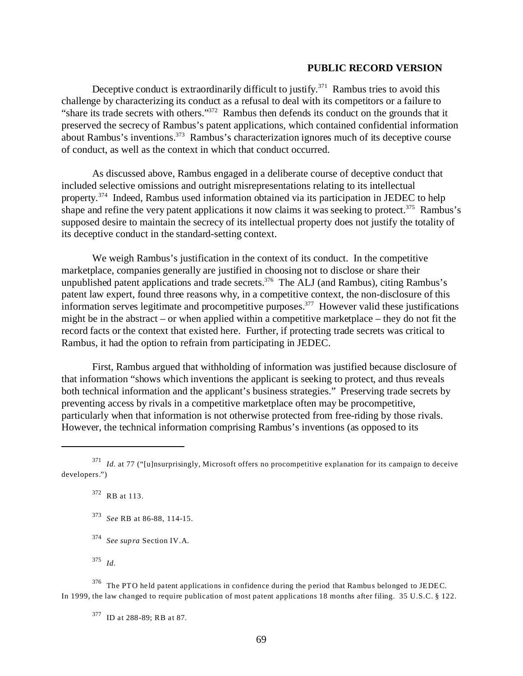Deceptive conduct is extraordinarily difficult to justify.<sup>371</sup> Rambus tries to avoid this challenge by characterizing its conduct as a refusal to deal with its competitors or a failure to "share its trade secrets with others."372 Rambus then defends its conduct on the grounds that it preserved the secrecy of Rambus's patent applications, which contained confidential information about Rambus's inventions.373 Rambus's characterization ignores much of its deceptive course of conduct, as well as the context in which that conduct occurred.

As discussed above, Rambus engaged in a deliberate course of deceptive conduct that included selective omissions and outright misrepresentations relating to its intellectual property.374 Indeed, Rambus used information obtained via its participation in JEDEC to help shape and refine the very patent applications it now claims it was seeking to protect.<sup>375</sup> Rambus's supposed desire to maintain the secrecy of its intellectual property does not justify the totality of its deceptive conduct in the standard-setting context.

We weigh Rambus's justification in the context of its conduct. In the competitive marketplace, companies generally are justified in choosing not to disclose or share their unpublished patent applications and trade secrets.<sup>376</sup> The ALJ (and Rambus), citing Rambus's patent law expert, found three reasons why, in a competitive context, the non-disclosure of this information serves legitimate and procompetitive purposes.377 However valid these justifications might be in the abstract – or when applied within a competitive marketplace – they do not fit the record facts or the context that existed here. Further, if protecting trade secrets was critical to Rambus, it had the option to refrain from participating in JEDEC.

First, Rambus argued that withholding of information was justified because disclosure of that information "shows which inventions the applicant is seeking to protect, and thus reveals both technical information and the applicant's business strategies." Preserving trade secrets by preventing access by rivals in a competitive marketplace often may be procompetitive, particularly when that information is not otherwise protected from free-riding by those rivals. However, the technical information comprising Rambus's inventions (as opposed to its

372 RB at 113.

- <sup>373</sup>*See* RB at 86-88, 114-15.
- <sup>374</sup>*See supra* Section IV.A.
- <sup>375</sup>*Id*.

376 The PTO held patent applications in confidence during the period that Rambus belonged to JEDEC. In 1999, the law changed to require publication of most patent applications 18 months after filing. 35 U.S.C. § 122.

377 ID at 288-89; RB at 87.

<sup>371</sup>*Id.* at 77 ("[u]nsurprisingly, Microsoft offers no procompetitive explanation for its campaign to deceive developers.")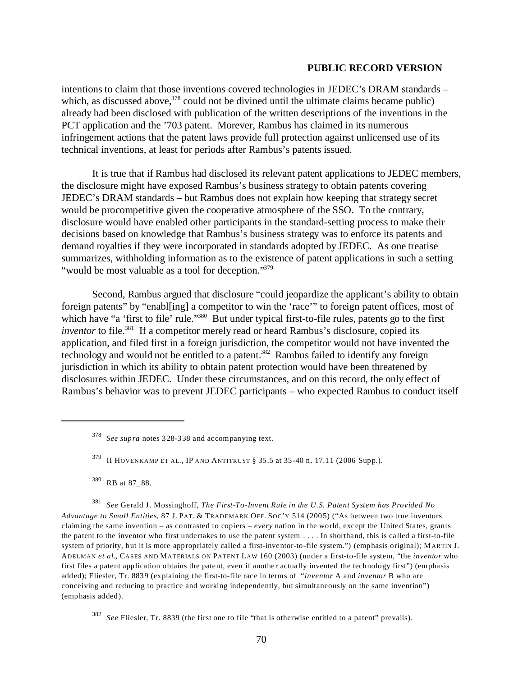intentions to claim that those inventions covered technologies in JEDEC's DRAM standards – which, as discussed above,  $378$  could not be divined until the ultimate claims became public) already had been disclosed with publication of the written descriptions of the inventions in the PCT application and the '703 patent. Morever, Rambus has claimed in its numerous infringement actions that the patent laws provide full protection against unlicensed use of its technical inventions, at least for periods after Rambus's patents issued.

It is true that if Rambus had disclosed its relevant patent applications to JEDEC members, the disclosure might have exposed Rambus's business strategy to obtain patents covering JEDEC's DRAM standards – but Rambus does not explain how keeping that strategy secret would be procompetitive given the cooperative atmosphere of the SSO. To the contrary, disclosure would have enabled other participants in the standard-setting process to make their decisions based on knowledge that Rambus's business strategy was to enforce its patents and demand royalties if they were incorporated in standards adopted by JEDEC. As one treatise summarizes, withholding information as to the existence of patent applications in such a setting "would be most valuable as a tool for deception."<sup>379</sup>

Second, Rambus argued that disclosure "could jeopardize the applicant's ability to obtain foreign patents" by "enabl[ing] a competitor to win the 'race'" to foreign patent offices, most of which have "a 'first to file' rule."<sup>380</sup> But under typical first-to-file rules, patents go to the first *inventor* to file.<sup>381</sup> If a competitor merely read or heard Rambus's disclosure, copied its application, and filed first in a foreign jurisdiction, the competitor would not have invented the technology and would not be entitled to a patent.<sup>382</sup> Rambus failed to identify any foreign jurisdiction in which its ability to obtain patent protection would have been threatened by disclosures within JEDEC. Under these circumstances, and on this record, the only effect of Rambus's behavior was to prevent JEDEC participants – who expected Rambus to conduct itself

<sup>381</sup>*See* Gerald J. Mossinghoff, *The First-To-Invent Rule in the U.S. Patent System has Provided No Advantage to Small Entities*, 87 J. PAT. & TRADEMARK OFF. SOC'Y 514 (2005) ("As between two true inventors claiming the same invention – as contrasted to copiers – *every* nation in the world, except the United States, grants the patent to the inventor who first undertakes to use the patent system . . . . In shorthand, this is called a first-to-file system of priority, but it is more appropriately called a first-inventor-to-file system.") (emphasis original); M ARTIN J. ADELMAN *et al*., CASES AND MATERIALS ON PATENT LAW 160 (2003) (under a first-to-file system, "the *inventor* who first files a patent application obtains the patent, even if another actually invented the technology first") (emphasis added); Fliesler, Tr. 8839 (explaining the first-to-file race in terms of "*inventor* A and *inventor* B who are conceiving and reducing to practice and working independently, but simultaneously on the same invention") (emphasis added).

<sup>378</sup>*See supra* notes 328-338 and accompanying text.

<sup>379</sup> II HOVENKAMP ET AL., IP AND ANTITRUST § 35.5 at 35-40 n. 17.11 (2006 Supp.).

<sup>380</sup> RB at 87\_88.

<sup>382</sup>*See* Fliesler, Tr. 8839 (the first one to file "that is otherwise entitled to a patent" prevails).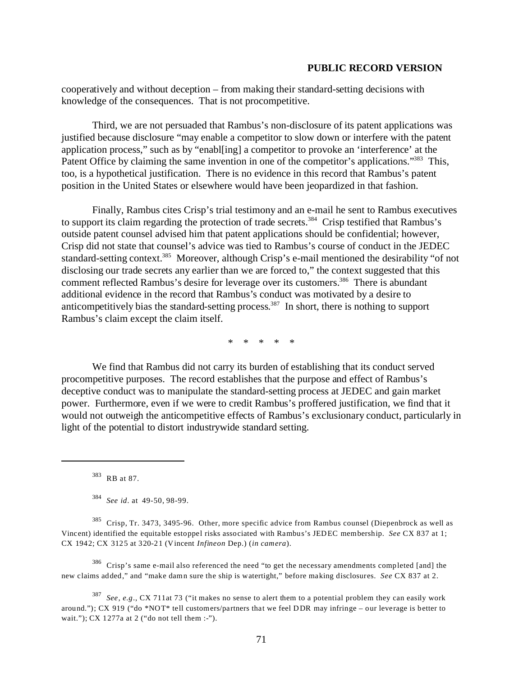cooperatively and without deception – from making their standard-setting decisions with knowledge of the consequences. That is not procompetitive.

Third, we are not persuaded that Rambus's non-disclosure of its patent applications was justified because disclosure "may enable a competitor to slow down or interfere with the patent application process," such as by "enabl[ing] a competitor to provoke an 'interference' at the Patent Office by claiming the same invention in one of the competitor's applications."<sup>383</sup> This, too, is a hypothetical justification. There is no evidence in this record that Rambus's patent position in the United States or elsewhere would have been jeopardized in that fashion.

Finally, Rambus cites Crisp's trial testimony and an e-mail he sent to Rambus executives to support its claim regarding the protection of trade secrets.<sup>384</sup> Crisp testified that Rambus's outside patent counsel advised him that patent applications should be confidential; however, Crisp did not state that counsel's advice was tied to Rambus's course of conduct in the JEDEC standard-setting context.<sup>385</sup> Moreover, although Crisp's e-mail mentioned the desirability "of not disclosing our trade secrets any earlier than we are forced to," the context suggested that this comment reflected Rambus's desire for leverage over its customers.<sup>386</sup> There is abundant additional evidence in the record that Rambus's conduct was motivated by a desire to anticompetitively bias the standard-setting process. 387 In short, there is nothing to support Rambus's claim except the claim itself.

\* \* \* \* \*

We find that Rambus did not carry its burden of establishing that its conduct served procompetitive purposes. The record establishes that the purpose and effect of Rambus's deceptive conduct was to manipulate the standard-setting process at JEDEC and gain market power. Furthermore, even if we were to credit Rambus's proffered justification, we find that it would not outweigh the anticompetitive effects of Rambus's exclusionary conduct, particularly in light of the potential to distort industrywide standard setting.

383 RB at 87.

<sup>384</sup>*See id*. at 49-50, 98-99.

385 Crisp, Tr. 3473, 3495-96. Other, more specific advice from Rambus counsel (Diepenbrock as well as Vincent) identified the equitable estoppel risks associated with Rambus's JEDEC membership. *See* CX 837 at 1; CX 1942; CX 3125 at 320-21 (Vincent *Infineon* Dep.) (*in camera*).

 $386$  Crisp's same e-mail also referenced the need "to get the necessary amendments completed [and] the new claims added," and "make damn sure the ship is watertight," before making disclosures. *See* CX 837 at 2.

<sup>387</sup>*See, e.g*., CX 711at 73 ("it makes no sense to alert them to a potential problem they can easily work around."); CX 919 ("do \*NOT\* tell customers/partners that we feel DDR may infringe – our leverage is better to wait."); CX 1277a at 2 ("do not tell them :-").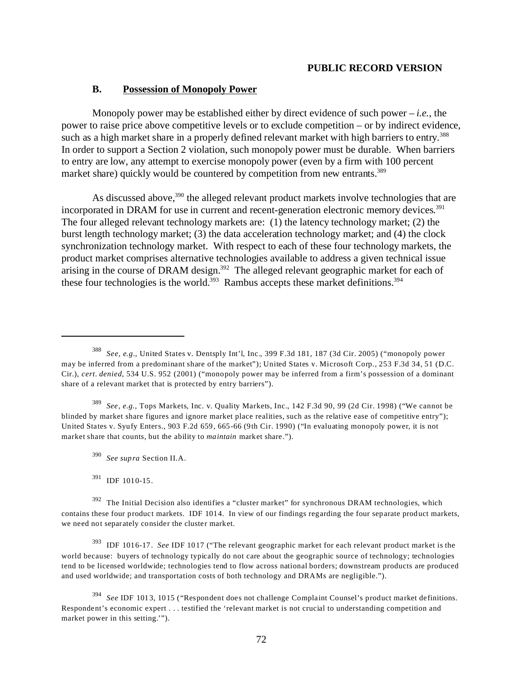# **B. Possession of Monopoly Power**

Monopoly power may be established either by direct evidence of such power – *i.e.*, the power to raise price above competitive levels or to exclude competition – or by indirect evidence, such as a high market share in a properly defined relevant market with high barriers to entry.<sup>388</sup> In order to support a Section 2 violation, such monopoly power must be durable. When barriers to entry are low, any attempt to exercise monopoly power (even by a firm with 100 percent market share) quickly would be countered by competition from new entrants.<sup>389</sup>

As discussed above,<sup>390</sup> the alleged relevant product markets involve technologies that are incorporated in DRAM for use in current and recent-generation electronic memory devices. 391 The four alleged relevant technology markets are: (1) the latency technology market; (2) the burst length technology market; (3) the data acceleration technology market; and (4) the clock synchronization technology market. With respect to each of these four technology markets, the product market comprises alternative technologies available to address a given technical issue arising in the course of DRAM design.<sup>392</sup> The alleged relevant geographic market for each of these four technologies is the world.<sup>393</sup> Rambus accepts these market definitions.<sup>394</sup>

<sup>389</sup>*See, e.g.,* Tops Markets, Inc. v. Quality Markets, Inc., 142 F.3d 90, 99 (2d Cir. 1998) ("We cannot be blinded by market share figures and ignore market place realities, such as the relative ease of competitive entry"); United States v. Syufy Enters., 903 F.2d 659, 665-66 (9th Cir. 1990) ("In evaluating monopoly power, it is not market share that counts, but the ability to *maintain* market share.").

393 IDF 1016-17. *See* IDF 1017 ("The relevant geographic market for each relevant product market is the world because: buyers of technology typically do not care about the geographic source of technology; technologies tend to be licensed worldwide; technologies tend to flow across national borders; downstream products are produced and used worldwide; and transportation costs of both technology and DRAMs are negligible.").

<sup>394</sup>*See* IDF 1013, 1015 ("Respondent does not challenge Complaint Counsel's product market definitions. Respondent's economic expert . . . testified the 'relevant market is not crucial to understanding competition and market power in this setting.'").

<sup>388</sup>*See, e.g.*, United States v. Dentsply Int'l, Inc., 399 F.3d 181, 187 (3d Cir. 2005) ("monopoly power may be inferred from a predominant share of the market"); United States v. Microsoft Corp., 253 F.3d 34, 51 (D.C. Cir.), *cert. denied*, 534 U.S. 952 (2001) ("monopoly power may be inferred from a firm's possession of a dominant share of a relevant market that is protected by entry barriers").

<sup>390</sup>*See supra* Section II.A.

<sup>391</sup> IDF 1010-15.

 $392$  The Initial Decision also identifies a "cluster market" for synchronous DRAM technologies, which contains these four product markets. IDF 1014. In view of our findings regarding the four separate product markets, we need not separately consider the cluster market.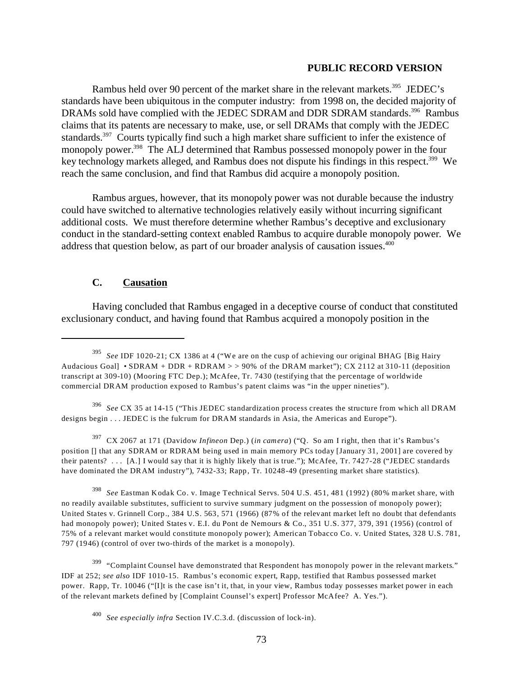Rambus held over 90 percent of the market share in the relevant markets.<sup>395</sup> JEDEC's standards have been ubiquitous in the computer industry: from 1998 on, the decided majority of DRAMs sold have complied with the JEDEC SDRAM and DDR SDRAM standards.<sup>396</sup> Rambus claims that its patents are necessary to make, use, or sell DRAMs that comply with the JEDEC standards.<sup>397</sup> Courts typically find such a high market share sufficient to infer the existence of monopoly power.<sup>398</sup> The ALJ determined that Rambus possessed monopoly power in the four key technology markets alleged, and Rambus does not dispute his findings in this respect.<sup>399</sup> We reach the same conclusion, and find that Rambus did acquire a monopoly position.

Rambus argues, however, that its monopoly power was not durable because the industry could have switched to alternative technologies relatively easily without incurring significant additional costs. We must therefore determine whether Rambus's deceptive and exclusionary conduct in the standard-setting context enabled Rambus to acquire durable monopoly power. We address that question below, as part of our broader analysis of causation issues.<sup>400</sup>

# **C. Causation**

Having concluded that Rambus engaged in a deceptive course of conduct that constituted exclusionary conduct, and having found that Rambus acquired a monopoly position in the

<sup>396</sup>*See* CX 35 at 14-15 ("This JEDEC standardization process creates the structure from which all DRAM designs begin . . . JEDEC is the fulcrum for DRAM standards in Asia, the Americas and Europe").

397 CX 2067 at 171 (Davidow *Infineon* Dep.) (*in camera*) ("Q. So am I right, then that it's Rambus's position [] that any SDRAM or RDRAM being used in main memory PCs today [January 31, 2001] are covered by their patents? . . . [A.] I would say that it is highly likely that is true."); McAfee, Tr. 7427-28 ("JEDEC standards have dominated the DRAM industry"), 7432-33; Rapp, Tr. 10248-49 (presenting market share statistics).

<sup>398</sup>*See* Eastman Kodak Co. v. Image Technical Servs. 504 U.S. 451, 481 (1992) (80% market share, with no readily available substitutes, sufficient to survive summary judgment on the possession of monopoly power); United States v. Grinnell Corp., 384 U.S. 563, 571 (1966) (87% of the relevant market left no doubt that defendants had monopoly power); United States v. E.I. du Pont de Nemours & Co., 351 U.S. 377, 379, 391 (1956) (control of 75% of a relevant market would constitute monopoly power); American Tobacco Co. v. United States, 328 U.S. 781, 797 (1946) (control of over two-thirds of the market is a monopoly).

<sup>399</sup> "Complaint Counsel have demonstrated that Respondent has monopoly power in the relevant markets." IDF at 252; *see also* IDF 1010-15. Rambus's economic expert, Rapp, testified that Rambus possessed market power. Rapp, Tr. 10046 ("[I]t is the case isn't it, that, in your view, Rambus today possesses market power in each of the relevant markets defined by [Complaint Counsel's expert] Professor McAfee? A. Yes.").

<sup>395</sup>*See* IDF 1020-21; CX 1386 at 4 ("We are on the cusp of achieving our original BHAG [Big Hairy Audacious Goal] • SDRAM + DDR + RDRAM > > 90% of the DRAM market"); CX 2112 at 310-11 (deposition transcript at 309-10) (Mooring FTC Dep.); McAfee, Tr. 7430 (testifying that the percentage of worldwide commercial DRAM production exposed to Rambus's patent claims was "in the upper nineties").

<sup>400</sup>*See especially infra* Section IV.C.3.d. (discussion of lock-in).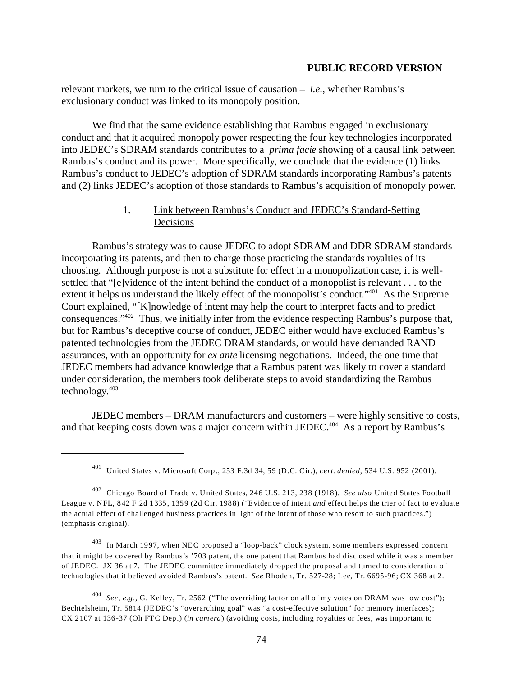relevant markets, we turn to the critical issue of causation – *i.e.*, whether Rambus's exclusionary conduct was linked to its monopoly position.

We find that the same evidence establishing that Rambus engaged in exclusionary conduct and that it acquired monopoly power respecting the four key technologies incorporated into JEDEC's SDRAM standards contributes to a *prima facie* showing of a causal link between Rambus's conduct and its power. More specifically, we conclude that the evidence (1) links Rambus's conduct to JEDEC's adoption of SDRAM standards incorporating Rambus's patents and (2) links JEDEC's adoption of those standards to Rambus's acquisition of monopoly power.

# 1. Link between Rambus's Conduct and JEDEC's Standard-Setting Decisions

Rambus's strategy was to cause JEDEC to adopt SDRAM and DDR SDRAM standards incorporating its patents, and then to charge those practicing the standards royalties of its choosing. Although purpose is not a substitute for effect in a monopolization case, it is wellsettled that "[e]vidence of the intent behind the conduct of a monopolist is relevant . . . to the extent it helps us understand the likely effect of the monopolist's conduct."<sup>401</sup> As the Supreme Court explained, "[K]nowledge of intent may help the court to interpret facts and to predict consequences."402 Thus, we initially infer from the evidence respecting Rambus's purpose that, but for Rambus's deceptive course of conduct, JEDEC either would have excluded Rambus's patented technologies from the JEDEC DRAM standards, or would have demanded RAND assurances, with an opportunity for *ex ante* licensing negotiations. Indeed, the one time that JEDEC members had advance knowledge that a Rambus patent was likely to cover a standard under consideration, the members took deliberate steps to avoid standardizing the Rambus technology. $403$ 

JEDEC members – DRAM manufacturers and customers – were highly sensitive to costs, and that keeping costs down was a major concern within JEDEC.<sup>404</sup> As a report by Rambus's

 $403$  In March 1997, when NEC proposed a "loop-back" clock system, some members expressed concern that it might be covered by Rambus's '703 patent, the one patent that Rambus had disclosed while it was a member of JEDEC. JX 36 at 7. The JEDEC committee immediately dropped the proposal and turned to consideration of technologies that it believed avoided Rambus's patent. *See* Rhoden, Tr. 527-28; Lee, Tr. 6695-96; CX 368 at 2.

<sup>404</sup>*See, e.g*., G. Kelley, Tr. 2562 ("The overriding factor on all of my votes on DRAM was low cost"); Bechtelsheim, Tr. 5814 (JEDEC's "overarching goal" was "a cost-effective solution" for memory interfaces); CX 2107 at 136-37 (Oh FTC Dep.) (*in camera*) (avoiding costs, including royalties or fees, was important to

<sup>401</sup> United States v. Microsoft Corp., 253 F.3d 34, 59 (D.C. Cir.), *cert. denied*, 534 U.S. 952 (2001).

<sup>402</sup> Chicago Board of Trade v. United States, 246 U.S. 213, 238 (1918). *See also* United States Football League v. NFL, 842 F.2d 1335, 1359 (2d Cir. 1988) ("Evidence of intent *and* effect helps the trier of fact to evaluate the actual effect of challenged business practices in light of the intent of those who resort to such practices.") (emphasis original).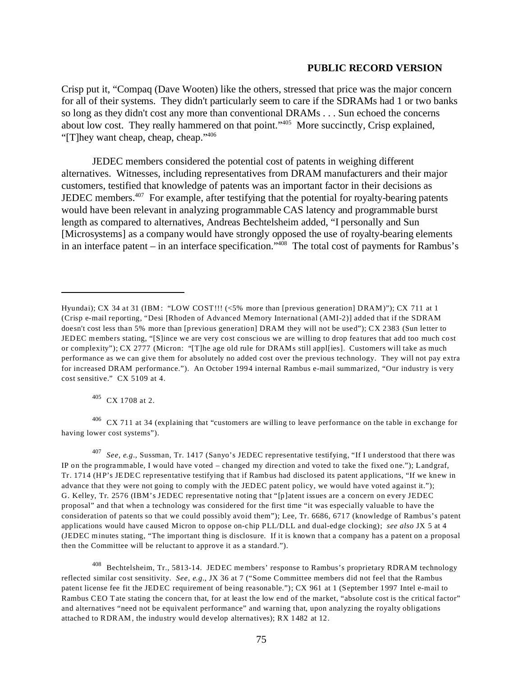Crisp put it, "Compaq (Dave Wooten) like the others, stressed that price was the major concern for all of their systems. They didn't particularly seem to care if the SDRAMs had 1 or two banks so long as they didn't cost any more than conventional DRAMs . . . Sun echoed the concerns about low cost. They really hammered on that point."405 More succinctly, Crisp explained, "[T]hey want cheap, cheap, cheap."406

JEDEC members considered the potential cost of patents in weighing different alternatives. Witnesses, including representatives from DRAM manufacturers and their major customers, testified that knowledge of patents was an important factor in their decisions as JEDEC members. $407$  For example, after testifying that the potential for royalty-bearing patents would have been relevant in analyzing programmable CAS latency and programmable burst length as compared to alternatives, Andreas Bechtelsheim added, "I personally and Sun [Microsystems] as a company would have strongly opposed the use of royalty-bearing elements in an interface patent – in an interface specification."408 The total cost of payments for Rambus's

405 CX 1708 at 2.

 $406$  CX 711 at 34 (explaining that "customers are willing to leave performance on the table in exchange for having lower cost systems").

<sup>407</sup>*See, e.g.*, Sussman, Tr. 1417 (Sanyo's JEDEC representative testifying, "If I understood that there was IP on the programmable, I would have voted – changed my direction and voted to take the fixed one."); Landgraf, Tr. 1714 (HP's JEDEC representative testifying that if Rambus had disclosed its patent applications, "If we knew in advance that they were not going to comply with the JEDEC patent policy, we would have voted against it."); G. Kelley, Tr. 2576 (IBM's JEDEC representative noting that "[p]atent issues are a concern on every JEDEC proposal" and that when a technology was considered for the first time "it was especially valuable to have the consideration of patents so that we could possibly avoid them"); Lee, Tr. 6686, 6717 (knowledge of Rambus's patent applications would have caused Micron to oppose on-chip PLL/DLL and dual-edge clocking); *see also* JX 5 at 4 (JEDEC minutes stating, "The important thing is disclosure. If it is known that a company has a patent on a proposal then the Committee will be reluctant to approve it as a standard.").

<sup>408</sup> Bechtelsheim, Tr., 5813-14. JEDEC members' response to Rambus's proprietary RDRAM technology reflected similar cost sensitivity. *See, e.g.*, JX 36 at 7 ("Some Committee members did not feel that the Rambus patent license fee fit the JEDEC requirement of being reasonable."); CX 961 at 1 (September 1997 Intel e-mail to Rambus CEO Tate stating the concern that, for at least the low end of the market, "absolute cost is the critical factor" and alternatives "need not be equivalent performance" and warning that, upon analyzing the royalty obligations attached to RDRAM, the industry would develop alternatives); RX 1482 at 12.

Hyundai); CX 34 at 31 (IBM: "LOW COST!!! (<5% more than [previous generation] DRAM)"); CX 711 at 1 (Crisp e-mail reporting, "Desi [Rhoden of Advanced Memory International (AMI-2)] added that if the SDRAM doesn't cost less than 5% more than [previous generation] DRAM they will not be used"); CX 2383 (Sun letter to JEDEC members stating, "[S]ince we are very cost conscious we are willing to drop features that add too much cost or complexity"); CX 2777 (Micron: "[T]he age old rule for DRAMs still appl[ies]. Customers will take as much performance as we can give them for absolutely no added cost over the previous technology. They will not pay extra for increased DRAM performance."). An October 1994 internal Rambus e-mail summarized, "Our industry is very cost sensitive." CX 5109 at 4.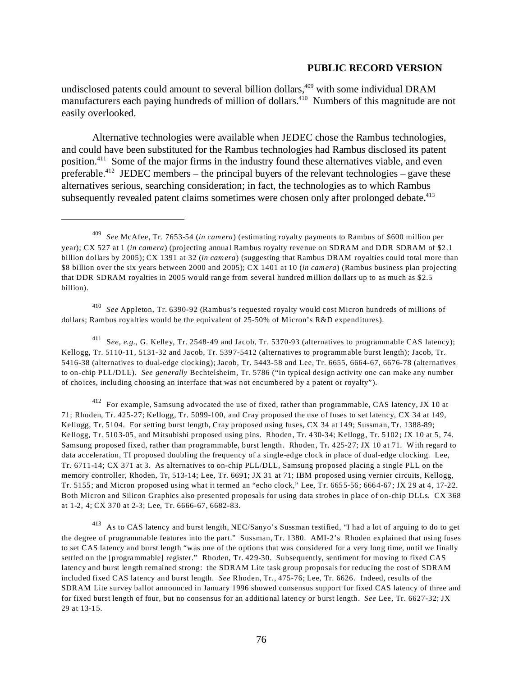undisclosed patents could amount to several billion dollars,<sup>409</sup> with some individual DRAM manufacturers each paying hundreds of million of dollars.<sup>410</sup> Numbers of this magnitude are not easily overlooked.

Alternative technologies were available when JEDEC chose the Rambus technologies, and could have been substituted for the Rambus technologies had Rambus disclosed its patent position.411 Some of the major firms in the industry found these alternatives viable, and even preferable.<sup>412</sup> JEDEC members – the principal buyers of the relevant technologies – gave these alternatives serious, searching consideration; in fact, the technologies as to which Rambus subsequently revealed patent claims sometimes were chosen only after prolonged debate.<sup>413</sup>

<sup>410</sup>*See* Appleton, Tr. 6390-92 (Rambus's requested royalty would cost Micron hundreds of millions of dollars; Rambus royalties would be the equivalent of 25-50% of Micron's R&D expenditures).

411 S*ee, e.g.*, G. Kelley, Tr. 2548-49 and Jacob, Tr. 5370-93 (alternatives to programmable CAS latency); Kellogg, Tr. 5110-11, 5131-32 and Jacob, Tr. 5397-5412 (alternatives to programmable burst length); Jacob, Tr. 5416-38 (alternatives to dual-edge clocking); Jacob, Tr. 5443-58 and Lee, Tr. 6655, 6664-67, 6676-78 (alternatives to on-chip PLL/DLL). *See generally* Bechtelsheim, Tr. 5786 ("in typical design activity one can make any number of choices, including choosing an interface that was not encumbered by a patent or royalty").

412 For example, Samsung advocated the use of fixed, rather than programmable, CAS latency, JX 10 at 71; Rhoden, Tr. 425-27; Kellogg, Tr. 5099-100, and Cray proposed the use of fuses to set latency, CX 34 at 149, Kellogg, Tr. 5104. For setting burst length, Cray proposed using fuses, CX 34 at 149; Sussman, Tr. 1388-89; Kellogg, Tr. 5103-05, and Mitsubishi proposed using pins. Rhoden, Tr. 430-34; Kellogg, Tr. 5102; JX 10 at 5, 74. Samsung proposed fixed, rather than programmable, burst length. Rhoden, Tr. 425-27; JX 10 at 71. With regard to data acceleration, TI proposed doubling the frequency of a single-edge clock in place of dual-edge clocking. Lee, Tr. 6711-14; CX 371 at 3. As alternatives to on-chip PLL/DLL, Samsung proposed placing a single PLL on the memory controller, Rhoden, Tr, 513-14; Lee, Tr. 6691; JX 31 at 71; IBM proposed using vernier circuits, Kellogg, Tr. 5155; and Micron proposed using what it termed an "echo clock," Lee, Tr. 6655-56; 6664-67; JX 29 at 4, 17-22. Both Micron and Silicon Graphics also presented proposals for using data strobes in place of on-chip DLLs. CX 368 at 1-2, 4; CX 370 at 2-3; Lee, Tr. 6666-67, 6682-83.

413 As to CAS latency and burst length, NEC/Sanyo's Sussman testified, "I had a lot of arguing to do to get the degree of programmable features into the part." Sussman, Tr. 1380. AMI-2's Rhoden explained that using fuses to set CAS latency and burst length "was one of the options that was considered for a very long time, until we finally settled on the [programmable] register." Rhoden, Tr. 429-30. Subsequently, sentiment for moving to fixed CAS latency and burst length remained strong: the SDRAM Lite task group proposals for reducing the cost of SDRAM included fixed CAS latency and burst length. *See* Rhoden, Tr., 475-76; Lee, Tr. 6626. Indeed, results of the SDRAM Lite survey ballot announced in January 1996 showed consensus support for fixed CAS latency of three and for fixed burst length of four, but no consensus for an additional latency or burst length. *See* Lee, Tr. 6627-32; JX 29 at 13-15.

<sup>409</sup>*See* McAfee, Tr. 7653-54 (*in camera*) (estimating royalty payments to Rambus of \$600 million per year); CX 527 at 1 (*in camera*) (projecting annual Rambus royalty revenue on SDRAM and DDR SDRAM of \$2.1 billion dollars by 2005); CX 1391 at 32 (*in camera*) (suggesting that Rambus DRAM royalties could total more than \$8 billion over the six years between 2000 and 2005); CX 1401 at 10 (*in camera*) (Rambus business plan projecting that DDR SDRAM royalties in 2005 would range from several hundred million dollars up to as much as \$2.5 billion).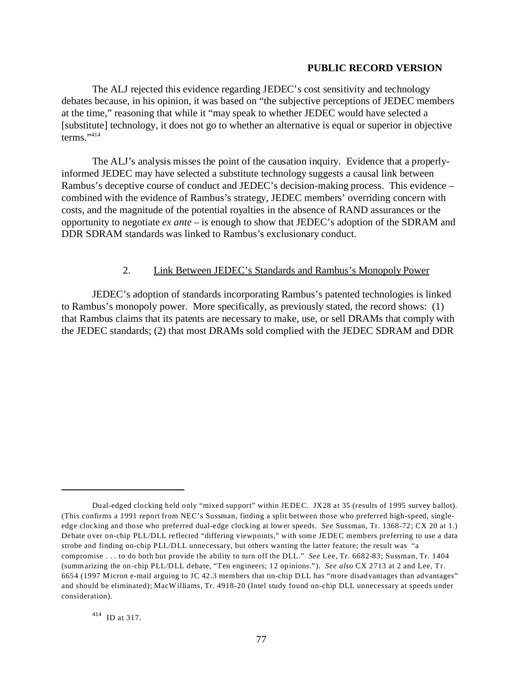The ALJ rejected this evidence regarding JEDEC's cost sensitivity and technology debates because, in his opinion, it was based on "the subjective perceptions of JEDEC members at the time," reasoning that while it "may speak to whether JEDEC would have selected a [substitute] technology, it does not go to whether an alternative is equal or superior in objective terms."414

The ALJ's analysis misses the point of the causation inquiry. Evidence that a properlyinformed JEDEC may have selected a substitute technology suggests a causal link between Rambus's deceptive course of conduct and JEDEC's decision-making process. This evidence – combined with the evidence of Rambus's strategy, JEDEC members' overriding concern with costs, and the magnitude of the potential royalties in the absence of RAND assurances or the opportunity to negotiate *ex ante* – is enough to show that JEDEC's adoption of the SDRAM and DDR SDRAM standards was linked to Rambus's exclusionary conduct.

## 2. Link Between JEDEC's Standards and Rambus's Monopoly Power

JEDEC's adoption of standards incorporating Rambus's patented technologies is linked to Rambus's monopoly power. More specifically, as previously stated, the record shows: (1) that Rambus claims that its patents are necessary to make, use, or sell DRAMs that comply with the JEDEC standards; (2) that most DRAMs sold complied with the JEDEC SDRAM and DDR

Dual-edged clocking held only "mixed support" within JEDEC. JX28 at 35 (results of 1995 survey ballot). (This confirms a 1991 report from NEC's Sussman, finding a split between those who preferred high-speed, singleedge clocking and those who preferred dual-edge clocking at lower speeds. *See* Sussman, Tr. 1368-72; CX 20 at 1.) Debate over on-chip PLL/DLL reflected "differing viewpoints," with some JEDEC members preferring to use a data strobe and finding on-chip PLL/DLL unnecessary, but others wanting the latter feature; the result was "a compromise . . . to do both but provide the ability to turn off the DLL." *See* Lee, Tr. 6682-83; Sussman, Tr. 1404 (summarizing the on-chip PLL/DLL debate, "Ten engineers; 12 opinions."). *See also* CX 2713 at 2 and Lee, Tr. 6654 (1997 Micron e-mail arguing to JC 42.3 members that on-chip DLL has "more disadvantages than advantages" and should be eliminated); MacW illiams, Tr. 4918-20 (Intel study found on-chip DLL unnecessary at speeds under consideration).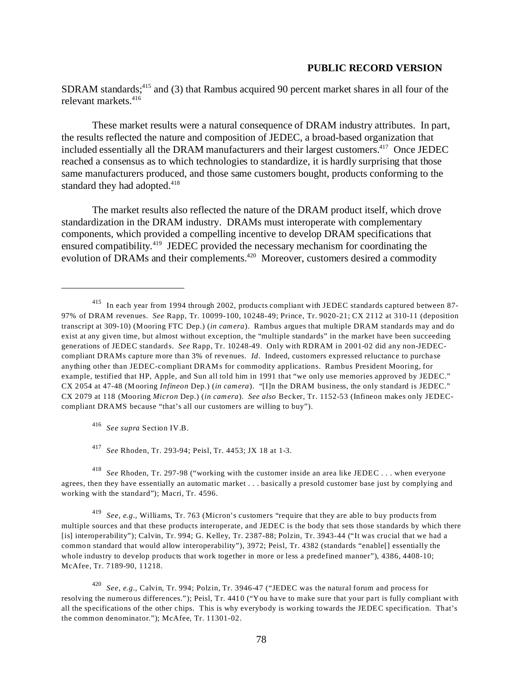SDRAM standards; $415$  and (3) that Rambus acquired 90 percent market shares in all four of the relevant markets.416

These market results were a natural consequence of DRAM industry attributes. In part, the results reflected the nature and composition of JEDEC, a broad-based organization that included essentially all the DRAM manufacturers and their largest customers.<sup>417</sup> Once JEDEC reached a consensus as to which technologies to standardize, it is hardly surprising that those same manufacturers produced, and those same customers bought, products conforming to the standard they had adopted.<sup>418</sup>

The market results also reflected the nature of the DRAM product itself, which drove standardization in the DRAM industry. DRAMs must interoperate with complementary components, which provided a compelling incentive to develop DRAM specifications that ensured compatibility.<sup>419</sup> JEDEC provided the necessary mechanism for coordinating the evolution of DRAMs and their complements.<sup>420</sup> Moreover, customers desired a commodity

<sup>416</sup>*See supra* Section IV.B.

<sup>417</sup>*See* Rhoden, Tr. 293-94; Peisl, Tr. 4453; JX 18 at 1-3.

<sup>418</sup>*See* Rhoden, Tr. 297-98 ("working with the customer inside an area like JEDEC . . . when everyone agrees, then they have essentially an automatic market . . . basically a presold customer base just by complying and working with the standard"); Macri, Tr. 4596.

<sup>419</sup>*See, e.g.*, Williams, Tr. 763 (Micron's customers "require that they are able to buy products from multiple sources and that these products interoperate, and JEDEC is the body that sets those standards by which there [is] interoperability"); Calvin, Tr. 994; G. Kelley, Tr. 2387-88; Polzin, Tr. 3943-44 ("It was crucial that we had a common standard that would allow interoperability"), 3972; Peisl, Tr. 4382 (standards "enable[] essentially the whole industry to develop products that work together in more or less a predefined manner"), 4386, 4408-10; McAfee, Tr. 7189-90, 11218.

<sup>420</sup>*See, e.g.*, Calvin, Tr. 994; Polzin, Tr. 3946-47 ("JEDEC was the natural forum and process for resolving the numerous differences."); Peisl, Tr. 4410 ("You have to make sure that your part is fully compliant with all the specifications of the other chips. This is why everybody is working towards the JEDEC specification. That's the common denominator."); McAfee, Tr. 11301-02.

<sup>415</sup> In each year from 1994 through 2002, products compliant with JEDEC standards captured between 87 97% of DRAM revenues. *See* Rapp, Tr. 10099-100, 10248-49; Prince, Tr. 9020-21; CX 2112 at 310-11 (deposition transcript at 309-10) (Mooring FTC Dep.) (*in camera*). Rambus argues that multiple DRAM standards may and do exist at any given time, but almost without exception, the "multiple standards" in the market have been succeeding generations of JEDEC standards. *See* Rapp, Tr. 10248-49. Only with RDRAM in 2001-02 did any non-JEDECcompliant DRAMs capture more than 3% of revenues. *Id*. Indeed, customers expressed reluctance to purchase anything other than JEDEC-compliant DRAMs for commodity applications. Rambus President Mooring, for example, testified that HP, Apple, and Sun all told him in 1991 that "we only use memories approved by JEDEC." CX 2054 at 47-48 (Mooring *Infineon* Dep.) (*in camera*). "[I]n the DRAM business, the only standard is JEDEC." CX 2079 at 118 (Mooring *Micron* Dep.) (*in camera*). *See also* Becker, Tr. 1152-53 (Infineon makes only JEDECcompliant DRAMS because "that's all our customers are willing to buy").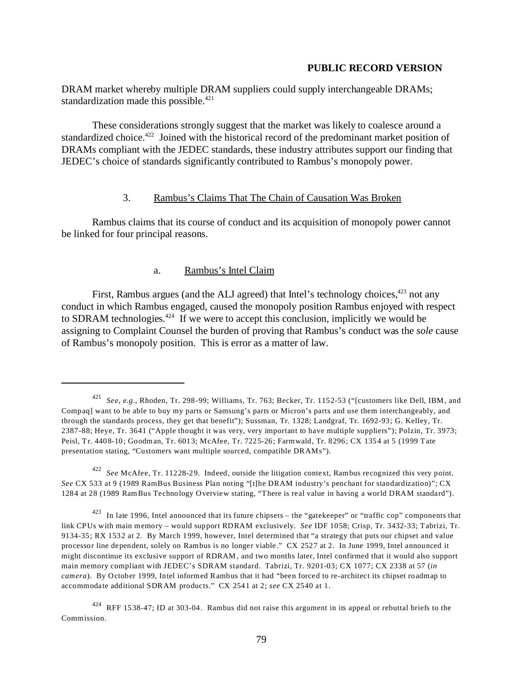DRAM market whereby multiple DRAM suppliers could supply interchangeable DRAMs; standardization made this possible.<sup>421</sup>

These considerations strongly suggest that the market was likely to coalesce around a standardized choice.<sup>422</sup> Joined with the historical record of the predominant market position of DRAMs compliant with the JEDEC standards, these industry attributes support our finding that JEDEC's choice of standards significantly contributed to Rambus's monopoly power.

# 3. Rambus's Claims That The Chain of Causation Was Broken

Rambus claims that its course of conduct and its acquisition of monopoly power cannot be linked for four principal reasons.

# a. Rambus's Intel Claim

First, Rambus argues (and the ALJ agreed) that Intel's technology choices,  $423$  not any conduct in which Rambus engaged, caused the monopoly position Rambus enjoyed with respect to SDRAM technologies. $424$  If we were to accept this conclusion, implicitly we would be assigning to Complaint Counsel the burden of proving that Rambus's conduct was the *sole* cause of Rambus's monopoly position. This is error as a matter of law.

<sup>421</sup>*See, e.g.*, Rhoden, Tr. 298-99; Williams, Tr. 763; Becker, Tr. 1152-53 ("[customers like Dell, IBM, and Compaq] want to be able to buy my parts or Samsung's parts or Micron's parts and use them interchangeably, and through the standards process, they get that benefit"); Sussman, Tr. 1328; Landgraf, Tr. 1692-93; G. Kelley, Tr. 2387-88; Heye, Tr. 3641 ("Apple thought it was very, very important to have multiple suppliers"); Polzin, Tr. 3973; Peisl, Tr. 4408-10; Goodman, Tr. 6013; McAfee, Tr. 7225-26; Farmwald, Tr. 8296; CX 1354 at 5 (1999 Tate presentation stating, "Customers want multiple sourced, compatible DRAMs").

<sup>422</sup>*See* McAfee, Tr. 11228-29. Indeed, outside the litigation context, Rambus recognized this very point. *See* CX 533 at 9 (1989 RamBus Business Plan noting "[t]he DRAM industry's penchant for standardization)"; CX 1284 at 28 (1989 RamBus Technology Overview stating, "There is real value in having a world DRAM standard").

 $423$  In late 1996, Intel announced that its future chipsets – the "gatekeeper" or "traffic cop" components that link CPUs with main memory – would support RDRAM exclusively. *See* IDF 1058; Crisp, Tr. 3432-33; Tabrizi, Tr. 9134-35; RX 1532 at 2. By March 1999, however, Intel determined that "a strategy that puts our chipset and value processor line dependent, solely on Rambus is no longer viable." CX 2527 at 2. In June 1999, Intel announced it might discontinue its exclusive support of RDRAM , and two months later, Intel confirmed that it would also support main memory compliant with JEDEC's SDRAM standard. Tabrizi, Tr. 9201-03; CX 1077; CX 2338 at 57 (*in camera*). By October 1999, Intel informed Rambus that it had "been forced to re-architect its chipset roadmap to accommodate additional SDRAM products." CX 2541 at 2; *see* CX 2540 at 1.

<sup>424</sup> RFF 1538-47; ID at 303-04. Rambus did not raise this argument in its appeal or rebuttal briefs to the Commission.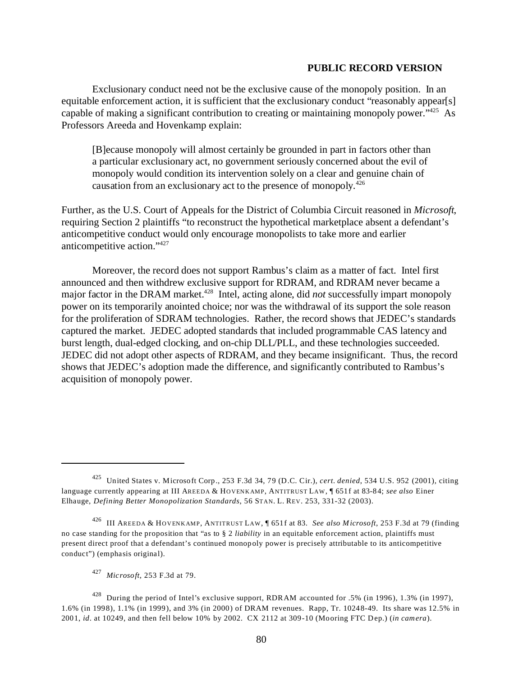Exclusionary conduct need not be the exclusive cause of the monopoly position. In an equitable enforcement action, it is sufficient that the exclusionary conduct "reasonably appear[s] capable of making a significant contribution to creating or maintaining monopoly power."<sup>425</sup> As Professors Areeda and Hovenkamp explain:

[B]ecause monopoly will almost certainly be grounded in part in factors other than a particular exclusionary act, no government seriously concerned about the evil of monopoly would condition its intervention solely on a clear and genuine chain of causation from an exclusionary act to the presence of monopoly.<sup>426</sup>

Further, as the U.S. Court of Appeals for the District of Columbia Circuit reasoned in *Microsoft*, requiring Section 2 plaintiffs "to reconstruct the hypothetical marketplace absent a defendant's anticompetitive conduct would only encourage monopolists to take more and earlier anticompetitive action."427

Moreover, the record does not support Rambus's claim as a matter of fact. Intel first announced and then withdrew exclusive support for RDRAM, and RDRAM never became a major factor in the DRAM market.<sup>428</sup> Intel, acting alone, did *not* successfully impart monopoly power on its temporarily anointed choice; nor was the withdrawal of its support the sole reason for the proliferation of SDRAM technologies. Rather, the record shows that JEDEC's standards captured the market. JEDEC adopted standards that included programmable CAS latency and burst length, dual-edged clocking, and on-chip DLL/PLL, and these technologies succeeded. JEDEC did not adopt other aspects of RDRAM, and they became insignificant. Thus, the record shows that JEDEC's adoption made the difference, and significantly contributed to Rambus's acquisition of monopoly power.

<sup>426</sup> III AREEDA & HOVENKAMP, ANTITRUST LAW, ¶ 651f at 83. *See also Microsoft*, 253 F.3d at 79 (finding no case standing for the proposition that "as to § 2 *liability* in an equitable enforcement action, plaintiffs must present direct proof that a defendant's continued monopoly power is precisely attributable to its anticompetitive conduct") (emphasis original).

<sup>425</sup> United States v. Microsoft Corp., 253 F.3d 34, 79 (D.C. Cir.), *cert. denied*, 534 U.S. 952 (2001), citing language currently appearing at III AREEDA & HOVENKAMP, ANTITRUST LAW, **[651f at 83-84;** *see also* Einer Elhauge, *Defining Better Monopolization Standards*, 56 STAN. L. REV. 253, 331-32 (2003).

<sup>427</sup>*Microsoft*, 253 F.3d at 79.

<sup>428</sup> During the period of Intel's exclusive support, RDRAM accounted for .5% (in 1996), 1.3% (in 1997), 1.6% (in 1998), 1.1% (in 1999), and 3% (in 2000) of DRAM revenues. Rapp, Tr. 10248-49. Its share was 12.5% in 2001, *id*. at 10249, and then fell below 10% by 2002. CX 2112 at 309-10 (Mooring FTC Dep.) (*in camera*).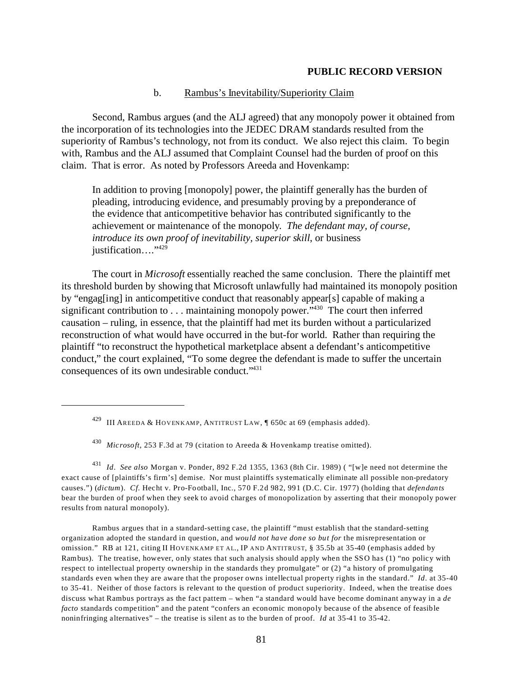### b. Rambus's Inevitability/Superiority Claim

Second, Rambus argues (and the ALJ agreed) that any monopoly power it obtained from the incorporation of its technologies into the JEDEC DRAM standards resulted from the superiority of Rambus's technology, not from its conduct. We also reject this claim. To begin with, Rambus and the ALJ assumed that Complaint Counsel had the burden of proof on this claim. That is error. As noted by Professors Areeda and Hovenkamp:

In addition to proving [monopoly] power, the plaintiff generally has the burden of pleading, introducing evidence, and presumably proving by a preponderance of the evidence that anticompetitive behavior has contributed significantly to the achievement or maintenance of the monopoly. *The defendant may, of course, introduce its own proof of inevitability, superior skill*, or business justification...."<sup>429</sup>

The court in *Microsoft* essentially reached the same conclusion. There the plaintiff met its threshold burden by showing that Microsoft unlawfully had maintained its monopoly position by "engag[ing] in anticompetitive conduct that reasonably appear[s] capable of making a significant contribution to . . . maintaining monopoly power."<sup>430</sup> The court then inferred causation – ruling, in essence, that the plaintiff had met its burden without a particularized reconstruction of what would have occurred in the but-for world. Rather than requiring the plaintiff "to reconstruct the hypothetical marketplace absent a defendant's anticompetitive conduct," the court explained, "To some degree the defendant is made to suffer the uncertain consequences of its own undesirable conduct."431

<sup>431</sup>*Id*. *See also* Morgan v. Ponder, 892 F.2d 1355, 1363 (8th Cir. 1989) ( "[w]e need not determine the exact cause of [plaintiffs's firm's] demise. Nor must plaintiffs systematically eliminate all possible non-predatory causes.") (*dictum*). *Cf*. Hecht v. Pro-Football, Inc., 570 F.2d 982, 991 (D.C. Cir. 1977) (holding that *defendants*  bear the burden of proof when they seek to avoid charges of monopolization by asserting that their monopoly power results from natural monopoly).

Rambus argues that in a standard-setting case, the plaintiff "must establish that the standard-setting organization adopted the standard in question, and *would not have done so but for* the misrepresentation or omission." RB at 121, citing II HOVENKAMP ET AL., IP AND ANTITRUST, § 35.5b at 35-40 (emphasis added by Rambus). The treatise, however, only states that such analysis should apply when the SSO has (1) "no policy with respect to intellectual property ownership in the standards they promulgate" or (2) "a history of promulgating standards even when they are aware that the proposer owns intellectual property rights in the standard." *Id*. at 35-40 to 35-41. Neither of those factors is relevant to the question of product superiority. Indeed, when the treatise does discuss what Rambus portrays as the fact pattern – when "a standard would have become dominant anyway in a *de facto* standards competition" and the patent "confers an economic monopoly because of the absence of feasible noninfringing alternatives" – the treatise is silent as to the burden of proof. *Id* at 35-41 to 35-42.

<sup>&</sup>lt;sup>429</sup> III AREEDA & HOVENKAMP, ANTITRUST LAW,  $\parallel$  650c at 69 (emphasis added).

<sup>430</sup>*Microsoft*, 253 F.3d at 79 (citation to Areeda & Hovenkamp treatise omitted).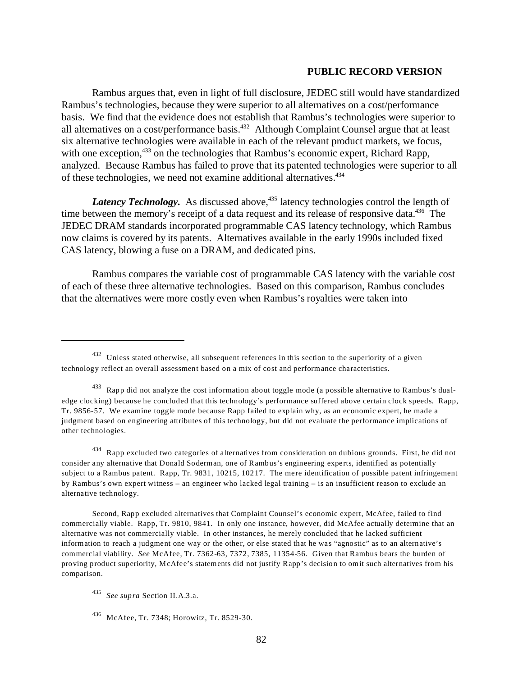Rambus argues that, even in light of full disclosure, JEDEC still would have standardized Rambus's technologies, because they were superior to all alternatives on a cost/performance basis. We find that the evidence does not establish that Rambus's technologies were superior to all alternatives on a cost/performance basis.432 Although Complaint Counsel argue that at least six alternative technologies were available in each of the relevant product markets, we focus, with one exception,<sup>433</sup> on the technologies that Rambus's economic expert, Richard Rapp, analyzed. Because Rambus has failed to prove that its patented technologies were superior to all of these technologies, we need not examine additional alternatives.434

*Latency Technology.* As discussed above,<sup>435</sup> latency technologies control the length of time between the memory's receipt of a data request and its release of responsive data.<sup>436</sup> The JEDEC DRAM standards incorporated programmable CAS latency technology, which Rambus now claims is covered by its patents. Alternatives available in the early 1990s included fixed CAS latency, blowing a fuse on a DRAM, and dedicated pins.

Rambus compares the variable cost of programmable CAS latency with the variable cost of each of these three alternative technologies. Based on this comparison, Rambus concludes that the alternatives were more costly even when Rambus's royalties were taken into

Second, Rapp excluded alternatives that Complaint Counsel's economic expert, McAfee, failed to find commercially viable. Rapp, Tr. 9810, 9841. In only one instance, however, did McAfee actually determine that an alternative was not commercially viable. In other instances, he merely concluded that he lacked sufficient information to reach a judgment one way or the other, or else stated that he was "agnostic" as to an alternative's commercial viability. *See* McAfee, Tr. 7362-63, 7372, 7385, 11354-56. Given that Rambus bears the burden of proving product superiority, McAfee's statements did not justify Rapp's decision to omit such alternatives from his comparison.

<sup>432</sup> Unless stated otherwise, all subsequent references in this section to the superiority of a given technology reflect an overall assessment based on a mix of cost and performance characteristics.

<sup>433</sup> Rapp did not analyze the cost information about toggle mode (a possible alternative to Rambus's dualedge clocking) because he concluded that this technology's performance suffered above certain clock speeds. Rapp, Tr. 9856-57. We examine toggle mode because Rapp failed to explain why, as an economic expert, he made a judgment based on engineering attributes of this technology, but did not evaluate the performance implications of other technologies.

<sup>434</sup> Rapp excluded two categories of alternatives from consideration on dubious grounds. First, he did not consider any alternative that Donald Soderman, one of Rambus's engineering experts, identified as potentially subject to a Rambus patent. Rapp, Tr. 9831, 10215, 10217. The mere identification of possible patent infringement by Rambus's own expert witness – an engineer who lacked legal training – is an insufficient reason to exclude an alternative technology.

<sup>435</sup>*See supra* Section II.A.3.a.

<sup>436</sup> McAfee, Tr. 7348; Horowitz, Tr. 8529-30.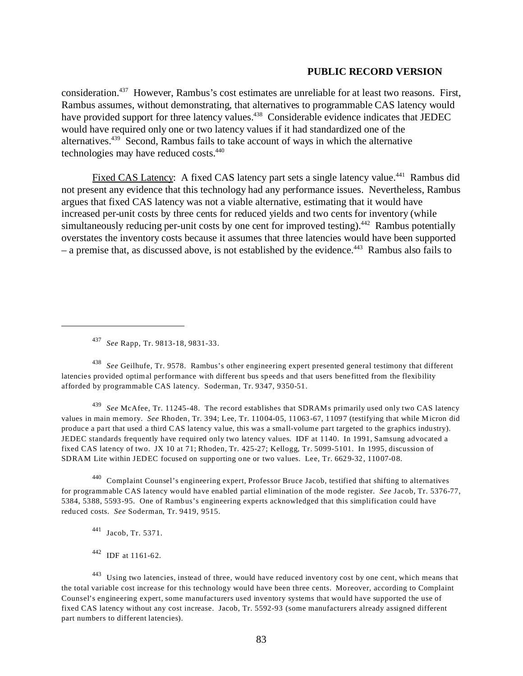consideration.437 However, Rambus's cost estimates are unreliable for at least two reasons. First, Rambus assumes, without demonstrating, that alternatives to programmable CAS latency would have provided support for three latency values.<sup>438</sup> Considerable evidence indicates that JEDEC would have required only one or two latency values if it had standardized one of the alternatives.439 Second, Rambus fails to take account of ways in which the alternative technologies may have reduced costs.440

Fixed CAS Latency: A fixed CAS latency part sets a single latency value.<sup>441</sup> Rambus did not present any evidence that this technology had any performance issues. Nevertheless, Rambus argues that fixed CAS latency was not a viable alternative, estimating that it would have increased per-unit costs by three cents for reduced yields and two cents for inventory (while simultaneously reducing per-unit costs by one cent for improved testing).<sup>442</sup> Rambus potentially overstates the inventory costs because it assumes that three latencies would have been supported  $-$  a premise that, as discussed above, is not established by the evidence.<sup>443</sup> Rambus also fails to

<sup>437</sup>*See* Rapp, Tr. 9813-18, 9831-33.

<sup>438</sup>*See* Geilhufe, Tr. 9578. Rambus's other engineering expert presented general testimony that different latencies provided optimal performance with different bus speeds and that users benefitted from the flexibility afforded by programmable CAS latency. Soderman, Tr. 9347, 9350-51.

<sup>439</sup>*See* McAfee, Tr. 11245-48. The record establishes that SDRAMs primarily used only two CAS latency values in main memory. *See* Rhoden, Tr. 394; Lee, Tr. 11004-05, 11063-67, 11097 (testifying that while Micron did produce a part that used a third CAS latency value, this was a small-volume part targeted to the graphics industry). JEDEC standards frequently have required only two latency values. IDF at 1140. In 1991, Samsung advocated a fixed CAS latency of two. JX 10 at 71; Rhoden, Tr. 425-27; Kellogg, Tr. 5099-5101. In 1995, discussion of SDRAM Lite within JEDEC focused on supporting one or two values. Lee, Tr. 6629-32, 11007-08.

<sup>440</sup> Complaint Counsel's engineering expert, Professor Bruce Jacob, testified that shifting to alternatives for programmable CAS latency would have enabled partial elimination of the mode register. *See* Jacob, Tr. 5376-77, 5384, 5388, 5593-95. One of Rambus's engineering experts acknowledged that this simplification could have reduced costs. *See* Soderman, Tr. 9419, 9515.

441 Jacob, Tr. 5371.

442 IDF at 1161-62.

443 Using two latencies, instead of three, would have reduced inventory cost by one cent, which means that the total variable cost increase for this technology would have been three cents. Moreover, according to Complaint Counsel's engineering expert, some manufacturers used inventory systems that would have supported the use of fixed CAS latency without any cost increase. Jacob, Tr. 5592-93 (some manufacturers already assigned different part numbers to different latencies).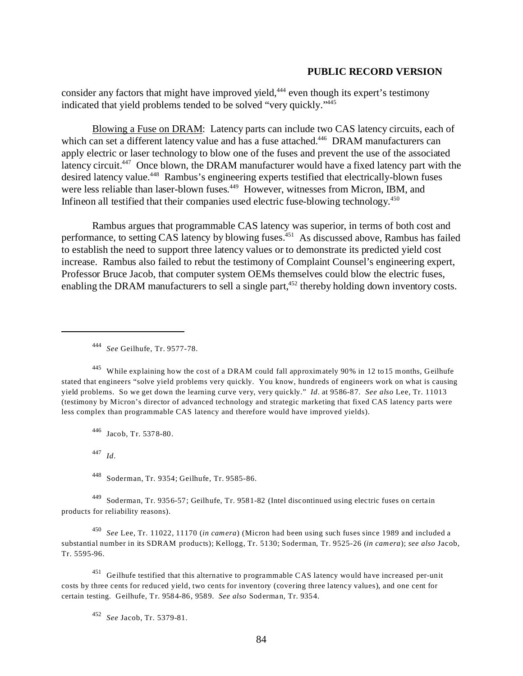consider any factors that might have improved yield,<sup>444</sup> even though its expert's testimony indicated that yield problems tended to be solved "very quickly."445

Blowing a Fuse on DRAM: Latency parts can include two CAS latency circuits, each of which can set a different latency value and has a fuse attached.<sup>446</sup> DRAM manufacturers can apply electric or laser technology to blow one of the fuses and prevent the use of the associated latency circuit.<sup>447</sup> Once blown, the DRAM manufacturer would have a fixed latency part with the desired latency value.<sup>448</sup> Rambus's engineering experts testified that electrically-blown fuses were less reliable than laser-blown fuses.<sup>449</sup> However, witnesses from Micron, IBM, and Infineon all testified that their companies used electric fuse-blowing technology.<sup>450</sup>

Rambus argues that programmable CAS latency was superior, in terms of both cost and performance, to setting CAS latency by blowing fuses.<sup>451</sup> As discussed above, Rambus has failed to establish the need to support three latency values or to demonstrate its predicted yield cost increase. Rambus also failed to rebut the testimony of Complaint Counsel's engineering expert, Professor Bruce Jacob, that computer system OEMs themselves could blow the electric fuses, enabling the DRAM manufacturers to sell a single part,<sup>452</sup> thereby holding down inventory costs.

<sup>445</sup> While explaining how the cost of a DRAM could fall approximately 90% in 12 to15 months, Geilhufe stated that engineers "solve yield problems very quickly. You know, hundreds of engineers work on what is causing yield problems. So we get down the learning curve very, very quickly." *Id.* at 9586-87. *See also* Lee, Tr. 11013 (testimony by Micron's director of advanced technology and strategic marketing that fixed CAS latency parts were less complex than programmable CAS latency and therefore would have improved yields).

446 Jacob, Tr. 5378-80.

<sup>447</sup>*Id*.

448 Soderman, Tr. 9354; Geilhufe, Tr. 9585-86.

449 Soderman, Tr. 9356-57; Geilhufe, Tr. 9581-82 (Intel discontinued using electric fuses on certain products for reliability reasons).

<sup>450</sup>*See* Lee, Tr. 11022, 11170 (*in camera*) (Micron had been using such fuses since 1989 and included a substantial number in its SDRAM products); Kellogg, Tr. 5130; Soderman, Tr. 9525-26 (*in camera*); *see also* Jacob, Tr. 5595-96.

451 Geilhufe testified that this alternative to programmable CAS latency would have increased per-unit costs by three cents for reduced yield, two cents for inventory (covering three latency values), and one cent for certain testing. Geilhufe, Tr. 9584-86, 9589. *See also* Soderman, Tr. 9354.

<sup>452</sup>*See* Jacob, Tr. 5379-81.

<sup>444</sup>*See* Geilhufe, Tr. 9577-78.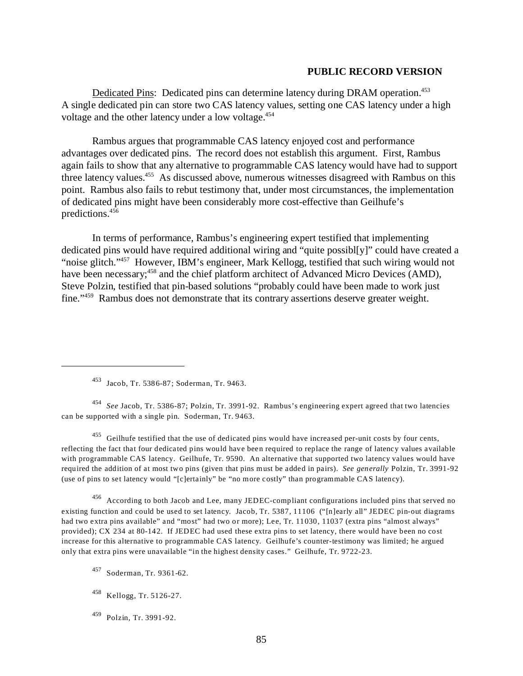Dedicated Pins: Dedicated pins can determine latency during DRAM operation.<sup>453</sup> A single dedicated pin can store two CAS latency values, setting one CAS latency under a high voltage and the other latency under a low voltage.<sup>454</sup>

Rambus argues that programmable CAS latency enjoyed cost and performance advantages over dedicated pins. The record does not establish this argument. First, Rambus again fails to show that any alternative to programmable CAS latency would have had to support three latency values.<sup>455</sup> As discussed above, numerous witnesses disagreed with Rambus on this point. Rambus also fails to rebut testimony that, under most circumstances, the implementation of dedicated pins might have been considerably more cost-effective than Geilhufe's predictions.456

In terms of performance, Rambus's engineering expert testified that implementing dedicated pins would have required additional wiring and "quite possibl[y]" could have created a "noise glitch."457 However, IBM's engineer, Mark Kellogg, testified that such wiring would not have been necessary;<sup>458</sup> and the chief platform architect of Advanced Micro Devices (AMD), Steve Polzin, testified that pin-based solutions "probably could have been made to work just fine."459 Rambus does not demonstrate that its contrary assertions deserve greater weight.

<sup>454</sup>*See* Jacob, Tr. 5386-87; Polzin, Tr. 3991-92. Rambus's engineering expert agreed that two latencies can be supported with a single pin. Soderman, Tr. 9463.

455 Geilhufe testified that the use of dedicated pins would have increased per-unit costs by four cents, reflecting the fact that four dedicated pins would have been required to replace the range of latency values available with programmable CAS latency. Geilhufe, Tr. 9590. An alternative that supported two latency values would have required the addition of at most two pins (given that pins must be added in pairs). *See generally* Polzin, Tr. 3991-92 (use of pins to set latency would "[c]ertainly" be "no more costly" than programmable CAS latency).

456 According to both Jacob and Lee, many JEDEC-compliant configurations included pins that served no existing function and could be used to set latency. Jacob, Tr. 5387, 11106 ("[n]early all" JEDEC pin-out diagrams had two extra pins available" and "most" had two or more); Lee, Tr. 11030, 11037 (extra pins "almost always" provided); CX 234 at 80-142. If JEDEC had used these extra pins to set latency, there would have been no cost increase for this alternative to programmable CAS latency. Geilhufe's counter-testimony was limited; he argued only that extra pins were unavailable "in the highest density cases." Geilhufe, Tr. 9722-23.

457 Soderman, Tr. 9361-62.

<sup>453</sup> Jacob, Tr. 5386-87; Soderman, Tr. 9463.

<sup>458</sup> Kellogg, Tr. 5126-27.

<sup>459</sup> Polzin, Tr. 3991-92.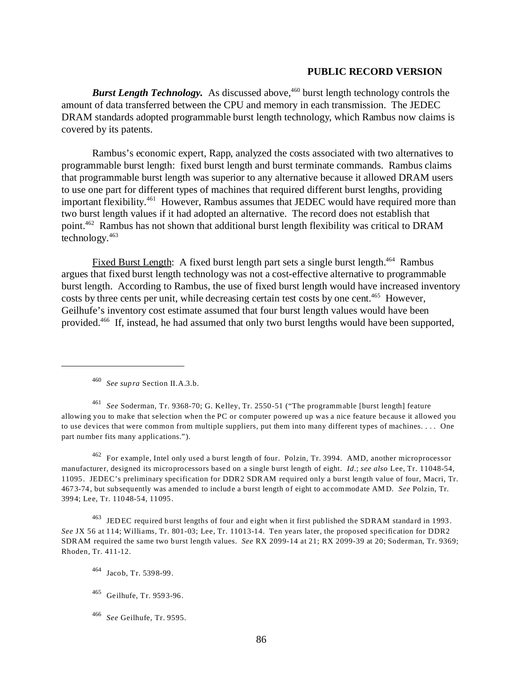*Burst Length Technology.* As discussed above,<sup>460</sup> burst length technology controls the amount of data transferred between the CPU and memory in each transmission. The JEDEC DRAM standards adopted programmable burst length technology, which Rambus now claims is covered by its patents.

Rambus's economic expert, Rapp, analyzed the costs associated with two alternatives to programmable burst length: fixed burst length and burst terminate commands. Rambus claims that programmable burst length was superior to any alternative because it allowed DRAM users to use one part for different types of machines that required different burst lengths, providing important flexibility.<sup>461</sup> However, Rambus assumes that JEDEC would have required more than two burst length values if it had adopted an alternative. The record does not establish that point.462 Rambus has not shown that additional burst length flexibility was critical to DRAM technology.463

Fixed Burst Length: A fixed burst length part sets a single burst length.<sup>464</sup> Rambus argues that fixed burst length technology was not a cost-effective alternative to programmable burst length. According to Rambus, the use of fixed burst length would have increased inventory costs by three cents per unit, while decreasing certain test costs by one cent.<sup>465</sup> However, Geilhufe's inventory cost estimate assumed that four burst length values would have been provided.466 If, instead, he had assumed that only two burst lengths would have been supported,

<sup>460</sup>*See supra* Section II.A.3.b.

<sup>461</sup>*See* Soderman, Tr. 9368-70; G. Kelley, Tr. 2550-51 ("The programmable [burst length] feature allowing you to make that selection when the PC or computer powered up was a nice feature because it allowed you to use devices that were common from multiple suppliers, put them into many different types of machines. . . . One part number fits many applications.").

462 For example, Intel only used a burst length of four. Polzin, Tr. 3994. AMD, another microprocessor manufacturer, designed its microprocessors based on a single burst length of eight. *Id*.; *see also* Lee, Tr. 11048-54, 11095. JEDEC's preliminary specification for DDR2 SDRAM required only a burst length value of four, Macri, Tr. 4673-74, but subsequently was amended to include a burst length of eight to accommodate AM D. *See* Polzin, Tr. 3994; Lee, Tr. 11048-54, 11095.

463 JEDEC required burst lengths of four and eight when it first published the SDRAM standard in 1993. *See* JX 56 at 114; Williams, Tr. 801-03; Lee, Tr. 11013-14. Ten years later, the proposed specification for DDR2 SDRAM required the same two burst length values. *See* RX 2099-14 at 21; RX 2099-39 at 20; Soderman, Tr. 9369; Rhoden, Tr. 411-12.

<sup>464</sup> Jacob, Tr. 5398-99.

<sup>465</sup> Geilhufe, Tr. 9593-96.

<sup>466</sup>*See* Geilhufe, Tr. 9595.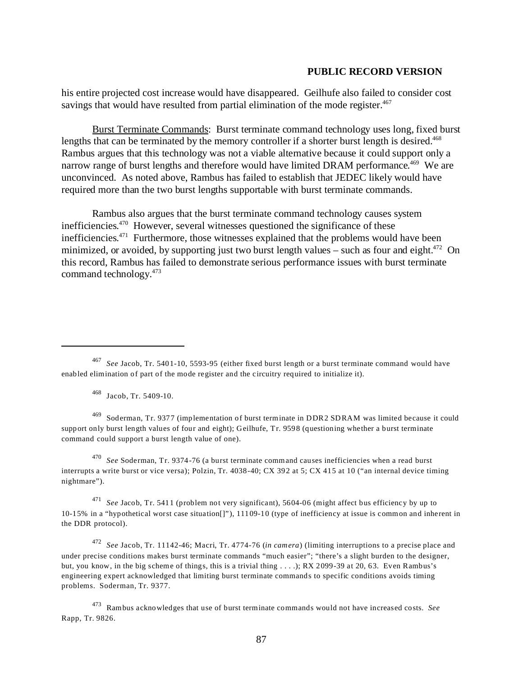his entire projected cost increase would have disappeared. Geilhufe also failed to consider cost savings that would have resulted from partial elimination of the mode register.<sup>467</sup>

Burst Terminate Commands: Burst terminate command technology uses long, fixed burst lengths that can be terminated by the memory controller if a shorter burst length is desired.<sup>468</sup> Rambus argues that this technology was not a viable alternative because it could support only a narrow range of burst lengths and therefore would have limited DRAM performance.<sup>469</sup> We are unconvinced. As noted above, Rambus has failed to establish that JEDEC likely would have required more than the two burst lengths supportable with burst terminate commands.

Rambus also argues that the burst terminate command technology causes system inefficiencies. 470 However, several witnesses questioned the significance of these inefficiencies.<sup>471</sup> Furthermore, those witnesses explained that the problems would have been minimized, or avoided, by supporting just two burst length values – such as four and eight.<sup>472</sup> On this record, Rambus has failed to demonstrate serious performance issues with burst terminate command technology.473

469 Soderman, Tr. 9377 (implementation of burst terminate in DDR2 SDRAM was limited because it could support only burst length values of four and eight); Geilhufe, Tr. 9598 (questioning whether a burst terminate command could support a burst length value of one).

<sup>470</sup>*See* Soderman, Tr. 9374-76 (a burst terminate command causes inefficiencies when a read burst interrupts a write burst or vice versa); Polzin, Tr. 4038-40; CX 392 at 5; CX 415 at 10 ("an internal device timing nightmare").

<sup>471</sup>*See* Jacob, Tr. 5411 (problem not very significant), 5604-06 (might affect bus efficiency by up to 10-15% in a "hypothetical worst case situation[]"), 11109-10 (type of inefficiency at issue is common and inherent in the DDR protocol).

<sup>472</sup>*See* Jacob, Tr. 11142-46; Macri, Tr. 4774-76 (*in camera*) (limiting interruptions to a precise place and under precise conditions makes burst terminate commands "much easier"; "there's a slight burden to the designer, but, you know, in the big scheme of things, this is a trivial thing . . . .); RX 2099-39 at 20, 63. Even Rambus's engineering expert acknowledged that limiting burst terminate commands to specific conditions avoids timing problems. Soderman, Tr. 9377.

473 Rambus acknowledges that use of burst terminate commands would not have increased costs. *See*  Rapp, Tr. 9826.

<sup>467</sup>*See* Jacob, Tr. 5401-10, 5593-95 (either fixed burst length or a burst terminate command would have enabled elimination of part of the mode register and the circuitry required to initialize it).

<sup>468</sup> Jacob, Tr. 5409-10.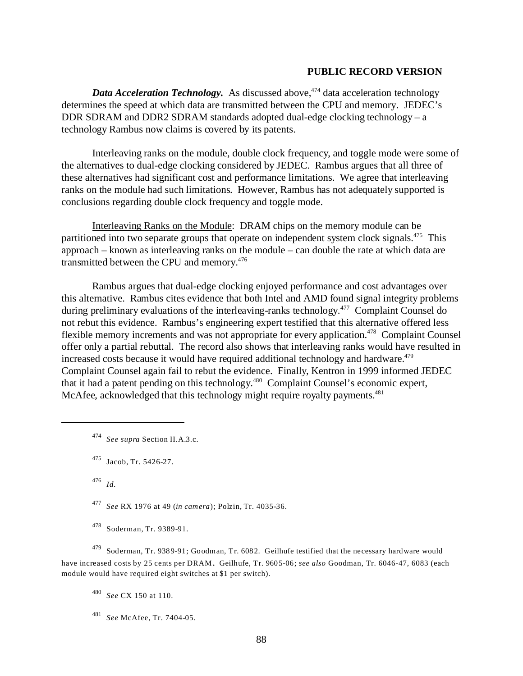*Data Acceleration Technology.* As discussed above,<sup>474</sup> data acceleration technology determines the speed at which data are transmitted between the CPU and memory. JEDEC's DDR SDRAM and DDR2 SDRAM standards adopted dual-edge clocking technology – a technology Rambus now claims is covered by its patents.

Interleaving ranks on the module, double clock frequency, and toggle mode were some of the alternatives to dual-edge clocking considered by JEDEC. Rambus argues that all three of these alternatives had significant cost and performance limitations. We agree that interleaving ranks on the module had such limitations. However, Rambus has not adequately supported is conclusions regarding double clock frequency and toggle mode.

Interleaving Ranks on the Module: DRAM chips on the memory module can be partitioned into two separate groups that operate on independent system clock signals.<sup>475</sup> This approach – known as interleaving ranks on the module – can double the rate at which data are transmitted between the CPU and memory.<sup>476</sup>

Rambus argues that dual-edge clocking enjoyed performance and cost advantages over this alternative. Rambus cites evidence that both Intel and AMD found signal integrity problems during preliminary evaluations of the interleaving-ranks technology.<sup>477</sup> Complaint Counsel do not rebut this evidence. Rambus's engineering expert testified that this alternative offered less flexible memory increments and was not appropriate for every application.<sup>478</sup> Complaint Counsel offer only a partial rebuttal. The record also shows that interleaving ranks would have resulted in increased costs because it would have required additional technology and hardware.<sup>479</sup> Complaint Counsel again fail to rebut the evidence. Finally, Kentron in 1999 informed JEDEC that it had a patent pending on this technology.<sup>480</sup> Complaint Counsel's economic expert, McAfee, acknowledged that this technology might require royalty payments.<sup>481</sup>

478 Soderman, Tr. 9389-91.

479 Soderman, Tr. 9389-91; Goodman, Tr. 6082. Geilhufe testified that the necessary hardware would have increased costs by 25 cents per DRAM. Geilhufe, Tr. 9605-06; *see also* Goodman, Tr. 6046-47, 6083 (each module would have required eight switches at \$1 per switch).

<sup>480</sup>*See* CX 150 at 110.

<sup>481</sup>*See* McAfee, Tr. 7404-05.

<sup>474</sup>*See supra* Section II.A.3.c.

<sup>475</sup> Jacob, Tr. 5426-27.

 $476$  *Id.* 

<sup>477</sup>*See* RX 1976 at 49 (*in camera*); Polzin, Tr. 4035-36.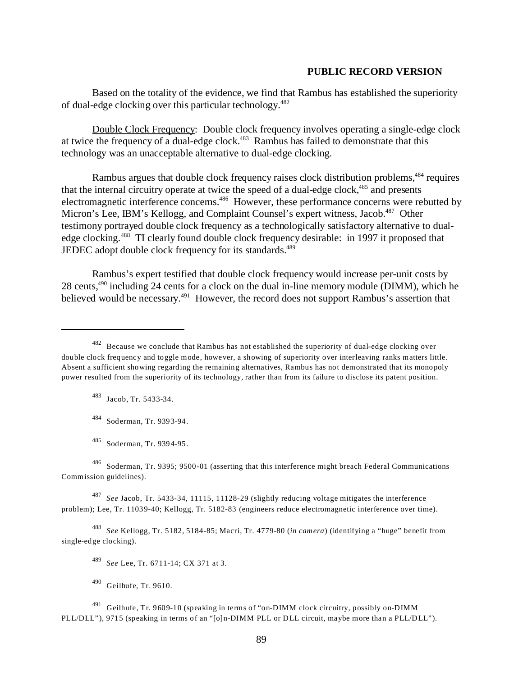Based on the totality of the evidence, we find that Rambus has established the superiority of dual-edge clocking over this particular technology.482

Double Clock Frequency: Double clock frequency involves operating a single-edge clock at twice the frequency of a dual-edge clock. $483$  Rambus has failed to demonstrate that this technology was an unacceptable alternative to dual-edge clocking.

Rambus argues that double clock frequency raises clock distribution problems,<sup>484</sup> requires that the internal circuitry operate at twice the speed of a dual-edge clock, $485$  and presents electromagnetic interference concerns.486 However, these performance concerns were rebutted by Micron's Lee, IBM's Kellogg, and Complaint Counsel's expert witness, Jacob.<sup>487</sup> Other testimony portrayed double clock frequency as a technologically satisfactory alternative to dualedge clocking.<sup>488</sup> TI clearly found double clock frequency desirable: in 1997 it proposed that JEDEC adopt double clock frequency for its standards.<sup>489</sup>

Rambus's expert testified that double clock frequency would increase per-unit costs by 28 cents,<sup>490</sup> including 24 cents for a clock on the dual in-line memory module (DIMM), which he believed would be necessary.<sup>491</sup> However, the record does not support Rambus's assertion that

Jacob, Tr. 5433-34.

484 Soderman, Tr. 9393-94.

<sup>487</sup>*See* Jacob, Tr. 5433-34, 11115, 11128-29 (slightly reducing voltage mitigates the interference problem); Lee, Tr. 11039-40; Kellogg, Tr. 5182-83 (engineers reduce electromagnetic interference over time).

<sup>488</sup>*See* Kellogg, Tr. 5182, 5184-85; Macri, Tr. 4779-80 (*in camera*) (identifying a "huge" benefit from single-edge clocking).

<sup>482</sup> Because we conclude that Rambus has not established the superiority of dual-edge clocking over double clock frequency and toggle mode, however, a showing of superiority over interleaving ranks matters little. Absent a sufficient showing regarding the remaining alternatives, Rambus has not demonstrated that its monopoly power resulted from the superiority of its technology, rather than from its failure to disclose its patent position.

<sup>485</sup> Soderman, Tr. 9394-95.

<sup>486</sup> Soderman, Tr. 9395; 9500-01 (asserting that this interference might breach Federal Communications Commission guidelines).

<sup>489</sup>*See* Lee, Tr. 6711-14; CX 371 at 3.

<sup>490</sup> Geilhufe, Tr. 9610.

 $^{491}$  Geilhufe, Tr. 9609-10 (speaking in terms of "on-DIMM clock circuitry, possibly on-DIMM PLL/DLL"), 9715 (speaking in terms of an "[o]n-DIMM PLL or DLL circuit, maybe more than a PLL/DLL").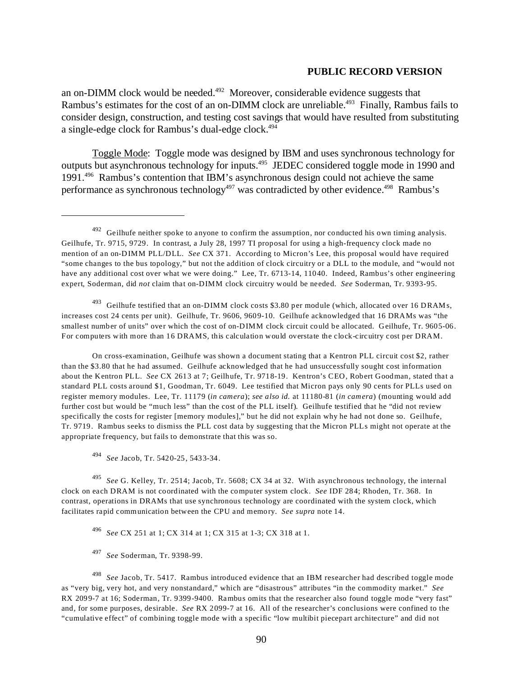an on-DIMM clock would be needed.<sup> $492$ </sup> Moreover, considerable evidence suggests that Rambus's estimates for the cost of an on-DIMM clock are unreliable.<sup>493</sup> Finally, Rambus fails to consider design, construction, and testing cost savings that would have resulted from substituting a single-edge clock for Rambus's dual-edge clock.<sup>494</sup>

Toggle Mode: Toggle mode was designed by IBM and uses synchronous technology for outputs but asynchronous technology for inputs.495 JEDEC considered toggle mode in 1990 and 1991.496 Rambus's contention that IBM's asynchronous design could not achieve the same performance as synchronous technology<sup>497</sup> was contradicted by other evidence.<sup>498</sup> Rambus's

 $493$  Geilhufe testified that an on-DIMM clock costs \$3.80 per module (which, allocated over 16 DRAM s, increases cost 24 cents per unit). Geilhufe, Tr. 9606, 9609-10. Geilhufe acknowledged that 16 DRAMs was "the smallest number of units" over which the cost of on-DIMM clock circuit could be allocated. Geilhufe, Tr. 9605-06. For computers with more than 16 DRAMS, this calculation would overstate the clock-circuitry cost per DRAM.

On cross-examination, Geilhufe was shown a document stating that a Kentron PLL circuit cost \$2, rather than the \$3.80 that he had assumed. Geilhufe acknowledged that he had unsuccessfully sought cost information about the Kentron PLL. *See* CX 2613 at 7; Geilhufe, Tr. 9718-19. Kentron's CEO, Robert Goodman, stated that a standard PLL costs around \$1, Goodman, Tr. 6049. Lee testified that Micron pays only 90 cents for PLLs used on register memory modules. Lee, Tr. 11179 (*in camera*); *see also id.* at 11180-81 (*in camera*) (mounting would add further cost but would be "much less" than the cost of the PLL itself). Geilhufe testified that he "did not review specifically the costs for register [memory modules]," but he did not explain why he had not done so. Geilhufe, Tr. 9719. Rambus seeks to dismiss the PLL cost data by suggesting that the Micron PLLs might not operate at the appropriate frequency, but fails to demonstrate that this was so.

<sup>495</sup>*See* G. Kelley, Tr. 2514; Jacob, Tr. 5608; CX 34 at 32. With asynchronous technology, the internal clock on each DRAM is not coordinated with the computer system clock. *See* IDF 284; Rhoden, Tr. 368. In contrast, operations in DRAMs that use synchronous technology are coordinated with the system clock, which facilitates rapid communication between the CPU and memory. *See supra* note 14.

<sup>496</sup>*See* CX 251 at 1; CX 314 at 1; CX 315 at 1-3; CX 318 at 1.

<sup>497</sup>*See* Soderman, Tr. 9398-99.

<sup>498</sup>*See* Jacob, Tr. 5417. Rambus introduced evidence that an IBM researcher had described toggle mode as "very big, very hot, and very nonstandard," which are "disastrous" attributes "in the commodity market." *See*  RX 2099-7 at 16; Soderman, Tr. 9399-9400. Rambus omits that the researcher also found toggle mode "very fast" and, for some purposes, desirable. *See* RX 2099-7 at 16. All of the researcher's conclusions were confined to the "cumulative effect" of combining toggle mode with a specific "low multibit piecepart architecture" and did not

 $492$  Geilhufe neither spoke to anyone to confirm the assumption, nor conducted his own timing analysis. Geilhufe, Tr. 9715, 9729. In contrast, a July 28, 1997 TI proposal for using a high-frequency clock made no mention of an on-DIMM PLL/DLL. *See* CX 371. According to Micron's Lee, this proposal would have required "some changes to the bus topology," but not the addition of clock circuitry or a DLL to the module, and "would not have any additional cost over what we were doing." Lee, Tr. 6713-14, 11040. Indeed, Rambus's other engineering expert, Soderman, did *not* claim that on-DIMM clock circuitry would be needed. *See* Soderman, Tr. 9393-95.

<sup>494</sup>*See* Jacob, Tr. 5420-25, 5433-34.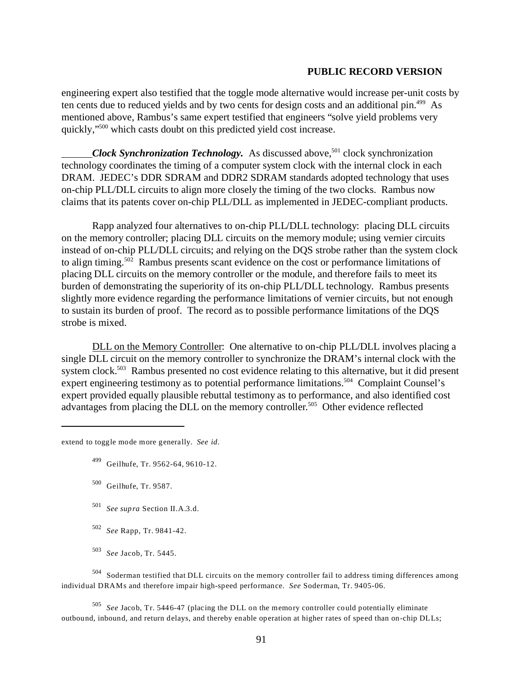engineering expert also testified that the toggle mode alternative would increase per-unit costs by ten cents due to reduced yields and by two cents for design costs and an additional pin.<sup>499</sup> As mentioned above, Rambus's same expert testified that engineers "solve yield problems very quickly,"500 which casts doubt on this predicted yield cost increase.

*Clock Synchronization Technology.* As discussed above,<sup>501</sup> clock synchronization technology coordinates the timing of a computer system clock with the internal clock in each DRAM. JEDEC's DDR SDRAM and DDR2 SDRAM standards adopted technology that uses on-chip PLL/DLL circuits to align more closely the timing of the two clocks. Rambus now claims that its patents cover on-chip PLL/DLL as implemented in JEDEC-compliant products.

Rapp analyzed four alternatives to on-chip PLL/DLL technology: placing DLL circuits on the memory controller; placing DLL circuits on the memory module; using vernier circuits instead of on-chip PLL/DLL circuits; and relying on the DQS strobe rather than the system clock to align timing.<sup>502</sup> Rambus presents scant evidence on the cost or performance limitations of placing DLL circuits on the memory controller or the module, and therefore fails to meet its burden of demonstrating the superiority of its on-chip PLL/DLL technology. Rambus presents slightly more evidence regarding the performance limitations of vernier circuits, but not enough to sustain its burden of proof. The record as to possible performance limitations of the DQS strobe is mixed.

DLL on the Memory Controller: One alternative to on-chip PLL/DLL involves placing a single DLL circuit on the memory controller to synchronize the DRAM's internal clock with the system clock.<sup>503</sup> Rambus presented no cost evidence relating to this alternative, but it did present expert engineering testimony as to potential performance limitations.<sup>504</sup> Complaint Counsel's expert provided equally plausible rebuttal testimony as to performance, and also identified cost advantages from placing the DLL on the memory controller. 505 Other evidence reflected

extend to toggle mode more generally. *See id*.

- 499 Geilhufe, Tr. 9562-64, 9610-12.
- 500 Geilhufe, Tr. 9587.
- <sup>501</sup>*See supra* Section II.A.3.d.
- <sup>502</sup>*See* Rapp, Tr. 9841-42.
- <sup>503</sup>*See* Jacob, Tr. 5445.

504 Soderman testified that DLL circuits on the memory controller fail to address timing differences among individual DRAMs and therefore impair high-speed performance. *See* Soderman, Tr. 9405-06.

<sup>505</sup>*See* Jacob, Tr. 5446-47 (placing the DLL on the memory controller could potentially eliminate outbound, inbound, and return delays, and thereby enable operation at higher rates of speed than on-chip DLLs;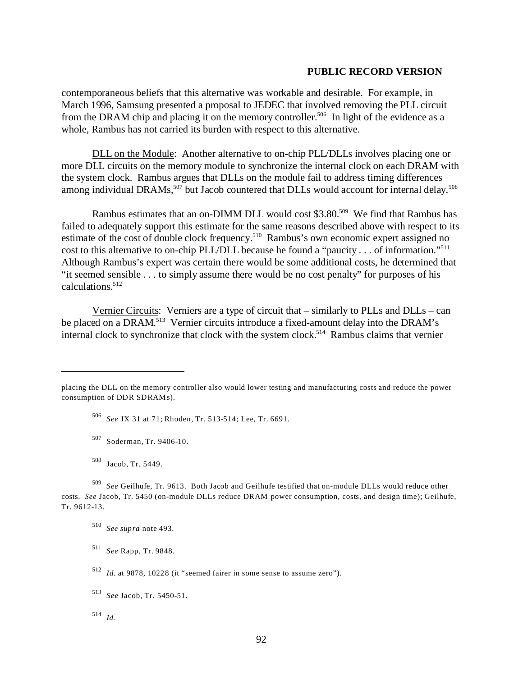contemporaneous beliefs that this alternative was workable and desirable. For example, in March 1996, Samsung presented a proposal to JEDEC that involved removing the PLL circuit from the DRAM chip and placing it on the memory controller.<sup>506</sup> In light of the evidence as a whole, Rambus has not carried its burden with respect to this alternative.

DLL on the Module: Another alternative to on-chip PLL/DLLs involves placing one or more DLL circuits on the memory module to synchronize the internal clock on each DRAM with the system clock. Rambus argues that DLLs on the module fail to address timing differences among individual DRAMs,<sup>507</sup> but Jacob countered that DLLs would account for internal delay.<sup>508</sup>

Rambus estimates that an on-DIMM DLL would cost \$3.80.<sup>509</sup> We find that Rambus has failed to adequately support this estimate for the same reasons described above with respect to its estimate of the cost of double clock frequency.<sup>510</sup> Rambus's own economic expert assigned no cost to this alternative to on-chip PLL/DLL because he found a "paucity . . . of information."511 Although Rambus's expert was certain there would be some additional costs, he determined that "it seemed sensible . . . to simply assume there would be no cost penalty" for purposes of his calculations.512

Vernier Circuits: Verniers are a type of circuit that – similarly to PLLs and DLLs – can be placed on a DRAM.<sup>513</sup> Vernier circuits introduce a fixed-amount delay into the DRAM's internal clock to synchronize that clock with the system clock.<sup>514</sup> Rambus claims that vernier

<sup>506</sup>*See* JX 31 at 71; Rhoden, Tr. 513-514; Lee, Tr. 6691.

507 Soderman, Tr. 9406-10.

508 Jacob, Tr. 5449.

placing the DLL on the memory controller also would lower testing and manufacturing costs and reduce the power consumption of DDR SDRAMs).

<sup>509</sup>*See* Geilhufe, Tr. 9613. Both Jacob and Geilhufe testified that on-module DLLs would reduce other costs. *See* Jacob, Tr. 5450 (on-module DLLs reduce DRAM power consumption, costs, and design time); Geilhufe, Tr. 9612-13.

<sup>510</sup>*See supra* note 493.

<sup>511</sup>*See* Rapp, Tr. 9848.

<sup>512</sup>*Id.* at 9878, 10228 (it "seemed fairer in some sense to assume zero").

<sup>513</sup>*See* Jacob, Tr. 5450-51.

 $514$  *Id.*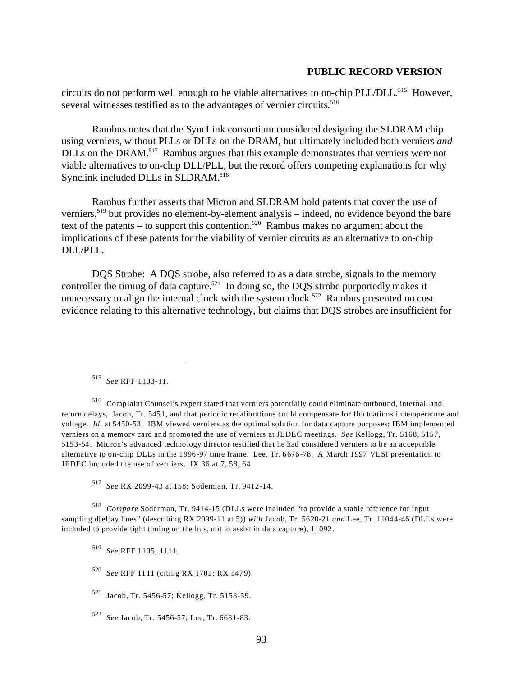circuits do not perform well enough to be viable alternatives to on-chip PLL/DLL.<sup>515</sup> However, several witnesses testified as to the advantages of vernier circuits. 516

Rambus notes that the SyncLink consortium considered designing the SLDRAM chip using verniers, without PLLs or DLLs on the DRAM, but ultimately included both verniers *and*  DLLs on the DRAM.<sup>517</sup> Rambus argues that this example demonstrates that verniers were not viable alternatives to on-chip DLL/PLL, but the record offers competing explanations for why Synclink included DLLs in SLDRAM.<sup>518</sup>

Rambus further asserts that Micron and SLDRAM hold patents that cover the use of verniers,<sup>519</sup> but provides no element-by-element analysis – indeed, no evidence beyond the bare text of the patents – to support this contention.520 Rambus makes no argument about the implications of these patents for the viability of vernier circuits as an alternative to on-chip DLL/PLL.

DQS Strobe: A DQS strobe, also referred to as a data strobe, signals to the memory controller the timing of data capture.<sup>521</sup> In doing so, the DQS strobe purportedly makes it unnecessary to align the internal clock with the system clock.<sup>522</sup> Rambus presented no cost evidence relating to this alternative technology, but claims that DQS strobes are insufficient for

516 Complaint Counsel's expert stated that verniers potentially could eliminate outbound, internal, and return delays, Jacob, Tr. 5451, and that periodic recalibrations could compensate for fluctuations in temperature and voltage. *Id*. at 5450-53. IBM viewed verniers as the optimal solution for data capture purposes; IBM implemented verniers on a memory card and promoted the use of verniers at JEDEC meetings. *See* Kellogg, Tr. 5168, 5157, 5153-54. Micron's advanced technology director testified that he had considered verniers to be an acceptable alternative to on-chip DLLs in the 1996-97 time frame. Lee, Tr. 6676-78. A March 1997 VLSI presentation to JEDEC included the use of verniers. JX 36 at 7, 58, 64.

<sup>517</sup>*See* RX 2099-43 at 158; Soderman, Tr. 9412-14.

<sup>518</sup>*Compare* Soderman, Tr. 9414-15 (DLLs were included "to provide a stable reference for input sampling d[el]ay lines" (describing RX 2099-11 at 5)) *with* Jacob, Tr. 5620-21 *and* Lee, Tr. 11044-46 (DLLs were included to provide tight timing on the bus, not to assist in data capture), 11092.

<sup>519</sup>*See* RFF 1105, 1111.

<sup>520</sup>*See* RFF 1111 (citing RX 1701; RX 1479).

- 521 Jacob, Tr. 5456-57; Kellogg, Tr. 5158-59.
- <sup>522</sup>*See* Jacob, Tr. 5456-57; Lee, Tr. 6681-83.

<sup>515</sup>*See* RFF 1103-11.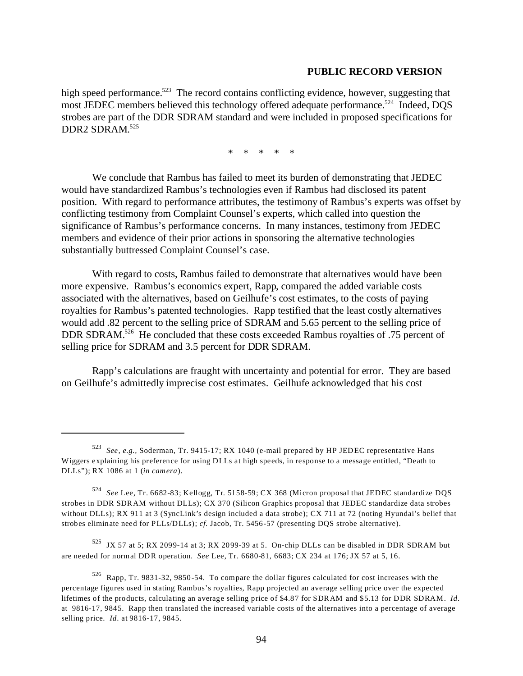high speed performance.<sup>523</sup> The record contains conflicting evidence, however, suggesting that most JEDEC members believed this technology offered adequate performance.<sup>524</sup> Indeed, DOS strobes are part of the DDR SDRAM standard and were included in proposed specifications for DDR2 SDRAM. 525

\* \* \* \* \*

We conclude that Rambus has failed to meet its burden of demonstrating that JEDEC would have standardized Rambus's technologies even if Rambus had disclosed its patent position. With regard to performance attributes, the testimony of Rambus's experts was offset by conflicting testimony from Complaint Counsel's experts, which called into question the significance of Rambus's performance concerns. In many instances, testimony from JEDEC members and evidence of their prior actions in sponsoring the alternative technologies substantially buttressed Complaint Counsel's case.

With regard to costs, Rambus failed to demonstrate that alternatives would have been more expensive. Rambus's economics expert, Rapp, compared the added variable costs associated with the alternatives, based on Geilhufe's cost estimates, to the costs of paying royalties for Rambus's patented technologies. Rapp testified that the least costly alternatives would add .82 percent to the selling price of SDRAM and 5.65 percent to the selling price of DDR SDRAM.<sup>526</sup> He concluded that these costs exceeded Rambus royalties of .75 percent of selling price for SDRAM and 3.5 percent for DDR SDRAM.

Rapp's calculations are fraught with uncertainty and potential for error. They are based on Geilhufe's admittedly imprecise cost estimates. Geilhufe acknowledged that his cost

 $525$  JX 57 at 5; RX 2099-14 at 3; RX 2099-39 at 5. On-chip DLLs can be disabled in DDR SDRAM but are needed for normal DDR operation. *See* Lee, Tr. 6680-81, 6683; CX 234 at 176; JX 57 at 5, 16.

<sup>523</sup>*See, e.g.,* Soderman, Tr. 9415-17; RX 1040 (e-mail prepared by HP JEDEC representative Hans Wiggers explaining his preference for using DLLs at high speeds, in response to a message entitled, "Death to DLLs"); RX 1086 at 1 (*in camera*).

<sup>524</sup>*See* Lee, Tr. 6682-83; Kellogg, Tr. 5158-59; CX 368 (Micron proposal that JEDEC standardize DQS strobes in DDR SDRAM without DLLs); CX 370 (Silicon Graphics proposal that JEDEC standardize data strobes without DLLs); RX 911 at 3 (SyncLink's design included a data strobe); CX 711 at 72 (noting Hyundai's belief that strobes eliminate need for PLLs/DLLs); *cf*. Jacob, Tr. 5456-57 (presenting DQS strobe alternative).

<sup>526</sup> Rapp, Tr. 9831-32, 9850-54. To compare the dollar figures calculated for cost increases with the percentage figures used in stating Rambus's royalties, Rapp projected an average selling price over the expected lifetimes of the products, calculating an average selling price of \$4.87 for SDRAM and \$5.13 for DDR SDRAM. *Id*. at 9816-17, 9845. Rapp then translated the increased variable costs of the alternatives into a percentage of average selling price. *Id*. at 9816-17, 9845.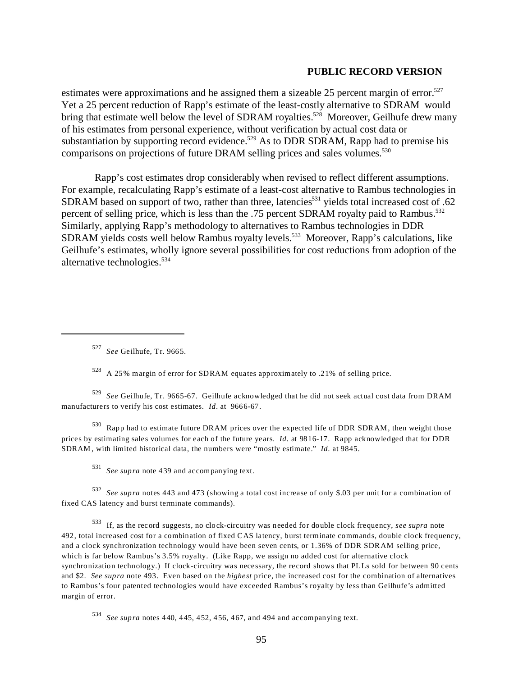estimates were approximations and he assigned them a sizeable 25 percent margin of error.<sup>527</sup> Yet a 25 percent reduction of Rapp's estimate of the least-costly alternative to SDRAM would bring that estimate well below the level of SDRAM royalties.<sup>528</sup> Moreover, Geilhufe drew many of his estimates from personal experience, without verification by actual cost data or substantiation by supporting record evidence.<sup>529</sup> As to DDR SDRAM, Rapp had to premise his comparisons on projections of future DRAM selling prices and sales volumes.<sup>530</sup>

 Rapp's cost estimates drop considerably when revised to reflect different assumptions. For example, recalculating Rapp's estimate of a least-cost alternative to Rambus technologies in SDRAM based on support of two, rather than three, latencies<sup>531</sup> yields total increased cost of .62 percent of selling price, which is less than the .75 percent SDRAM royalty paid to Rambus.<sup>532</sup> Similarly, applying Rapp's methodology to alternatives to Rambus technologies in DDR SDRAM yields costs well below Rambus royalty levels.<sup>533</sup> Moreover, Rapp's calculations, like Geilhufe's estimates, wholly ignore several possibilities for cost reductions from adoption of the alternative technologies.534

<sup>527</sup>*See* Geilhufe, Tr. 9665.

528 A 25% margin of error for SDRAM equates approximately to .21% of selling price.

<sup>529</sup>*See* Geilhufe, Tr. 9665-67. Geilhufe acknowledged that he did not seek actual cost data from DRAM manufacturers to verify his cost estimates. *Id*. at 9666-67.

530 Rapp had to estimate future DRAM prices over the expected life of DDR SDRAM, then weight those prices by estimating sales volumes for each of the future years. *Id*. at 9816-17. Rapp acknowledged that for DDR SDRAM , with limited historical data, the numbers were "mostly estimate." *Id*. at 9845.

<sup>531</sup>*See supra* note 439 and accompanying text.

<sup>532</sup>*See supra* notes 443 and 473 (showing a total cost increase of only \$.03 per unit for a combination of fixed CAS latency and burst terminate commands).

533 If, as the record suggests, no clock-circuitry was needed for double clock frequency, *see supra* note 492, total increased cost for a combination of fixed CAS latency, burst terminate commands, double clock frequency, and a clock synchronization technology would have been seven cents, or 1.36% of DDR SDRAM selling price, which is far below Rambus's 3.5% royalty. (Like Rapp, we assign no added cost for alternative clock synchronization technology.) If clock-circuitry was necessary, the record shows that PLLs sold for between 90 cents and \$2. *See supra* note 493. Even based on the *highest* price, the increased cost for the combination of alternatives to Rambus's four patented technologies would have exceeded Rambus's royalty by less than Geilhufe's admitted margin of error.

<sup>534</sup>*See supra* notes 440, 445, 452, 456, 467, and 494 and accompanying text.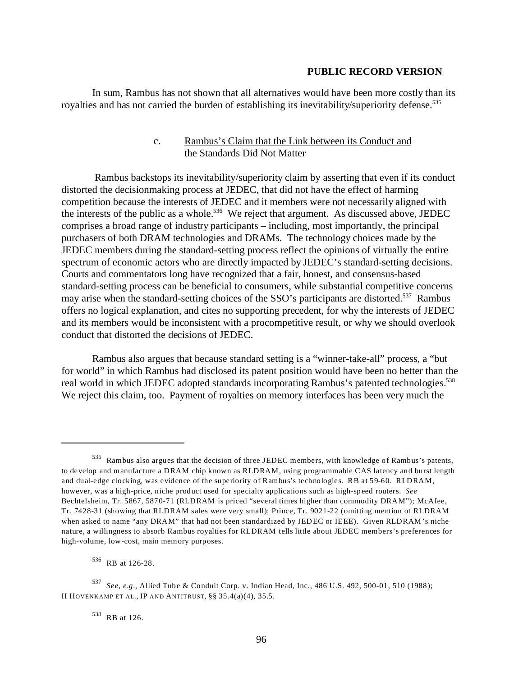In sum, Rambus has not shown that all alternatives would have been more costly than its royalties and has not carried the burden of establishing its inevitability/superiority defense.<sup>535</sup>

# c. Rambus's Claim that the Link between its Conduct and the Standards Did Not Matter

Rambus backstops its inevitability/superiority claim by asserting that even if its conduct distorted the decisionmaking process at JEDEC, that did not have the effect of harming competition because the interests of JEDEC and it members were not necessarily aligned with the interests of the public as a whole.<sup>536</sup> We reject that argument. As discussed above, JEDEC comprises a broad range of industry participants – including, most importantly, the principal purchasers of both DRAM technologies and DRAMs. The technology choices made by the JEDEC members during the standard-setting process reflect the opinions of virtually the entire spectrum of economic actors who are directly impacted by JEDEC's standard-setting decisions. Courts and commentators long have recognized that a fair, honest, and consensus-based standard-setting process can be beneficial to consumers, while substantial competitive concerns may arise when the standard-setting choices of the SSO's participants are distorted.<sup>537</sup> Rambus offers no logical explanation, and cites no supporting precedent, for why the interests of JEDEC and its members would be inconsistent with a procompetitive result, or why we should overlook conduct that distorted the decisions of JEDEC.

Rambus also argues that because standard setting is a "winner-take-all" process, a "but for world" in which Rambus had disclosed its patent position would have been no better than the real world in which JEDEC adopted standards incorporating Rambus's patented technologies.<sup>538</sup> We reject this claim, too. Payment of royalties on memory interfaces has been very much the

<sup>535</sup> Rambus also argues that the decision of three JEDEC members, with knowledge of Rambus's patents, to develop and manufacture a DRAM chip known as RLDRAM, using programmable CAS latency and burst length and dual-edge clocking, was evidence of the superiority of Rambus's technologies. RB at 59-60. RLDRAM, however, was a high-price, niche product used for specialty applications such as high-speed routers. *See*  Bechtelsheim, Tr. 5867, 5870-71 (RLDRAM is priced "several times higher than commodity DRAM"); McAfee, Tr. 7428-31 (showing that RLDRAM sales were very small); Prince, Tr. 9021-22 (omitting mention of RLDRAM when asked to name "any DRAM" that had not been standardized by JEDEC or IEEE). Given RLDRAM's niche nature, a willingness to absorb Rambus royalties for RLDRAM tells little about JEDEC members's preferences for high-volume, low-cost, main memory purposes.

<sup>536</sup> RB at 126-28.

<sup>537</sup>*See, e.g.*, Allied Tube & Conduit Corp. v. Indian Head, Inc., 486 U.S. 492, 500-01, 510 (1988); II HOVENKAMP ET AL., IP AND ANTITRUST, §§ 35.4(a)(4), 35.5.

<sup>538</sup> RB at 126.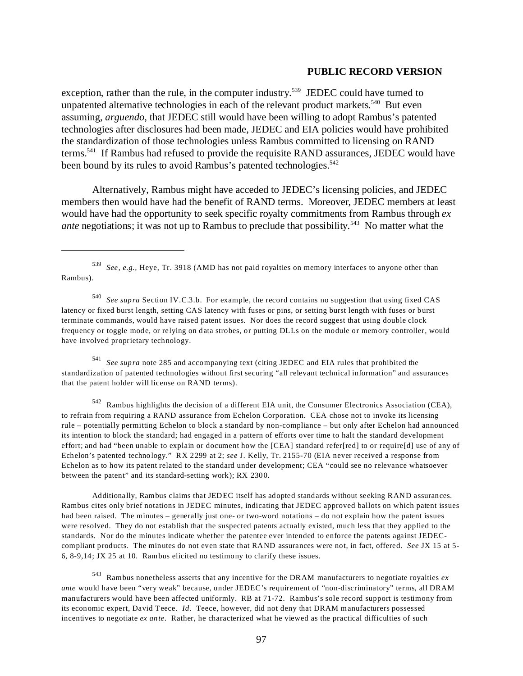exception, rather than the rule, in the computer industry.<sup>539</sup> JEDEC could have turned to unpatented alternative technologies in each of the relevant product markets.<sup>540</sup> But even assuming, *arguendo*, that JEDEC still would have been willing to adopt Rambus's patented technologies after disclosures had been made, JEDEC and EIA policies would have prohibited the standardization of those technologies unless Rambus committed to licensing on RAND terms.541 If Rambus had refused to provide the requisite RAND assurances, JEDEC would have been bound by its rules to avoid Rambus's patented technologies.<sup>542</sup>

Alternatively, Rambus might have acceded to JEDEC's licensing policies, and JEDEC members then would have had the benefit of RAND terms. Moreover, JEDEC members at least would have had the opportunity to seek specific royalty commitments from Rambus through *ex ante* negotiations; it was not up to Rambus to preclude that possibility.<sup>543</sup> No matter what the

<sup>540</sup>*See supra* Section IV.C.3.b. For example, the record contains no suggestion that using fixed CAS latency or fixed burst length, setting CAS latency with fuses or pins, or setting burst length with fuses or burst terminate commands, would have raised patent issues. Nor does the record suggest that using double clock frequency or toggle mode, or relying on data strobes, or putting DLLs on the module or memory controller, would have involved proprietary technology.

<sup>541</sup>*See supra* note 285 and accompanying text (citing JEDEC and EIA rules that prohibited the standardization of patented technologies without first securing "all relevant technical information" and assurances that the patent holder will license on RAND terms).

542 Rambus highlights the decision of a different EIA unit, the Consumer Electronics Association (CEA), to refrain from requiring a RAND assurance from Echelon Corporation. CEA chose not to invoke its licensing rule – potentially permitting Echelon to block a standard by non-compliance – but only after Echelon had announced its intention to block the standard; had engaged in a pattern of efforts over time to halt the standard development effort; and had "been unable to explain or document how the [CEA] standard refer[red] to or require[d] use of any of Echelon's patented technology." RX 2299 at 2; *see* J. Kelly, Tr. 2155-70 (EIA never received a response from Echelon as to how its patent related to the standard under development; CEA "could see no relevance whatsoever between the patent" and its standard-setting work); RX 2300.

Additionally, Rambus claims that JEDEC itself has adopted standards without seeking RAND assurances. Rambus cites only brief notations in JEDEC minutes, indicating that JEDEC approved ballots on which patent issues had been raised. The minutes – generally just one- or two-word notations – do not explain how the patent issues were resolved. They do not establish that the suspected patents actually existed, much less that they applied to the standards. Nor do the minutes indicate whether the patentee ever intended to enforce the patents against JEDECcompliant products. The minutes do not even state that RAND assurances were not, in fact, offered. *See* JX 15 at 5 6, 8-9,14; JX 25 at 10. Rambus elicited no testimony to clarify these issues.

543 Rambus nonetheless asserts that any incentive for the DRAM manufacturers to negotiate royalties *ex ante* would have been "very weak" because, under JEDEC's requirement of "non-discriminatory" terms, all DRAM manufacturers would have been affected uniformly. RB at 71-72. Rambus's sole record support is testimony from its economic expert, David Teece. *Id*. Teece, however, did not deny that DRAM manufacturers possessed incentives to negotiate *ex ante*. Rather, he characterized what he viewed as the practical difficulties of such

<sup>539</sup>*See, e.g.,* Heye, Tr. 3918 (AMD has not paid royalties on memory interfaces to anyone other than Rambus).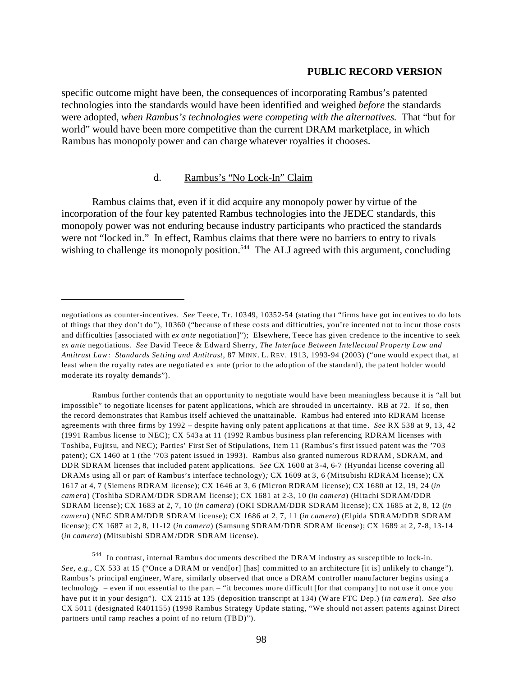specific outcome might have been, the consequences of incorporating Rambus's patented technologies into the standards would have been identified and weighed *before* the standards were adopted, *when Rambus's technologies were competing with the alternatives.* That "but for world" would have been more competitive than the current DRAM marketplace, in which Rambus has monopoly power and can charge whatever royalties it chooses.

## d. Rambus's "No Lock-In" Claim

Rambus claims that, even if it did acquire any monopoly power by virtue of the incorporation of the four key patented Rambus technologies into the JEDEC standards, this monopoly power was not enduring because industry participants who practiced the standards were not "locked in." In effect, Rambus claims that there were no barriers to entry to rivals wishing to challenge its monopoly position.<sup>544</sup> The ALJ agreed with this argument, concluding

Rambus further contends that an opportunity to negotiate would have been meaningless because it is "all but impossible" to negotiate licenses for patent applications, which are shrouded in uncertainty. RB at 72. If so, then the record demonstrates that Rambus itself achieved the unattainable. Rambus had entered into RDRAM license agreements with three firms by 1992 – despite having only patent applications at that time. *See* RX 538 at 9, 13, 42 (1991 Rambus license to NEC); CX 543a at 11 (1992 Rambus business plan referencing RDRAM licenses with Toshiba, Fujitsu, and NEC); Parties' First Set of Stipulations, Item 11 (Rambus's first issued patent was the '703 patent); CX 1460 at 1 (the '703 patent issued in 1993). Rambus also granted numerous RDRAM, SDRAM, and DDR SDRAM licenses that included patent applications. *See* CX 1600 at 3-4, 6-7 (Hyundai license covering all DRAMs using all or part of Rambus's interface technology)*;* CX 1609 at 3, 6 (Mitsubishi RDRAM license); CX 1617 at 4, 7 (Siemens RDRAM license); CX 1646 at 3, 6 (Micron RDRAM license); CX 1680 at 12, 19, 24 (*in camera*) (Toshiba SDRAM/DDR SDRAM license); CX 1681 at 2-3, 10 (*in camera*) (Hitachi SDRAM/DDR SDRAM license); CX 1683 at 2, 7, 10 (*in camera*) (OKI SDRAM/DDR SDRAM license); CX 1685 at 2, 8, 12 (*in camera*) (NEC SDRAM/DDR SDRAM license); CX 1686 at 2, 7, 11 (*in camera*) (Elpida SDRAM/DDR SDRAM license); CX 1687 at 2, 8, 11-12 (*in camera*) (Samsung SDRAM/DDR SDRAM license); CX 1689 at 2, 7-8, 13-14 (*in camera*) (Mitsubishi SDRAM/DDR SDRAM license).

544 In contrast, internal Rambus documents described the DRAM industry as susceptible to lock-in. *See, e.g.*, CX 533 at 15 ("Once a DRAM or vend[or] [has] committed to an architecture [it is] unlikely to change"). Rambus's principal engineer, Ware, similarly observed that once a DRAM controller manufacturer begins using a technology – even if not essential to the part – "it becomes more difficult [for that company] to not use it once you have put it in your design"). CX 2115 at 135 (deposition transcript at 134) (Ware FTC Dep.) (*in camera*). *See also*  CX 5011 (designated R401155) (1998 Rambus Strategy Update stating, "We should not assert patents against Direct partners until ramp reaches a point of no return (TBD)").

negotiations as counter-incentives. *See* Teece, Tr. 10349, 10352-54 (stating that "firms have got incentives to do lots of things that they don't do"), 10360 ("because of these costs and difficulties, you're incented not to incur those costs and difficulties [associated with *ex ante* negotiation]"); Elsewhere, Teece has given credence to the incentive to seek *ex ante* negotiations. *See* David Teece & Edward Sherry, *The Interface Between Intellectual Property Law and Antitrust Law: Standards Setting and Antitrust*, 87 MINN. L. REV. 1913, 1993-94 (2003) ("one would expect that, at least when the royalty rates are negotiated ex ante (prior to the adoption of the standard), the patent holder would moderate its royalty demands").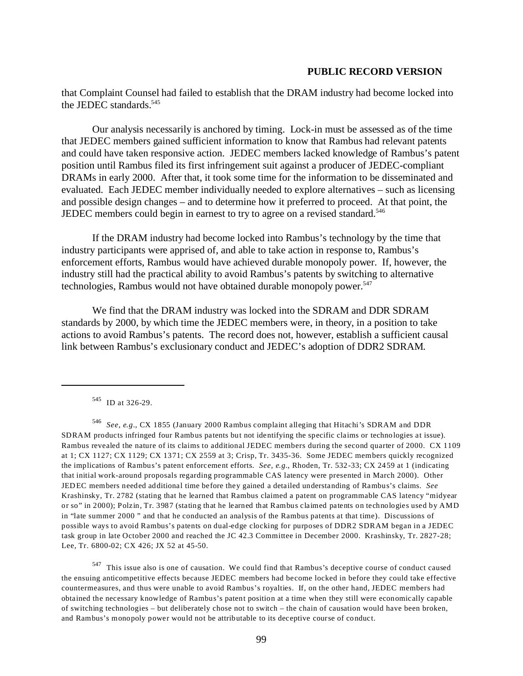that Complaint Counsel had failed to establish that the DRAM industry had become locked into the JEDEC standards.<sup>545</sup>

Our analysis necessarily is anchored by timing. Lock-in must be assessed as of the time that JEDEC members gained sufficient information to know that Rambus had relevant patents and could have taken responsive action. JEDEC members lacked knowledge of Rambus's patent position until Rambus filed its first infringement suit against a producer of JEDEC-compliant DRAMs in early 2000. After that, it took some time for the information to be disseminated and evaluated. Each JEDEC member individually needed to explore alternatives – such as licensing and possible design changes – and to determine how it preferred to proceed. At that point, the JEDEC members could begin in earnest to try to agree on a revised standard.546

If the DRAM industry had become locked into Rambus's technology by the time that industry participants were apprised of, and able to take action in response to, Rambus's enforcement efforts, Rambus would have achieved durable monopoly power. If, however, the industry still had the practical ability to avoid Rambus's patents by switching to alternative technologies, Rambus would not have obtained durable monopoly power.<sup>547</sup>

We find that the DRAM industry was locked into the SDRAM and DDR SDRAM standards by 2000, by which time the JEDEC members were, in theory, in a position to take actions to avoid Rambus's patents. The record does not, however, establish a sufficient causal link between Rambus's exclusionary conduct and JEDEC's adoption of DDR2 SDRAM.

547 This issue also is one of causation. We could find that Rambus's deceptive course of conduct caused the ensuing anticompetitive effects because JEDEC members had become locked in before they could take effective countermeasures, and thus were unable to avoid Rambus's royalties. If, on the other hand, JEDEC members had obtained the necessary knowledge of Rambus's patent position at a time when they still were economically capable of switching technologies – but deliberately chose not to switch – the chain of causation would have been broken, and Rambus's monopoly power would not be attributable to its deceptive course of conduct.

<sup>545</sup> ID at 326-29.

<sup>546</sup>*See, e.g.*, CX 1855 (January 2000 Rambus complaint alleging that Hitachi's SDRAM and DDR SDRAM products infringed four Rambus patents but not identifying the specific claims or technologies at issue). Rambus revealed the nature of its claims to additional JEDEC members during the second quarter of 2000. CX 1109 at 1; CX 1127; CX 1129; CX 1371; CX 2559 at 3; Crisp, Tr. 3435-36. Some JEDEC members quickly recognized the implications of Rambus's patent enforcement efforts. *See, e.g.*, Rhoden, Tr. 532-33; CX 2459 at 1 (indicating that initial work-around proposals regarding programmable CAS latency were presented in March 2000). Other JEDEC members needed additional time before they gained a detailed understanding of Rambus's claims. *See*  Krashinsky, Tr. 2782 (stating that he learned that Rambus claimed a patent on programmable CAS latency "midyear or so" in 2000); Polzin, Tr. 3987 (stating that he learned that Rambus claimed patents on technologies used by AMD in "late summer 2000 " and that he conducted an analysis of the Rambus patents at that time). Discussions of possible ways to avoid Rambus's patents on dual-edge clocking for purposes of DDR2 SDRAM began in a JEDEC task group in late October 2000 and reached the JC 42.3 Committee in December 2000. Krashinsky, Tr. 2827-28; Lee, Tr. 6800-02; CX 426; JX 52 at 45-50.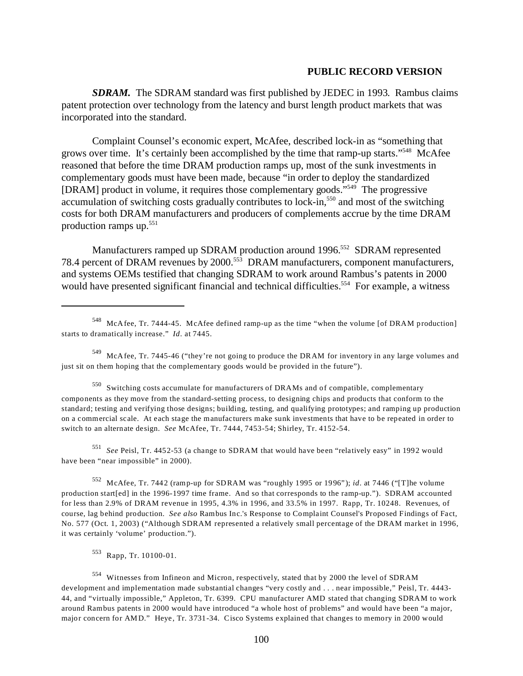*SDRAM.* The SDRAM standard was first published by JEDEC in 1993. Rambus claims patent protection over technology from the latency and burst length product markets that was incorporated into the standard.

Complaint Counsel's economic expert, McAfee, described lock-in as "something that grows over time. It's certainly been accomplished by the time that ramp-up starts."548 McAfee reasoned that before the time DRAM production ramps up, most of the sunk investments in complementary goods must have been made, because "in order to deploy the standardized [DRAM] product in volume, it requires those complementary goods."549 The progressive accumulation of switching costs gradually contributes to lock-in,<sup>550</sup> and most of the switching costs for both DRAM manufacturers and producers of complements accrue by the time DRAM production ramps up. $551$ 

Manufacturers ramped up SDRAM production around 1996.<sup>552</sup> SDRAM represented 78.4 percent of DRAM revenues by 2000.553 DRAM manufacturers, component manufacturers, and systems OEMs testified that changing SDRAM to work around Rambus's patents in 2000 would have presented significant financial and technical difficulties.<sup>554</sup> For example, a witness

550 Switching costs accumulate for manufacturers of DRAMs and of compatible, complementary components as they move from the standard-setting process, to designing chips and products that conform to the standard; testing and verifying those designs; building, testing, and qualifying prototypes; and ramping up production on a commercial scale. At each stage the manufacturers make sunk investments that have to be repeated in order to switch to an alternate design. *See* McAfee, Tr. 7444, 7453-54; Shirley, Tr. 4152-54.

<sup>551</sup>*See* Peisl, Tr. 4452-53 (a change to SDRAM that would have been "relatively easy" in 1992 would have been "near impossible" in 2000).

552 McAfee, Tr. 7442 (ramp-up for SDRAM was "roughly 1995 or 1996"); *id*. at 7446 ("[T]he volume production start[ed] in the 1996-1997 time frame. And so that corresponds to the ramp-up."). SDRAM accounted for less than 2.9% of DRAM revenue in 1995, 4.3% in 1996, and 33.5% in 1997. Rapp, Tr. 10248. Revenues, of course, lag behind production. *See also* Rambus Inc.'s Response to Complaint Counsel's Proposed Findings of Fact, No. 577 (Oct. 1, 2003) ("Although SDRAM represented a relatively small percentage of the DRAM market in 1996, it was certainly 'volume' production.").

553 Rapp, Tr. 10100-01.

554 Witnesses from Infineon and Micron, respectively, stated that by 2000 the level of SDRAM development and implementation made substantial changes "very costly and . . . near impossible," Peisl, Tr. 4443 44, and "virtually impossible," Appleton, Tr. 6399. CPU manufacturer AMD stated that changing SDRAM to work around Rambus patents in 2000 would have introduced "a whole host of problems" and would have been "a major, major concern for AMD." Heye, Tr. 3731-34. Cisco Systems explained that changes to memory in 2000 would

<sup>548</sup> McAfee, Tr. 7444-45. McAfee defined ramp-up as the time "when the volume [of DRAM production] starts to dramatically increase." *Id*. at 7445.

<sup>549</sup> McAfee, Tr. 7445-46 ("they're not going to produce the DRAM for inventory in any large volumes and just sit on them hoping that the complementary goods would be provided in the future").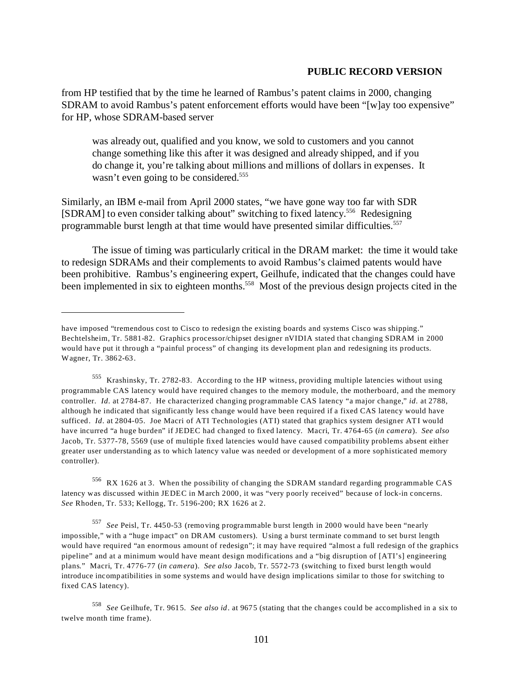from HP testified that by the time he learned of Rambus's patent claims in 2000, changing SDRAM to avoid Rambus's patent enforcement efforts would have been "[w]ay too expensive" for HP, whose SDRAM-based server

was already out, qualified and you know, we sold to customers and you cannot change something like this after it was designed and already shipped, and if you do change it, you're talking about millions and millions of dollars in expenses. It wasn't even going to be considered.<sup>555</sup>

Similarly, an IBM e-mail from April 2000 states, "we have gone way too far with SDR [SDRAM] to even consider talking about" switching to fixed latency.556 Redesigning programmable burst length at that time would have presented similar difficulties.<sup>557</sup>

The issue of timing was particularly critical in the DRAM market: the time it would take to redesign SDRAMs and their complements to avoid Rambus's claimed patents would have been prohibitive. Rambus's engineering expert, Geilhufe, indicated that the changes could have been implemented in six to eighteen months.<sup>558</sup> Most of the previous design projects cited in the

556 RX 1626 at 3. When the possibility of changing the SDRAM standard regarding programmable CAS latency was discussed within JEDEC in March 2000, it was "very poorly received" because of lock-in concerns. *See* Rhoden, Tr. 533; Kellogg, Tr. 5196-200; RX 1626 at 2.

<sup>557</sup>*See* Peisl, Tr. 4450-53 (removing programmable burst length in 2000 would have been "nearly impossible," with a "huge impact" on DRAM customers). Using a burst terminate command to set burst length would have required "an enormous amount of redesign"; it may have required "almost a full redesign of the graphics pipeline" and at a minimum would have meant design modifications and a "big disruption of [ATI's] engineering plans." Macri, Tr. 4776-77 (*in camera*). *See also* Jacob, Tr. 5572-73 (switching to fixed burst length would introduce incompatibilities in some systems and would have design implications similar to those for switching to fixed CAS latency).

have imposed "tremendous cost to Cisco to redesign the existing boards and systems Cisco was shipping." Bechtelsheim, Tr. 5881-82. Graphics processor/chipset designer nVIDIA stated that changing SDRAM in 2000 would have put it through a "painful process" of changing its development plan and redesigning its products. Wagner, Tr. 3862-63.

<sup>555</sup> Krashinsky, Tr. 2782-83. According to the HP witness, providing multiple latencies without using programmable CAS latency would have required changes to the memory module, the motherboard, and the memory controller. *Id*. at 2784-87. He characterized changing programmable CAS latency "a major change," *id*. at 2788, although he indicated that significantly less change would have been required if a fixed CAS latency would have sufficed. *Id*. at 2804-05. Joe Macri of ATI Technologies (ATI) stated that graphics system designer ATI would have incurred "a huge burden" if JEDEC had changed to fixed latency. Macri, Tr. 4764-65 (*in camera*). *See also*  Jacob, Tr. 5377-78, 5569 (use of multiple fixed latencies would have caused compatibility problems absent either greater user understanding as to which latency value was needed or development of a more sophisticated memory controller).

<sup>558</sup>*See* Geilhufe, Tr. 9615. *See also id*. at 9675 (stating that the changes could be accomplished in a six to twelve month time frame).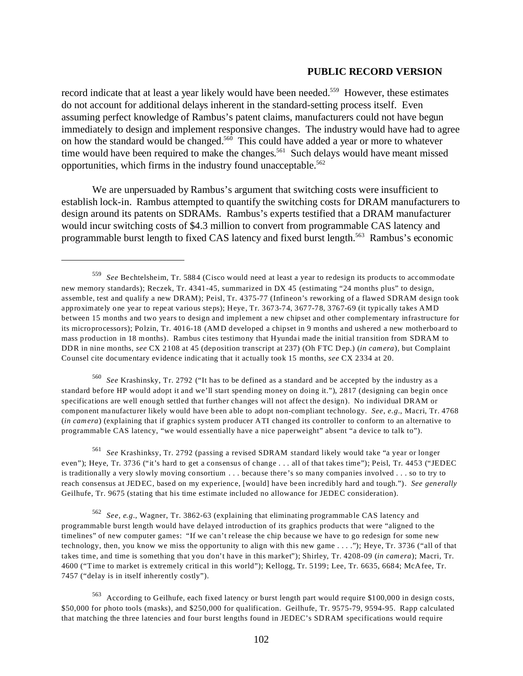record indicate that at least a year likely would have been needed.<sup>559</sup> However, these estimates do not account for additional delays inherent in the standard-setting process itself. Even assuming perfect knowledge of Rambus's patent claims, manufacturers could not have begun immediately to design and implement responsive changes. The industry would have had to agree on how the standard would be changed.<sup>560</sup> This could have added a year or more to whatever time would have been required to make the changes.<sup>561</sup> Such delays would have meant missed opportunities, which firms in the industry found unacceptable.562

We are unpersuaded by Rambus's argument that switching costs were insufficient to establish lock-in. Rambus attempted to quantify the switching costs for DRAM manufacturers to design around its patents on SDRAMs. Rambus's experts testified that a DRAM manufacturer would incur switching costs of \$4.3 million to convert from programmable CAS latency and programmable burst length to fixed CAS latency and fixed burst length.563 Rambus's economic

<sup>560</sup>*See* Krashinsky, Tr. 2792 ("It has to be defined as a standard and be accepted by the industry as a standard before HP would adopt it and we'll start spending money on doing it."), 2817 (designing can begin once specifications are well enough settled that further changes will not affect the design). No individual DRAM or component manufacturer likely would have been able to adopt non-compliant technology. *See*, *e.g.*, Macri, Tr. 4768 (*in camera*) (explaining that if graphics system producer ATI changed its controller to conform to an alternative to programmable CAS latency, "we would essentially have a nice paperweight" absent "a device to talk to").

<sup>561</sup>*See* Krashinksy, Tr. 2792 (passing a revised SDRAM standard likely would take "a year or longer even"); Heye, Tr. 3736 ("it's hard to get a consensus of change . . . all of that takes time"); Peisl, Tr. 4453 ("JEDEC is traditionally a very slowly moving consortium . . . because there's so many companies involved . . . so to try to reach consensus at JEDEC, based on my experience, [would] have been incredibly hard and tough."). *See generally*  Geilhufe, Tr. 9675 (stating that his time estimate included no allowance for JEDEC consideration).

<sup>562</sup>*See, e.g.*, Wagner, Tr. 3862-63 (explaining that eliminating programmable CAS latency and programmable burst length would have delayed introduction of its graphics products that were "aligned to the timelines" of new computer games: "If we can't release the chip because we have to go redesign for some new technology, then, you know we miss the opportunity to align with this new game . . . ."); Heye, Tr. 3736 ("all of that takes time, and time is something that you don't have in this market"); Shirley, Tr. 4208-09 (*in camera*); Macri, Tr. 4600 ("Time to market is extremely critical in this world"); Kellogg, Tr. 5199; Lee, Tr. 6635, 6684; McAfee, Tr. 7457 ("delay is in itself inherently costly").

563 According to Geilhufe, each fixed latency or burst length part would require \$100,000 in design costs, \$50,000 for photo tools (masks), and \$250,000 for qualification. Geilhufe, Tr. 9575-79, 9594-95. Rapp calculated that matching the three latencies and four burst lengths found in JEDEC's SDRAM specifications would require

<sup>559</sup>*See* Bechtelsheim, Tr. 5884 (Cisco would need at least a year to redesign its products to accommodate new memory standards); Reczek, Tr. 4341-45, summarized in DX 45 (estimating "24 months plus" to design, assemble, test and qualify a new DRAM); Peisl, Tr. 4375-77 (Infineon's reworking of a flawed SDRAM design took approximately one year to repeat various steps); Heye, Tr. 3673-74, 3677-78, 3767-69 (it typically takes AMD between 15 months and two years to design and implement a new chipset and other complementary infrastructure for its microprocessors); Polzin, Tr. 4016-18 (AMD developed a chipset in 9 months and ushered a new motherboard to mass production in 18 months). Rambus cites testimony that Hyundai made the initial transition from SDRAM to DDR in nine months, *see* CX 2108 at 45 (deposition transcript at 237) (Oh FTC Dep.) (*in camera*), but Complaint Counsel cite documentary evidence indicating that it actually took 15 months, *see* CX 2334 at 20.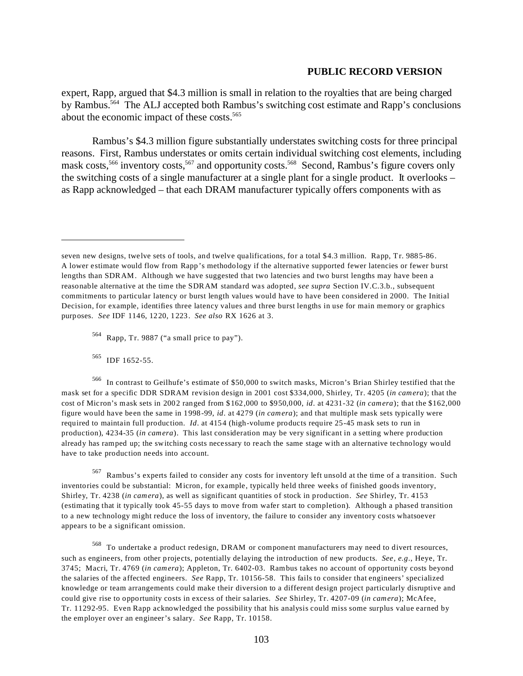expert, Rapp, argued that \$4.3 million is small in relation to the royalties that are being charged by Rambus.564 The ALJ accepted both Rambus's switching cost estimate and Rapp's conclusions about the economic impact of these costs.<sup>565</sup>

Rambus's \$4.3 million figure substantially understates switching costs for three principal reasons. First, Rambus understates or omits certain individual switching cost elements, including mask costs,<sup>566</sup> inventory costs,<sup>567</sup> and opportunity costs.<sup>568</sup> Second, Rambus's figure covers only the switching costs of a single manufacturer at a single plant for a single product. It overlooks – as Rapp acknowledged – that each DRAM manufacturer typically offers components with as

565 IDF 1652-55.

566 In contrast to Geilhufe's estimate of \$50,000 to switch masks, Micron's Brian Shirley testified that the mask set for a specific DDR SDRAM revision design in 2001 cost \$334,000, Shirley, Tr. 4205 (*in camera*); that the cost of Micron's mask sets in 2002 ranged from \$162,000 to \$950,000, *id*. at 4231-32 (*in camera*); that the \$162,000 figure would have been the same in 1998-99, *id*. at 4279 (*in camera*); and that multiple mask sets typically were required to maintain full production. *Id*. at 4154 (high-volume products require 25-45 mask sets to run in production), 4234-35 (*in camera*). This last consideration may be very significant in a setting where production already has ramped up; the switching costs necessary to reach the same stage with an alternative technology would have to take production needs into account.

567 Rambus's experts failed to consider any costs for inventory left unsold at the time of a transition. Such inventories could be substantial: Micron, for example, typically held three weeks of finished goods inventory, Shirley, Tr. 4238 (*in camera*), as well as significant quantities of stock in production. *See* Shirley, Tr. 4153 (estimating that it typically took 45-55 days to move from wafer start to completion). Although a phased transition to a new technology might reduce the loss of inventory, the failure to consider any inventory costs whatsoever appears to be a significant omission.

568 To undertake a product redesign, DRAM or component manufacturers may need to divert resources, such as engineers, from other projects, potentially delaying the introduction of new products. *See, e.g*., Heye, Tr. 3745; Macri, Tr. 4769 (*in camera*); Appleton, Tr. 6402-03. Rambus takes no account of opportunity costs beyond the salaries of the affected engineers. *See* Rapp, Tr. 10156-58. This fails to consider that engineers' specialized knowledge or team arrangements could make their diversion to a different design project particularly disruptive and could give rise to opportunity costs in excess of their salaries. *See* Shirley, Tr. 4207-09 (*in camera*); McAfee, Tr. 11292-95. Even Rapp acknowledged the possibility that his analysis could miss some surplus value earned by the employer over an engineer's salary. *See* Rapp, Tr. 10158.

seven new designs, twelve sets of tools, and twelve qualifications, for a total \$4.3 million. Rapp, Tr. 9885-86. A lower estimate would flow from Rapp's methodology if the alternative supported fewer latencies or fewer burst lengths than SDRAM. Although we have suggested that two latencies and two burst lengths may have been a reasonable alternative at the time the SDRAM standard was adopted, *see supra* Section IV.C.3.b., subsequent commitments to particular latency or burst length values would have to have been considered in 2000. The Initial Decision, for example, identifies three latency values and three burst lengths in use for main memory or graphics purposes. *See* IDF 1146, 1220, 1223. *See also* RX 1626 at 3.

<sup>564</sup> Rapp, Tr. 9887 ("a small price to pay").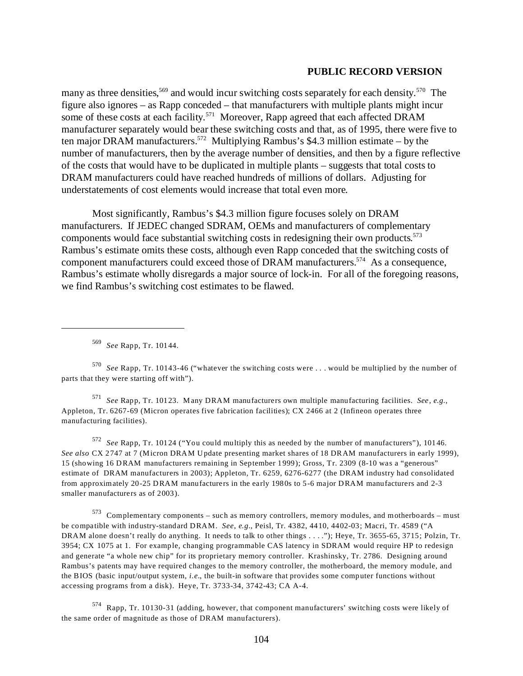many as three densities,<sup>569</sup> and would incur switching costs separately for each density.<sup>570</sup> The figure also ignores – as Rapp conceded – that manufacturers with multiple plants might incur some of these costs at each facility.<sup>571</sup> Moreover, Rapp agreed that each affected DRAM manufacturer separately would bear these switching costs and that, as of 1995, there were five to ten major DRAM manufacturers.<sup>572</sup> Multiplying Rambus's \$4.3 million estimate – by the number of manufacturers, then by the average number of densities, and then by a figure reflective of the costs that would have to be duplicated in multiple plants – suggests that total costs to DRAM manufacturers could have reached hundreds of millions of dollars. Adjusting for understatements of cost elements would increase that total even more.

Most significantly, Rambus's \$4.3 million figure focuses solely on DRAM manufacturers. If JEDEC changed SDRAM, OEMs and manufacturers of complementary components would face substantial switching costs in redesigning their own products. 573 Rambus's estimate omits these costs, although even Rapp conceded that the switching costs of component manufacturers could exceed those of DRAM manufacturers.574 As a consequence, Rambus's estimate wholly disregards a major source of lock-in. For all of the foregoing reasons, we find Rambus's switching cost estimates to be flawed.

<sup>569</sup>*See* Rapp, Tr. 10144.

<sup>570</sup>*See* Rapp, Tr. 10143-46 ("whatever the switching costs were . . . would be multiplied by the number of parts that they were starting off with").

<sup>571</sup>*See* Rapp, Tr. 10123. Many DRAM manufacturers own multiple manufacturing facilities. *See, e.g.,*  Appleton, Tr. 6267-69 (Micron operates five fabrication facilities); CX 2466 at 2 (Infineon operates three manufacturing facilities).

<sup>572</sup>*See* Rapp, Tr. 10124 ("You could multiply this as needed by the number of manufacturers"), 10146. *See also* CX 2747 at 7 (Micron DRAM Update presenting market shares of 18 DRAM manufacturers in early 1999), 15 (showing 16 DRAM manufacturers remaining in September 1999); Gross, Tr. 2309 (8-10 was a "generous" estimate of DRAM manufacturers in 2003); Appleton, Tr. 6259, 6276-6277 (the DRAM industry had consolidated from approximately 20-25 DRAM manufacturers in the early 1980s to 5-6 major DRAM manufacturers and 2-3 smaller manufacturers as of 2003).

 $573$  Complementary components – such as memory controllers, memory modules, and motherboards – must be compatible with industry-standard DRAM. *See, e.g.*, Peisl, Tr. 4382, 4410, 4402-03; Macri, Tr. 4589 ("A DRAM alone doesn't really do anything. It needs to talk to other things . . . ."); Heye, Tr. 3655-65, 3715; Polzin, Tr. 3954; CX 1075 at 1. For example, changing programmable CAS latency in SDRAM would require HP to redesign and generate "a whole new chip" for its proprietary memory controller. Krashinsky, Tr. 2786. Designing around Rambus's patents may have required changes to the memory controller, the motherboard, the memory module, and the BIOS (basic input/output system, *i.e.*, the built-in software that provides some computer functions without accessing programs from a disk). Heye, Tr. 3733-34, 3742-43; CA A-4.

574 Rapp, Tr. 10130-31 (adding, however, that component manufacturers' switching costs were likely of the same order of magnitude as those of DRAM manufacturers).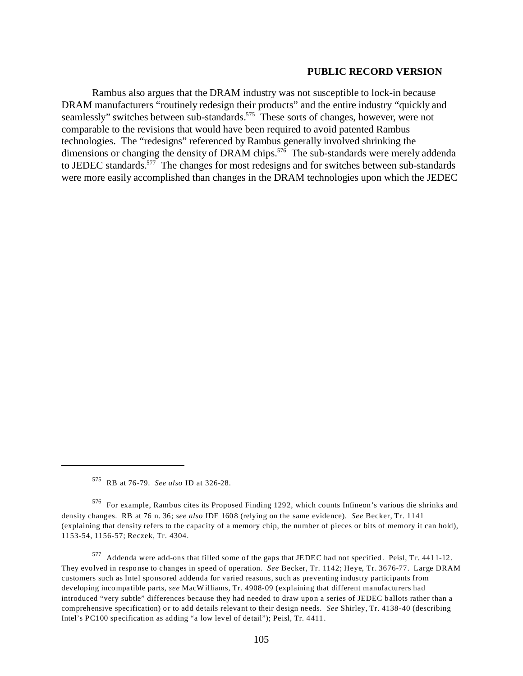Rambus also argues that the DRAM industry was not susceptible to lock-in because DRAM manufacturers "routinely redesign their products" and the entire industry "quickly and seamlessly" switches between sub-standards.<sup>575</sup> These sorts of changes, however, were not comparable to the revisions that would have been required to avoid patented Rambus technologies. The "redesigns" referenced by Rambus generally involved shrinking the dimensions or changing the density of DRAM chips.<sup>576</sup> The sub-standards were merely addenda to JEDEC standards.577 The changes for most redesigns and for switches between sub-standards were more easily accomplished than changes in the DRAM technologies upon which the JEDEC

<sup>575</sup> RB at 76-79. *See also* ID at 326-28.

<sup>576</sup> For example, Rambus cites its Proposed Finding 1292, which counts Infineon's various die shrinks and density changes. RB at 76 n. 36; *see also* IDF 1608 (relying on the same evidence). *See* Becker, Tr. 1141 (explaining that density refers to the capacity of a memory chip, the number of pieces or bits of memory it can hold), 1153-54, 1156-57; Reczek, Tr. 4304.

<sup>577</sup> Addenda were add-ons that filled some of the gaps that JEDEC had not specified. Peisl, Tr. 4411-12. They evolved in response to changes in speed of operation. *See* Becker, Tr. 1142; Heye, Tr. 3676-77. Large DRAM customers such as Intel sponsored addenda for varied reasons, such as preventing industry participants from developing incompatible parts, *see* MacWilliams, Tr. 4908-09 (explaining that different manufacturers had introduced "very subtle" differences because they had needed to draw upon a series of JEDEC ballots rather than a comprehensive specification) or to add details relevant to their design needs. *See* Shirley, Tr. 4138-40 (describing Intel's PC100 specification as adding "a low level of detail"); Peisl, Tr. 4411.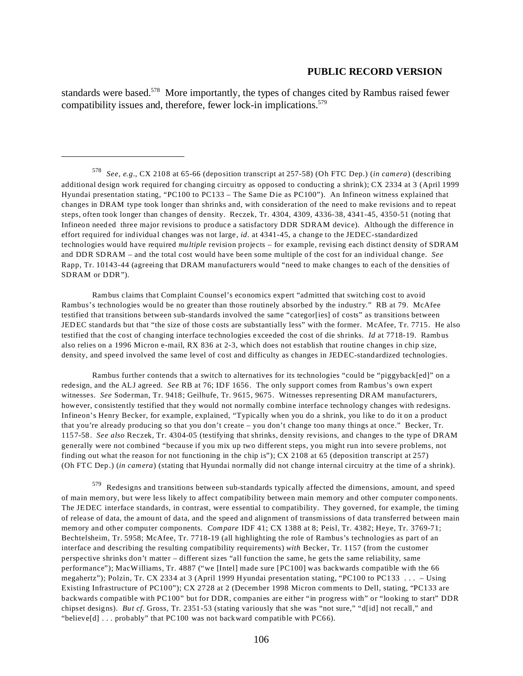standards were based.<sup>578</sup> More importantly, the types of changes cited by Rambus raised fewer compatibility issues and, therefore, fewer lock-in implications. $579$ 

Rambus claims that Complaint Counsel's economics expert "admitted that switching cost to avoid Rambus's technologies would be no greater than those routinely absorbed by the industry." RB at 79. McAfee testified that transitions between sub-standards involved the same "categor[ies] of costs" as transitions between JEDEC standards but that "the size of those costs are substantially less" with the former. McAfee, Tr. 7715. He also testified that the cost of changing interface technologies exceeded the cost of die shrinks. *Id* at 7718-19. Rambus also relies on a 1996 Micron e-mail, RX 836 at 2-3, which does not establish that routine changes in chip size, density, and speed involved the same level of cost and difficulty as changes in JEDEC-standardized technologies.

Rambus further contends that a switch to alternatives for its technologies "could be "piggyback[ed]" on a redesign, and the ALJ agreed. *See* RB at 76; IDF 1656. The only support comes from Rambus's own expert witnesses. *See* Soderman, Tr. 9418; Geilhufe, Tr. 9615, 9675. Witnesses representing DRAM manufacturers, however, consistently testified that they would not normally combine interface technology changes with redesigns. Infineon's Henry Becker, for example, explained, "Typically when you do a shrink, you like to do it on a product that you're already producing so that you don't create – you don't change too many things at once." Becker, Tr. 1157-58. *See also* Reczek, Tr. 4304-05 (testifying that shrinks, density revisions, and changes to the type of DRAM generally were not combined "because if you mix up two different steps, you might run into severe problems, not finding out what the reason for not functioning in the chip is"); CX 2108 at 65 (deposition transcript at 257) (Oh FTC Dep.) (*in camera*) (stating that Hyundai normally did not change internal circuitry at the time of a shrink).

579 Redesigns and transitions between sub-standards typically affected the dimensions, amount, and speed of main memory, but were less likely to affect compatibility between main memory and other computer components. The JEDEC interface standards, in contrast, were essential to compatibility. They governed, for example, the timing of release of data, the amount of data, and the speed and alignment of transmissions of data transferred between main memory and other computer components. *Compare* IDF 41; CX 1388 at 8; Peisl, Tr. 4382; Heye, Tr. 3769-71; Bechtelsheim, Tr. 5958; McAfee, Tr. 7718-19 (all highlighting the role of Rambus's technologies as part of an interface and describing the resulting compatibility requirements) *with* Becker, Tr. 1157 (from the customer perspective shrinks don't matter – different sizes "all function the same, he gets the same reliability, same performance"); MacWilliams, Tr. 4887 ("we [Intel] made sure [PC100] was backwards compatible with the 66 megahertz"); Polzin, Tr. CX 2334 at 3 (April 1999 Hyundai presentation stating, "PC100 to PC133 . . . – Using Existing Infrastructure of PC100"); CX 2728 at 2 (December 1998 Micron comments to Dell, stating, "PC133 are backwards compatible with PC100" but for DDR, companies are either "in progress with" or "looking to start" DDR chipset designs). *But cf.* Gross, Tr. 2351-53 (stating variously that she was "not sure," "d[id] not recall," and "believe[d] . . . probably" that PC100 was not backward compatible with PC66).

<sup>578</sup>*See, e.g.*, CX 2108 at 65-66 (deposition transcript at 257-58) (Oh FTC Dep.) (*in camera*) (describing additional design work required for changing circuitry as opposed to conducting a shrink); CX 2334 at 3 (April 1999 Hyundai presentation stating, "PC100 to PC133 – The Same Die as PC100"). An Infineon witness explained that changes in DRAM type took longer than shrinks and, with consideration of the need to make revisions and to repeat steps, often took longer than changes of density. Reczek, Tr. 4304, 4309, 4336-38, 4341-45, 4350-51 (noting that Infineon needed three major revisions to produce a satisfactory DDR SDRAM device). Although the difference in effort required for individual changes was not large, *id*. at 4341-45, a change to the JEDEC-standardized technologies would have required *multiple* revision projects – for example, revising each distinct density of SDRAM and DDR SDRAM – and the total cost would have been some multiple of the cost for an individual change. *See*  Rapp, Tr. 10143-44 (agreeing that DRAM manufacturers would "need to make changes to each of the densities of SDRAM or DDR").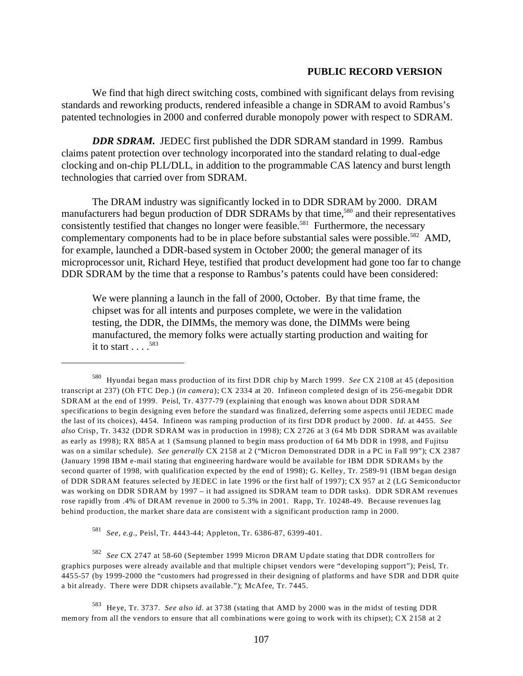We find that high direct switching costs, combined with significant delays from revising standards and reworking products, rendered infeasible a change in SDRAM to avoid Rambus's patented technologies in 2000 and conferred durable monopoly power with respect to SDRAM.

*DDR SDRAM.* JEDEC first published the DDR SDRAM standard in 1999. Rambus claims patent protection over technology incorporated into the standard relating to dual-edge clocking and on-chip PLL/DLL, in addition to the programmable CAS latency and burst length technologies that carried over from SDRAM.

The DRAM industry was significantly locked in to DDR SDRAM by 2000. DRAM manufacturers had begun production of DDR SDRAMs by that time,<sup>580</sup> and their representatives consistently testified that changes no longer were feasible.<sup>581</sup> Furthermore, the necessary complementary components had to be in place before substantial sales were possible.<sup>582</sup> AMD, for example, launched a DDR-based system in October 2000; the general manager of its microprocessor unit, Richard Heye, testified that product development had gone too far to change DDR SDRAM by the time that a response to Rambus's patents could have been considered:

We were planning a launch in the fall of 2000, October. By that time frame, the chipset was for all intents and purposes complete, we were in the validation testing, the DDR, the DIMMs, the memory was done, the DIMMs were being manufactured, the memory folks were actually starting production and waiting for it to start  $\ldots$ <sup>583</sup>

<sup>581</sup>*See, e.g.*, Peisl, Tr. 4443-44; Appleton, Tr. 6386-87, 6399-401.

<sup>582</sup>*See* CX 2747 at 58-60 (September 1999 Micron DRAM Update stating that DDR controllers for graphics purposes were already available and that multiple chipset vendors were "developing support"); Peisl, Tr. 4455-57 (by 1999-2000 the "customers had progressed in their designing of platforms and have SDR and DDR quite a bit already. There were DDR chipsets available."); McAfee, Tr. 7445.

<sup>580</sup> Hyundai began mass production of its first DDR chip by March 1999. *See* CX 2108 at 45 (deposition transcript at 237) (Oh FTC Dep.) (*in camera*); CX 2334 at 20. Infineon completed design of its 256-megabit DDR SDRAM at the end of 1999. Peisl, Tr. 4377-79 (explaining that enough was known about DDR SDRAM specifications to begin designing even before the standard was finalized, deferring some aspects until JEDEC made the last of its choices), 4454. Infineon was ramping production of its first DDR product by 2000. *Id.* at 4455. *See also* Crisp, Tr. 3432 (DDR SDRAM was in production in 1998); CX 2726 at 3 (64 Mb DDR SDRAM was available as early as 1998); RX 885A at 1 (Samsung planned to begin mass production of 64 Mb DDR in 1998, and Fujitsu was on a similar schedule). *See generally* CX 2158 at 2 ("Micron Demonstrated DDR in a PC in Fall 99"); CX 2387 (January 1998 IBM e-mail stating that engineering hardware would be available for IBM DDR SDRAMs by the second quarter of 1998, with qualification expected by the end of 1998); G. Kelley, Tr. 2589-91 (IBM began design of DDR SDRAM features selected by JEDEC in late 1996 or the first half of 1997); CX 957 at 2 (LG Semiconductor was working on DDR SDRAM by 1997 – it had assigned its SDRAM team to DDR tasks). DDR SDRAM revenues rose rapidly from .4% of DRAM revenue in 2000 to 5.3% in 2001. Rapp, Tr. 10248-49. Because revenues lag behind production, the market share data are consistent with a significant production ramp in 2000.

<sup>583</sup> Heye, Tr. 3737. *See also id.* at 3738 (stating that AMD by 2000 was in the midst of testing DDR memory from all the vendors to ensure that all combinations were going to work with its chipset); CX 2158 at 2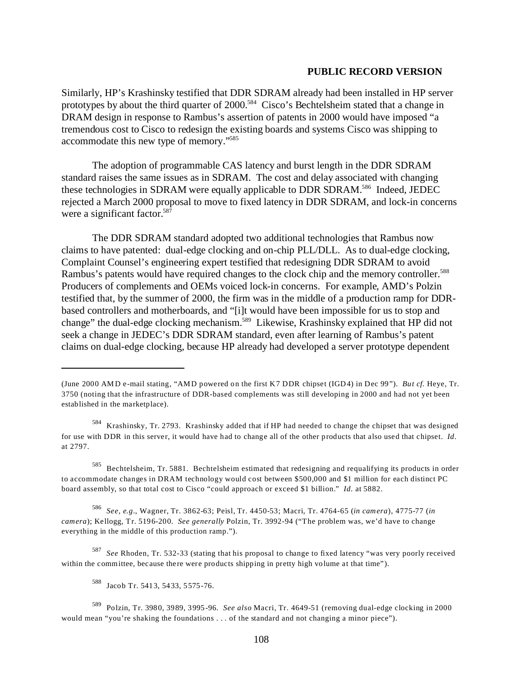Similarly, HP's Krashinsky testified that DDR SDRAM already had been installed in HP server prototypes by about the third quarter of 2000.<sup>584</sup> Cisco's Bechtelsheim stated that a change in DRAM design in response to Rambus's assertion of patents in 2000 would have imposed "a tremendous cost to Cisco to redesign the existing boards and systems Cisco was shipping to accommodate this new type of memory."585

The adoption of programmable CAS latency and burst length in the DDR SDRAM standard raises the same issues as in SDRAM. The cost and delay associated with changing these technologies in SDRAM were equally applicable to DDR SDRAM.<sup>586</sup> Indeed, JEDEC rejected a March 2000 proposal to move to fixed latency in DDR SDRAM, and lock-in concerns were a significant factor.<sup>587</sup>

The DDR SDRAM standard adopted two additional technologies that Rambus now claims to have patented: dual-edge clocking and on-chip PLL/DLL. As to dual-edge clocking, Complaint Counsel's engineering expert testified that redesigning DDR SDRAM to avoid Rambus's patents would have required changes to the clock chip and the memory controller.<sup>588</sup> Producers of complements and OEMs voiced lock-in concerns. For example, AMD's Polzin testified that, by the summer of 2000, the firm was in the middle of a production ramp for DDRbased controllers and motherboards, and "[i]t would have been impossible for us to stop and change" the dual-edge clocking mechanism.<sup>589</sup> Likewise, Krashinsky explained that HP did not seek a change in JEDEC's DDR SDRAM standard, even after learning of Rambus's patent claims on dual-edge clocking, because HP already had developed a server prototype dependent

<sup>586</sup>*See, e.g.*, Wagner, Tr. 3862-63; Peisl, Tr. 4450-53; Macri, Tr. 4764-65 (*in camera*), 4775-77 (*in camera*); Kellogg, Tr. 5196-200. *See generally* Polzin, Tr. 3992-94 ("The problem was, we'd have to change everything in the middle of this production ramp.").

<sup>587</sup>*See* Rhoden, Tr. 532-33 (stating that his proposal to change to fixed latency "was very poorly received within the committee, because there were products shipping in pretty high volume at that time").

<sup>(</sup>June 2000 AM D e-mail stating, "AMD powered on the first K7 DDR chipset (IGD4) in Dec 99"). *But cf.* Heye, Tr. 3750 (noting that the infrastructure of DDR-based complements was still developing in 2000 and had not yet been established in the marketplace).

<sup>584</sup> Krashinsky, Tr. 2793. Krashinsky added that if HP had needed to change the chipset that was designed for use with DDR in this server, it would have had to change all of the other products that also used that chipset. *Id*. at 2797.

<sup>585</sup> Bechtelsheim, Tr. 5881. Bechtelsheim estimated that redesigning and requalifying its products in order to accommodate changes in DRAM technology would cost between \$500,000 and \$1 million for each distinct PC board assembly, so that total cost to Cisco "could approach or exceed \$1 billion." *Id*. at 5882.

<sup>588</sup> Jacob Tr. 5413, 5433, 5575-76.

<sup>589</sup> Polzin, Tr. 3980, 3989, 3995-96. *See also* Macri, Tr. 4649-51 (removing dual-edge clocking in 2000 would mean "you're shaking the foundations . . . of the standard and not changing a minor piece").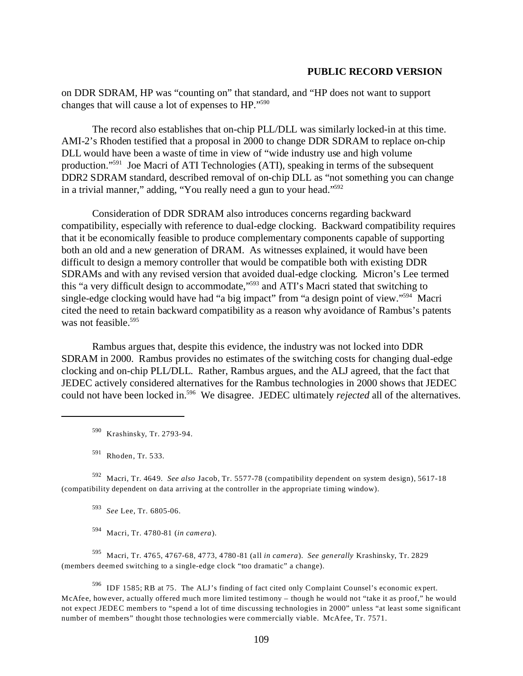on DDR SDRAM, HP was "counting on" that standard, and "HP does not want to support changes that will cause a lot of expenses to HP."590

The record also establishes that on-chip PLL/DLL was similarly locked-in at this time. AMI-2's Rhoden testified that a proposal in 2000 to change DDR SDRAM to replace on-chip DLL would have been a waste of time in view of "wide industry use and high volume production."591 Joe Macri of ATI Technologies (ATI), speaking in terms of the subsequent DDR2 SDRAM standard, described removal of on-chip DLL as "not something you can change in a trivial manner," adding, "You really need a gun to your head."592

Consideration of DDR SDRAM also introduces concerns regarding backward compatibility, especially with reference to dual-edge clocking. Backward compatibility requires that it be economically feasible to produce complementary components capable of supporting both an old and a new generation of DRAM. As witnesses explained, it would have been difficult to design a memory controller that would be compatible both with existing DDR SDRAMs and with any revised version that avoided dual-edge clocking. Micron's Lee termed this "a very difficult design to accommodate,"593 and ATI's Macri stated that switching to single-edge clocking would have had "a big impact" from "a design point of view."<sup>594</sup> Macri cited the need to retain backward compatibility as a reason why avoidance of Rambus's patents was not feasible. $595$ 

Rambus argues that, despite this evidence, the industry was not locked into DDR SDRAM in 2000. Rambus provides no estimates of the switching costs for changing dual-edge clocking and on-chip PLL/DLL. Rather, Rambus argues, and the ALJ agreed, that the fact that JEDEC actively considered alternatives for the Rambus technologies in 2000 shows that JEDEC could not have been locked in.596 We disagree. JEDEC ultimately *rejected* all of the alternatives.

590 Krashinsky, Tr. 2793-94.

591 Rhoden, Tr. 533.

592 Macri, Tr. 4649. *See also* Jacob, Tr. 5577-78 (compatibility dependent on system design), 5617-18 (compatibility dependent on data arriving at the controller in the appropriate timing window).

<sup>593</sup>*See* Lee, Tr. 6805-06.

594 Macri, Tr. 4780-81 (*in camera*).

595 Macri, Tr. 4765, 4767-68, 4773, 4780-81 (all *in camera*). *See generally* Krashinsky, Tr. 2829 (members deemed switching to a single-edge clock "too dramatic" a change).

596 IDF 1585; RB at 75. The ALJ's finding of fact cited only Complaint Counsel's economic expert. McAfee, however, actually offered much more limited testimony – though he would not "take it as proof," he would not expect JEDEC members to "spend a lot of time discussing technologies in 2000" unless "at least some significant number of members" thought those technologies were commercially viable. McAfee, Tr. 7571.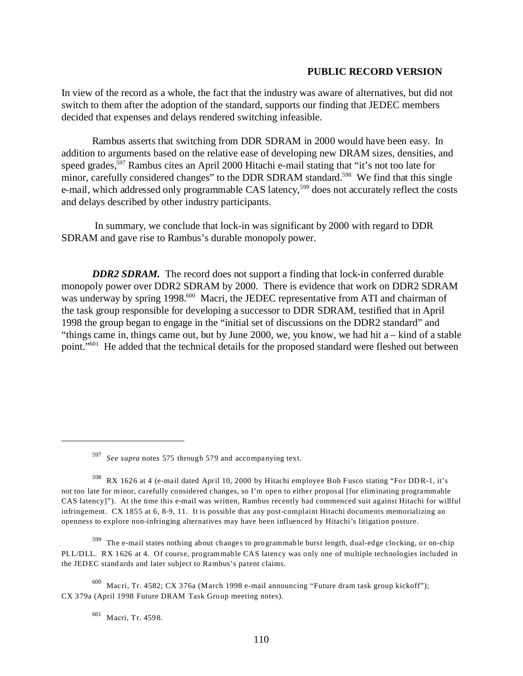In view of the record as a whole, the fact that the industry was aware of alternatives, but did not switch to them after the adoption of the standard, supports our finding that JEDEC members decided that expenses and delays rendered switching infeasible.

Rambus asserts that switching from DDR SDRAM in 2000 would have been easy. In addition to arguments based on the relative ease of developing new DRAM sizes, densities, and speed grades,<sup>597</sup> Rambus cites an April 2000 Hitachi e-mail stating that "it's not too late for minor, carefully considered changes" to the DDR SDRAM standard.<sup>598</sup> We find that this single e-mail, which addressed only programmable CAS latency,<sup>599</sup> does not accurately reflect the costs and delays described by other industry participants.

 In summary, we conclude that lock-in was significant by 2000 with regard to DDR SDRAM and gave rise to Rambus's durable monopoly power.

*DDR2 SDRAM.* The record does not support a finding that lock-in conferred durable monopoly power over DDR2 SDRAM by 2000. There is evidence that work on DDR2 SDRAM was underway by spring 1998.<sup>600</sup> Macri, the JEDEC representative from ATI and chairman of the task group responsible for developing a successor to DDR SDRAM, testified that in April 1998 the group began to engage in the "initial set of discussions on the DDR2 standard" and "things came in, things came out, but by June 2000, we, you know, we had hit a – kind of a stable point."601 He added that the technical details for the proposed standard were fleshed out between

<sup>597</sup>*See supra* notes 575 through 579 and accompanying text.

<sup>598</sup> RX 1626 at 4 (e-mail dated April 10, 2000 by Hitachi employee Bob Fusco stating "For DDR-1, it's not too late for minor, carefully considered changes, so I'm open to either proposal [for eliminating programmable CAS latency]"). At the time this e-mail was written, Rambus recently had commenced suit against Hitachi for willful infringement. CX 1855 at 6, 8-9, 11. It is possible that any post-complaint Hitachi documents memorializing an openness to explore non-infringing alternatives may have been influenced by Hitachi's litigation posture.

 $599$  The e-mail states nothing about changes to programmable burst length, dual-edge clocking, or on-chip PLL/DLL. RX 1626 at 4. Of course, programmable CAS latency was only one of multiple technologies included in the JEDEC standards and later subject to Rambus's patent claims.

 $600$  Macri, Tr. 4582; CX 376a (March 1998 e-mail announcing "Future dram task group kickoff"); CX 379a (April 1998 Future DRAM Task Group meeting notes).

<sup>601</sup> Macri, Tr. 4598.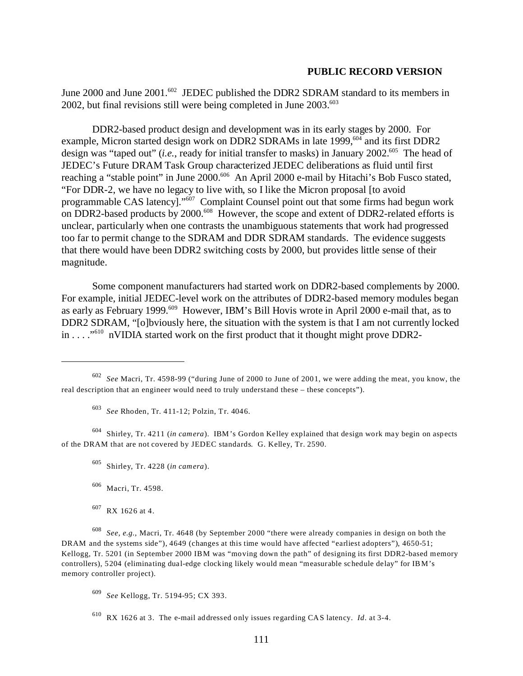June 2000 and June 2001.<sup>602</sup> JEDEC published the DDR2 SDRAM standard to its members in  $2002$ , but final revisions still were being completed in June  $2003$ .<sup>603</sup>

DDR2-based product design and development was in its early stages by 2000. For example, Micron started design work on DDR2 SDRAMs in late 1999,<sup>604</sup> and its first DDR2 design was "taped out" (*i.e.*, ready for initial transfer to masks) in January 2002.<sup>605</sup> The head of JEDEC's Future DRAM Task Group characterized JEDEC deliberations as fluid until first reaching a "stable point" in June 2000.<sup>606</sup> An April 2000 e-mail by Hitachi's Bob Fusco stated, "For DDR-2, we have no legacy to live with, so I like the Micron proposal [to avoid programmable CAS latency]."607 Complaint Counsel point out that some firms had begun work on DDR2-based products by 2000.<sup>608</sup> However, the scope and extent of DDR2-related efforts is unclear, particularly when one contrasts the unambiguous statements that work had progressed too far to permit change to the SDRAM and DDR SDRAM standards. The evidence suggests that there would have been DDR2 switching costs by 2000, but provides little sense of their magnitude.

Some component manufacturers had started work on DDR2-based complements by 2000. For example, initial JEDEC-level work on the attributes of DDR2-based memory modules began as early as February 1999.<sup>609</sup> However, IBM's Bill Hovis wrote in April 2000 e-mail that, as to DDR2 SDRAM, "[o]bviously here, the situation with the system is that I am not currently locked in . . . . "<sup>610</sup> nVIDIA started work on the first product that it thought might prove DDR2-

<sup>603</sup>*See* Rhoden, Tr. 411-12; Polzin, Tr. 4046.

604 Shirley, Tr. 4211 (*in camera*). IBM 's Gordon Kelley explained that design work may begin on aspects of the DRAM that are not covered by JEDEC standards. G. Kelley, Tr. 2590.

- 605 Shirley, Tr. 4228 (*in camera*).
- 606 Macri, Tr. 4598.
- 607 RX 1626 at 4.

<sup>608</sup>*See*, *e.g.,* Macri, Tr. 4648 (by September 2000 "there were already companies in design on both the DRAM and the systems side"), 4649 (changes at this time would have affected "earliest adopters"), 4650-51; Kellogg, Tr. 5201 (in September 2000 IBM was "moving down the path" of designing its first DDR2-based memory controllers), 5204 (eliminating dual-edge clocking likely would mean "measurable schedule delay" for IBM's memory controller project).

<sup>609</sup>*See* Kellogg, Tr. 5194-95; CX 393.

610 RX 1626 at 3. The e-mail addressed only issues regarding CAS latency. *Id*. at 3-4.

<sup>602</sup>*See* Macri, Tr. 4598-99 ("during June of 2000 to June of 2001, we were adding the meat, you know, the real description that an engineer would need to truly understand these – these concepts").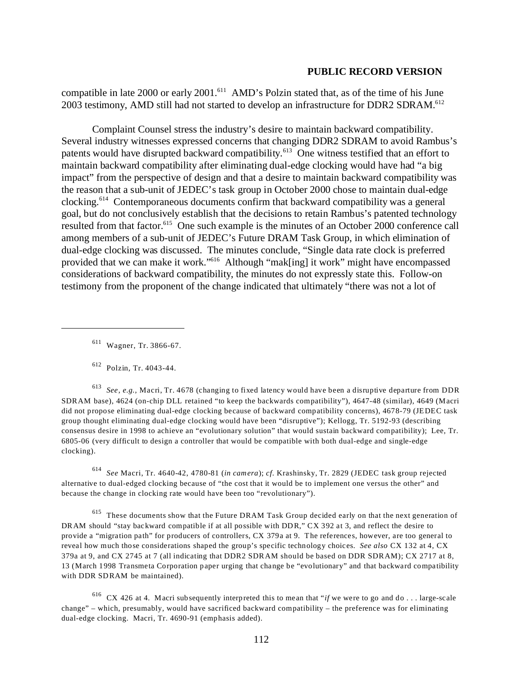compatible in late 2000 or early 2001.<sup>611</sup> AMD's Polzin stated that, as of the time of his June 2003 testimony, AMD still had not started to develop an infrastructure for DDR2 SDRAM.<sup>612</sup>

Complaint Counsel stress the industry's desire to maintain backward compatibility. Several industry witnesses expressed concerns that changing DDR2 SDRAM to avoid Rambus's patents would have disrupted backward compatibility.<sup>613</sup> One witness testified that an effort to maintain backward compatibility after eliminating dual-edge clocking would have had "a big impact" from the perspective of design and that a desire to maintain backward compatibility was the reason that a sub-unit of JEDEC's task group in October 2000 chose to maintain dual-edge clocking.614 Contemporaneous documents confirm that backward compatibility was a general goal, but do not conclusively establish that the decisions to retain Rambus's patented technology resulted from that factor.<sup>615</sup> One such example is the minutes of an October 2000 conference call among members of a sub-unit of JEDEC's Future DRAM Task Group, in which elimination of dual-edge clocking was discussed. The minutes conclude, "Single data rate clock is preferred provided that we can make it work."616 Although "mak[ing] it work" might have encompassed considerations of backward compatibility, the minutes do not expressly state this. Follow-on testimony from the proponent of the change indicated that ultimately "there was not a lot of

611 Wagner, Tr. 3866-67.

612 Polzin, Tr. 4043-44.

<sup>613</sup>*See, e.g.,* Macri, Tr. 4678 (changing to fixed latency would have been a disruptive departure from DDR SDRAM base), 4624 (on-chip DLL retained "to keep the backwards compatibility"), 4647-48 (similar), 4649 (Macri did not propose eliminating dual-edge clocking because of backward compatibility concerns), 4678-79 (JEDEC task group thought eliminating dual-edge clocking would have been "disruptive"); Kellogg, Tr. 5192-93 (describing consensus desire in 1998 to achieve an "evolutionary solution" that would sustain backward compatibility); Lee, Tr. 6805-06 (very difficult to design a controller that would be compatible with both dual-edge and single-edge clocking).

<sup>614</sup>*See* Macri, Tr. 4640-42, 4780-81 (*in camera*); *cf*. Krashinsky, Tr. 2829 (JEDEC task group rejected alternative to dual-edged clocking because of "the cost that it would be to implement one versus the other" and because the change in clocking rate would have been too "revolutionary").

615 These documents show that the Future DRAM Task Group decided early on that the next generation of DRAM should "stay backward compatible if at all possible with DDR," CX 392 at 3, and reflect the desire to provide a "migration path" for producers of controllers, CX 379a at 9. The references, however, are too general to reveal how much those considerations shaped the group's specific technology choices. *See also* CX 132 at 4, CX 379a at 9, and CX 2745 at 7 (all indicating that DDR2 SDRAM should be based on DDR SDRAM); CX 2717 at 8, 13 (March 1998 Transmeta Corporation paper urging that change be "evolutionary" and that backward compatibility with DDR SDRAM be maintained).

616 CX 426 at 4. Macri subsequently interpreted this to mean that "*if* we were to go and do . . . large-scale change" – which, presumably, would have sacrificed backward compatibility – the preference was for eliminating dual-edge clocking. Macri, Tr. 4690-91 (emphasis added).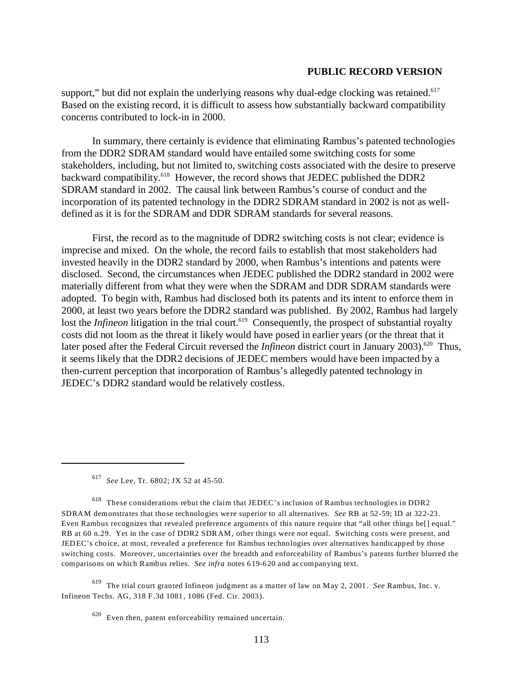support," but did not explain the underlying reasons why dual-edge clocking was retained. $617$ Based on the existing record, it is difficult to assess how substantially backward compatibility concerns contributed to lock-in in 2000.

In summary, there certainly is evidence that eliminating Rambus's patented technologies from the DDR2 SDRAM standard would have entailed some switching costs for some stakeholders, including, but not limited to, switching costs associated with the desire to preserve backward compatibility.<sup>618</sup> However, the record shows that JEDEC published the DDR2 SDRAM standard in 2002. The causal link between Rambus's course of conduct and the incorporation of its patented technology in the DDR2 SDRAM standard in 2002 is not as welldefined as it is for the SDRAM and DDR SDRAM standards for several reasons.

First, the record as to the magnitude of DDR2 switching costs is not clear; evidence is imprecise and mixed. On the whole, the record fails to establish that most stakeholders had invested heavily in the DDR2 standard by 2000, when Rambus's intentions and patents were disclosed. Second, the circumstances when JEDEC published the DDR2 standard in 2002 were materially different from what they were when the SDRAM and DDR SDRAM standards were adopted. To begin with, Rambus had disclosed both its patents and its intent to enforce them in 2000, at least two years before the DDR2 standard was published. By 2002, Rambus had largely lost the *Infineon* litigation in the trial court.<sup>619</sup> Consequently, the prospect of substantial royalty costs did not loom as the threat it likely would have posed in earlier years (or the threat that it later posed after the Federal Circuit reversed the *Infineon* district court in January 2003).<sup>620</sup> Thus, it seems likely that the DDR2 decisions of JEDEC members would have been impacted by a then-current perception that incorporation of Rambus's allegedly patented technology in JEDEC's DDR2 standard would be relatively costless.

<sup>617</sup>*See* Lee, Tr. 6802; JX 52 at 45-50.

618 These considerations rebut the claim that JEDEC's inclusion of Rambus technologies in DDR2 SDRAM demonstrates that those technologies were superior to all alternatives. *See* RB at 52-59; ID at 322-23. Even Rambus recognizes that revealed preference arguments of this nature require that "all other things be[] equal." RB at 60 n.29. Yet in the case of DDR2 SDRAM, other things were *not* equal. Switching costs were present, and JEDEC's choice, at most, revealed a preference for Rambus technologies over alternatives handicapped by those switching costs. Moreover, uncertainties over the breadth and enforceability of Rambus's patents further blurred the comparisons on which Rambus relies. *See infra* notes 619-620 and accompanying text.

619 The trial court granted Infineon judgment as a matter of law on May 2, 2001. *See* Rambus, Inc. v. Infineon Techs. AG, 318 F.3d 1081, 1086 (Fed. Cir. 2003).

 $620$  Even then, patent enforceability remained uncertain.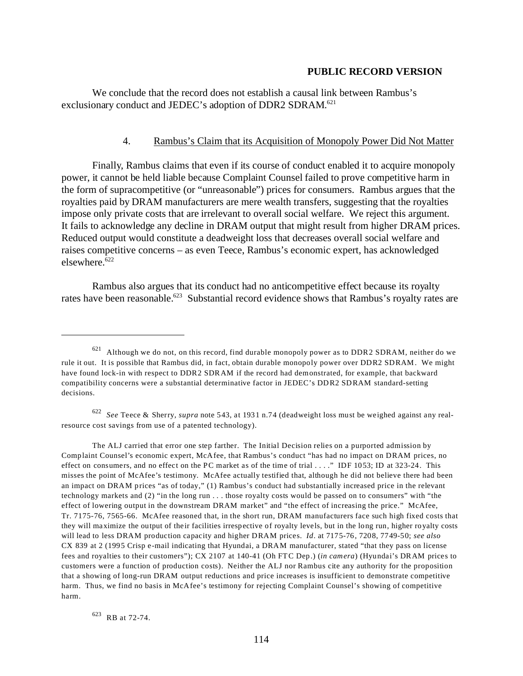We conclude that the record does not establish a causal link between Rambus's exclusionary conduct and JEDEC's adoption of DDR2 SDRAM.<sup>621</sup>

## 4. Rambus's Claim that its Acquisition of Monopoly Power Did Not Matter

Finally, Rambus claims that even if its course of conduct enabled it to acquire monopoly power, it cannot be held liable because Complaint Counsel failed to prove competitive harm in the form of supracompetitive (or "unreasonable") prices for consumers. Rambus argues that the royalties paid by DRAM manufacturers are mere wealth transfers, suggesting that the royalties impose only private costs that are irrelevant to overall social welfare. We reject this argument. It fails to acknowledge any decline in DRAM output that might result from higher DRAM prices. Reduced output would constitute a deadweight loss that decreases overall social welfare and raises competitive concerns – as even Teece, Rambus's economic expert, has acknowledged elsewhere.<sup>622</sup>

Rambus also argues that its conduct had no anticompetitive effect because its royalty rates have been reasonable.<sup>623</sup> Substantial record evidence shows that Rambus's royalty rates are

<sup>622</sup>*See* Teece & Sherry, *supra* note 543, at 1931 n.74 (deadweight loss must be weighed against any realresource cost savings from use of a patented technology).

The ALJ carried that error one step farther. The Initial Decision relies on a purported admission by Complaint Counsel's economic expert, McAfee, that Rambus's conduct "has had no impact on DRAM prices, no effect on consumers, and no effect on the PC market as of the time of trial . . . ." IDF 1053; ID at 323-24. This misses the point of McAfee's testimony. McAfee actually testified that, although he did not believe there had been an impact on DRAM prices "as of today," (1) Rambus's conduct had substantially increased price in the relevant technology markets and (2) "in the long run . . . those royalty costs would be passed on to consumers" with "the effect of lowering output in the downstream DRAM market" and "the effect of increasing the price." McAfee, Tr. 7175-76, 7565-66. McAfee reasoned that, in the short run, DRAM manufacturers face such high fixed costs that they will maximize the output of their facilities irrespective of royalty levels, but in the long run, higher royalty costs will lead to less DRAM production capacity and higher DRAM prices. *Id*. at 7175-76, 7208, 7749-50; *see also*  CX 839 at 2 (1995 Crisp e-mail indicating that Hyundai, a DRAM manufacturer, stated "that they pass on license fees and royalties to their customers"); CX 2107 at 140-41 (Oh FTC Dep.) (*in camera*) (Hyundai's DRAM prices to customers were a function of production costs). Neither the ALJ nor Rambus cite any authority for the proposition that a showing of long-run DRAM output reductions and price increases is insufficient to demonstrate competitive harm. Thus, we find no basis in McAfee's testimony for rejecting Complaint Counsel's showing of competitive harm.

623 RB at 72-74.

Although we do not, on this record, find durable monopoly power as to DDR2 SDRAM, neither do we rule it out. It is possible that Rambus did, in fact, obtain durable monopoly power over DDR2 SDRAM. We might have found lock-in with respect to DDR2 SDRAM if the record had demonstrated, for example, that backward compatibility concerns were a substantial determinative factor in JEDEC's DDR2 SDRAM standard-setting decisions.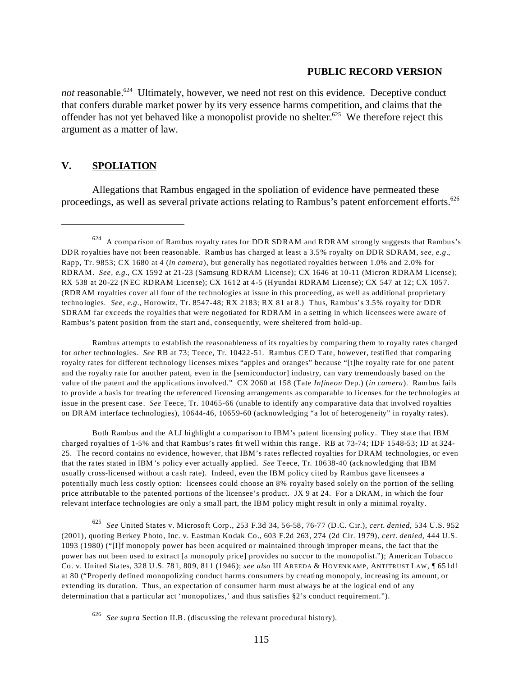*not* reasonable.<sup>624</sup> Ultimately, however, we need not rest on this evidence. Deceptive conduct that confers durable market power by its very essence harms competition, and claims that the offender has not yet behaved like a monopolist provide no shelter.<sup>625</sup> We therefore reject this argument as a matter of law.

# **V. SPOLIATION**

Allegations that Rambus engaged in the spoliation of evidence have permeated these proceedings, as well as several private actions relating to Rambus's patent enforcement efforts.<sup>626</sup>

Rambus attempts to establish the reasonableness of its royalties by comparing them to royalty rates charged for *other* technologies. *See* RB at 73; Teece, Tr. 10422-51. Rambus CEO Tate, however, testified that comparing royalty rates for different technology licenses mixes "apples and oranges" because "[t]he royalty rate for one patent and the royalty rate for another patent, even in the [semiconductor] industry, can vary tremendously based on the value of the patent and the applications involved." CX 2060 at 158 (Tate *Infineon* Dep.) (*in camera*). Rambus fails to provide a basis for treating the referenced licensing arrangements as comparable to licenses for the technologies at issue in the present case. *See* Teece, Tr. 10465-66 (unable to identify any comparative data that involved royalties on DRAM interface technologies), 10644-46, 10659-60 (acknowledging "a lot of heterogeneity" in royalty rates).

Both Rambus and the ALJ highlight a comparison to IBM's patent licensing policy. They state that IBM charged royalties of 1-5% and that Rambus's rates fit well within this range. RB at 73-74; IDF 1548-53; ID at 324 25. The record contains no evidence, however, that IBM's rates reflected royalties for DRAM technologies, or even that the rates stated in IBM 's policy ever actually applied. *See* Teece, Tr. 10638-40 (acknowledging that IBM usually cross-licensed without a cash rate). Indeed, even the IBM policy cited by Rambus gave licensees a potentially much less costly option: licensees could choose an 8% royalty based solely on the portion of the selling price attributable to the patented portions of the licensee's product. JX 9 at 24. For a DRAM, in which the four relevant interface technologies are only a small part, the IBM policy might result in only a minimal royalty.

<sup>625</sup>*See* United States v. Microsoft Corp., 253 F.3d 34, 56-58, 76-77 (D.C. Cir.), *cert. denied*, 534 U.S. 952 (2001), quoting Berkey Photo, Inc. v. Eastman Kodak Co., 603 F.2d 263, 274 (2d Cir. 1979), *cert. denied*, 444 U.S. 1093 (1980) ("[I]f monopoly power has been acquired or maintained through improper means, the fact that the power has not been used to extract [a monopoly price] provides no succor to the monopolist."); American Tobacco Co. v. United States, 328 U.S. 781, 809, 811 (1946); *see also* III AREEDA & HOVENKAM P, ANTITRUST LAW, ¶ 651d1 at 80 ("Properly defined monopolizing conduct harms consumers by creating monopoly, increasing its amount, or extending its duration. Thus, an expectation of consumer harm must always be at the logical end of any determination that a particular act 'monopolizes,' and thus satisfies §2's conduct requirement.").

<sup>624</sup> A comparison of Rambus royalty rates for DDR SDRAM and RDRAM strongly suggests that Rambus's DDR royalties have not been reasonable. Rambus has charged at least a 3.5% royalty on DDR SDRAM, *see, e.g.*, Rapp, Tr. 9853; CX 1680 at 4 (*in camera*), but generally has negotiated royalties between 1.0% and 2.0% for RDRAM. *See, e.g.*, CX 1592 at 21-23 (Samsung RDRAM License); CX 1646 at 10-11 (Micron RDRAM License); RX 538 at 20-22 (NEC RDRAM License); CX 1612 at 4-5 (Hyundai RDRAM License); CX 547 at 12; CX 1057. (RDRAM royalties cover all four of the technologies at issue in this proceeding, as well as additional proprietary technologies. *See, e.g.*, Horowitz, Tr. 8547-48*;* RX 2183; RX 81 at 8.) Thus, Rambus's 3.5% royalty for DDR SDRAM far exceeds the royalties that were negotiated for RDRAM in a setting in which licensees were aware of Rambus's patent position from the start and, consequently, were sheltered from hold-up.

<sup>626</sup>*See supra* Section II.B. (discussing the relevant procedural history).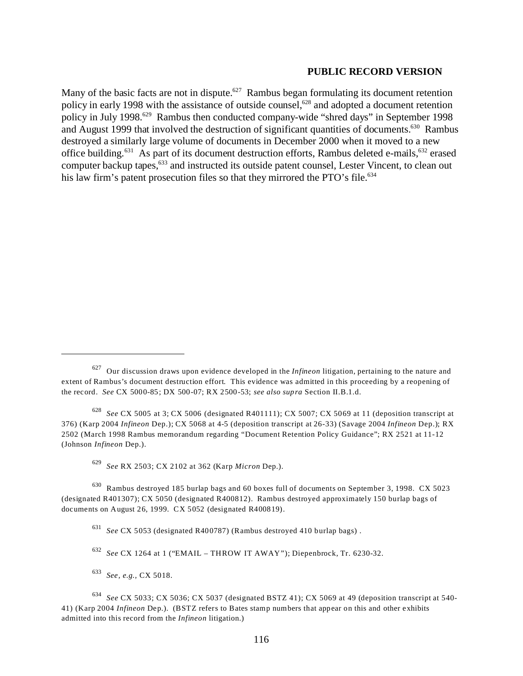Many of the basic facts are not in dispute.<sup>627</sup> Rambus began formulating its document retention policy in early 1998 with the assistance of outside counsel,<sup>628</sup> and adopted a document retention policy in July 1998.629 Rambus then conducted company-wide "shred days" in September 1998 and August 1999 that involved the destruction of significant quantities of documents.<sup>630</sup> Rambus destroyed a similarly large volume of documents in December 2000 when it moved to a new office building.<sup>631</sup> As part of its document destruction efforts, Rambus deleted e-mails,<sup>632</sup> erased computer backup tapes,<sup>633</sup> and instructed its outside patent counsel, Lester Vincent, to clean out his law firm's patent prosecution files so that they mirrored the PTO's file.<sup>634</sup>

<sup>627</sup> Our discussion draws upon evidence developed in the *Infineon* litigation, pertaining to the nature and extent of Rambus's document destruction effort. This evidence was admitted in this proceeding by a reopening of the record. *See* CX 5000-85; DX 500-07; RX 2500-53; *see also supra* Section II.B.1.d.

<sup>628</sup>*See* CX 5005 at 3; CX 5006 (designated R401111); CX 5007; CX 5069 at 11 (deposition transcript at 376) (Karp 2004 *Infineon* Dep.); CX 5068 at 4-5 (deposition transcript at 26-33) (Savage 2004 *Infineon* Dep.); RX 2502 (March 1998 Rambus memorandum regarding "Document Retention Policy Guidance"; RX 2521 at 11-12 (Johnson *Infineon* Dep.).

<sup>629</sup>*See* RX 2503; CX 2102 at 362 (Karp *Micron* Dep.).

<sup>630</sup> Rambus destroyed 185 burlap bags and 60 boxes full of documents on September 3, 1998. CX 5023 (designated R401307); CX 5050 (designated R400812). Rambus destroyed approximately 150 burlap bags of documents on August 26, 1999. CX 5052 (designated R400819).

<sup>631</sup>*See* CX 5053 (designated R400787) (Rambus destroyed 410 burlap bags) .

<sup>632</sup>*See* CX 1264 at 1 ("EMAIL – THROW IT AWAY"); Diepenbrock, Tr. 6230-32.

<sup>633</sup>*See, e.g.,* CX 5018.

<sup>634</sup>*See* CX 5033; CX 5036; CX 5037 (designated BSTZ 41); CX 5069 at 49 (deposition transcript at 540 41) (Karp 2004 *Infineon* Dep.). (BSTZ refers to Bates stamp numbers that appear on this and other exhibits admitted into this record from the *Infineon* litigation.)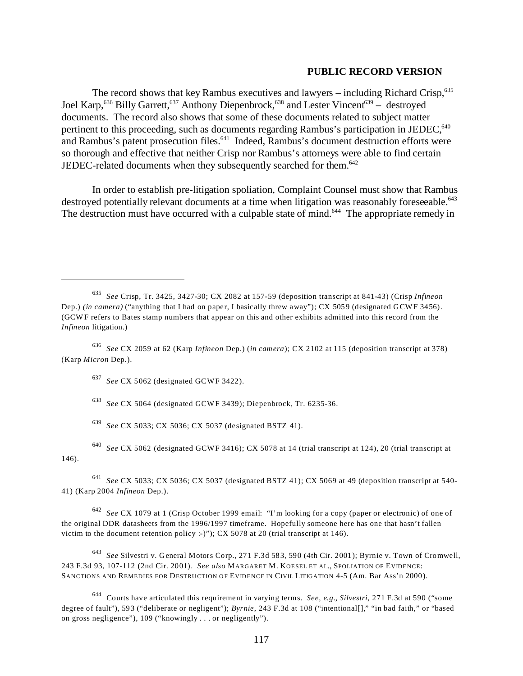The record shows that key Rambus executives and lawyers – including Richard Crisp, $635$ Joel Karp,<sup>636</sup> Billy Garrett,<sup>637</sup> Anthony Diepenbrock,<sup>638</sup> and Lester Vincent<sup>639</sup> – destroyed documents. The record also shows that some of these documents related to subject matter pertinent to this proceeding, such as documents regarding Rambus's participation in JEDEC,<sup>640</sup> and Rambus's patent prosecution files.<sup>641</sup> Indeed, Rambus's document destruction efforts were so thorough and effective that neither Crisp nor Rambus's attorneys were able to find certain JEDEC-related documents when they subsequently searched for them.<sup>642</sup>

In order to establish pre-litigation spoliation, Complaint Counsel must show that Rambus destroyed potentially relevant documents at a time when litigation was reasonably foreseeable.<sup>643</sup> The destruction must have occurred with a culpable state of mind.<sup>644</sup> The appropriate remedy in

<sup>637</sup>*See* CX 5062 (designated GCWF 3422).

<sup>638</sup>*See* CX 5064 (designated GCWF 3439); Diepenbrock, Tr. 6235-36.

<sup>639</sup>*See* CX 5033; CX 5036; CX 5037 (designated BSTZ 41).

<sup>640</sup>*See* CX 5062 (designated GCWF 3416); CX 5078 at 14 (trial transcript at 124), 20 (trial transcript at 146).

<sup>641</sup>*See* CX 5033; CX 5036; CX 5037 (designated BSTZ 41); CX 5069 at 49 (deposition transcript at 540 41) (Karp 2004 *Infineon* Dep.).

<sup>642</sup>*See* CX 1079 at 1 (Crisp October 1999 email: "I'm looking for a copy (paper or electronic) of one of the original DDR datasheets from the 1996/1997 timeframe. Hopefully someone here has one that hasn't fallen victim to the document retention policy :-)"); CX 5078 at 20 (trial transcript at 146).

<sup>643</sup>*See* Silvestri v. General Motors Corp., 271 F.3d 583, 590 (4th Cir. 2001); Byrnie v. Town of Cromwell, 243 F.3d 93, 107-112 (2nd Cir. 2001). *See also* MARGARET M. KOESEL ET AL., SPOLIATION OF EVIDENCE: SANCTIONS AND REMEDIES FOR DESTRUCTION OF EVIDENCE IN CIVIL LITIGATION 4-5 (Am. Bar Ass'n 2000).

644 Courts have articulated this requirement in varying terms. *See, e.g.*, *Silvestri*, 271 F.3d at 590 ("some degree of fault"), 593 ("deliberate or negligent"); *Byrnie*, 243 F.3d at 108 ("intentional[]," "in bad faith," or "based on gross negligence"), 109 ("knowingly . . . or negligently").

<sup>635</sup>*See* Crisp, Tr. 3425, 3427-30; CX 2082 at 157-59 (deposition transcript at 841-43) (Crisp *Infineon*  Dep.) *(in camera)* ("anything that I had on paper, I basically threw away"); CX 5059 (designated GCWF 3456). (GCWF refers to Bates stamp numbers that appear on this and other exhibits admitted into this record from the *Infineon* litigation.)

<sup>636</sup>*See* CX 2059 at 62 (Karp *Infineon* Dep.) (*in camera*); CX 2102 at 115 (deposition transcript at 378) (Karp *Micron* Dep.).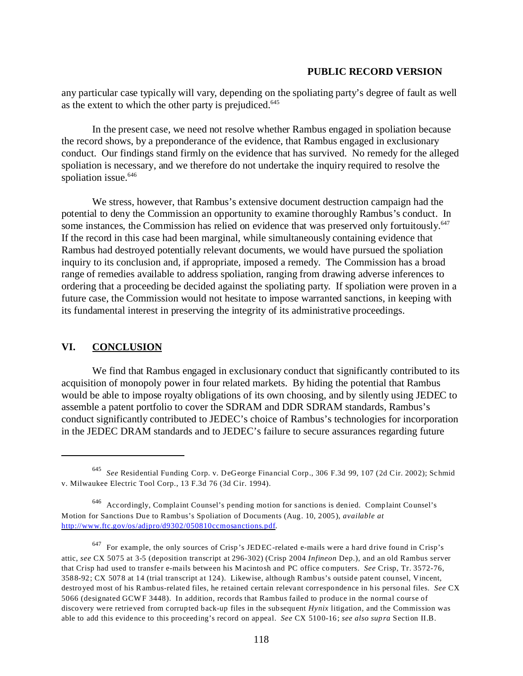any particular case typically will vary, depending on the spoliating party's degree of fault as well as the extent to which the other party is prejudiced.<sup>645</sup>

In the present case, we need not resolve whether Rambus engaged in spoliation because the record shows, by a preponderance of the evidence, that Rambus engaged in exclusionary conduct. Our findings stand firmly on the evidence that has survived. No remedy for the alleged spoliation is necessary, and we therefore do not undertake the inquiry required to resolve the spoliation issue.<sup>646</sup>

We stress, however, that Rambus's extensive document destruction campaign had the potential to deny the Commission an opportunity to examine thoroughly Rambus's conduct. In some instances, the Commission has relied on evidence that was preserved only fortuitously.<sup>647</sup> If the record in this case had been marginal, while simultaneously containing evidence that Rambus had destroyed potentially relevant documents, we would have pursued the spoliation inquiry to its conclusion and, if appropriate, imposed a remedy. The Commission has a broad range of remedies available to address spoliation, ranging from drawing adverse inferences to ordering that a proceeding be decided against the spoliating party. If spoliation were proven in a future case, the Commission would not hesitate to impose warranted sanctions, in keeping with its fundamental interest in preserving the integrity of its administrative proceedings.

### **VI. CONCLUSION**

We find that Rambus engaged in exclusionary conduct that significantly contributed to its acquisition of monopoly power in four related markets. By hiding the potential that Rambus would be able to impose royalty obligations of its own choosing, and by silently using JEDEC to assemble a patent portfolio to cover the SDRAM and DDR SDRAM standards, Rambus's conduct significantly contributed to JEDEC's choice of Rambus's technologies for incorporation in the JEDEC DRAM standards and to JEDEC's failure to secure assurances regarding future

<sup>645</sup>*See* Residential Funding Corp. v. DeGeorge Financial Corp., 306 F.3d 99, 107 (2d Cir. 2002); Schmid v. Milwaukee Electric Tool Corp., 13 F.3d 76 (3d Cir. 1994).

<sup>646</sup> Accordingly, Complaint Counsel's pending motion for sanctions is denied. Complaint Counsel's Motion for Sanctions Due to Rambus's Spoliation of Documents (Aug. 10, 2005), *available at*  <http://www.ftc.gov/os/adjpro/d9302/050810ccmosanctions.pdf>.

<sup>647</sup> For example, the only sources of Crisp's JEDEC-related e-mails were a hard drive found in Crisp's attic, *see* CX 5075 at 3-5 (deposition transcript at 296-302) (Crisp 2004 *Infineon* Dep.), and an old Rambus server that Crisp had used to transfer e-mails between his Macintosh and PC office computers. *See* Crisp, Tr. 3572-76, 3588-92; CX 5078 at 14 (trial transcript at 124). Likewise, although Rambus's outside patent counsel, Vincent, destroyed most of his Rambus-related files, he retained certain relevant correspondence in his personal files. *See* CX 5066 (designated GCW F 3448). In addition, records that Rambus failed to produce in the normal course of discovery were retrieved from corrupted back-up files in the subsequent *Hynix* litigation, and the Commission was able to add this evidence to this proceeding's record on appeal. *See* CX 5100-16; *see also supra* Section II.B.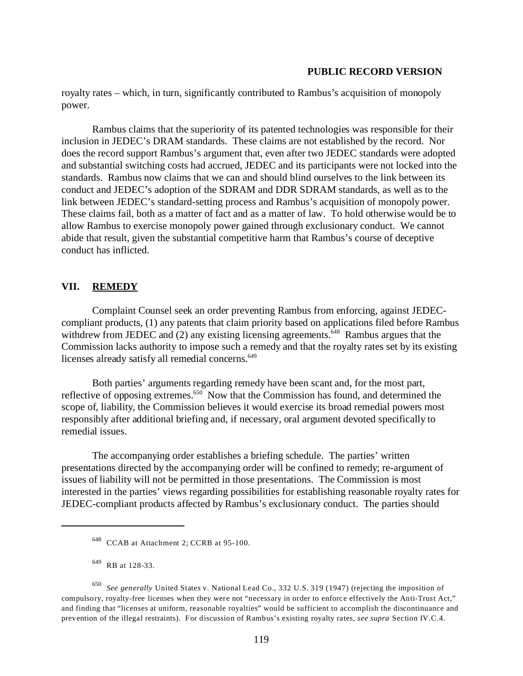royalty rates – which, in turn, significantly contributed to Rambus's acquisition of monopoly power.

Rambus claims that the superiority of its patented technologies was responsible for their inclusion in JEDEC's DRAM standards. These claims are not established by the record. Nor does the record support Rambus's argument that, even after two JEDEC standards were adopted and substantial switching costs had accrued, JEDEC and its participants were not locked into the standards. Rambus now claims that we can and should blind ourselves to the link between its conduct and JEDEC's adoption of the SDRAM and DDR SDRAM standards, as well as to the link between JEDEC's standard-setting process and Rambus's acquisition of monopoly power. These claims fail, both as a matter of fact and as a matter of law. To hold otherwise would be to allow Rambus to exercise monopoly power gained through exclusionary conduct. We cannot abide that result, given the substantial competitive harm that Rambus's course of deceptive conduct has inflicted.

## **VII. REMEDY**

Complaint Counsel seek an order preventing Rambus from enforcing, against JEDECcompliant products, (1) any patents that claim priority based on applications filed before Rambus withdrew from JEDEC and (2) any existing licensing agreements.<sup>648</sup> Rambus argues that the Commission lacks authority to impose such a remedy and that the royalty rates set by its existing licenses already satisfy all remedial concerns.<sup>649</sup>

Both parties' arguments regarding remedy have been scant and, for the most part, reflective of opposing extremes.<sup>650</sup> Now that the Commission has found, and determined the scope of, liability, the Commission believes it would exercise its broad remedial powers most responsibly after additional briefing and, if necessary, oral argument devoted specifically to remedial issues.

The accompanying order establishes a briefing schedule. The parties' written presentations directed by the accompanying order will be confined to remedy; re-argument of issues of liability will not be permitted in those presentations. The Commission is most interested in the parties' views regarding possibilities for establishing reasonable royalty rates for JEDEC-compliant products affected by Rambus's exclusionary conduct. The parties should

<sup>648</sup> CCAB at Attachment 2; CCRB at 95-100.

<sup>649</sup> RB at 128-33.

<sup>650</sup>*See generally* United States v. National Lead Co., 332 U.S. 319 (1947) (rejecting the imposition of compulsory, royalty-free licenses when they were not "necessary in order to enforce effectively the Anti-Trust Act," and finding that "licenses at uniform, reasonable royalties" would be sufficient to accomplish the discontinuance and prevention of the illegal restraints). For discussion of Rambus's existing royalty rates, *see supra* Section IV.C.4.